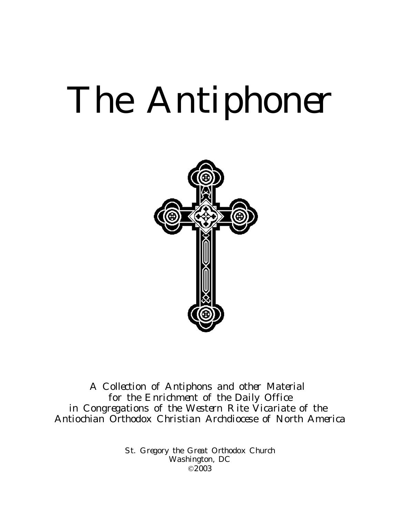# The Antiphoner



A Collection of Antiphons and other Material for the Enrichment of the Daily Office in Congregations of the Western Rite Vicariate of the Antiochian Orthodox Christian Archdiocese of North America

> St. Gregory the Great Orthodox Church Washington, DC ©2003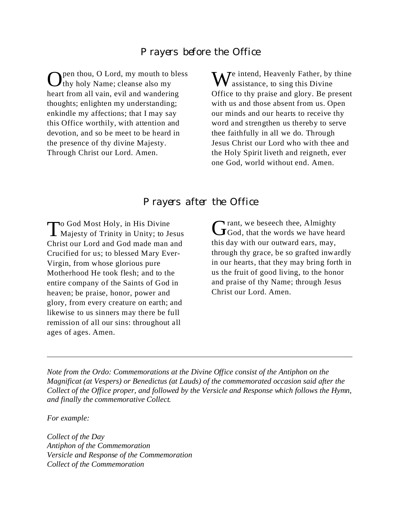#### Prayers before the Office

Open thou, O Lord, my mouth to bless<br>thy holy Name; cleanse also my Ithy holy Name; cleanse also my heart from all vain, evil and wandering thoughts; enlighten my understanding; enkindle my affections; that I may say this Office worthily, with attention and devotion, and so be meet to be heard in the presence of thy divine Majesty. Through Christ our Lord. Amen.

We intend, Heavenly Father, by thine<br>assistance, to sing this Divine Office to thy praise and glory. Be present with us and those absent from us. Open our minds and our hearts to receive thy word and strengthen us thereby to serve thee faithfully in all we do. Through Jesus Christ our Lord who with thee and the Holy Spirit liveth and reigneth, ever one God, world without end. Amen.

#### Prayers after the Office

To God Most Holy, in His Divine<br>Majesty of Trinity in Unity; to J  $\perp$  Majesty of Trinity in Unity; to Jesus Christ our Lord and God made man and Crucified for us; to blessed Mary Ever-Virgin, from whose glorious pure Motherhood He took flesh; and to the entire company of the Saints of God in heaven; be praise, honor, power and glory, from every creature on earth; and likewise to us sinners may there be full remission of all our sins: throughout all ages of ages. Amen.

Grant, we beseech thee, Almighty<br>God, that the words we have heard **Trant, we beseech thee, Almighty** this day with our outward ears, may, through thy grace, be so grafted inwardly in our hearts, that they may bring forth in us the fruit of good living, to the honor and praise of thy Name; through Jesus Christ our Lord. Amen.

*Note from the Ordo: Commemorations at the Divine Office consist of the Antiphon on the Magnificat (at Vespers) or Benedictus (at Lauds) of the commemorated occasion said after the Collect of the Office proper, and followed by the Versicle and Response which follows the Hymn, and finally the commemorative Collect.*

*For example:*

*Collect of the Day Antiphon of the Commemoration Versicle and Response of the Commemoration Collect of the Commemoration*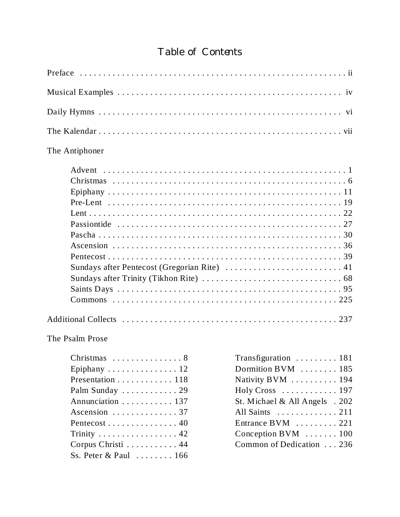# Table of Contents

| The Antiphoner                                                                                                                                                                                                                                                                                                                                 |                                                                                                                                                                                                                                                                                                              |  |
|------------------------------------------------------------------------------------------------------------------------------------------------------------------------------------------------------------------------------------------------------------------------------------------------------------------------------------------------|--------------------------------------------------------------------------------------------------------------------------------------------------------------------------------------------------------------------------------------------------------------------------------------------------------------|--|
|                                                                                                                                                                                                                                                                                                                                                |                                                                                                                                                                                                                                                                                                              |  |
|                                                                                                                                                                                                                                                                                                                                                |                                                                                                                                                                                                                                                                                                              |  |
| The Psalm Prose<br>Epiphany $\ldots \ldots \ldots \ldots 12$<br>Presentation $\dots \dots \dots \dots \dots 118$<br>Palm Sunday  29<br>Annunciation 137<br>Ascension $\ldots \ldots \ldots \ldots 37$<br>Pentecost 40<br>Trinity $\dots \dots \dots \dots \dots \dots 42$<br>Corpus Christi  44<br>Ss. Peter & Paul $\ldots \ldots \ldots 166$ | Transfiguration  181<br>Dormition BVM $\ldots \ldots \ldots 185$<br>Nativity BVM 194<br>Holy Cross $\dots \dots \dots \dots 197$<br>St. Michael & All Angels . 202<br>All Saints $\dots \dots \dots \dots 211$<br>Entrance BVM  221<br>Conception BVM $\ldots \ldots \ldots 100$<br>Common of Dedication 236 |  |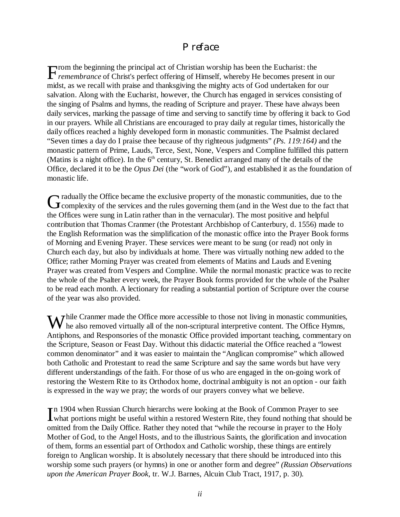#### Preface

From the beginning the principal act of Christian worship has been the Eucharist: the *remembrance* of Christ's perfect offering of Himself, whereby He becomes present in our rom the beginning the principal act of Christian worship has been the Eucharist: the midst, as we recall with praise and thanksgiving the mighty acts of God undertaken for our salvation. Along with the Eucharist, however, the Church has engaged in services consisting of the singing of Psalms and hymns, the reading of Scripture and prayer. These have always been daily services, marking the passage of time and serving to sanctify time by offering it back to God in our prayers. While all Christians are encouraged to pray daily at regular times, historically the daily offices reached a highly developed form in monastic communities. The Psalmist declared "Seven times a day do I praise thee because of thy righteous judgments" *(Ps. 119:164)* and the monastic pattern of Prime, Lauds, Terce, Sext, None, Vespers and Compline fulfilled this pattern (Matins is a night office). In the  $6<sup>th</sup>$  century, St. Benedict arranged many of the details of the Office, declared it to be the *Opus Dei* (the "work of God"), and established it as the foundation of monastic life.

G radually the Office became the exclusive property of the monastic communities, due to the fact the complexity of the services and the rules governing them (and in the West due to the fact the services) complexity of the services and the rules governing them (and in the West due to the fact that the Offices were sung in Latin rather than in the vernacular). The most positive and helpful contribution that Thomas Cranmer (the Protestant Archbishop of Canterbury, d. 1556) made to the English Reformation was the simplification of the monastic office into the Prayer Book forms of Morning and Evening Prayer. These services were meant to be sung (or read) not only in Church each day, but also by individuals at home. There was virtually nothing new added to the Office; rather Morning Prayer was created from elements of Matins and Lauds and Evening Prayer was created from Vespers and Compline. While the normal monastic practice was to recite the whole of the Psalter every week, the Prayer Book forms provided for the whole of the Psalter to be read each month. A lectionary for reading a substantial portion of Scripture over the course of the year was also provided.

While Cranmer made the Office more accessible to those not living in monastic communities,<br>the also removed virtually all of the non-scriptural interpretive content. The Office Hymns, he also removed virtually all of the non-scriptural interpretive content. The Office Hymns, Antiphons, and Responsories of the monastic Office provided important teaching, commentary on the Scripture, Season or Feast Day. Without this didactic material the Office reached a "lowest common denominator" and it was easier to maintain the "Anglican compromise" which allowed both Catholic and Protestant to read the same Scripture and say the same words but have very different understandings of the faith. For those of us who are engaged in the on-going work of restoring the Western Rite to its Orthodox home, doctrinal ambiguity is not an option - our faith is expressed in the way we pray; the words of our prayers convey what we believe.

In 1904 when Russian Church hierarchs were looking at the Book of Common Prayer to see<br>Western Rite, they found nothing that should what portions might be useful within a restored Western Rite, they found nothing that shou what portions might be useful within a restored Western Rite, they found nothing that should be omitted from the Daily Office. Rather they noted that "while the recourse in prayer to the Holy Mother of God, to the Angel Hosts, and to the illustrious Saints, the glorification and invocation of them, forms an essential part of Orthodox and Catholic worship, these things are entirely foreign to Anglican worship. It is absolutely necessary that there should be introduced into this worship some such prayers (or hymns) in one or another form and degree" *(Russian Observations upon the American Prayer Book*, tr. W.J. Barnes, Alcuin Club Tract, 1917, p. 30).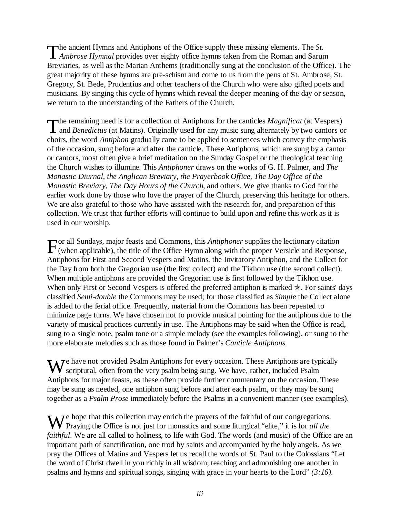The ancient Hymns and Antiphons of the Office supply these missing elements. The *St.*<br>Ambrose Hymnal provides over eighty office hymns taken from the Roman and Sarum **here** ancient Hymns and Antiphons of the Office supply these missing elements. The *St*. Breviaries, as well as the Marian Anthems (traditionally sung at the conclusion of the Office). The great majority of these hymns are pre-schism and come to us from the pens of St. Ambrose, St. Gregory, St. Bede, Prudentius and other teachers of the Church who were also gifted poets and musicians. By singing this cycle of hymns which reveal the deeper meaning of the day or season, we return to the understanding of the Fathers of the Church.

The remaining need is for a collection of Antiphons for the canticles *Magnificat* (at Vespers) and *Benedictus* (at Matins). Originally used for any music sung alternately by two cantors of and *Benedictus* (at Matins). Originally used for any music sung alternately by two cantors or choirs, the word *Antiphon* gradually came to be applied to sentences which convey the emphasis of the occasion, sung before and after the canticle. These Antiphons, which are sung by a cantor or cantors, most often give a brief meditation on the Sunday Gospel or the theological teaching the Church wishes to illumine. This *Antiphoner* draws on the works of G. H. Palmer*,* and *The Monastic Diurnal, the Anglican Breviary, the Prayerbook Office, The Day Office of the Monastic Breviary, The Day Hours of the Church*, and others. We give thanks to God for the earlier work done by those who love the prayer of the Church, preserving this heritage for others. We are also grateful to those who have assisted with the research for, and preparation of this collection. We trust that further efforts will continue to build upon and refine this work as it is used in our worship.

For all Sundays, major feasts and Commons, this *Antiphoner* supplies the lectionary citation (when applicable), the title of the Office Hymn along with the proper Versicle and Respons (when applicable), the title of the Office Hymn along with the proper Versicle and Response, Antiphons for First and Second Vespers and Matins, the Invitatory Antiphon, and the Collect for the Day from both the Gregorian use (the first collect) and the Tikhon use (the second collect). When multiple antiphons are provided the Gregorian use is first followed by the Tikhon use. When only First or Second Vespers is offered the preferred antiphon is marked  $\star$ . For saints' days classified *Semi-double* the Commons may be used; for those classified as *Simple* the Collect alone is added to the ferial office. Frequently, material from the Commons has been repeated to minimize page turns. We have chosen not to provide musical pointing for the antiphons due to the variety of musical practices currently in use. The Antiphons may be said when the Office is read, sung to a single note, psalm tone or a simple melody (see the examples following), or sung to the more elaborate melodies such as those found in Palmer's *Canticle Antiphons.*

We have not provided Psalm Antiphons for every occasion. These Antiphons are typically scriptural, often from the very psalm being sung. We have, rather, included Psalm scriptural, often from the very psalm being sung. We have, rather, included Psalm Antiphons for major feasts, as these often provide further commentary on the occasion. These may be sung as needed, one antiphon sung before and after each psalm, or they may be sung together as a *Psalm Prose* immediately before the Psalms in a convenient manner (see examples).

We hope that this collection may enrich the prayers of the faithful of our congregations.<br>
Praying the Office is not just for monastics and some liturgical "elite," it is for all the Praying the Office is not just for monastics and some liturgical "elite," it is for *all the faithful*. We are all called to holiness, to life with God. The words (and music) of the Office are an important path of sanctification, one trod by saints and accompanied by the holy angels. As we pray the Offices of Matins and Vespers let us recall the words of St. Paul to the Colossians "Let the word of Christ dwell in you richly in all wisdom; teaching and admonishing one another in psalms and hymns and spiritual songs, singing with grace in your hearts to the Lord" *(3:16).*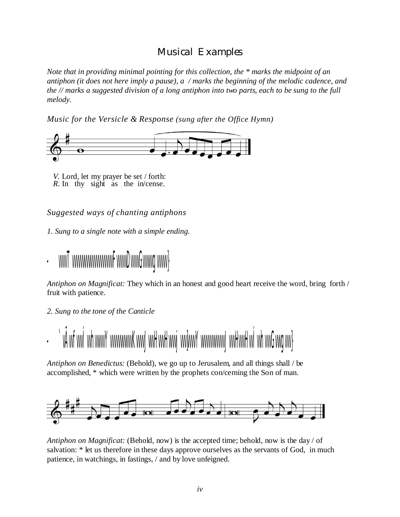# Musical Examples

*Note that in providing minimal pointing for this collection, the \* marks the midpoint of an antiphon (it does not here imply a pause), a / marks the beginning of the melodic cadence, and the // marks a suggested division of a long antiphon into two parts, each to be sung to the full melody.*

*Music for the Versicle & Response (sung after the Office Hymn)*



 *V.* Lord, let my prayer be set / forth: *R*. In thy sight as the in/cense.

*Suggested ways of chanting antiphons*

*1. Sung to a single note with a simple ending.*



*Antiphon on Magnificat:* They which in an honest and good heart receive the word, bring forth / fruit with patience.

*2. Sung to the tone of the Canticle*



*Antiphon on Benedictus:* (Behold), we go up to Jerusalem, and all things shall / be accomplished, \* which were written by the prophets con/cerning the Son of man.



*Antiphon on Magnificat:* (Behold, now) is the accepted time; behold, now is the day / of salvation: \* let us therefore in these days approve ourselves as the servants of God, in much patience, in watchings, in fastings, / and by love unfeigned.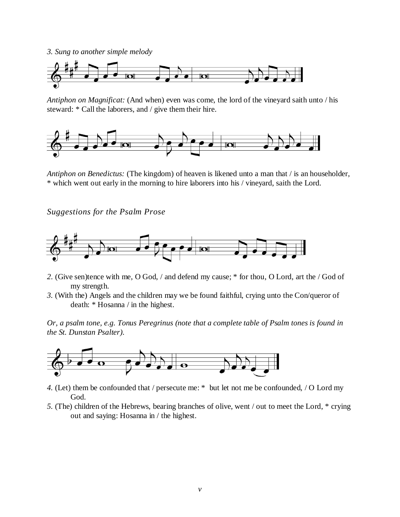*3. Sung to another simple melody*



*Antiphon on Magnificat:* (And when) even was come, the lord of the vineyard saith unto / his steward: \* Call the laborers, and / give them their hire.



*Antiphon on Benedictus:* (The kingdom) of heaven is likened unto a man that / is an householder, \* which went out early in the morning to hire laborers into his / vineyard, saith the Lord.

*Suggestions for the Psalm Prose*



- *2*. (Give sen)tence with me, O God, / and defend my cause; \* for thou, O Lord, art the / God of my strength.
- *3.* (With the) Angels and the children may we be found faithful, crying unto the Con/queror of death: \* Hosanna / in the highest.

*Or, a psalm tone, e.g. Tonus Peregrinus (note that a complete table of Psalm tones is found in the St. Dunstan Psalter).*



- *4.* (Let) them be confounded that / persecute me: \* but let not me be confounded, / O Lord my God.
- *5.* (The) children of the Hebrews, bearing branches of olive, went / out to meet the Lord, \* crying out and saying: Hosanna in / the highest.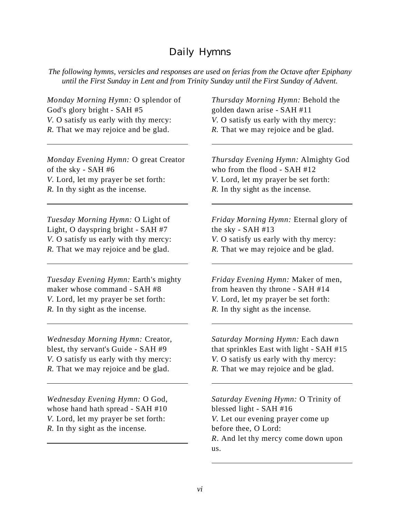### Daily Hymns

*The following hymns, versicles and responses are used on ferias from the Octave after Epiphany until the First Sunday in Lent and from Trinity Sunday until the First Sunday of Advent.*

*Monday Morning Hymn:* O splendor of God's glory bright - SAH #5 *V.* O satisfy us early with thy mercy: *R*. That we may rejoice and be glad.

*Monday Evening Hymn:* O great Creator of the sky - SAH #6 *V.* Lord, let my prayer be set forth: *R.* In thy sight as the incense.

*Tuesday Morning Hymn:* O Light of Light, O dayspring bright - SAH #7 *V.* O satisfy us early with thy mercy: *R*. That we may rejoice and be glad.

*Tuesday Evening Hymn:* Earth's mighty maker whose command - SAH #8 *V.* Lord, let my prayer be set forth: *R.* In thy sight as the incense.

*Wednesday Morning Hymn:* Creator, blest, thy servant's Guide - SAH #9 *V.* O satisfy us early with thy mercy: *R*. That we may rejoice and be glad.

*Wednesday Evening Hymn:* O God, whose hand hath spread - SAH #10 *V.* Lord, let my prayer be set forth: *R.* In thy sight as the incense.

*Thursday Morning Hymn:* Behold the golden dawn arise - SAH #11 *V.* O satisfy us early with thy mercy: *R.* That we may rejoice and be glad.

*Thursday Evening Hymn:* Almighty God who from the flood - SAH #12 *V.* Lord, let my prayer be set forth: *R.* In thy sight as the incense.

*Friday Morning Hymn:* Eternal glory of the sky - SAH #13 *V.* O satisfy us early with thy mercy: *R.* That we may rejoice and be glad.

*Friday Evening Hymn:* Maker of men, from heaven thy throne - SAH #14 *V.* Lord, let my prayer be set forth: *R.* In thy sight as the incense.

*Saturday Morning Hymn:* Each dawn that sprinkles East with light - SAH #15 *V.* O satisfy us early with thy mercy: *R*. That we may rejoice and be glad.

*Saturday Evening Hymn:* O Trinity of blessed light - SAH #16 *V.* Let our evening prayer come up before thee, O Lord: *R*. And let thy mercy come down upon us.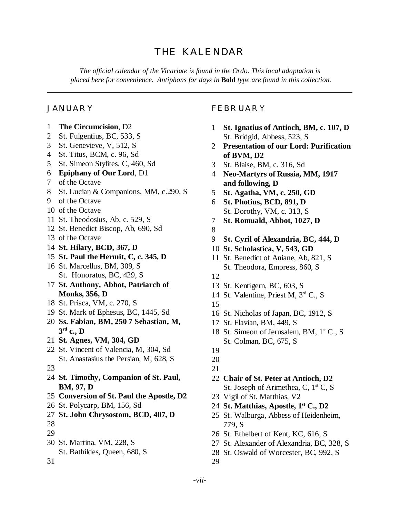# THE KALENDAR

*The official calendar of the Vicariate is found in the Ordo. This local adaptation is placed here for convenience. Antiphons for days in* **Bold** *type are found in this collection.*

#### JANUARY

- **The Circumcision**, D2
- St. Fulgentius, BC, 533, S
- St. Genevieve, V, 512, S
- St. Titus, BCM, c. 96, Sd
- St. Simeon Stylites, C, 460, Sd
- **Epiphany of Our Lord**, D1
- of the Octave
- St. Lucian & Companions, MM, c.290, S
- of the Octave
- of the Octave
- St. Theodosius, Ab, c. 529, S
- St. Benedict Biscop, Ab, 690, Sd
- of the Octave
- **St. Hilary, BCD, 367, D**
- **St. Paul the Hermit, C, c. 345, D**
- St. Marcellus, BM, 309, S St. Honoratus, BC, 429, S
- **St. Anthony, Abbot, Patriarch of Monks, 356, D**
- St. Prisca, VM, c. 270, S
- St. Mark of Ephesus, BC, 1445, Sd
- **Ss. Fabian, BM, 250 7 Sebastian, M, rd c., D**
- **St. Agnes, VM, 304, GD**
- St. Vincent of Valencia, M, 304, Sd St. Anastasius the Persian, M, 628, S
- 
- **St. Timothy, Companion of St. Paul, BM, 97, D**
- **Conversion of St. Paul the Apostle, D2**
- St. Polycarp, BM, 156, Sd
- **St. John Chrysostom, BCD, 407, D**
- 
- 
- St. Martina, VM, 228, S St. Bathildes, Queen, 680, S
- 

#### FEBRUARY

- **St. Ignatius of Antioch, BM, c. 107, D** St. Bridgid, Abbess, 523, S
- **Presentation of our Lord: Purification of BVM, D2**
- St. Blaise, BM, c. 316, Sd
- **Neo-Martyrs of Russia, MM, 1917 and following, D**
- **St. Agatha, VM, c. 250, GD**
- **St. Photius, BCD, 891, D**
- St. Dorothy, VM, c. 313, S
- **St. Romuald, Abbot, 1027, D**
- 
- **St. Cyril of Alexandria, BC, 444, D**
- **St. Scholastica, V, 543, GD**
- St. Benedict of Aniane, Ab, 821, S St. Theodora, Empress, 860, S
- 
- St. Kentigern, BC, 603, S
- St. Valentine, Priest M, 3rd C., S
- 
- St. Nicholas of Japan, BC, 1912, S
- St. Flavian, BM, 449, S
- 18 St. Simeon of Jerusalem, BM, 1<sup>st</sup> C., S St. Colman, BC, 675, S
- 
- 
- 
- **Chair of St. Peter at Antioch, D2** St. Joseph of Arimethea, C,  $1<sup>st</sup>$  C, S
- Vigil of St. Matthias, V2
- **St. Matthias, Apostle, 1st C., D2**
- St. Walburga, Abbess of Heidenheim, 779, S
- St. Ethelbert of Kent, KC, 616, S
- St. Alexander of Alexandria, BC, 328, S
- St. Oswald of Worcester, BC, 992, S

*-vii-*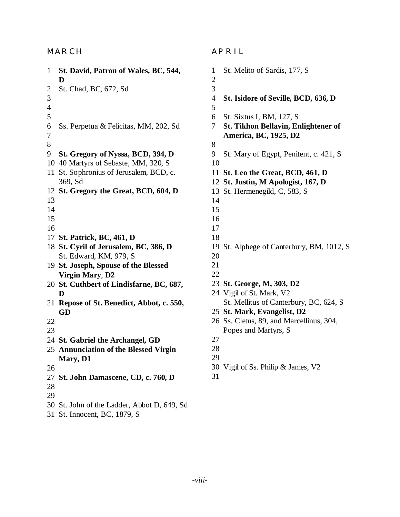#### MARCH

| $\mathbf{1}$   | St. David, Patron of Wales, BC, 544,<br>D    |
|----------------|----------------------------------------------|
| $\overline{c}$ | St. Chad, BC, 672, Sd                        |
| 3              |                                              |
| $\overline{4}$ |                                              |
| 5              |                                              |
| 6              | Ss. Perpetua & Felicitas, MM, 202, Sd        |
| 7              |                                              |
| 8              |                                              |
| 9              | St. Gregory of Nyssa, BCD, 394, D            |
| 10             | 40 Martyrs of Sebaste, MM, 320, S            |
| 11             | St. Sophronius of Jerusalem, BCD, c.         |
|                | 369, Sd                                      |
| 12             | St. Gregory the Great, BCD, 604, D           |
| 13             |                                              |
| 14             |                                              |
| 15             |                                              |
| 16             |                                              |
|                | 17 St. Patrick, BC, 461, D                   |
|                | 18 St. Cyril of Jerusalem, BC, 386, D        |
|                | St. Edward, KM, 979, S                       |
|                | 19 St. Joseph, Spouse of the Blessed         |
|                | <b>Virgin Mary, D2</b>                       |
|                | 20 St. Cuthbert of Lindisfarne, BC, 687,     |
|                | D                                            |
| 21             | Repose of St. Benedict, Abbot, c. 550,<br>GD |
| 22             |                                              |
| 23             |                                              |
|                | 24 St. Gabriel the Archangel, GD             |
|                | 25 Annunciation of the Blessed Virgin        |
|                | <b>Mary</b> , D1                             |
| 26             |                                              |
| 27             | St. John Damascene, CD, c. 760, D            |
| 28             |                                              |
| 29             |                                              |
|                | 30 St. John of the Ladder, Abbot D, 649, Sd  |
|                |                                              |

St. Innocent, BC, 1879, S

#### APRIL

 St. Melito of Sardis, 177, S **St. Isidore of Seville, BCD, 636, D** St. Sixtus I, BM, 127, S **St. Tikhon Bellavin, Enlightener of America, BC, 1925, D2** St. Mary of Egypt, Penitent, c. 421, S **St. Leo the Great, BCD, 461, D St. Justin, M Apologist, 167, D** St. Hermenegild, C, 583, S St. Alphege of Canterbury, BM, 1012, S **St. George, M, 303, D2** Vigil of St. Mark, V2 St. Mellitus of Canterbury, BC, 624, S **St. Mark, Evangelist, D2** Ss. Cletus, 89, and Marcellinus, 304, Popes and Martyrs, S Vigil of Ss. Philip & James, V2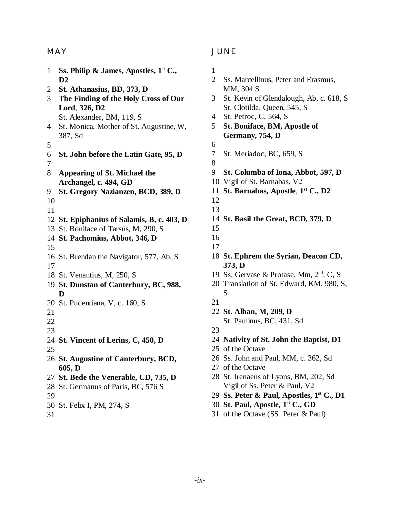#### MAY

| $\mathbf{1}$   | Ss. Philip & James, Apostles, $1st$ C.,            |
|----------------|----------------------------------------------------|
|                | $\mathbf{D}2$                                      |
| $\overline{c}$ | St. Athanasius, BD, 373, D                         |
| 3              | The Finding of the Holy Cross of Our               |
|                | Lord, 326, D2                                      |
|                | St. Alexander, BM, 119, S                          |
| 4              | St. Monica, Mother of St. Augustine, W,<br>387, Sd |
| 5              |                                                    |
| 6              | St. John before the Latin Gate, 95, D              |
| 7              |                                                    |
| 8              | Appearing of St. Michael the                       |
|                | Archangel, c. 494, GD                              |
| 9              | St. Gregory Nazianzen, BCD, 389, D                 |
| 10             |                                                    |
| 11             |                                                    |
|                | 12 St. Epiphanius of Salamis, B, c. 403, D         |
| 13             | St. Boniface of Tarsus, M, 290, S                  |
|                | 14 St. Pachomius, Abbot, 346, D                    |
| 15             |                                                    |
|                | 16 St. Brendan the Navigator, 577, Ab, S           |
| 17             |                                                    |
|                | 18 St. Venantius, M, 250, S                        |
|                | 19 St. Dunstan of Canterbury, BC, 988,             |
|                | D                                                  |
|                | 20 St. Pudentiana, V, c. 160, S                    |
| 21             |                                                    |
| 22             |                                                    |
| 23             |                                                    |
|                | 24 St. Vincent of Lerins, C, 450, D                |
| 25             |                                                    |
|                | 26 St. Augustine of Canterbury, BCD,               |
|                | 605, D                                             |
|                | 27 St. Bede the Venerable, CD, 735, D              |
|                | 28 St. Germanus of Paris, BC, 576 S                |
| 29             |                                                    |
|                | 30 St. Felix I, PM, 274, S                         |
| 31             |                                                    |

#### JUNE

 Ss. Marcellinus, Peter and Erasmus, MM, 304 S St. Kevin of Glendalough, Ab, c. 618, S St. Clotilda, Queen, 545, S St. Petroc, C, 564, S **St. Boniface, BM, Apostle of Germany, 754, D** St. Meriadoc, BC, 659, S **St. Columba of Iona, Abbot, 597, D** Vigil of St. Barnabas, V2 **St. Barnabas, Apostle**, **1 st C., D2 St. Basil the Great, BCD, 379, D St. Ephrem the Syrian, Deacon CD, 373, D** Ss. Gervase & Protase, Mm, 2nd. C, S Translation of St. Edward, KM, 980, S, S **St. Alban, M, 209, D** St. Paulinus, BC, 431, Sd **Nativity of St. John the Baptist**, **D1** of the Octave Ss. John and Paul, MM, c. 362, Sd of the Octave St. Irenaeus of Lyons, BM, 202, Sd Vigil of Ss. Peter & Paul, V2

- **Ss. Peter & Paul, Apostles, 1st C., D1**
- **St. Paul, Apostle, 1st C., GD**
- of the Octave (SS. Peter & Paul)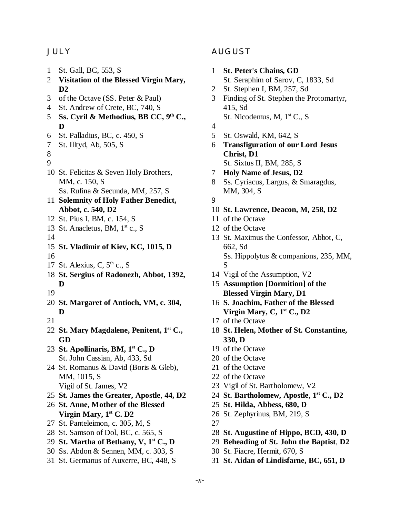#### JULY

- St. Gall, BC, 553, S
- **Visitation of the Blessed Virgin Mary, D2**
- of the Octave (SS. Peter & Paul)
- St. Andrew of Crete, BC, 740, S
- **Ss. Cyril & Methodius, BB CC, 9th C., D**
- St. Palladius, BC, c. 450, S
- St. Illtyd, Ab, 505, S
- 
- 
- St. Felicitas & Seven Holy Brothers, MM, c. 150, S Ss. Rufina & Secunda, MM, 257, S
- **Solemnity of Holy Father Benedict, Abbot, c. 540, D2**
- St. Pius I, BM, c. 154, S
- 13 St. Anacletus, BM,  $1<sup>st</sup>$  c., S
- 
- **St. Vladimir of Kiev, KC, 1015, D**
- 
- 17 St. Alexius, C,  $5<sup>th</sup>$  c., S
- **St. Sergius of Radonezh, Abbot, 1392, D**
- 
- **St. Margaret of Antioch, VM, c. 304, D**
- 
- **St. Mary Magdalene, Penitent, 1st C., GD**
- **St. Apollinaris, BM, 1st C., D** St. John Cassian, Ab, 433, Sd
- St. Romanus & David (Boris & Gleb), MM, 1015, S Vigil of St. James, V2
- **St. James the Greater, Apostle**, **44, D2**
- **St. Anne, Mother of the Blessed Virgin Mary, 1st C. D2**
- St. Panteleimon, c. 305, M, S
- St. Samson of Dol, BC, c. 565, S
- **St. Martha of Bethany, V, 1st C., D**
- Ss. Abdon & Sennen, MM, c. 303, S
- St. Germanus of Auxerre, BC, 448, S

#### AUGUST

- **St. Peter's Chains, GD**
	- St. Seraphim of Sarov, C, 1833, Sd
- St. Stephen I, BM, 257, Sd
- Finding of St. Stephen the Protomartyr, 415, Sd St. Nicodemus, M, 1<sup>st</sup> C., S
- 
- St. Oswald, KM, 642, S
- **Transfiguration of our Lord Jesus Christ, D1** St. Sixtus II, BM, 285, S
- **Holy Name of Jesus, D2**
- Ss. Cyriacus, Largus, & Smaragdus, MM, 304, S
- 
- **St. Lawrence, Deacon, M, 258, D2**
- of the Octave
- of the Octave
- St. Maximus the Confessor, Abbot, C, 662, Sd Ss. Hippolytus & companions, 235, MM, S
- Vigil of the Assumption, V2
- **Assumption [Dormition] of the Blessed Virgin Mary, D1**
- **S. Joachim, Father of the Blessed Virgin Mary, C, 1st C., D2**
- of the Octave
- **St. Helen, Mother of St. Constantine, 330, D**
- of the Octave
- of the Octave
- of the Octave
- of the Octave
- Vigil of St. Bartholomew, V2
- **St. Bartholomew, Apostle**, **1st C., D2**
- **St. Hilda, Abbess, 680, D**
- St. Zephyrinus, BM, 219, S
- 
- **St. Augustine of Hippo, BCD, 430, D**
- **Beheading of St. John the Baptist**, **D2**
- St. Fiacre, Hermit, 670, S
- **St. Aidan of Lindisfarne, BC, 651, D**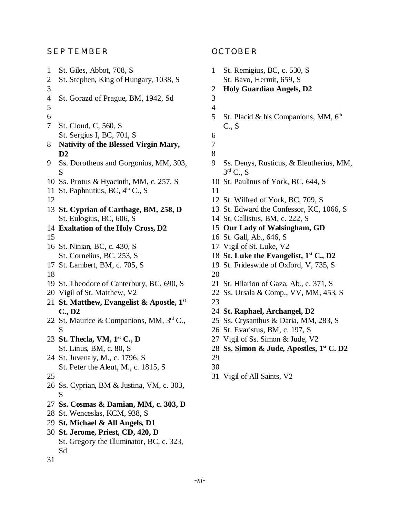#### SEPTEMBER

 St. Giles, Abbot, 708, S St. Stephen, King of Hungary, 1038, S St. Gorazd of Prague, BM, 1942, Sd St. Cloud, C, 560, S St. Sergius I, BC, 701, S **Nativity of the Blessed Virgin Mary, D2** Ss. Dorotheus and Gorgonius, MM, 303, S Ss. Protus & Hyacinth, MM, c. 257, S 11 St. Paphnutius, BC,  $4<sup>th</sup>$  C., S **St. Cyprian of Carthage, BM, 258, D** St. Eulogius, BC, 606, S **Exaltation of the Holy Cross, D2** St. Ninian, BC, c. 430, S St. Cornelius, BC, 253, S St. Lambert, BM, c. 705, S St. Theodore of Canterbury, BC, 690, S Vigil of St. Matthew, V2 **St. Matthew, Evangelist & Apostle, 1st C., D2** St. Maurice & Companions, MM, 3rd C., S **St. Thecla, VM, 1st C., D** St. Linus, BM, c. 80, S St. Juvenaly, M., c. 1796, S St. Peter the Aleut, M., c. 1815, S Ss. Cyprian, BM & Justina, VM, c. 303, S **Ss. Cosmas & Damian, MM, c. 303, D** St. Wenceslas, KCM, 938, S **St. Michael & All Angels, D1 St. Jerome, Priest, CD, 420, D** St. Gregory the Illuminator, BC, c. 323, Sd 

#### OCTOBER

 St. Remigius, BC, c. 530, S St. Bavo, Hermit, 659, S **Holy Guardian Angels, D2** 5 St. Placid & his Companions, MM,  $6<sup>th</sup>$ C., S Ss. Denys, Rusticus, & Eleutherius, MM,  $3^{\text{rd}}$  C., S St. Paulinus of York, BC, 644, S St. Wilfred of York, BC, 709, S St. Edward the Confessor, KC, 1066, S St. Callistus, BM, c. 222, S **Our Lady of Walsingham, GD** St. Gall, Ab., 646, S Vigil of St. Luke, V2 **St. Luke the Evangelist, 1st C., D2** St. Frideswide of Oxford, V, 735, S St. Hilarion of Gaza, Ab., c. 371, S Ss. Ursala & Comp., VV, MM, 453, S **St. Raphael, Archangel, D2** Ss. Crysanthus & Daria, MM, 283, S St. Evaristus, BM, c. 197, S Vigil of Ss. Simon & Jude, V2 **Ss. Simon & Jude, Apostles, 1st C. D2** Vigil of All Saints, V2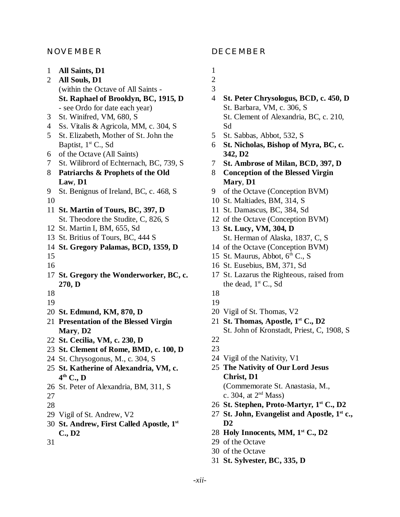#### NOVEMBER

- **All Saints, D1**
- **All Souls, D1** (within the Octave of All Saints - **St. Raphael of Brooklyn, BC, 1915, D** - see Ordo for date each year)
- St. Winifred, VM, 680, S
- Ss. Vitalis & Agricola, MM, c. 304, S
- St. Elizabeth, Mother of St. John the Baptist, 1st C., Sd
- of the Octave (All Saints)
- St. Wilibrord of Echternach, BC, 739, S
- **Patriarchs & Prophets of the Old Law**, **D1**
- St. Benignus of Ireland, BC, c. 468, S
- 
- **St. Martin of Tours, BC, 397, D**
	- St. Theodore the Studite, C, 826, S
- St. Martin I, BM, 655, Sd
- St. Britius of Tours, BC, 444 S
- **St. Gregory Palamas, BCD, 1359, D**
- 
- 
- **St. Gregory the Wonderworker, BC, c. 270, D**
- 
- -
- **St. Edmund, KM, 870, D**
- **Presentation of the Blessed Virgin Mary**, **D2**
- **St. Cecilia, VM, c. 230, D**
- **St. Clement of Rome, BMD, c. 100, D**
- St. Chrysogonus, M., c. 304, S
- **St. Katherine of Alexandria, VM, c. th C., D**
- St. Peter of Alexandria, BM, 311, S
- 
- 
- Vigil of St. Andrew, V2
- **St. Andrew, First Called Apostle, 1st C., D2**
- 

#### DECEMBER

- 
- 
- 
- **St. Peter Chrysologus, BCD, c. 450, D** St. Barbara, VM, c. 306, S St. Clement of Alexandria, BC, c. 210, Sd
- St. Sabbas, Abbot, 532, S
- **St. Nicholas, Bishop of Myra, BC, c. 342, D2**
- **St. Ambrose of Milan, BCD, 397, D**
- **Conception of the Blessed Virgin Mary**, **D1**
- of the Octave (Conception BVM)
- St. Maltiades, BM, 314, S
- St. Damascus, BC, 384, Sd
- of the Octave (Conception BVM)
- **St. Lucy, VM, 304, D** St. Herman of Alaska, 1837, C, S
- of the Octave (Conception BVM)
- 15 St. Maurus, Abbot,  $6<sup>th</sup>$  C., S
- St. Eusebius, BM, 371, Sd
- St. Lazarus the Righteous, raised from the dead,  $1<sup>st</sup>$  C., Sd
- 
- 
- Vigil of St. Thomas, V2
- **St. Thomas, Apostle, 1st C., D2** St. John of Kronstadt, Priest, C, 1908, S
- 
- Vigil of the Nativity, V1
- **The Nativity of Our Lord Jesus Christ, D1** (Commemorate St. Anastasia, M., c. 304, at  $2<sup>nd</sup>$  Mass)
- **St. Stephen, Proto-Martyr, 1st C., D2**
- **St. John, Evangelist and Apostle, 1st c., D2**
- **Holy Innocents, MM, 1st C., D2**
- of the Octave
- of the Octave
- **St. Sylvester, BC, 335, D**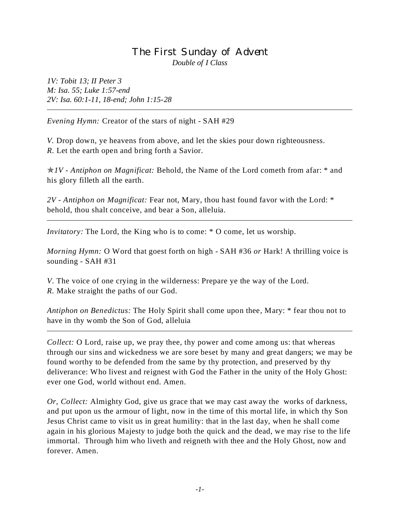#### The First Sunday of Advent *Double of I Class*

*1V: Tobit 13; II Peter 3 M: Isa. 55; Luke 1:57-end 2V: Isa. 60:1-11, 18-end; John 1:15-28*

*Evening Hymn:* Creator of the stars of night - SAH #29

*V.* Drop down, ye heavens from above, and let the skies pour down righteousness. *R.* Let the earth open and bring forth a Savior.

p*1V - Antiphon on Magnificat:* Behold, the Name of the Lord cometh from afar: \* and his glory filleth all the earth.

*2V - Antiphon on Magnificat:* Fear not, Mary, thou hast found favor with the Lord: \* behold, thou shalt conceive, and bear a Son, alleluia.

*Invitatory:* The Lord, the King who is to come:  $*$  O come, let us worship.

*Morning Hymn:* O Word that goest forth on high - SAH #36 *or* Hark! A thrilling voice is sounding - SAH #31

*V*. The voice of one crying in the wilderness: Prepare ye the way of the Lord. *R.* Make straight the paths of our God.

*Antiphon on Benedictus:* The Holy Spirit shall come upon thee, Mary: \* fear thou not to have in thy womb the Son of God, alleluia

*Collect:* O Lord, raise up, we pray thee, thy power and come among us: that whereas through our sins and wickedness we are sore beset by many and great dangers; we may be found worthy to be defended from the same by thy protection, and preserved by thy deliverance: Who livest and reignest with God the Father in the unity of the Holy Ghost: ever one God, world without end. Amen.

*Or, Collect:* Almighty God, give us grace that we may cast away the works of darkness, and put upon us the armour of light, now in the time of this mortal life, in which thy Son Jesus Christ came to visit us in great humility: that in the last day, when he shall come again in his glorious Majesty to judge both the quick and the dead, we may rise to the life immortal. Through him who liveth and reigneth with thee and the Holy Ghost, now and forever. Amen.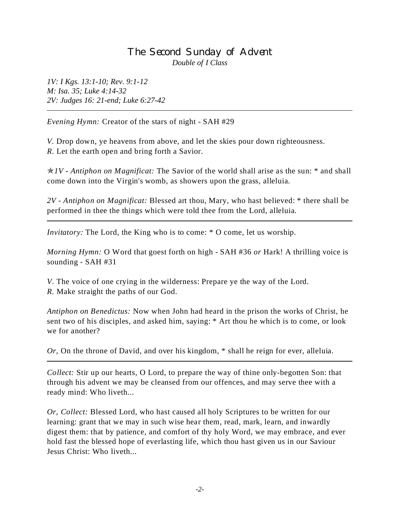#### The Second Sunday of Advent *Double of I Class*

*1V: I Kgs. 13:1-10; Rev. 9:1-12 M: Isa. 35; Luke 4:14-32 2V: Judges 16: 21-end; Luke 6:27-42*

*Evening Hymn:* Creator of the stars of night - SAH #29

*V.* Drop down, ye heavens from above, and let the skies pour down righteousness. *R.* Let the earth open and bring forth a Savior.

p*1V - Antiphon on Magnificat:* The Savior of the world shall arise as the sun: \* and shall come down into the Virgin's womb, as showers upon the grass, alleluia.

*2V - Antiphon on Magnificat:* Blessed art thou, Mary, who hast believed: \* there shall be performed in thee the things which were told thee from the Lord, alleluia.

*Invitatory:* The Lord, the King who is to come: \* O come, let us worship.

*Morning Hymn:* O Word that goest forth on high - SAH #36 *or* Hark! A thrilling voice is sounding - SAH #31

*V*. The voice of one crying in the wilderness: Prepare ye the way of the Lord. *R.* Make straight the paths of our God.

*Antiphon on Benedictus:* Now when John had heard in the prison the works of Christ, he sent two of his disciples, and asked him, saying: \* Art thou he which is to come, or look we for another?

*Or,* On the throne of David, and over his kingdom, \* shall he reign for ever, alleluia.

*Collect:* Stir up our hearts, O Lord, to prepare the way of thine only-begotten Son: that through his advent we may be cleansed from our offences, and may serve thee with a ready mind: Who liveth...

*Or, Collect:* Blessed Lord, who hast caused all holy Scriptures to be written for our learning: grant that we may in such wise hear them, read, mark, learn, and inwardly digest them: that by patience, and comfort of thy holy Word, we may embrace, and ever hold fast the blessed hope of everlasting life, which thou hast given us in our Saviour Jesus Christ: Who liveth...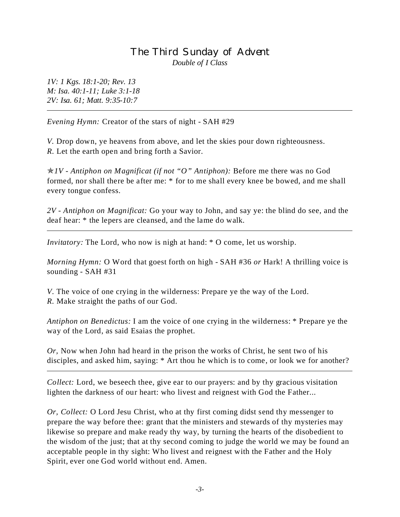#### The Third Sunday of Advent *Double of I Class*

*1V: 1 Kgs. 18:1-20; Rev. 13 M: Isa. 40:1-11; Luke 3:1-18 2V: Isa. 61; Matt. 9:35-10:7*

*Evening Hymn:* Creator of the stars of night - SAH #29

*V.* Drop down, ye heavens from above, and let the skies pour down righteousness. *R.* Let the earth open and bring forth a Savior.

p*1V - Antiphon on Magnificat (if not "O" Antiphon):* Before me there was no God formed, nor shall there be after me: \* for to me shall every knee be bowed, and me shall every tongue confess.

*2V - Antiphon on Magnificat:* Go your way to John, and say ye: the blind do see, and the deaf hear: \* the lepers are cleansed, and the lame do walk.

*Invitatory:* The Lord, who now is nigh at hand:  $*$  O come, let us worship.

*Morning Hymn:* O Word that goest forth on high - SAH #36 *or* Hark! A thrilling voice is sounding - SAH #31

*V*. The voice of one crying in the wilderness: Prepare ye the way of the Lord. *R.* Make straight the paths of our God.

*Antiphon on Benedictus:* I am the voice of one crying in the wilderness: \* Prepare ye the way of the Lord, as said Esaias the prophet.

*Or,* Now when John had heard in the prison the works of Christ, he sent two of his disciples, and asked him, saying: \* Art thou he which is to come, or look we for another?

*Collect:* Lord, we beseech thee, give ear to our prayers: and by thy gracious visitation lighten the darkness of our heart: who livest and reignest with God the Father...

*Or, Collect:* O Lord Jesu Christ, who at thy first coming didst send thy messenger to prepare the way before thee: grant that the ministers and stewards of thy mysteries may likewise so prepare and make ready thy way, by turning the hearts of the disobedient to the wisdom of the just; that at thy second coming to judge the world we may be found an acceptable people in thy sight: Who livest and reignest with the Father and the Holy Spirit, ever one God world without end. Amen.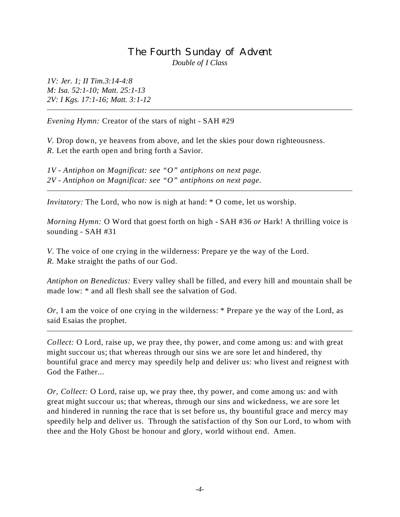#### The Fourth Sunday of Advent *Double of I Class*

*1V: Jer. 1; II Tim.3:14-4:8 M: Isa. 52:1-10; Matt. 25:1-13 2V: I Kgs. 17:1-16; Matt. 3:1-12*

*Evening Hymn:* Creator of the stars of night - SAH #29

*V.* Drop down, ye heavens from above, and let the skies pour down righteousness. *R.* Let the earth open and bring forth a Savior.

*1V - Antiphon on Magnificat: see "O" antiphons on next page. 2V - Antiphon on Magnificat: see "O" antiphons on next page.*

*Invitatory:* The Lord, who now is nigh at hand:  $*$  O come, let us worship.

*Morning Hymn:* O Word that goest forth on high - SAH #36 *or* Hark! A thrilling voice is sounding - SAH #31

*V*. The voice of one crying in the wilderness: Prepare ye the way of the Lord. *R.* Make straight the paths of our God.

*Antiphon on Benedictus:* Every valley shall be filled, and every hill and mountain shall be made low: \* and all flesh shall see the salvation of God.

*Or,* I am the voice of one crying in the wilderness: \* Prepare ye the way of the Lord, as said Esaias the prophet.

*Collect:* O Lord, raise up, we pray thee, thy power, and come among us: and with great might succour us; that whereas through our sins we are sore let and hindered, thy bountiful grace and mercy may speedily help and deliver us: who livest and reignest with God the Father...

*Or, Collect:* O Lord, raise up, we pray thee, thy power, and come among us: and with great might succour us; that whereas, through our sins and wickedness, we are sore let and hindered in running the race that is set before us, thy bountiful grace and mercy may speedily help and deliver us. Through the satisfaction of thy Son our Lord, to whom with thee and the Holy Ghost be honour and glory, world without end. Amen.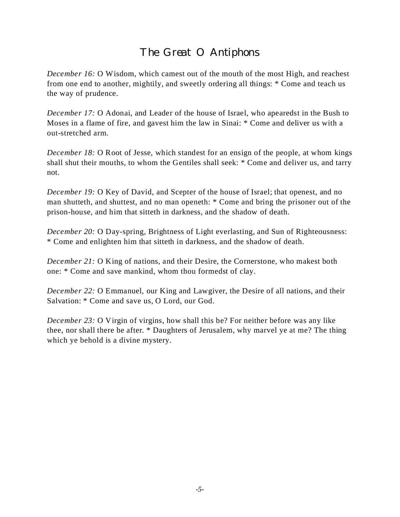# The Great O Antiphons

*December 16:* O Wisdom, which camest out of the mouth of the most High, and reachest from one end to another, mightily, and sweetly ordering all things: \* Come and teach us the way of prudence.

*December 17:* O Adonai, and Leader of the house of Israel, who apearedst in the Bush to Moses in a flame of fire, and gavest him the law in Sinai: \* Come and deliver us with a out-stretched arm.

*December 18:* O Root of Jesse, which standest for an ensign of the people, at whom kings shall shut their mouths, to whom the Gentiles shall seek: \* Come and deliver us, and tarry not.

*December 19:* O Key of David, and Scepter of the house of Israel; that openest, and no man shutteth, and shuttest, and no man openeth: \* Come and bring the prisoner out of the prison-house, and him that sitteth in darkness, and the shadow of death.

*December 20:* O Day-spring, Brightness of Light everlasting, and Sun of Righteousness: \* Come and enlighten him that sitteth in darkness, and the shadow of death.

*December 21:* O King of nations, and their Desire, the Cornerstone, who makest both one: \* Come and save mankind, whom thou formedst of clay.

*December 22:* O Emmanuel, our King and Lawgiver, the Desire of all nations, and their Salvation: \* Come and save us, O Lord, our God.

*December 23:* O Virgin of virgins, how shall this be? For neither before was any like thee, nor shall there be after. \* Daughters of Jerusalem, why marvel ye at me? The thing which ye behold is a divine mystery.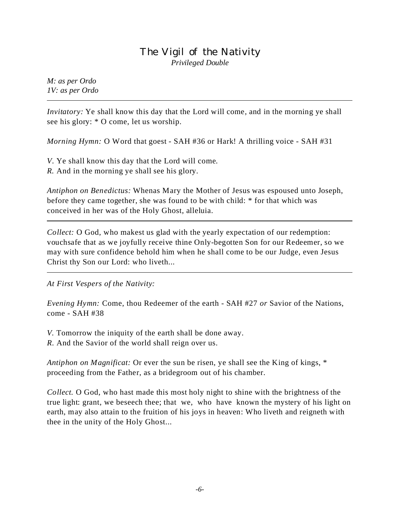#### The Vigil of the Nativity *Privileged Double*

*M: as per Ordo 1V: as per Ordo*

*Invitatory:* Ye shall know this day that the Lord will come, and in the morning ye shall see his glory: \* O come, let us worship.

*Morning Hymn:* O Word that goest - SAH #36 or Hark! A thrilling voice - SAH #31

*V*. Ye shall know this day that the Lord will come. *R.* And in the morning ye shall see his glory.

*Antiphon on Benedictus:* Whenas Mary the Mother of Jesus was espoused unto Joseph, before they came together, she was found to be with child: \* for that which was conceived in her was of the Holy Ghost, alleluia.

*Collect:* O God, who makest us glad with the yearly expectation of our redemption: vouchsafe that as we joyfully receive thine Only-begotten Son for our Redeemer, so we may with sure confidence behold him when he shall come to be our Judge, even Jesus Christ thy Son our Lord: who liveth...

*At First Vespers of the Nativity:*

*Evening Hymn:* Come, thou Redeemer of the earth - SAH #27 *or* Savior of the Nations, come - SAH #38

*V.* Tomorrow the iniquity of the earth shall be done away.

*R.* And the Savior of the world shall reign over us.

*Antiphon on Magnificat:* Or ever the sun be risen, ye shall see the King of kings, \* proceeding from the Father, as a bridegroom out of his chamber.

*Collect.* O God, who hast made this most holy night to shine with the brightness of the true light: grant, we beseech thee; that we, who have known the mystery of his light on earth, may also attain to the fruition of his joys in heaven: Who liveth and reigneth with thee in the unity of the Holy Ghost...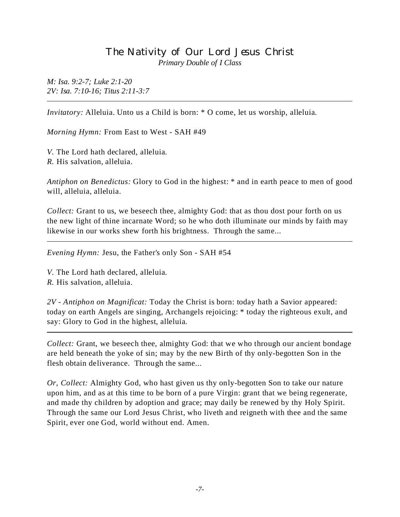#### The Nativity of Our Lord Jesus Christ *Primary Double of I Class*

*M: Isa. 9:2-7; Luke 2:1-20 2V: Isa. 7:10-16; Titus 2:11-3:7*

*Invitatory:* Alleluia. Unto us a Child is born: \* O come, let us worship, alleluia.

*Morning Hymn:* From East to West - SAH #49

*V.* The Lord hath declared, alleluia. *R.* His salvation, alleluia.

*Antiphon on Benedictus:* Glory to God in the highest: \* and in earth peace to men of good will, alleluia, alleluia.

*Collect:* Grant to us, we beseech thee, almighty God: that as thou dost pour forth on us the new light of thine incarnate Word; so he who doth illuminate our minds by faith may likewise in our works shew forth his brightness. Through the same...

*Evening Hymn:* Jesu, the Father's only Son - SAH #54

*V.* The Lord hath declared, alleluia. *R.* His salvation, alleluia.

*2V - Antiphon on Magnificat:* Today the Christ is born: today hath a Savior appeared: today on earth Angels are singing, Archangels rejoicing: \* today the righteous exult, and say: Glory to God in the highest, alleluia.

*Collect:* Grant, we beseech thee, almighty God: that we who through our ancient bondage are held beneath the yoke of sin; may by the new Birth of thy only-begotten Son in the flesh obtain deliverance. Through the same...

*Or, Collect:* Almighty God, who hast given us thy only-begotten Son to take our nature upon him, and as at this time to be born of a pure Virgin: grant that we being regenerate, and made thy children by adoption and grace; may daily be renewed by thy Holy Spirit. Through the same our Lord Jesus Christ, who liveth and reigneth with thee and the same Spirit, ever one God, world without end. Amen.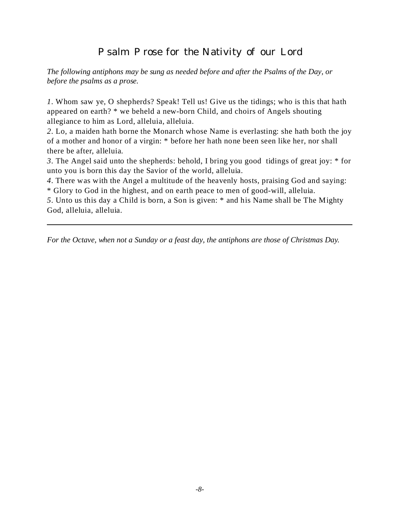# Psalm Prose for the Nativity of our Lord

*The following antiphons may be sung as needed before and after the Psalms of the Day, or before the psalms as a prose.*

*1*. Whom saw ye, O shepherds? Speak! Tell us! Give us the tidings; who is this that hath appeared on earth? \* we beheld a new-born Child, and choirs of Angels shouting allegiance to him as Lord, alleluia, alleluia.

*2*. Lo, a maiden hath borne the Monarch whose Name is everlasting: she hath both the joy of a mother and honor of a virgin: \* before her hath none been seen like her, nor shall there be after, alleluia.

*3*. The Angel said unto the shepherds: behold, I bring you good tidings of great joy: \* for unto you is born this day the Savior of the world, alleluia.

*4*. There was with the Angel a multitude of the heavenly hosts, praising God and saying: \* Glory to God in the highest, and on earth peace to men of good-will, alleluia.

*5*. Unto us this day a Child is born, a Son is given: \* and his Name shall be The Mighty God, alleluia, alleluia.

*For the Octave, when not a Sunday or a feast day, the antiphons are those of Christmas Day.*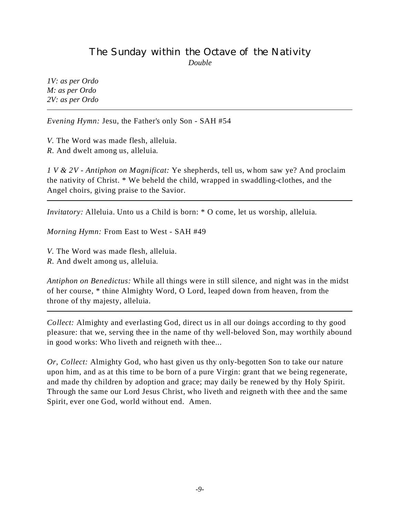# The Sunday within the Octave of the Nativity *Double*

*1V: as per Ordo M: as per Ordo 2V: as per Ordo*

*Evening Hymn:* Jesu, the Father's only Son - SAH #54

*V.* The Word was made flesh, alleluia. *R.* And dwelt among us, alleluia.

*1 V & 2V - Antiphon on Magnificat:* Ye shepherds, tell us, whom saw ye? And proclaim the nativity of Christ. \* We beheld the child, wrapped in swaddling-clothes, and the Angel choirs, giving praise to the Savior.

*Invitatory:* Alleluia. Unto us a Child is born: \* O come, let us worship, alleluia.

*Morning Hymn:* From East to West - SAH #49

*V.* The Word was made flesh, alleluia.

*R.* And dwelt among us, alleluia.

*Antiphon on Benedictus:* While all things were in still silence, and night was in the midst of her course, \* thine Almighty Word, O Lord, leaped down from heaven, from the throne of thy majesty, alleluia.

*Collect:* Almighty and everlasting God, direct us in all our doings according to thy good pleasure: that we, serving thee in the name of thy well-beloved Son, may worthily abound in good works: Who liveth and reigneth with thee...

*Or, Collect:* Almighty God, who hast given us thy only-begotten Son to take our nature upon him, and as at this time to be born of a pure Virgin: grant that we being regenerate, and made thy children by adoption and grace; may daily be renewed by thy Holy Spirit. Through the same our Lord Jesus Christ, who liveth and reigneth with thee and the same Spirit, ever one God, world without end. Amen.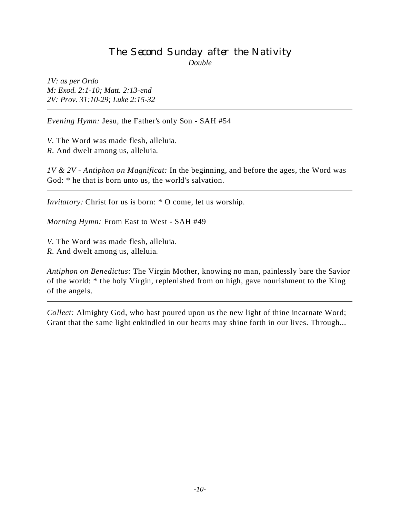#### The Second Sunday after the Nativity *Double*

*1V: as per Ordo M: Exod. 2:1-10; Matt. 2:13-end 2V: Prov. 31:10-29; Luke 2:15-32*

*Evening Hymn:* Jesu, the Father's only Son - SAH #54

*V.* The Word was made flesh, alleluia. *R.* And dwelt among us, alleluia.

*1V & 2V - Antiphon on Magnificat:* In the beginning, and before the ages, the Word was God: \* he that is born unto us, the world's salvation.

*Invitatory:* Christ for us is born: \* O come, let us worship.

*Morning Hymn:* From East to West - SAH #49

*V.* The Word was made flesh, alleluia.

*R.* And dwelt among us, alleluia.

*Antiphon on Benedictus:* The Virgin Mother, knowing no man, painlessly bare the Savior of the world: \* the holy Virgin, replenished from on high, gave nourishment to the King of the angels.

*Collect:* Almighty God, who hast poured upon us the new light of thine incarnate Word; Grant that the same light enkindled in our hearts may shine forth in our lives. Through...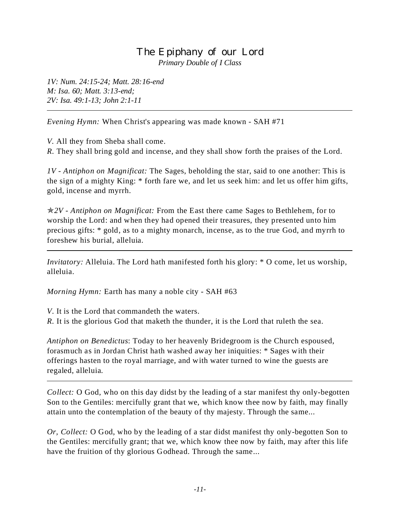#### The Epiphany of our Lord *Primary Double of I Class*

*1V: Num. 24:15-24; Matt. 28:16-end M: Isa. 60; Matt. 3:13-end; 2V: Isa. 49:1-13; John 2:1-11*

*Evening Hymn:* When Christ's appearing was made known - SAH #71

*V.* All they from Sheba shall come.

*R.* They shall bring gold and incense, and they shall show forth the praises of the Lord.

*1V - Antiphon on Magnificat:* The Sages, beholding the star, said to one another: This is the sign of a mighty King: \* forth fare we, and let us seek him: and let us offer him gifts, gold, incense and myrrh.

p*2V - Antiphon on Magnificat:* From the East there came Sages to Bethlehem, for to worship the Lord: and when they had opened their treasures, they presented unto him precious gifts: \* gold, as to a mighty monarch, incense, as to the true God, and myrrh to foreshew his burial, alleluia.

*Invitatory:* Alleluia. The Lord hath manifested forth his glory:  $*$  O come, let us worship, alleluia.

*Morning Hymn:* Earth has many a noble city - SAH #63

*V*. It is the Lord that commandeth the waters.

*R.* It is the glorious God that maketh the thunder, it is the Lord that ruleth the sea.

*Antiphon on Benedictus*: Today to her heavenly Bridegroom is the Church espoused, forasmuch as in Jordan Christ hath washed away her iniquities: \* Sages with their offerings hasten to the royal marriage, and with water turned to wine the guests are regaled, alleluia.

*Collect:* O God, who on this day didst by the leading of a star manifest thy only-begotten Son to the Gentiles: mercifully grant that we, which know thee now by faith, may finally attain unto the contemplation of the beauty of thy majesty. Through the same...

*Or, Collect:* O God, who by the leading of a star didst manifest thy only-begotten Son to the Gentiles: mercifully grant; that we, which know thee now by faith, may after this life have the fruition of thy glorious Godhead. Through the same...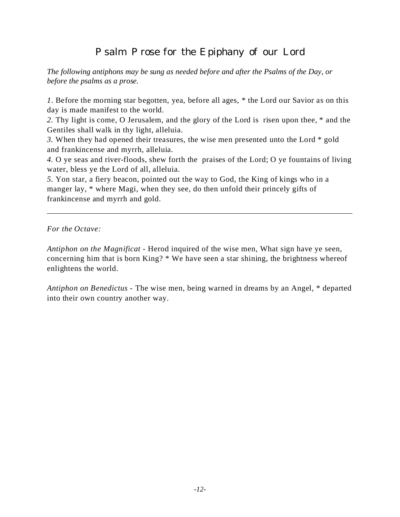# Psalm Prose for the Epiphany of our Lord

*The following antiphons may be sung as needed before and after the Psalms of the Day, or before the psalms as a prose.*

*1*. Before the morning star begotten, yea, before all ages, \* the Lord our Savior as on this day is made manifest to the world.

*2.* Thy light is come, O Jerusalem, and the glory of the Lord is risen upon thee, \* and the Gentiles shall walk in thy light, alleluia.

*3.* When they had opened their treasures, the wise men presented unto the Lord \* gold and frankincense and myrrh, alleluia.

*4.* O ye seas and river-floods, shew forth the praises of the Lord; O ye fountains of living water, bless ye the Lord of all, alleluia.

*5.* Yon star, a fiery beacon, pointed out the way to God, the King of kings who in a manger lay, \* where Magi, when they see, do then unfold their princely gifts of frankincense and myrrh and gold.

*For the Octave:*

*Antiphon on the Magnificat* - Herod inquired of the wise men, What sign have ye seen, concerning him that is born King? \* We have seen a star shining, the brightness whereof enlightens the world.

*Antiphon on Benedictus -* The wise men, being warned in dreams by an Angel, \* departed into their own country another way.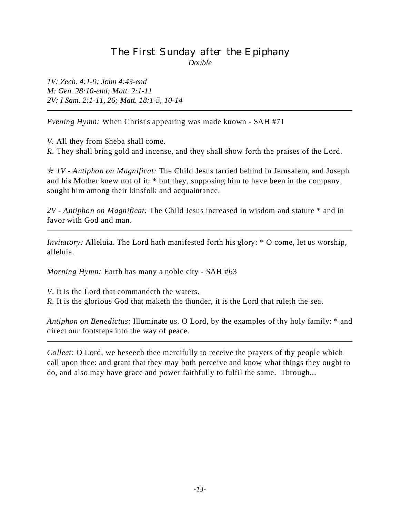# The First Sunday after the Epiphany *Double*

*1V: Zech. 4:1-9; John 4:43-end M: Gen. 28:10-end; Matt. 2:1-11 2V: I Sam. 2:1-11, 26; Matt. 18:1-5, 10-14*

*Evening Hymn:* When Christ's appearing was made known - SAH #71

*V.* All they from Sheba shall come.

*R.* They shall bring gold and incense, and they shall show forth the praises of the Lord.

p *1V - Antiphon on Magnificat:* The Child Jesus tarried behind in Jerusalem, and Joseph and his Mother knew not of it: \* but they, supposing him to have been in the company, sought him among their kinsfolk and acquaintance.

*2V - Antiphon on Magnificat:* The Child Jesus increased in wisdom and stature \* and in favor with God and man.

*Invitatory:* Alleluia. The Lord hath manifested forth his glory:  $*$  O come, let us worship, alleluia.

*Morning Hymn:* Earth has many a noble city - SAH #63

*V*. It is the Lord that commandeth the waters.

*R.* It is the glorious God that maketh the thunder, it is the Lord that ruleth the sea.

*Antiphon on Benedictus:* Illuminate us, O Lord, by the examples of thy holy family: \* and direct our footsteps into the way of peace.

*Collect:* O Lord, we beseech thee mercifully to receive the prayers of thy people which call upon thee: and grant that they may both perceive and know what things they ought to do, and also may have grace and power faithfully to fulfil the same. Through...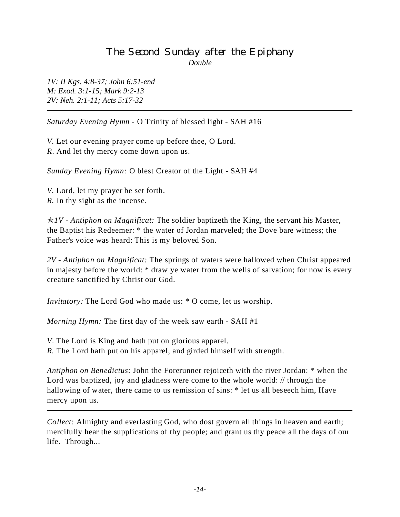# The Second Sunday after the Epiphany *Double*

*1V: II Kgs. 4:8-37; John 6:51-end M: Exod. 3:1-15; Mark 9:2-13 2V: Neh. 2:1-11; Acts 5:17-32*

*Saturday Evening Hymn -* O Trinity of blessed light - SAH #16

*V.* Let our evening prayer come up before thee, O Lord. *R*. And let thy mercy come down upon us.

*Sunday Evening Hymn:* O blest Creator of the Light - SAH #4

*V.* Lord, let my prayer be set forth. *R.* In thy sight as the incense.

p*1V - Antiphon on Magnificat:* The soldier baptizeth the King, the servant his Master, the Baptist his Redeemer: \* the water of Jordan marveled; the Dove bare witness; the Father's voice was heard: This is my beloved Son.

*2V - Antiphon on Magnificat:* The springs of waters were hallowed when Christ appeared in majesty before the world: \* draw ye water from the wells of salvation; for now is every creature sanctified by Christ our God.

*Invitatory:* The Lord God who made us: \* O come, let us worship.

*Morning Hymn:* The first day of the week saw earth - SAH #1

*V*. The Lord is King and hath put on glorious apparel.

*R.* The Lord hath put on his apparel, and girded himself with strength.

*Antiphon on Benedictus:* John the Forerunner rejoiceth with the river Jordan: \* when the Lord was baptized, joy and gladness were come to the whole world: // through the hallowing of water, there came to us remission of sins: \* let us all beseech him, Have mercy upon us.

*Collect:* Almighty and everlasting God, who dost govern all things in heaven and earth; mercifully hear the supplications of thy people; and grant us thy peace all the days of our life. Through...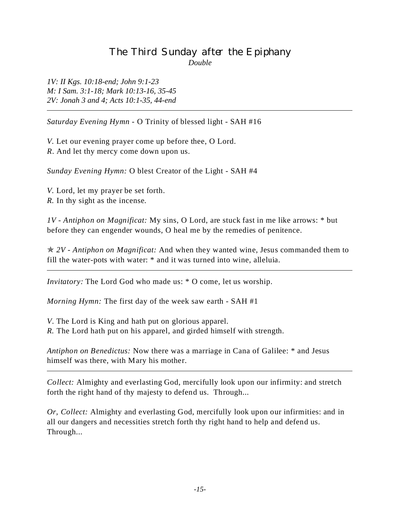# The Third Sunday after the Epiphany *Double*

*1V: II Kgs. 10:18-end; John 9:1-23 M: I Sam. 3:1-18; Mark 10:13-16, 35-45 2V: Jonah 3 and 4; Acts 10:1-35, 44-end*

*Saturday Evening Hymn -* O Trinity of blessed light - SAH #16

*V.* Let our evening prayer come up before thee, O Lord. *R*. And let thy mercy come down upon us.

*Sunday Evening Hymn:* O blest Creator of the Light - SAH #4

*V.* Lord, let my prayer be set forth. *R.* In thy sight as the incense.

*1V - Antiphon on Magnificat:* My sins, O Lord, are stuck fast in me like arrows: \* but before they can engender wounds, O heal me by the remedies of penitence.

p *2V - Antiphon on Magnificat:* And when they wanted wine, Jesus commanded them to fill the water-pots with water: \* and it was turned into wine, alleluia.

*Invitatory:* The Lord God who made us: \* O come, let us worship.

*Morning Hymn:* The first day of the week saw earth - SAH #1

*V*. The Lord is King and hath put on glorious apparel. *R.* The Lord hath put on his apparel, and girded himself with strength.

*Antiphon on Benedictus:* Now there was a marriage in Cana of Galilee: \* and Jesus himself was there, with Mary his mother.

*Collect:* Almighty and everlasting God, mercifully look upon our infirmity: and stretch forth the right hand of thy majesty to defend us. Through...

*Or, Collect:* Almighty and everlasting God, mercifully look upon our infirmities: and in all our dangers and necessities stretch forth thy right hand to help and defend us. Through...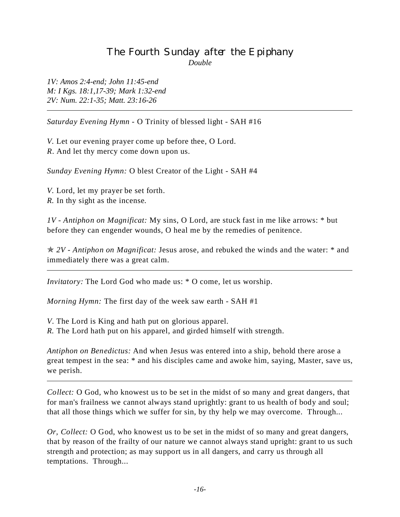# The Fourth Sunday after the Epiphany *Double*

*1V: Amos 2:4-end; John 11:45-end M: I Kgs. 18:1,17-39; Mark 1:32-end 2V: Num. 22:1-35; Matt. 23:16-26*

*Saturday Evening Hymn -* O Trinity of blessed light - SAH #16

*V.* Let our evening prayer come up before thee, O Lord. *R*. And let thy mercy come down upon us.

*Sunday Evening Hymn:* O blest Creator of the Light - SAH #4

*V.* Lord, let my prayer be set forth. *R.* In thy sight as the incense.

*1V - Antiphon on Magnificat:* My sins, O Lord, are stuck fast in me like arrows: \* but before they can engender wounds, O heal me by the remedies of penitence.

p *2V - Antiphon on Magnificat:* Jesus arose, and rebuked the winds and the water: \* and immediately there was a great calm.

*Invitatory:* The Lord God who made us:  $*$  O come, let us worship.

*Morning Hymn:* The first day of the week saw earth - SAH #1

*V*. The Lord is King and hath put on glorious apparel. *R.* The Lord hath put on his apparel, and girded himself with strength.

*Antiphon on Benedictus:* And when Jesus was entered into a ship, behold there arose a great tempest in the sea: \* and his disciples came and awoke him, saying, Master, save us, we perish.

*Collect:* O God, who knowest us to be set in the midst of so many and great dangers, that for man's frailness we cannot always stand uprightly: grant to us health of body and soul; that all those things which we suffer for sin, by thy help we may overcome. Through...

*Or, Collect:* O God, who knowest us to be set in the midst of so many and great dangers, that by reason of the frailty of our nature we cannot always stand upright: grant to us such strength and protection; as may support us in all dangers, and carry us through all temptations. Through...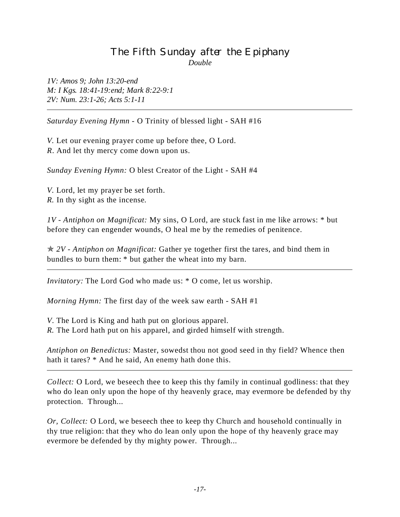# The Fifth Sunday after the Epiphany *Double*

*1V: Amos 9; John 13:20-end M: I Kgs. 18:41-19:end; Mark 8:22-9:1 2V: Num. 23:1-26; Acts 5:1-11*

*Saturday Evening Hymn -* O Trinity of blessed light - SAH #16

*V.* Let our evening prayer come up before thee, O Lord. *R*. And let thy mercy come down upon us.

*Sunday Evening Hymn:* O blest Creator of the Light - SAH #4

*V.* Lord, let my prayer be set forth. *R.* In thy sight as the incense.

*1V - Antiphon on Magnificat:* My sins, O Lord, are stuck fast in me like arrows: \* but before they can engender wounds, O heal me by the remedies of penitence.

p *2V - Antiphon on Magnificat:* Gather ye together first the tares, and bind them in bundles to burn them: \* but gather the wheat into my barn.

*Invitatory:* The Lord God who made us:  $*$  O come, let us worship.

*Morning Hymn:* The first day of the week saw earth - SAH #1

*V*. The Lord is King and hath put on glorious apparel. *R.* The Lord hath put on his apparel, and girded himself with strength.

*Antiphon on Benedictus:* Master, sowedst thou not good seed in thy field? Whence then hath it tares? \* And he said, An enemy hath done this.

*Collect:* O Lord, we beseech thee to keep this thy family in continual godliness: that they who do lean only upon the hope of thy heavenly grace, may evermore be defended by thy protection. Through...

*Or, Collect:* O Lord, we beseech thee to keep thy Church and household continually in thy true religion: that they who do lean only upon the hope of thy heavenly grace may evermore be defended by thy mighty power. Through...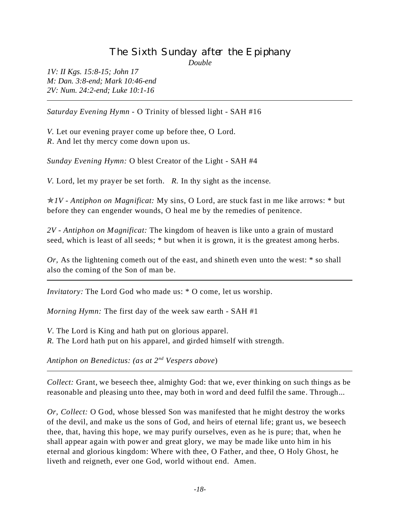# The Sixth Sunday after the Epiphany

*Double*

*1V: II Kgs. 15:8-15; John 17 M: Dan. 3:8-end; Mark 10:46-end 2V: Num. 24:2-end; Luke 10:1-16*

*Saturday Evening Hymn -* O Trinity of blessed light - SAH #16

*V.* Let our evening prayer come up before thee, O Lord. *R*. And let thy mercy come down upon us.

*Sunday Evening Hymn:* O blest Creator of the Light - SAH #4

*V.* Lord, let my prayer be set forth. *R.* In thy sight as the incense.

p*1V - Antiphon on Magnificat:* My sins, O Lord, are stuck fast in me like arrows: \* but before they can engender wounds, O heal me by the remedies of penitence.

*2V - Antiphon on Magnificat:* The kingdom of heaven is like unto a grain of mustard seed, which is least of all seeds; \* but when it is grown, it is the greatest among herbs.

*Or*, As the lightening cometh out of the east, and shineth even unto the west: \* so shall also the coming of the Son of man be.

*Invitatory:* The Lord God who made us: \* O come, let us worship.

*Morning Hymn:* The first day of the week saw earth - SAH #1

*V*. The Lord is King and hath put on glorious apparel. *R.* The Lord hath put on his apparel, and girded himself with strength.

*Antiphon on Benedictus: (as at 2nd Vespers above*)

*Collect:* Grant, we beseech thee, almighty God: that we, ever thinking on such things as be reasonable and pleasing unto thee, may both in word and deed fulfil the same. Through...

*Or, Collect:* O God, whose blessed Son was manifested that he might destroy the works of the devil, and make us the sons of God, and heirs of eternal life; grant us, we beseech thee, that, having this hope, we may purify ourselves, even as he is pure; that, when he shall appear again with power and great glory, we may be made like unto him in his eternal and glorious kingdom: Where with thee, O Father, and thee, O Holy Ghost, he liveth and reigneth, ever one God, world without end. Amen.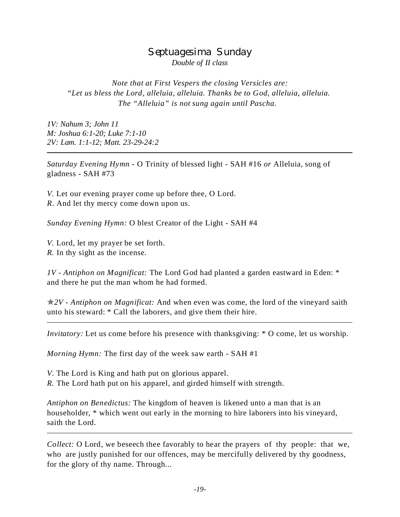#### Septuagesima Sunday *Double of II class*

*Note that at First Vespers the closing Versicles are: "Let us bless the Lord, alleluia, alleluia. Thanks be to God, alleluia, alleluia. The "Alleluia" is not sung again until Pascha.*

*1V: Nahum 3; John 11 M: Joshua 6:1-20; Luke 7:1-10 2V: Lam. 1:1-12; Matt. 23-29-24:2*

*Saturday Evening Hymn -* O Trinity of blessed light - SAH #16 *or* Alleluia, song of gladness - SAH #73

*V.* Let our evening prayer come up before thee, O Lord. *R*. And let thy mercy come down upon us.

*Sunday Evening Hymn:* O blest Creator of the Light - SAH #4

*V.* Lord, let my prayer be set forth. *R.* In thy sight as the incense.

*1V - Antiphon on Magnificat:* The Lord God had planted a garden eastward in Eden: \* and there he put the man whom he had formed.

p*2V - Antiphon on Magnificat:* And when even was come, the lord of the vineyard saith unto his steward: \* Call the laborers, and give them their hire.

*Invitatory:* Let us come before his presence with thanksgiving: \* O come, let us worship.

*Morning Hymn:* The first day of the week saw earth - SAH #1

*V*. The Lord is King and hath put on glorious apparel.

*R.* The Lord hath put on his apparel, and girded himself with strength.

*Antiphon on Benedictus:* The kingdom of heaven is likened unto a man that is an householder, \* which went out early in the morning to hire laborers into his vineyard, saith the Lord.

*Collect:* O Lord, we beseech thee favorably to hear the prayers of thy people: that we, who are justly punished for our offences, may be mercifully delivered by thy goodness, for the glory of thy name. Through...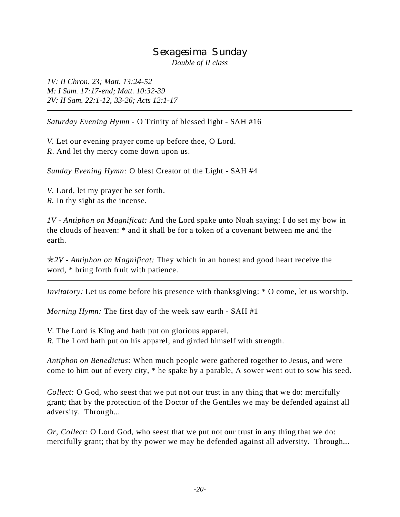#### Sexagesima Sunday *Double of II class*

*1V: II Chron. 23; Matt. 13:24-52 M: I Sam. 17:17-end; Matt. 10:32-39 2V: II Sam. 22:1-12, 33-26; Acts 12:1-17*

*Saturday Evening Hymn -* O Trinity of blessed light - SAH #16

*V.* Let our evening prayer come up before thee, O Lord. *R*. And let thy mercy come down upon us.

*Sunday Evening Hymn:* O blest Creator of the Light - SAH #4

*V.* Lord, let my prayer be set forth. *R.* In thy sight as the incense.

*1V - Antiphon on Magnificat:* And the Lord spake unto Noah saying: I do set my bow in the clouds of heaven: \* and it shall be for a token of a covenant between me and the earth.

p*2V* - *Antiphon on Magnificat:* They which in an honest and good heart receive the word, \* bring forth fruit with patience.

*Invitatory:* Let us come before his presence with thanksgiving:  $*$  O come, let us worship.

*Morning Hymn:* The first day of the week saw earth - SAH #1

*V*. The Lord is King and hath put on glorious apparel. *R.* The Lord hath put on his apparel, and girded himself with strength.

*Antiphon on Benedictus:* When much people were gathered together to Jesus, and were come to him out of every city, \* he spake by a parable, A sower went out to sow his seed.

*Collect:* O God, who seest that we put not our trust in any thing that we do: mercifully grant; that by the protection of the Doctor of the Gentiles we may be defended against all adversity. Through...

*Or, Collect:* O Lord God, who seest that we put not our trust in any thing that we do: mercifully grant; that by thy power we may be defended against all adversity. Through...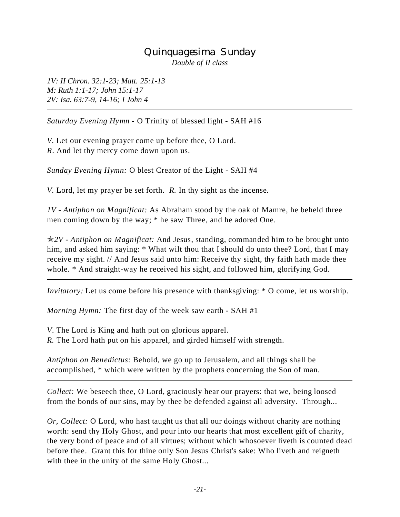#### Quinquagesima Sunday *Double of II class*

*1V: II Chron. 32:1-23; Matt. 25:1-13 M: Ruth 1:1-17; John 15:1-17 2V: Isa. 63:7-9, 14-16; I John 4*

*Saturday Evening Hymn -* O Trinity of blessed light - SAH #16

*V.* Let our evening prayer come up before thee, O Lord. *R*. And let thy mercy come down upon us.

*Sunday Evening Hymn:* O blest Creator of the Light - SAH #4

*V.* Lord, let my prayer be set forth. *R.* In thy sight as the incense.

*1V - Antiphon on Magnificat:* As Abraham stood by the oak of Mamre, he beheld three men coming down by the way; \* he saw Three, and he adored One.

p*2V - Antiphon on Magnificat:* And Jesus, standing, commanded him to be brought unto him, and asked him saying: \* What wilt thou that I should do unto thee? Lord, that I may receive my sight. // And Jesus said unto him: Receive thy sight, thy faith hath made thee whole. \* And straight-way he received his sight, and followed him, glorifying God.

*Invitatory:* Let us come before his presence with thanksgiving:  $*$  O come, let us worship.

*Morning Hymn:* The first day of the week saw earth - SAH #1

*V*. The Lord is King and hath put on glorious apparel.

*R.* The Lord hath put on his apparel, and girded himself with strength.

*Antiphon on Benedictus:* Behold, we go up to Jerusalem, and all things shall be accomplished, \* which were written by the prophets concerning the Son of man.

*Collect:* We beseech thee, O Lord, graciously hear our prayers: that we, being loosed from the bonds of our sins, may by thee be defended against all adversity. Through...

*Or, Collect:* O Lord, who hast taught us that all our doings without charity are nothing worth: send thy Holy Ghost, and pour into our hearts that most excellent gift of charity, the very bond of peace and of all virtues; without which whosoever liveth is counted dead before thee. Grant this for thine only Son Jesus Christ's sake: Who liveth and reigneth with thee in the unity of the same Holy Ghost...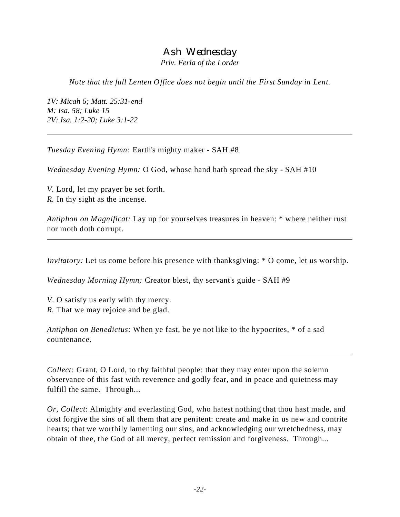#### Ash Wednesday *Priv. Feria of the I order*

*Note that the full Lenten Office does not begin until the First Sunday in Lent.*

*1V: Micah 6; Matt. 25:31-end M: Isa. 58; Luke 15 2V: Isa. 1:2-20; Luke 3:1-22*

*Tuesday Evening Hymn:* Earth's mighty maker - SAH #8

*Wednesday Evening Hymn:* O God, whose hand hath spread the sky - SAH #10

*V.* Lord, let my prayer be set forth. *R.* In thy sight as the incense.

*Antiphon on Magnificat:* Lay up for yourselves treasures in heaven: \* where neither rust nor moth doth corrupt.

*Invitatory:* Let us come before his presence with thanksgiving:  $*$  O come, let us worship.

*Wednesday Morning Hymn:* Creator blest, thy servant's guide - SAH #9

*V*. O satisfy us early with thy mercy. *R*. That we may rejoice and be glad.

*Antiphon on Benedictus:* When ye fast, be ye not like to the hypocrites, \* of a sad countenance.

*Collect:* Grant, O Lord, to thy faithful people: that they may enter upon the solemn observance of this fast with reverence and godly fear, and in peace and quietness may fulfill the same. Through...

*Or, Collect*: Almighty and everlasting God, who hatest nothing that thou hast made, and dost forgive the sins of all them that are penitent: create and make in us new and contrite hearts; that we worthily lamenting our sins, and acknowledging our wretchedness, may obtain of thee, the God of all mercy, perfect remission and forgiveness. Through...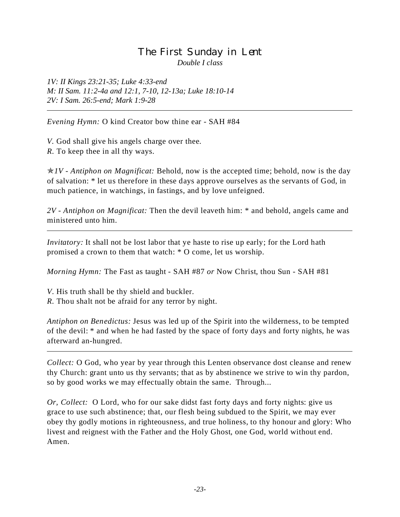### The First Sunday in Lent *Double I class*

*1V: II Kings 23:21-35; Luke 4:33-end M: II Sam. 11:2-4a and 12:1, 7-10, 12-13a; Luke 18:10-14 2V: I Sam. 26:5-end; Mark 1:9-28*

*Evening Hymn:* O kind Creator bow thine ear - SAH #84

*V.* God shall give his angels charge over thee. *R.* To keep thee in all thy ways.

p*1V - Antiphon on Magnificat:* Behold, now is the accepted time; behold, now is the day of salvation: \* let us therefore in these days approve ourselves as the servants of God, in much patience, in watchings, in fastings, and by love unfeigned.

*2V - Antiphon on Magnificat:* Then the devil leaveth him: \* and behold, angels came and ministered unto him.

*Invitatory*: It shall not be lost labor that ye haste to rise up early; for the Lord hath promised a crown to them that watch: \* O come, let us worship.

*Morning Hymn:* The Fast as taught - SAH #87 *or* Now Christ, thou Sun - SAH #81

*V*. His truth shall be thy shield and buckler.

*R.* Thou shalt not be afraid for any terror by night.

*Antiphon on Benedictus:* Jesus was led up of the Spirit into the wilderness, to be tempted of the devil: \* and when he had fasted by the space of forty days and forty nights, he was afterward an-hungred.

*Collect:* O God, who year by year through this Lenten observance dost cleanse and renew thy Church: grant unto us thy servants; that as by abstinence we strive to win thy pardon, so by good works we may effectually obtain the same. Through...

*Or, Collect:* O Lord, who for our sake didst fast forty days and forty nights: give us grace to use such abstinence; that, our flesh being subdued to the Spirit, we may ever obey thy godly motions in righteousness, and true holiness, to thy honour and glory: Who livest and reignest with the Father and the Holy Ghost, one God, world without end. Amen.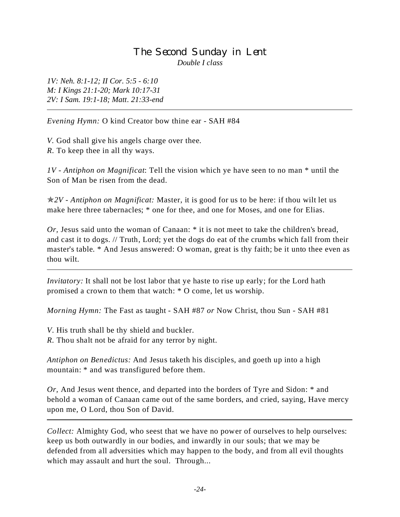### The Second Sunday in Lent *Double I class*

*1V: Neh. 8:1-12; II Cor. 5:5 - 6:10 M: I Kings 21:1-20; Mark 10:17-31 2V: I Sam. 19:1-18; Matt. 21:33-end*

*Evening Hymn:* O kind Creator bow thine ear - SAH #84

*V.* God shall give his angels charge over thee. *R.* To keep thee in all thy ways.

*1V - Antiphon on Magnificat*: Tell the vision which ye have seen to no man \* until the Son of Man be risen from the dead.

p*2V - Antiphon on Magnificat:* Master, it is good for us to be here: if thou wilt let us make here three tabernacles; \* one for thee, and one for Moses, and one for Elias.

*Or,* Jesus said unto the woman of Canaan: \* it is not meet to take the children's bread, and cast it to dogs. // Truth, Lord; yet the dogs do eat of the crumbs which fall from their master's table. \* And Jesus answered: O woman, great is thy faith; be it unto thee even as thou wilt.

*Invitatory:* It shall not be lost labor that ye haste to rise up early; for the Lord hath promised a crown to them that watch: \* O come, let us worship.

*Morning Hymn:* The Fast as taught - SAH #87 *or* Now Christ, thou Sun - SAH #81

*V*. His truth shall be thy shield and buckler.

*R.* Thou shalt not be afraid for any terror by night.

*Antiphon on Benedictus:* And Jesus taketh his disciples, and goeth up into a high mountain: \* and was transfigured before them.

*Or,* And Jesus went thence, and departed into the borders of Tyre and Sidon: \* and behold a woman of Canaan came out of the same borders, and cried, saying, Have mercy upon me, O Lord, thou Son of David.

*Collect:* Almighty God, who seest that we have no power of ourselves to help ourselves: keep us both outwardly in our bodies, and inwardly in our souls; that we may be defended from all adversities which may happen to the body, and from all evil thoughts which may assault and hurt the soul. Through...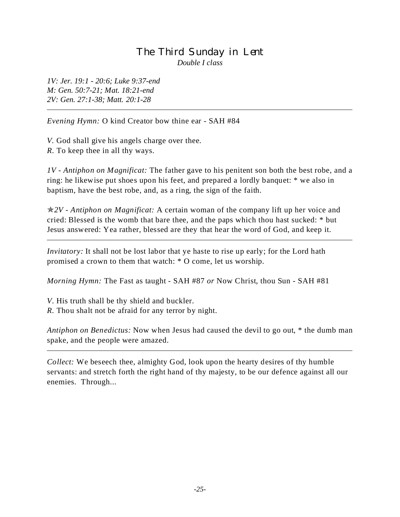### The Third Sunday in Lent *Double I class*

*1V: Jer. 19:1 - 20:6; Luke 9:37-end M: Gen. 50:7-21; Mat. 18:21-end 2V: Gen. 27:1-38; Matt. 20:1-28*

*Evening Hymn:* O kind Creator bow thine ear - SAH #84

*V.* God shall give his angels charge over thee.

*R.* To keep thee in all thy ways.

*1V - Antiphon on Magnificat:* The father gave to his penitent son both the best robe, and a ring: he likewise put shoes upon his feet, and prepared a lordly banquet: \* we also in baptism, have the best robe, and, as a ring, the sign of the faith.

p*2V - Antiphon on Magnificat:* A certain woman of the company lift up her voice and cried: Blessed is the womb that bare thee, and the paps which thou hast sucked: \* but Jesus answered: Yea rather, blessed are they that hear the word of God, and keep it.

*Invitatory:* It shall not be lost labor that ye haste to rise up early; for the Lord hath promised a crown to them that watch: \* O come, let us worship.

*Morning Hymn:* The Fast as taught - SAH #87 *or* Now Christ, thou Sun - SAH #81

*V*. His truth shall be thy shield and buckler.

*R.* Thou shalt not be afraid for any terror by night.

*Antiphon on Benedictus:* Now when Jesus had caused the devil to go out, \* the dumb man spake, and the people were amazed.

*Collect:* We beseech thee, almighty God, look upon the hearty desires of thy humble servants: and stretch forth the right hand of thy majesty, to be our defence against all our enemies. Through...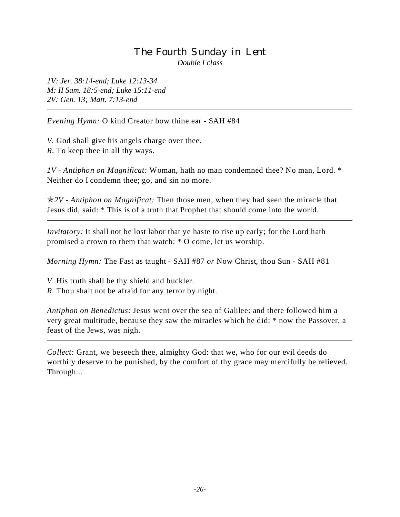### The Fourth Sunday in Lent *Double I class*

*1V: Jer. 38:14-end; Luke 12:13-34 M: II Sam. 18:5-end; Luke 15:11-end 2V: Gen. 13; Matt. 7:13-end*

*Evening Hymn:* O kind Creator bow thine ear - SAH #84

*V.* God shall give his angels charge over thee. *R.* To keep thee in all thy ways.

*1V - Antiphon on Magnificat:* Woman, hath no man condemned thee? No man, Lord. \* Neither do I condemn thee; go, and sin no more.

p*2V - Antiphon on Magnificat:* Then those men, when they had seen the miracle that Jesus did, said: \* This is of a truth that Prophet that should come into the world.

*Invitatory:* It shall not be lost labor that ye haste to rise up early; for the Lord hath promised a crown to them that watch: \* O come, let us worship.

*Morning Hymn:* The Fast as taught - SAH #87 *or* Now Christ, thou Sun - SAH #81

*V*. His truth shall be thy shield and buckler.

*R.* Thou shalt not be afraid for any terror by night.

*Antiphon on Benedictus:* Jesus went over the sea of Galilee: and there followed him a very great multitude, because they saw the miracles which he did: \* now the Passover, a feast of the Jews, was nigh.

*Collect:* Grant, we beseech thee, almighty God: that we, who for our evil deeds do worthily deserve to be punished, by the comfort of thy grace may mercifully be relieved. Through...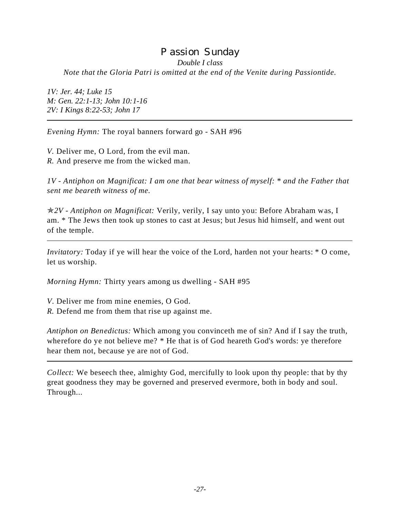# Passion Sunday *Double I class*

*Note that the Gloria Patri is omitted at the end of the Venite during Passiontide.*

*1V: Jer. 44; Luke 15 M: Gen. 22:1-13; John 10:1-16 2V: I Kings 8:22-53; John 17*

*Evening Hymn:* The royal banners forward go - SAH #96

*V.* Deliver me, O Lord, from the evil man. *R.* And preserve me from the wicked man.

*1V - Antiphon on Magnificat: I am one that bear witness of myself: \* and the Father that sent me beareth witness of me.*

p*2V - Antiphon on Magnificat:* Verily, verily, I say unto you: Before Abraham was, I am. \* The Jews then took up stones to cast at Jesus; but Jesus hid himself, and went out of the temple.

*Invitatory:* Today if ye will hear the voice of the Lord, harden not your hearts:  $*$  O come, let us worship.

*Morning Hymn:* Thirty years among us dwelling - SAH #95

*V*. Deliver me from mine enemies, O God.

*R.* Defend me from them that rise up against me.

*Antiphon on Benedictus:* Which among you convinceth me of sin? And if I say the truth, wherefore do ye not believe me? \* He that is of God heareth God's words: ye therefore hear them not, because ye are not of God.

*Collect:* We beseech thee, almighty God, mercifully to look upon thy people: that by thy great goodness they may be governed and preserved evermore, both in body and soul. Through...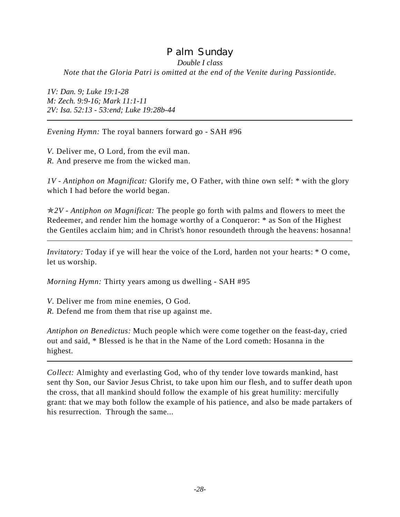### Palm Sunday *Double I class Note that the Gloria Patri is omitted at the end of the Venite during Passiontide.*

*1V: Dan. 9; Luke 19:1-28 M: Zech. 9:9-16; Mark 11:1-11 2V: Isa. 52:13 - 53:end; Luke 19:28b-44*

*Evening Hymn:* The royal banners forward go - SAH #96

*V.* Deliver me, O Lord, from the evil man. *R.* And preserve me from the wicked man.

*1V - Antiphon on Magnificat:* Glorify me, O Father, with thine own self: \* with the glory which I had before the world began.

p*2V* - *Antiphon on Magnificat:* The people go forth with palms and flowers to meet the Redeemer, and render him the homage worthy of a Conqueror: \* as Son of the Highest the Gentiles acclaim him; and in Christ's honor resoundeth through the heavens: hosanna!

*Invitatory:* Today if ye will hear the voice of the Lord, harden not your hearts:  $*$  O come, let us worship.

*Morning Hymn:* Thirty years among us dwelling - SAH #95

*V*. Deliver me from mine enemies, O God.

*R.* Defend me from them that rise up against me.

*Antiphon on Benedictus:* Much people which were come together on the feast-day, cried out and said, \* Blessed is he that in the Name of the Lord cometh: Hosanna in the highest.

*Collect:* Almighty and everlasting God, who of thy tender love towards mankind, hast sent thy Son, our Savior Jesus Christ, to take upon him our flesh, and to suffer death upon the cross, that all mankind should follow the example of his great humility: mercifully grant: that we may both follow the example of his patience, and also be made partakers of his resurrection. Through the same...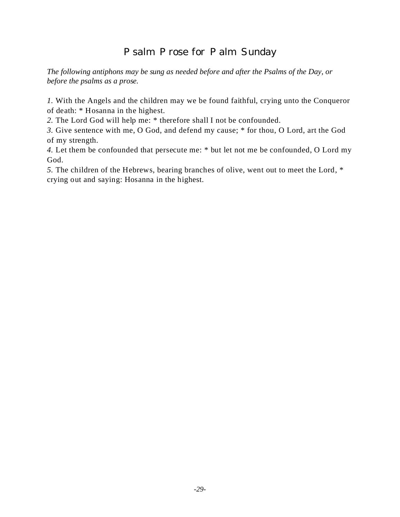# Psalm Prose for Palm Sunday

*The following antiphons may be sung as needed before and after the Psalms of the Day, or before the psalms as a prose.*

*1.* With the Angels and the children may we be found faithful, crying unto the Conqueror of death: \* Hosanna in the highest.

*2.* The Lord God will help me: \* therefore shall I not be confounded.

*3.* Give sentence with me, O God, and defend my cause; \* for thou, O Lord, art the God of my strength.

*4.* Let them be confounded that persecute me: \* but let not me be confounded, O Lord my God.

*5.* The children of the Hebrews, bearing branches of olive, went out to meet the Lord, \* crying out and saying: Hosanna in the highest.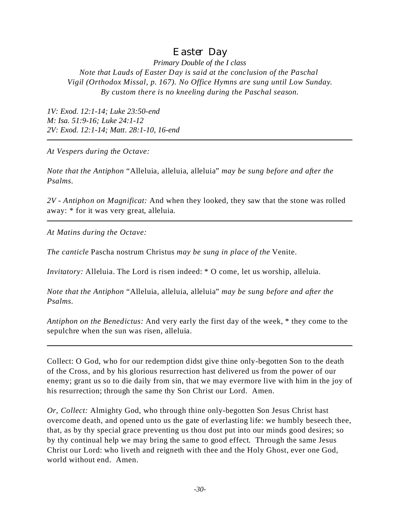# Easter Day

*Primary Double of the I class Note that Lauds of Easter Day is said at the conclusion of the Paschal Vigil (Orthodox Missal, p. 167). No Office Hymns are sung until Low Sunday. By custom there is no kneeling during the Paschal season.*

*1V: Exod. 12:1-14; Luke 23:50-end M: Isa. 51:9-16; Luke 24:1-12 2V: Exod. 12:1-14; Matt. 28:1-10, 16-end*

*At Vespers during the Octave:*

*Note that the Antiphon* "Alleluia, alleluia, alleluia" *may be sung before and after the Psalms.*

*2V - Antiphon on Magnificat:* And when they looked, they saw that the stone was rolled away: \* for it was very great, alleluia.

*At Matins during the Octave:*

*The canticle* Pascha nostrum Christus *may be sung in place of the* Venite.

*Invitatory:* Alleluia. The Lord is risen indeed:  $*$  O come, let us worship, alleluia.

*Note that the Antiphon* "Alleluia, alleluia, alleluia" *may be sung before and after the Psalms.*

*Antiphon on the Benedictus:* And very early the first day of the week, \* they come to the sepulchre when the sun was risen, alleluia.

Collect: O God, who for our redemption didst give thine only-begotten Son to the death of the Cross, and by his glorious resurrection hast delivered us from the power of our enemy; grant us so to die daily from sin, that we may evermore live with him in the joy of his resurrection; through the same thy Son Christ our Lord. Amen.

*Or, Collect:* Almighty God, who through thine only-begotten Son Jesus Christ hast overcome death, and opened unto us the gate of everlasting life: we humbly beseech thee, that, as by thy special grace preventing us thou dost put into our minds good desires; so by thy continual help we may bring the same to good effect. Through the same Jesus Christ our Lord: who liveth and reigneth with thee and the Holy Ghost, ever one God, world without end. Amen.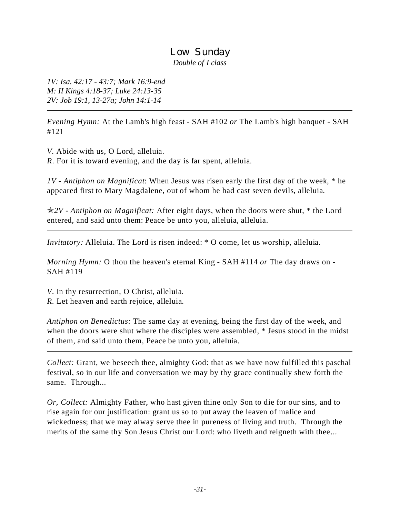### Low Sunday *Double of I class*

*1V: Isa. 42:17 - 43:7; Mark 16:9-end M: II Kings 4:18-37; Luke 24:13-35 2V: Job 19:1, 13-27a; John 14:1-14*

*Evening Hymn:* At the Lamb's high feast - SAH #102 *or* The Lamb's high banquet - SAH #121

*V.* Abide with us, O Lord, alleluia. *R*. For it is toward evening, and the day is far spent, alleluia.

*1V - Antiphon on Magnificat*: When Jesus was risen early the first day of the week, \* he appeared first to Mary Magdalene, out of whom he had cast seven devils, alleluia.

p*2V - Antiphon on Magnificat:* After eight days, when the doors were shut, \* the Lord entered, and said unto them: Peace be unto you, alleluia, alleluia.

*Invitatory:* Alleluia. The Lord is risen indeed: \* O come, let us worship, alleluia.

*Morning Hymn:* O thou the heaven's eternal King - SAH #114 *or* The day draws on - SAH #119

*V*. In thy resurrection, O Christ, alleluia. *R.* Let heaven and earth rejoice, alleluia.

*Antiphon on Benedictus:* The same day at evening, being the first day of the week, and when the doors were shut where the disciples were assembled, \* Jesus stood in the midst of them, and said unto them, Peace be unto you, alleluia.

*Collect:* Grant, we beseech thee, almighty God: that as we have now fulfilled this paschal festival, so in our life and conversation we may by thy grace continually shew forth the same. Through...

*Or, Collect:* Almighty Father, who hast given thine only Son to die for our sins, and to rise again for our justification: grant us so to put away the leaven of malice and wickedness; that we may alway serve thee in pureness of living and truth. Through the merits of the same thy Son Jesus Christ our Lord: who liveth and reigneth with thee...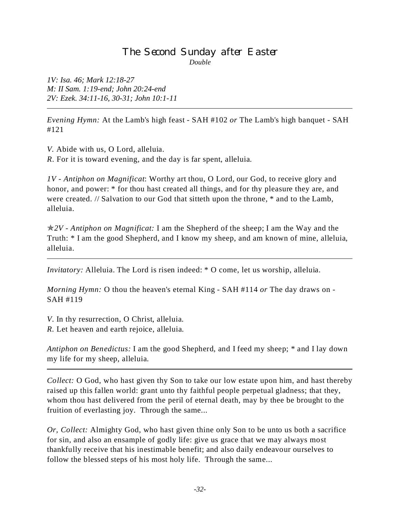#### The Second Sunday after Easter *Double*

*1V: Isa. 46; Mark 12:18-27 M: II Sam. 1:19-end; John 20:24-end 2V: Ezek. 34:11-16, 30-31; John 10:1-11*

*Evening Hymn:* At the Lamb's high feast - SAH #102 *or* The Lamb's high banquet - SAH #121

*V.* Abide with us, O Lord, alleluia. *R*. For it is toward evening, and the day is far spent, alleluia.

*1V - Antiphon on Magnificat*: Worthy art thou, O Lord, our God, to receive glory and honor, and power:  $*$  for thou hast created all things, and for thy pleasure they are, and were created. // Salvation to our God that sitteth upon the throne, \* and to the Lamb, alleluia.

p*2V - Antiphon on Magnificat:* I am the Shepherd of the sheep; I am the Way and the Truth: \* I am the good Shepherd, and I know my sheep, and am known of mine, alleluia, alleluia.

*Invitatory:* Alleluia. The Lord is risen indeed:  $*$  O come, let us worship, alleluia.

*Morning Hymn:* O thou the heaven's eternal King - SAH #114 *or* The day draws on - SAH #119

*V*. In thy resurrection, O Christ, alleluia. *R.* Let heaven and earth rejoice, alleluia.

*Antiphon on Benedictus:* I am the good Shepherd, and I feed my sheep; \* and I lay down my life for my sheep, alleluia.

*Collect:* O God, who hast given thy Son to take our low estate upon him, and hast thereby raised up this fallen world: grant unto thy faithful people perpetual gladness; that they, whom thou hast delivered from the peril of eternal death, may by thee be brought to the fruition of everlasting joy. Through the same...

*Or, Collect:* Almighty God, who hast given thine only Son to be unto us both a sacrifice for sin, and also an ensample of godly life: give us grace that we may always most thankfully receive that his inestimable benefit; and also daily endeavour ourselves to follow the blessed steps of his most holy life. Through the same...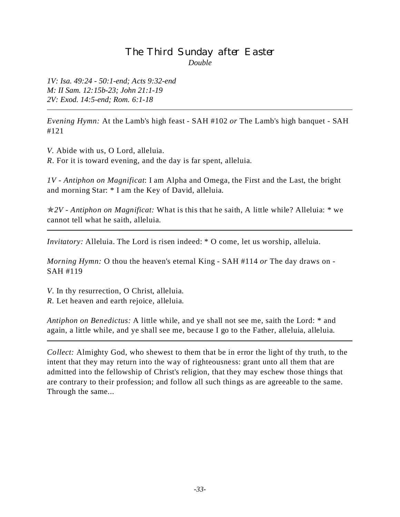## The Third Sunday after Easter *Double*

*1V: Isa. 49:24 - 50:1-end; Acts 9:32-end M: II Sam. 12:15b-23; John 21:1-19 2V: Exod. 14:5-end; Rom. 6:1-18*

*Evening Hymn:* At the Lamb's high feast - SAH #102 *or* The Lamb's high banquet - SAH #121

*V.* Abide with us, O Lord, alleluia. *R*. For it is toward evening, and the day is far spent, alleluia.

*1V - Antiphon on Magnificat*: I am Alpha and Omega, the First and the Last, the bright and morning Star: \* I am the Key of David, alleluia.

p*2V - Antiphon on Magnificat:* What is this that he saith, A little while? Alleluia: \* we cannot tell what he saith, alleluia.

*Invitatory:* Alleluia. The Lord is risen indeed: \* O come, let us worship, alleluia.

*Morning Hymn:* O thou the heaven's eternal King - SAH #114 *or* The day draws on - SAH #119

*V*. In thy resurrection, O Christ, alleluia. *R.* Let heaven and earth rejoice, alleluia.

*Antiphon on Benedictus:* A little while, and ye shall not see me, saith the Lord: \* and again, a little while, and ye shall see me, because I go to the Father, alleluia, alleluia.

*Collect:* Almighty God, who shewest to them that be in error the light of thy truth, to the intent that they may return into the way of righteousness: grant unto all them that are admitted into the fellowship of Christ's religion, that they may eschew those things that are contrary to their profession; and follow all such things as are agreeable to the same. Through the same...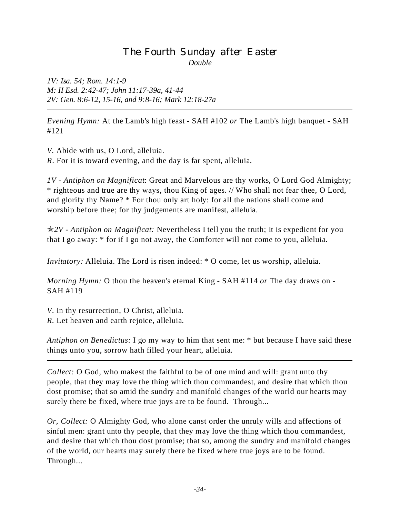### The Fourth Sunday after Easter *Double*

*1V: Isa. 54; Rom. 14:1-9 M: II Esd. 2:42-47; John 11:17-39a, 41-44 2V: Gen. 8:6-12, 15-16, and 9:8-16; Mark 12:18-27a*

*Evening Hymn:* At the Lamb's high feast - SAH #102 *or* The Lamb's high banquet - SAH #121

*V.* Abide with us, O Lord, alleluia. *R*. For it is toward evening, and the day is far spent, alleluia.

*1V - Antiphon on Magnificat*: Great and Marvelous are thy works, O Lord God Almighty; \* righteous and true are thy ways, thou King of ages. // Who shall not fear thee, O Lord, and glorify thy Name? \* For thou only art holy: for all the nations shall come and worship before thee; for thy judgements are manifest, alleluia.

p*2V - Antiphon on Magnificat:* Nevertheless I tell you the truth; It is expedient for you that I go away: \* for if I go not away, the Comforter will not come to you, alleluia.

*Invitatory:* Alleluia. The Lord is risen indeed: \* O come, let us worship, alleluia.

*Morning Hymn:* O thou the heaven's eternal King - SAH #114 *or* The day draws on - SAH #119

*V*. In thy resurrection, O Christ, alleluia. *R.* Let heaven and earth rejoice, alleluia.

*Antiphon on Benedictus:* I go my way to him that sent me: \* but because I have said these things unto you, sorrow hath filled your heart, alleluia.

*Collect:* O God, who makest the faithful to be of one mind and will: grant unto thy people, that they may love the thing which thou commandest, and desire that which thou dost promise; that so amid the sundry and manifold changes of the world our hearts may surely there be fixed, where true joys are to be found. Through...

*Or, Collect:* O Almighty God, who alone canst order the unruly wills and affections of sinful men: grant unto thy people, that they may love the thing which thou commandest, and desire that which thou dost promise; that so, among the sundry and manifold changes of the world, our hearts may surely there be fixed where true joys are to be found. Through...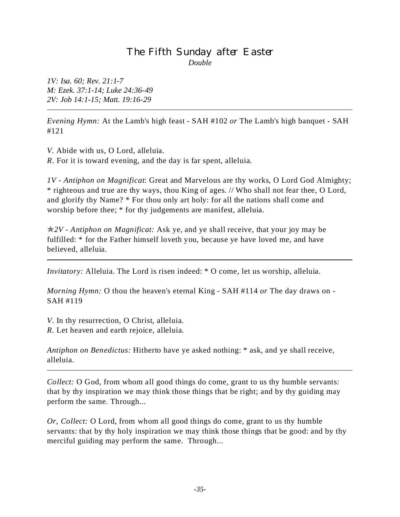### The Fifth Sunday after Easter *Double*

*1V: Isa. 60; Rev. 21:1-7 M: Ezek. 37:1-14; Luke 24:36-49 2V: Job 14:1-15; Matt. 19:16-29*

*Evening Hymn:* At the Lamb's high feast - SAH #102 *or* The Lamb's high banquet - SAH #121

*V.* Abide with us, O Lord, alleluia. *R*. For it is toward evening, and the day is far spent, alleluia.

*1V - Antiphon on Magnificat*: Great and Marvelous are thy works, O Lord God Almighty; \* righteous and true are thy ways, thou King of ages. // Who shall not fear thee, O Lord, and glorify thy Name? \* For thou only art holy: for all the nations shall come and worship before thee; \* for thy judgements are manifest, alleluia.

p*2V - Antiphon on Magnificat:* Ask ye, and ye shall receive, that your joy may be fulfilled: \* for the Father himself loveth you, because ye have loved me, and have believed, alleluia.

*Invitatory:* Alleluia. The Lord is risen indeed: \* O come, let us worship, alleluia.

*Morning Hymn:* O thou the heaven's eternal King - SAH #114 *or* The day draws on - SAH #119

*V*. In thy resurrection, O Christ, alleluia. *R.* Let heaven and earth rejoice, alleluia.

*Antiphon on Benedictus:* Hitherto have ye asked nothing: \* ask, and ye shall receive, alleluia.

*Collect:* O God, from whom all good things do come, grant to us thy humble servants: that by thy inspiration we may think those things that be right; and by thy guiding may perform the same. Through...

*Or, Collect:* O Lord, from whom all good things do come, grant to us thy humble servants: that by thy holy inspiration we may think those things that be good: and by thy merciful guiding may perform the same. Through...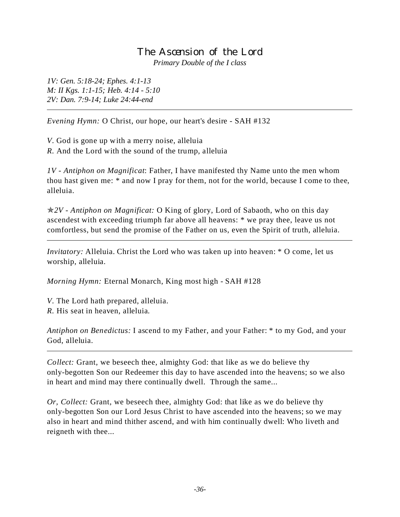#### The Ascension of the Lord *Primary Double of the I class*

*1V: Gen. 5:18-24; Ephes. 4:1-13 M: II Kgs. 1:1-15; Heb. 4:14 - 5:10 2V: Dan. 7:9-14; Luke 24:44-end*

*Evening Hymn:* O Christ, our hope, our heart's desire - SAH #132

*V*. God is gone up with a merry noise, alleluia *R.* And the Lord with the sound of the trump, alleluia

*1V - Antiphon on Magnificat*: Father, I have manifested thy Name unto the men whom thou hast given me: \* and now I pray for them, not for the world, because I come to thee, alleluia.

p*2V - Antiphon on Magnificat:* O King of glory, Lord of Sabaoth, who on this day ascendest with exceeding triumph far above all heavens: \* we pray thee, leave us not comfortless, but send the promise of the Father on us, even the Spirit of truth, alleluia.

*Invitatory:* Alleluia. Christ the Lord who was taken up into heaven: \* O come, let us worship, alleluia.

*Morning Hymn:* Eternal Monarch, King most high - SAH #128

*V*. The Lord hath prepared, alleluia. *R.* His seat in heaven, alleluia.

*Antiphon on Benedictus:* I ascend to my Father, and your Father: \* to my God, and your God, alleluia.

*Collect:* Grant, we beseech thee, almighty God: that like as we do believe thy only-begotten Son our Redeemer this day to have ascended into the heavens; so we also in heart and mind may there continually dwell. Through the same...

*Or, Collect:* Grant, we beseech thee, almighty God: that like as we do believe thy only-begotten Son our Lord Jesus Christ to have ascended into the heavens; so we may also in heart and mind thither ascend, and with him continually dwell: Who liveth and reigneth with thee...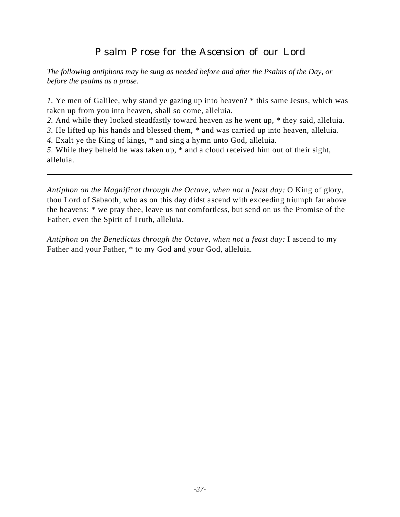# Psalm Prose for the Ascension of our Lord

*The following antiphons may be sung as needed before and after the Psalms of the Day, or before the psalms as a prose.*

*1.* Ye men of Galilee, why stand ye gazing up into heaven? \* this same Jesus, which was taken up from you into heaven, shall so come, alleluia.

*2.* And while they looked steadfastly toward heaven as he went up, \* they said, alleluia.

*3.* He lifted up his hands and blessed them, \* and was carried up into heaven, alleluia.

*4.* Exalt ye the King of kings, \* and sing a hymn unto God, alleluia.

*5.* While they beheld he was taken up, \* and a cloud received him out of their sight, alleluia.

*Antiphon on the Magnificat through the Octave, when not a feast day:* O King of glory, thou Lord of Sabaoth, who as on this day didst ascend with exceeding triumph far above the heavens: \* we pray thee, leave us not comfortless, but send on us the Promise of the Father, even the Spirit of Truth, alleluia.

*Antiphon on the Benedictus through the Octave, when not a feast day:* I ascend to my Father and your Father, \* to my God and your God, alleluia.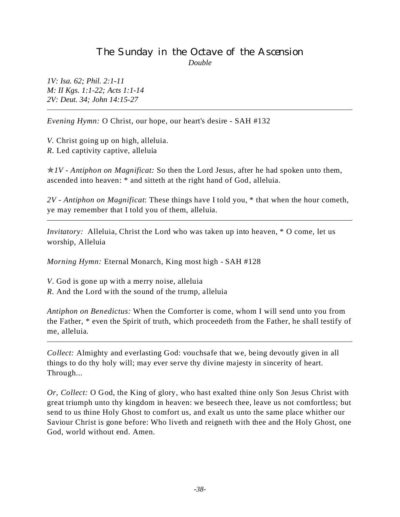### The Sunday in the Octave of the Ascension *Double*

*1V: Isa. 62; Phil. 2:1-11 M: II Kgs. 1:1-22; Acts 1:1-14 2V: Deut. 34; John 14:15-27*

*Evening Hymn:* O Christ, our hope, our heart's desire - SAH #132

*V.* Christ going up on high, alleluia. *R.* Led captivity captive, alleluia

 $\angle N$  - Antiphon on Magnificat: So then the Lord Jesus, after he had spoken unto them, ascended into heaven: \* and sitteth at the right hand of God, alleluia.

*2V - Antiphon on Magnificat*: These things have I told you, \* that when the hour cometh, ye may remember that I told you of them, alleluia.

*Invitatory:* Alleluia, Christ the Lord who was taken up into heaven, \* O come, let us worship, Alleluia

*Morning Hymn:* Eternal Monarch, King most high - SAH #128

*V*. God is gone up with a merry noise, alleluia

*R.* And the Lord with the sound of the trump, alleluia

*Antiphon on Benedictus:* When the Comforter is come, whom I will send unto you from the Father, \* even the Spirit of truth, which proceedeth from the Father, he shall testify of me, alleluia.

*Collect:* Almighty and everlasting God: vouchsafe that we, being devoutly given in all things to do thy holy will; may ever serve thy divine majesty in sincerity of heart. Through...

*Or, Collect:* O God, the King of glory, who hast exalted thine only Son Jesus Christ with great triumph unto thy kingdom in heaven: we beseech thee, leave us not comfortless; but send to us thine Holy Ghost to comfort us, and exalt us unto the same place whither our Saviour Christ is gone before: Who liveth and reigneth with thee and the Holy Ghost, one God, world without end. Amen.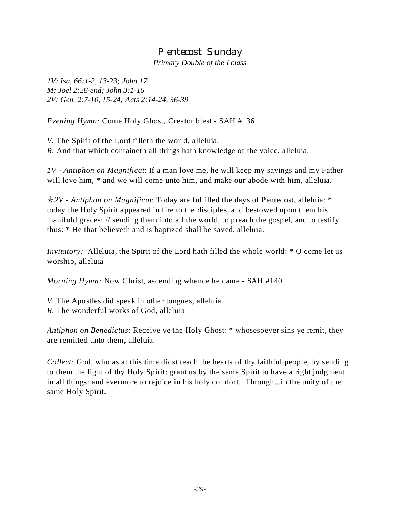# Pentecost Sunday

*Primary Double of the I class*

*1V: Isa. 66:1-2, 13-23; John 17 M: Joel 2:28-end; John 3:1-16 2V: Gen. 2:7-10, 15-24; Acts 2:14-24, 36-39*

*Evening Hymn:* Come Holy Ghost, Creator blest - SAH #136

*V.* The Spirit of the Lord filleth the world, alleluia. *R.* And that which containeth all things hath knowledge of the voice, alleluia.

*1V - Antiphon on Magnificat*: If a man love me, he will keep my sayings and my Father will love him,  $*$  and we will come unto him, and make our abode with him, alleluia.

p*2V - Antiphon on Magnificat*: Today are fulfilled the days of Pentecost, alleluia: \* today the Holy Spirit appeared in fire to the disciples, and bestowed upon them his manifold graces: // sending them into all the world, to preach the gospel, and to testify thus: \* He that believeth and is baptized shall be saved, alleluia.

*Invitatory:* Alleluia, the Spirit of the Lord hath filled the whole world: \* O come let us worship, alleluia

*Morning Hymn:* Now Christ, ascending whence he came - SAH #140

*V*. The Apostles did speak in other tongues, alleluia *R.* The wonderful works of God, alleluia

*Antiphon on Benedictus:* Receive ye the Holy Ghost: \* whosesoever sins ye remit, they are remitted unto them, alleluia.

*Collect:* God, who as at this time didst teach the hearts of thy faithful people, by sending to them the light of thy Holy Spirit: grant us by the same Spirit to have a right judgment in all things: and evermore to rejoice in his holy comfort. Through...in the unity of the same Holy Spirit.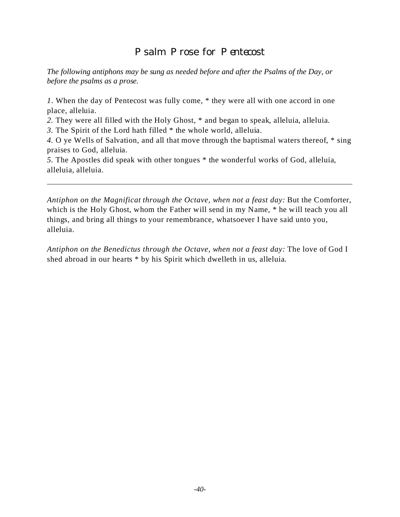# Psalm Prose for Pentecost

*The following antiphons may be sung as needed before and after the Psalms of the Day, or before the psalms as a prose.*

*1*. When the day of Pentecost was fully come, \* they were all with one accord in one place, alleluia.

*2.* They were all filled with the Holy Ghost, \* and began to speak, alleluia, alleluia.

*3.* The Spirit of the Lord hath filled \* the whole world, alleluia.

*4.* O ye Wells of Salvation, and all that move through the baptismal waters thereof, \* sing praises to God, alleluia.

*5.* The Apostles did speak with other tongues \* the wonderful works of God, alleluia, alleluia, alleluia.

*Antiphon on the Magnificat through the Octave, when not a feast day:* But the Comforter, which is the Holy Ghost, whom the Father will send in my Name, \* he will teach you all things, and bring all things to your remembrance, whatsoever I have said unto you, alleluia.

*Antiphon on the Benedictus through the Octave, when not a feast day:* The love of God I shed abroad in our hearts \* by his Spirit which dwelleth in us, alleluia.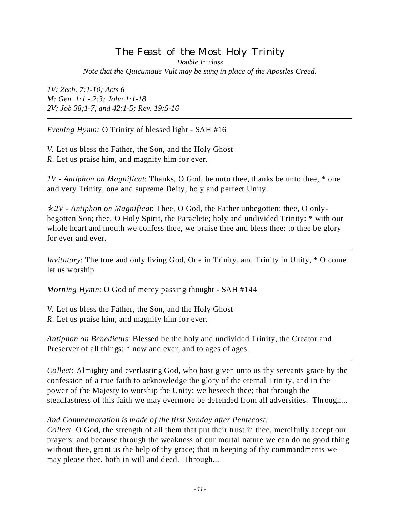### The Feast of the Most Holy Trinity *Double 1st class Note that the Quicumque Vult may be sung in place of the Apostles Creed.*

*1V: Zech. 7:1-10; Acts 6 M: Gen. 1:1 - 2:3; John 1:1-18 2V: Job 38;1-7, and 42:1-5; Rev. 19:5-16*

*Evening Hymn:* O Trinity of blessed light - SAH #16

*V.* Let us bless the Father, the Son, and the Holy Ghost *R*. Let us praise him, and magnify him for ever.

*1V - Antiphon on Magnificat*: Thanks, O God, be unto thee, thanks be unto thee, \* one and very Trinity, one and supreme Deity, holy and perfect Unity.

p*2V - Antiphon on Magnificat*: Thee, O God, the Father unbegotten: thee, O onlybegotten Son; thee, O Holy Spirit, the Paraclete; holy and undivided Trinity: \* with our whole heart and mouth we confess thee, we praise thee and bless thee: to thee be glory for ever and ever.

*Invitatory*: The true and only living God, One in Trinity, and Trinity in Unity,  $*$  O come let us worship

*Morning Hymn*: O God of mercy passing thought - SAH #144

*V.* Let us bless the Father, the Son, and the Holy Ghost *R*. Let us praise him, and magnify him for ever.

*Antiphon on Benedictus*: Blessed be the holy and undivided Trinity, the Creator and Preserver of all things:  $*$  now and ever, and to ages of ages.

*Collect:* Almighty and everlasting God, who hast given unto us thy servants grace by the confession of a true faith to acknowledge the glory of the eternal Trinity, and in the power of the Majesty to worship the Unity: we beseech thee; that through the steadfastness of this faith we may evermore be defended from all adversities. Through...

#### *And Commemoration is made of the first Sunday after Pentecost:*

*Collect.* O God, the strength of all them that put their trust in thee, mercifully accept our prayers: and because through the weakness of our mortal nature we can do no good thing without thee, grant us the help of thy grace; that in keeping of thy commandments we may please thee, both in will and deed. Through...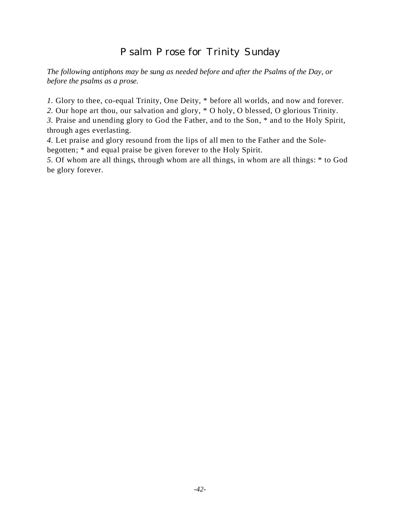# Psalm Prose for Trinity Sunday

*The following antiphons may be sung as needed before and after the Psalms of the Day, or before the psalms as a prose.*

*1.* Glory to thee, co-equal Trinity, One Deity,  $*$  before all worlds, and now and forever.

*2.* Our hope art thou, our salvation and glory, \* O holy, O blessed, O glorious Trinity.

*3.* Praise and unending glory to God the Father, and to the Son, \* and to the Holy Spirit, through ages everlasting.

*4.* Let praise and glory resound from the lips of all men to the Father and the Solebegotten; \* and equal praise be given forever to the Holy Spirit.

*5.* Of whom are all things, through whom are all things, in whom are all things: \* to God be glory forever.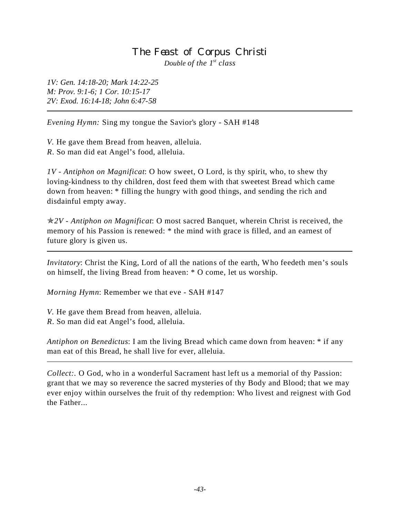#### The Feast of Corpus Christi *Double of the 1st class*

*1V: Gen. 14:18-20; Mark 14:22-25 M: Prov. 9:1-6; 1 Cor. 10:15-17 2V: Exod. 16:14-18; John 6:47-58*

*Evening Hymn:* Sing my tongue the Savior's glory - SAH #148

*V.* He gave them Bread from heaven, alleluia. *R*. So man did eat Angel's food, alleluia.

*1V - Antiphon on Magnificat*: O how sweet, O Lord, is thy spirit, who, to shew thy loving-kindness to thy children, dost feed them with that sweetest Bread which came down from heaven: \* filling the hungry with good things, and sending the rich and disdainful empty away.

p*2V - Antiphon on Magnificat*: O most sacred Banquet, wherein Christ is received, the memory of his Passion is renewed: \* the mind with grace is filled, and an earnest of future glory is given us.

*Invitatory*: Christ the King, Lord of all the nations of the earth, Who feedeth men's souls on himself, the living Bread from heaven: \* O come, let us worship.

*Morning Hymn*: Remember we that eve - SAH #147

*V.* He gave them Bread from heaven, alleluia.

*R*. So man did eat Angel's food, alleluia.

*Antiphon on Benedictus*: I am the living Bread which came down from heaven: \* if any man eat of this Bread, he shall live for ever, alleluia.

*Collect:*. O God, who in a wonderful Sacrament hast left us a memorial of thy Passion: grant that we may so reverence the sacred mysteries of thy Body and Blood; that we may ever enjoy within ourselves the fruit of thy redemption: Who livest and reignest with God the Father...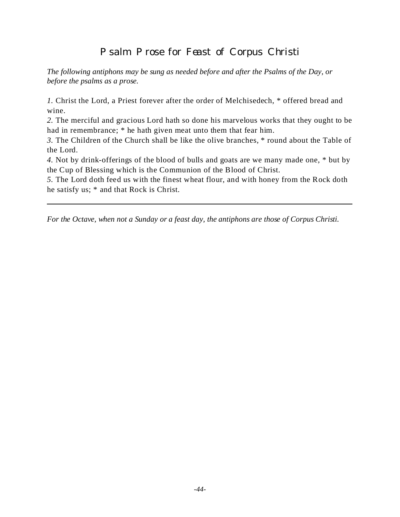# Psalm Prose for Feast of Corpus Christi

*The following antiphons may be sung as needed before and after the Psalms of the Day, or before the psalms as a prose.*

*1.* Christ the Lord, a Priest forever after the order of Melchisedech, \* offered bread and wine.

*2.* The merciful and gracious Lord hath so done his marvelous works that they ought to be had in remembrance; \* he hath given meat unto them that fear him.

*3.* The Children of the Church shall be like the olive branches, \* round about the Table of the Lord.

*4.* Not by drink-offerings of the blood of bulls and goats are we many made one, \* but by the Cup of Blessing which is the Communion of the Blood of Christ.

*5.* The Lord doth feed us with the finest wheat flour, and with honey from the Rock doth he satisfy us; \* and that Rock is Christ.

*For the Octave, when not a Sunday or a feast day, the antiphons are those of Corpus Christi.*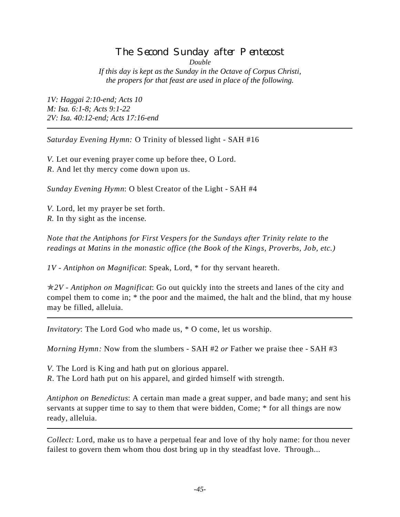# The Second Sunday after Pentecost

*Double*

*If this day is kept as the Sunday in the Octave of Corpus Christi, the propers for that feast are used in place of the following.*

*1V: Haggai 2:10-end; Acts 10 M: Isa. 6:1-8; Acts 9:1-22 2V: Isa. 40:12-end; Acts 17:16-end*

*Saturday Evening Hymn:* O Trinity of blessed light - SAH #16

*V.* Let our evening prayer come up before thee, O Lord. *R*. And let thy mercy come down upon us.

*Sunday Evening Hymn*: O blest Creator of the Light - SAH #4

*V.* Lord, let my prayer be set forth. *R.* In thy sight as the incense.

*Note that the Antiphons for First Vespers for the Sundays after Trinity relate to the readings at Matins in the monastic office (the Book of the Kings, Proverbs, Job, etc.)*

*1V - Antiphon on Magnificat*: Speak, Lord, \* for thy servant heareth.

p*2V - Antiphon on Magnificat*: Go out quickly into the streets and lanes of the city and compel them to come in; \* the poor and the maimed, the halt and the blind, that my house may be filled, alleluia.

*Invitatory*: The Lord God who made us, \* O come, let us worship.

*Morning Hymn:* Now from the slumbers - SAH #2 *or* Father we praise thee - SAH #3

*V.* The Lord is King and hath put on glorious apparel.

*R*. The Lord hath put on his apparel, and girded himself with strength.

*Antiphon on Benedictus*: A certain man made a great supper, and bade many; and sent his servants at supper time to say to them that were bidden, Come;  $*$  for all things are now ready, alleluia.

*Collect:* Lord, make us to have a perpetual fear and love of thy holy name: for thou never failest to govern them whom thou dost bring up in thy steadfast love. Through...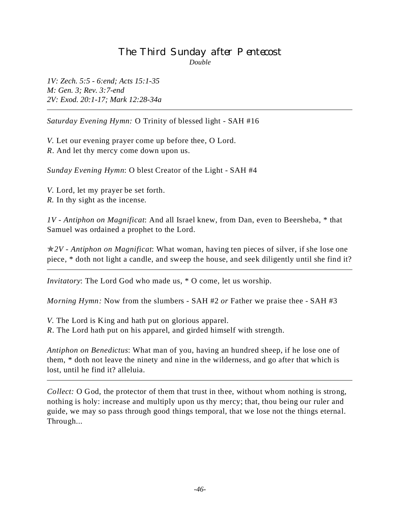#### The Third Sunday after Pentecost *Double*

*1V: Zech. 5:5 - 6:end; Acts 15:1-35 M: Gen. 3; Rev. 3:7-end 2V: Exod. 20:1-17; Mark 12:28-34a*

*Saturday Evening Hymn:* O Trinity of blessed light - SAH #16

*V.* Let our evening prayer come up before thee, O Lord. *R*. And let thy mercy come down upon us.

*Sunday Evening Hymn*: O blest Creator of the Light - SAH #4

*V.* Lord, let my prayer be set forth. *R.* In thy sight as the incense.

*1V - Antiphon on Magnificat*: And all Israel knew, from Dan, even to Beersheba, \* that Samuel was ordained a prophet to the Lord.

p*2V - Antiphon on Magnificat*: What woman, having ten pieces of silver, if she lose one piece, \* doth not light a candle, and sweep the house, and seek diligently until she find it?

*Invitatory*: The Lord God who made us, \* O come, let us worship.

*Morning Hymn:* Now from the slumbers - SAH #2 *or* Father we praise thee - SAH #3

*V.* The Lord is King and hath put on glorious apparel. *R*. The Lord hath put on his apparel, and girded himself with strength.

*Antiphon on Benedictus*: What man of you, having an hundred sheep, if he lose one of them, \* doth not leave the ninety and nine in the wilderness, and go after that which is lost, until he find it? alleluia.

*Collect:* O God, the protector of them that trust in thee, without whom nothing is strong, nothing is holy: increase and multiply upon us thy mercy; that, thou being our ruler and guide, we may so pass through good things temporal, that we lose not the things eternal. Through...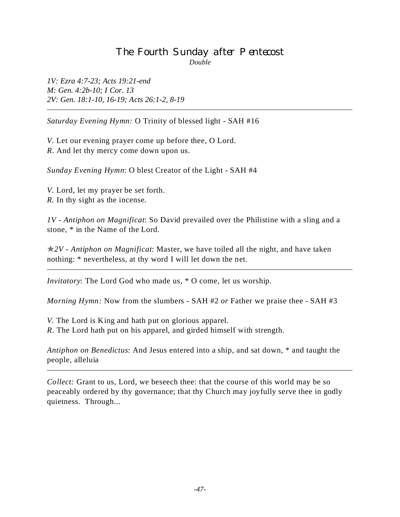#### The Fourth Sunday after Pentecost *Double*

*1V: Ezra 4:7-23; Acts 19:21-end M: Gen. 4:2b-10; I Cor. 13 2V: Gen. 18:1-10, 16-19; Acts 26:1-2, 8-19*

*Saturday Evening Hymn:* O Trinity of blessed light - SAH #16

*V.* Let our evening prayer come up before thee, O Lord. *R*. And let thy mercy come down upon us.

*Sunday Evening Hymn*: O blest Creator of the Light - SAH #4

*V.* Lord, let my prayer be set forth. *R.* In thy sight as the incense.

*1V - Antiphon on Magnificat*: So David prevailed over the Philistine with a sling and a stone, \* in the Name of the Lord.

p*2V - Antiphon on Magnificat*: Master, we have toiled all the night, and have taken nothing: \* nevertheless, at thy word I will let down the net.

*Invitatory*: The Lord God who made us, \* O come, let us worship.

*Morning Hymn:* Now from the slumbers - SAH #2 *or* Father we praise thee - SAH #3

*V.* The Lord is King and hath put on glorious apparel. *R*. The Lord hath put on his apparel, and girded himself with strength.

*Antiphon on Benedictus*: And Jesus entered into a ship, and sat down, \* and taught the people, alleluia

*Collect:* Grant to us, Lord, we beseech thee: that the course of this world may be so peaceably ordered by thy governance; that thy Church may joyfully serve thee in godly quietness. Through...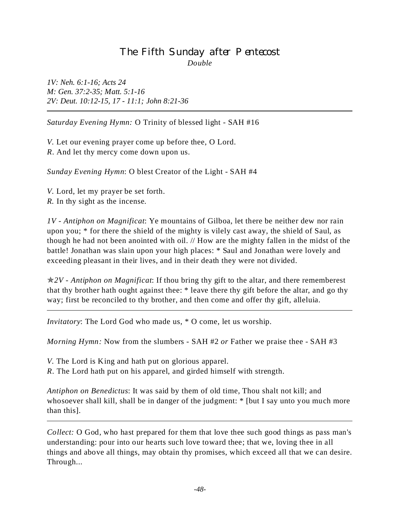# The Fifth Sunday after Pentecost *Double*

*1V: Neh. 6:1-16; Acts 24 M: Gen. 37:2-35; Matt. 5:1-16 2V: Deut. 10:12-15, 17 - 11:1; John 8:21-36*

*Saturday Evening Hymn:* O Trinity of blessed light - SAH #16

*V.* Let our evening prayer come up before thee, O Lord. *R*. And let thy mercy come down upon us.

*Sunday Evening Hymn*: O blest Creator of the Light - SAH #4

*V.* Lord, let my prayer be set forth. *R.* In thy sight as the incense.

*1V - Antiphon on Magnificat*: Ye mountains of Gilboa, let there be neither dew nor rain upon you; \* for there the shield of the mighty is vilely cast away, the shield of Saul, as though he had not been anointed with oil. // How are the mighty fallen in the midst of the battle! Jonathan was slain upon your high places: \* Saul and Jonathan were lovely and exceeding pleasant in their lives, and in their death they were not divided.

p*2V - Antiphon on Magnificat*: If thou bring thy gift to the altar, and there rememberest that thy brother hath ought against thee: \* leave there thy gift before the altar, and go thy way; first be reconciled to thy brother, and then come and offer thy gift, alleluia.

*Invitatory*: The Lord God who made us, \* O come, let us worship.

*Morning Hymn:* Now from the slumbers - SAH #2 *or* Father we praise thee - SAH #3

*V.* The Lord is King and hath put on glorious apparel.

*R*. The Lord hath put on his apparel, and girded himself with strength.

*Antiphon on Benedictus*: It was said by them of old time, Thou shalt not kill; and whosoever shall kill, shall be in danger of the judgment: \* [but I say unto you much more than this].

*Collect:* O God, who hast prepared for them that love thee such good things as pass man's understanding: pour into our hearts such love toward thee; that we, loving thee in all things and above all things, may obtain thy promises, which exceed all that we can desire. Through...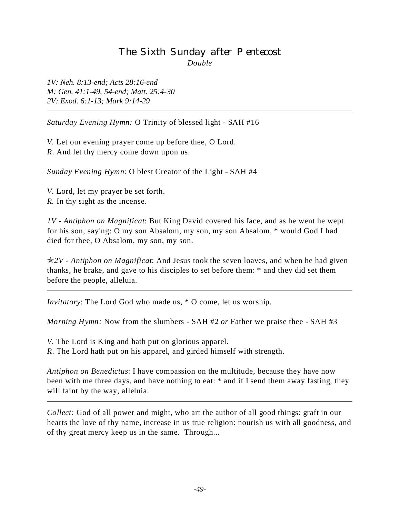# The Sixth Sunday after Pentecost *Double*

*1V: Neh. 8:13-end; Acts 28:16-end M: Gen. 41:1-49, 54-end; Matt. 25:4-30 2V: Exod. 6:1-13; Mark 9:14-29*

*Saturday Evening Hymn:* O Trinity of blessed light - SAH #16

*V.* Let our evening prayer come up before thee, O Lord. *R*. And let thy mercy come down upon us.

*Sunday Evening Hymn*: O blest Creator of the Light - SAH #4

*V.* Lord, let my prayer be set forth. *R.* In thy sight as the incense.

*1V - Antiphon on Magnificat*: But King David covered his face, and as he went he wept for his son, saying: O my son Absalom, my son, my son Absalom, \* would God I had died for thee, O Absalom, my son, my son.

p*2V - Antiphon on Magnificat*: And Jesus took the seven loaves, and when he had given thanks, he brake, and gave to his disciples to set before them: \* and they did set them before the people, alleluia.

*Invitatory*: The Lord God who made us, \* O come, let us worship.

*Morning Hymn:* Now from the slumbers - SAH #2 *or* Father we praise thee - SAH #3

*V.* The Lord is King and hath put on glorious apparel. *R*. The Lord hath put on his apparel, and girded himself with strength.

*Antiphon on Benedictus*: I have compassion on the multitude, because they have now been with me three days, and have nothing to eat:  $*$  and if I send them away fasting, they will faint by the way, alleluia.

*Collect:* God of all power and might, who art the author of all good things: graft in our hearts the love of thy name, increase in us true religion: nourish us with all goodness, and of thy great mercy keep us in the same. Through...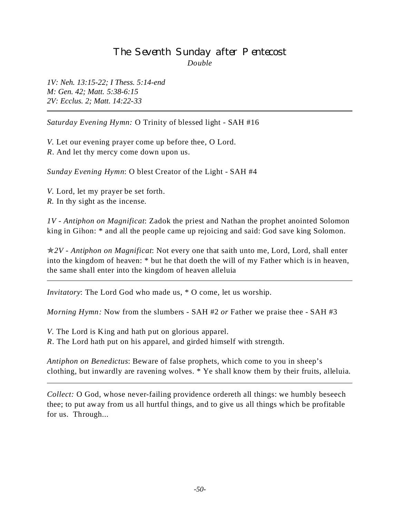# The Seventh Sunday after Pentecost *Double*

*1V: Neh. 13:15-22; I Thess. 5:14-end M: Gen. 42; Matt. 5:38-6:15 2V: Ecclus. 2; Matt. 14:22-33*

*Saturday Evening Hymn:* O Trinity of blessed light - SAH #16

*V.* Let our evening prayer come up before thee, O Lord. *R*. And let thy mercy come down upon us.

*Sunday Evening Hymn*: O blest Creator of the Light - SAH #4

*V.* Lord, let my prayer be set forth. *R.* In thy sight as the incense.

L

*1V - Antiphon on Magnificat*: Zadok the priest and Nathan the prophet anointed Solomon king in Gihon: \* and all the people came up rejoicing and said: God save king Solomon.

p*2V - Antiphon on Magnificat*: Not every one that saith unto me, Lord, Lord, shall enter into the kingdom of heaven: \* but he that doeth the will of my Father which is in heaven, the same shall enter into the kingdom of heaven alleluia

*Invitatory*: The Lord God who made us, \* O come, let us worship.

*Morning Hymn:* Now from the slumbers - SAH #2 *or* Father we praise thee - SAH #3

*V.* The Lord is King and hath put on glorious apparel.

*R*. The Lord hath put on his apparel, and girded himself with strength.

*Antiphon on Benedictus*: Beware of false prophets, which come to you in sheep's clothing, but inwardly are ravening wolves. \* Ye shall know them by their fruits, alleluia.

*Collect:* O God, whose never-failing providence ordereth all things: we humbly beseech thee; to put away from us all hurtful things, and to give us all things which be profitable for us. Through...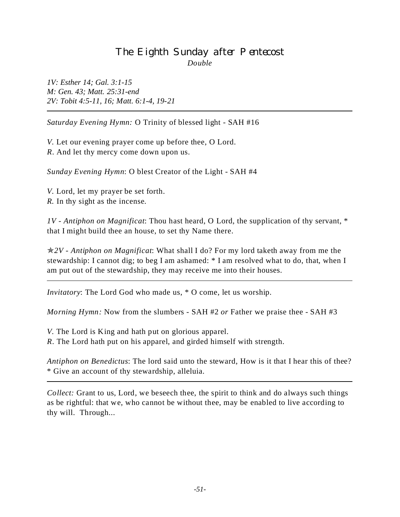### The Eighth Sunday after Pentecost *Double*

*1V: Esther 14; Gal. 3:1-15 M: Gen. 43; Matt. 25:31-end 2V: Tobit 4:5-11, 16; Matt. 6:1-4, 19-21*

*Saturday Evening Hymn:* O Trinity of blessed light - SAH #16

*V.* Let our evening prayer come up before thee, O Lord. *R*. And let thy mercy come down upon us.

*Sunday Evening Hymn*: O blest Creator of the Light - SAH #4

*V.* Lord, let my prayer be set forth. *R.* In thy sight as the incense.

*1V - Antiphon on Magnificat*: Thou hast heard, O Lord, the supplication of thy servant, \* that I might build thee an house, to set thy Name there.

p*2V - Antiphon on Magnificat*: What shall I do? For my lord taketh away from me the stewardship: I cannot dig; to beg I am ashamed: \* I am resolved what to do, that, when I am put out of the stewardship, they may receive me into their houses.

*Invitatory*: The Lord God who made us, \* O come, let us worship.

*Morning Hymn:* Now from the slumbers - SAH #2 *or* Father we praise thee - SAH #3

*V.* The Lord is King and hath put on glorious apparel.

*R*. The Lord hath put on his apparel, and girded himself with strength.

*Antiphon on Benedictus*: The lord said unto the steward, How is it that I hear this of thee? \* Give an account of thy stewardship, alleluia.

*Collect:* Grant to us, Lord, we beseech thee, the spirit to think and do always such things as be rightful: that we, who cannot be without thee, may be enabled to live according to thy will. Through...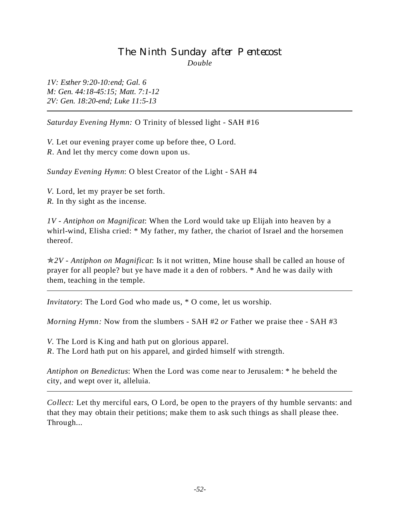# The Ninth Sunday after Pentecost *Double*

*1V: Esther 9:20-10:end; Gal. 6 M: Gen. 44:18-45:15; Matt. 7:1-12 2V: Gen. 18:20-end; Luke 11:5-13*

*Saturday Evening Hymn:* O Trinity of blessed light - SAH #16

*V.* Let our evening prayer come up before thee, O Lord. *R*. And let thy mercy come down upon us.

*Sunday Evening Hymn*: O blest Creator of the Light - SAH #4

*V.* Lord, let my prayer be set forth. *R.* In thy sight as the incense.

*1V - Antiphon on Magnificat*: When the Lord would take up Elijah into heaven by a whirl-wind, Elisha cried: \* My father, my father, the chariot of Israel and the horsemen thereof.

p*2V - Antiphon on Magnificat*: Is it not written, Mine house shall be called an house of prayer for all people? but ye have made it a den of robbers. \* And he was daily with them, teaching in the temple.

*Invitatory*: The Lord God who made us, \* O come, let us worship.

*Morning Hymn:* Now from the slumbers - SAH #2 *or* Father we praise thee - SAH #3

*V.* The Lord is King and hath put on glorious apparel. *R*. The Lord hath put on his apparel, and girded himself with strength.

*Antiphon on Benedictus*: When the Lord was come near to Jerusalem: \* he beheld the city, and wept over it, alleluia.

*Collect:* Let thy merciful ears, O Lord, be open to the prayers of thy humble servants: and that they may obtain their petitions; make them to ask such things as shall please thee. Through...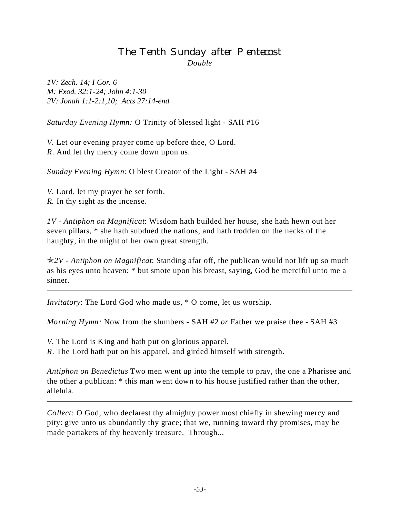# The Tenth Sunday after Pentecost *Double*

*1V: Zech. 14; I Cor. 6 M: Exod. 32:1-24; John 4:1-30 2V: Jonah 1:1-2:1,10; Acts 27:14-end*

*Saturday Evening Hymn:* O Trinity of blessed light - SAH #16

*V.* Let our evening prayer come up before thee, O Lord. *R*. And let thy mercy come down upon us.

*Sunday Evening Hymn*: O blest Creator of the Light - SAH #4

*V.* Lord, let my prayer be set forth. *R.* In thy sight as the incense.

*1V - Antiphon on Magnificat*: Wisdom hath builded her house, she hath hewn out her seven pillars, \* she hath subdued the nations, and hath trodden on the necks of the haughty, in the might of her own great strength.

p*2V - Antiphon on Magnificat*: Standing afar off, the publican would not lift up so much as his eyes unto heaven: \* but smote upon his breast, saying, God be merciful unto me a sinner.

*Invitatory*: The Lord God who made us, \* O come, let us worship.

*Morning Hymn:* Now from the slumbers - SAH #2 *or* Father we praise thee - SAH #3

*V.* The Lord is King and hath put on glorious apparel. *R*. The Lord hath put on his apparel, and girded himself with strength.

*Antiphon on Benedictus* Two men went up into the temple to pray, the one a Pharisee and the other a publican: \* this man went down to his house justified rather than the other,

alleluia.

*Collect:* O God, who declarest thy almighty power most chiefly in shewing mercy and pity: give unto us abundantly thy grace; that we, running toward thy promises, may be made partakers of thy heavenly treasure. Through...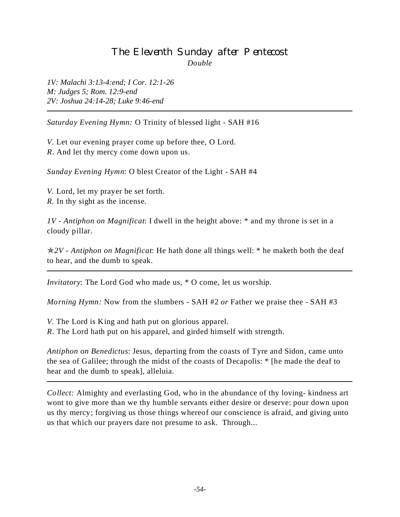# The Eleventh Sunday after Pentecost *Double*

*1V: Malachi 3:13-4:end; I Cor. 12:1-26 M: Judges 5; Rom. 12:9-end 2V: Joshua 24:14-28; Luke 9:46-end*

*Saturday Evening Hymn:* O Trinity of blessed light - SAH #16

*V.* Let our evening prayer come up before thee, O Lord. *R*. And let thy mercy come down upon us.

*Sunday Evening Hymn*: O blest Creator of the Light - SAH #4

*V.* Lord, let my prayer be set forth. *R.* In thy sight as the incense.

*1V - Antiphon on Magnificat*: I dwell in the height above: \* and my throne is set in a cloudy pillar.

p*2V - Antiphon on Magnificat*: He hath done all things well: \* he maketh both the deaf to hear, and the dumb to speak.

*Invitatory*: The Lord God who made us, \* O come, let us worship.

*Morning Hymn:* Now from the slumbers - SAH #2 *or* Father we praise thee - SAH #3

*V.* The Lord is King and hath put on glorious apparel.

*R*. The Lord hath put on his apparel, and girded himself with strength.

*Antiphon on Benedictus*: Jesus, departing from the coasts of Tyre and Sidon, came unto the sea of Galilee; through the midst of the coasts of Decapolis: \* [he made the deaf to hear and the dumb to speak], alleluia.

*Collect:* Almighty and everlasting God, who in the abundance of thy loving- kindness art wont to give more than we thy humble servants either desire or deserve: pour down upon us thy mercy; forgiving us those things whereof our conscience is afraid, and giving unto us that which our prayers dare not presume to ask. Through...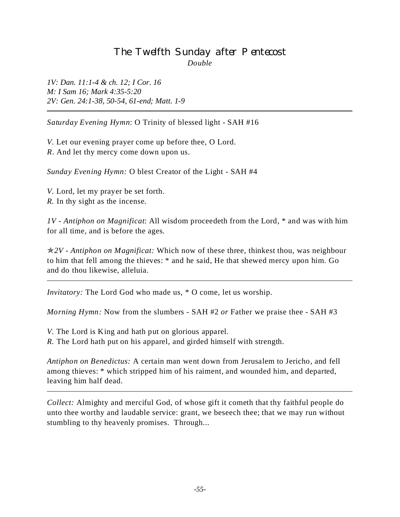# The Twelfth Sunday after Pentecost *Double*

*1V: Dan. 11:1-4 & ch. 12; I Cor. 16 M: I Sam 16; Mark 4:35-5:20 2V: Gen. 24:1-38, 50-54, 61-end; Matt. 1-9*

*Saturday Evening Hymn*: O Trinity of blessed light - SAH #16

*V.* Let our evening prayer come up before thee, O Lord. *R*. And let thy mercy come down upon us.

*Sunday Evening Hymn:* O blest Creator of the Light - SAH #4

*V.* Lord, let my prayer be set forth. *R.* In thy sight as the incense.

*1V - Antiphon on Magnificat*: All wisdom proceedeth from the Lord, \* and was with him for all time, and is before the ages.

p*2V - Antiphon on Magnificat:* Which now of these three, thinkest thou, was neighbour to him that fell among the thieves: \* and he said, He that shewed mercy upon him. Go and do thou likewise, alleluia.

*Invitatory:* The Lord God who made us, \* O come, let us worship.

*Morning Hymn:* Now from the slumbers - SAH #2 *or* Father we praise thee - SAH #3

*V.* The Lord is King and hath put on glorious apparel.

*R.* The Lord hath put on his apparel, and girded himself with strength.

*Antiphon on Benedictus:* A certain man went down from Jerusalem to Jericho, and fell among thieves: \* which stripped him of his raiment, and wounded him, and departed, leaving him half dead.

*Collect:* Almighty and merciful God, of whose gift it cometh that thy faithful people do unto thee worthy and laudable service: grant, we beseech thee; that we may run without stumbling to thy heavenly promises. Through...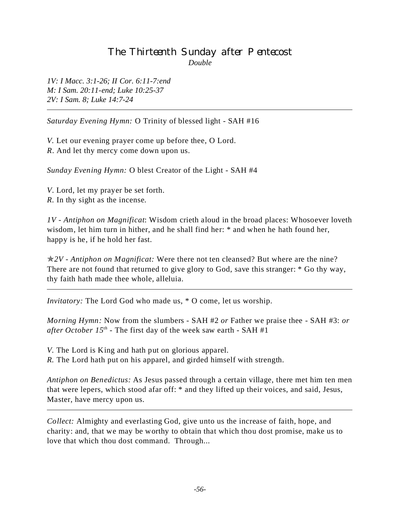### The Thirteenth Sunday after Pentecost *Double*

*1V: I Macc. 3:1-26; II Cor. 6:11-7:end M: I Sam. 20:11-end; Luke 10:25-37 2V: I Sam. 8; Luke 14:7-24*

*Saturday Evening Hymn:* O Trinity of blessed light - SAH #16

*V.* Let our evening prayer come up before thee, O Lord. *R*. And let thy mercy come down upon us.

*Sunday Evening Hymn:* O blest Creator of the Light - SAH #4

*V*. Lord, let my prayer be set forth. *R.* In thy sight as the incense.

*1V - Antiphon on Magnificat*: Wisdom crieth aloud in the broad places: Whosoever loveth wisdom, let him turn in hither, and he shall find her:  $*$  and when he hath found her, happy is he, if he hold her fast.

p*2V - Antiphon on Magnificat:* Were there not ten cleansed? But where are the nine? There are not found that returned to give glory to God, save this stranger: \* Go thy way, thy faith hath made thee whole, alleluia.

*Invitatory:* The Lord God who made us, \* O come, let us worship.

*Morning Hymn:* Now from the slumbers - SAH #2 *or* Father we praise thee - SAH #3: *or after October*  $15<sup>th</sup>$  - The first day of the week saw earth - SAH #1

*V.* The Lord is King and hath put on glorious apparel. *R.* The Lord hath put on his apparel, and girded himself with strength.

*Antiphon on Benedictus:* As Jesus passed through a certain village, there met him ten men that were lepers, which stood afar off: \* and they lifted up their voices, and said, Jesus, Master, have mercy upon us.

*Collect:* Almighty and everlasting God, give unto us the increase of faith, hope, and charity: and, that we may be worthy to obtain that which thou dost promise, make us to love that which thou dost command. Through...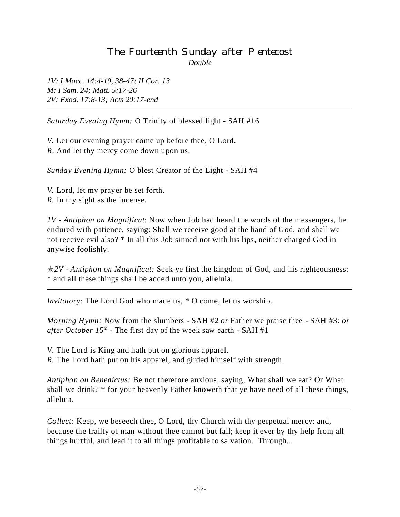### The Fourteenth Sunday after Pentecost *Double*

*1V: I Macc. 14:4-19, 38-47; II Cor. 13 M: I Sam. 24; Matt. 5:17-26 2V: Exod. 17:8-13; Acts 20:17-end*

*Saturday Evening Hymn:* O Trinity of blessed light - SAH #16

*V.* Let our evening prayer come up before thee, O Lord. *R*. And let thy mercy come down upon us.

*Sunday Evening Hymn:* O blest Creator of the Light - SAH #4

*V.* Lord, let my prayer be set forth. *R.* In thy sight as the incense.

*1V - Antiphon on Magnificat*: Now when Job had heard the words of the messengers, he endured with patience, saying: Shall we receive good at the hand of God, and shall we not receive evil also? \* In all this Job sinned not with his lips, neither charged God in anywise foolishly.

p*2V - Antiphon on Magnificat:* Seek ye first the kingdom of God, and his righteousness: \* and all these things shall be added unto you, alleluia.

*Invitatory:* The Lord God who made us, \* O come, let us worship.

*Morning Hymn:* Now from the slumbers - SAH #2 *or* Father we praise thee - SAH #3: *or after October*  $15<sup>th</sup>$  - The first day of the week saw earth - SAH #1

*V*. The Lord is King and hath put on glorious apparel.

*R.* The Lord hath put on his apparel, and girded himself with strength.

*Antiphon on Benedictus:* Be not therefore anxious, saying, What shall we eat? Or What shall we drink? \* for your heavenly Father knoweth that ye have need of all these things, alleluia.

*Collect:* Keep, we beseech thee, O Lord, thy Church with thy perpetual mercy: and, because the frailty of man without thee cannot but fall; keep it ever by thy help from all things hurtful, and lead it to all things profitable to salvation. Through...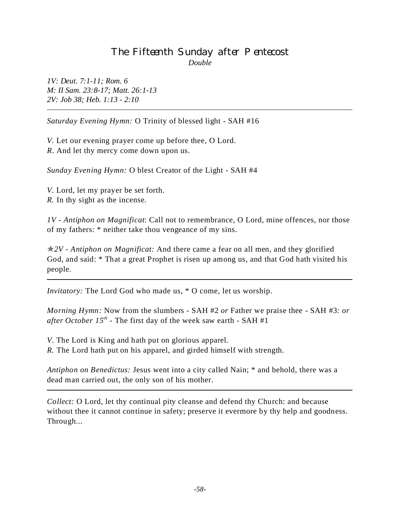# The Fifteenth Sunday after Pentecost *Double*

*1V: Deut. 7:1-11; Rom. 6 M: II Sam. 23:8-17; Matt. 26:1-13 2V: Job 38; Heb. 1:13 - 2:10*

*Saturday Evening Hymn:* O Trinity of blessed light - SAH #16

*V.* Let our evening prayer come up before thee, O Lord. *R*. And let thy mercy come down upon us.

*Sunday Evening Hymn:* O blest Creator of the Light - SAH #4

*V.* Lord, let my prayer be set forth. *R.* In thy sight as the incense.

*1V - Antiphon on Magnificat*: Call not to remembrance, O Lord, mine offences, nor those of my fathers: \* neither take thou vengeance of my sins.

p*2V - Antiphon on Magnificat:* And there came a fear on all men, and they glorified God, and said: \* That a great Prophet is risen up among us, and that God hath visited his people.

*Invitatory:* The Lord God who made us, \* O come, let us worship.

*Morning Hymn:* Now from the slumbers - SAH #2 *or* Father we praise thee - SAH #3: *or after October 15<sup>th</sup>* - The first day of the week saw earth - SAH #1

*V*. The Lord is King and hath put on glorious apparel. *R.* The Lord hath put on his apparel, and girded himself with strength.

*Antiphon on Benedictus:* Jesus went into a city called Nain; \* and behold, there was a dead man carried out, the only son of his mother.

*Collect:* O Lord, let thy continual pity cleanse and defend thy Church: and because without thee it cannot continue in safety; preserve it evermore by thy help and goodness. Through...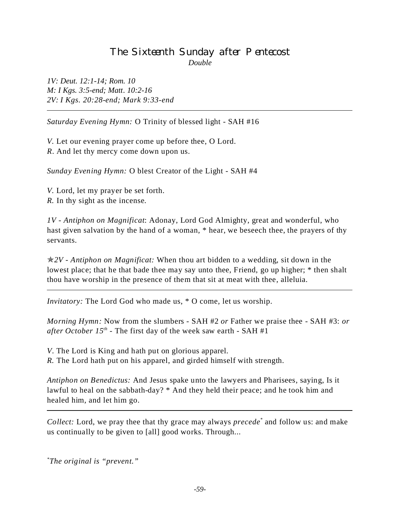# The Sixteenth Sunday after Pentecost *Double*

*1V: Deut. 12:1-14; Rom. 10 M: I Kgs. 3:5-end; Matt. 10:2-16 2V: I Kgs. 20:28-end; Mark 9:33-end*

*Saturday Evening Hymn:* O Trinity of blessed light - SAH #16

*V.* Let our evening prayer come up before thee, O Lord. *R*. And let thy mercy come down upon us.

*Sunday Evening Hymn:* O blest Creator of the Light - SAH #4

*V.* Lord, let my prayer be set forth. *R.* In thy sight as the incense.

*1V - Antiphon on Magnificat*: Adonay, Lord God Almighty, great and wonderful, who hast given salvation by the hand of a woman, \* hear, we beseech thee, the prayers of thy servants.

p*2V - Antiphon on Magnificat:* When thou art bidden to a wedding, sit down in the lowest place; that he that bade thee may say unto thee, Friend, go up higher; \* then shalt thou have worship in the presence of them that sit at meat with thee, alleluia.

*Invitatory:* The Lord God who made us, \* O come, let us worship.

*Morning Hymn:* Now from the slumbers - SAH #2 *or* Father we praise thee - SAH #3: *or after October*  $15^{th}$  *- The first day of the week saw earth - SAH #1* 

*V*. The Lord is King and hath put on glorious apparel.

*R.* The Lord hath put on his apparel, and girded himself with strength.

*Antiphon on Benedictus:* And Jesus spake unto the lawyers and Pharisees, saying, Is it lawful to heal on the sabbath-day? \* And they held their peace; and he took him and healed him, and let him go.

*Collect:* Lord, we pray thee that thy grace may always *precede\** and follow us: and make us continually to be given to [all] good works. Through...

*\* The original is "prevent."*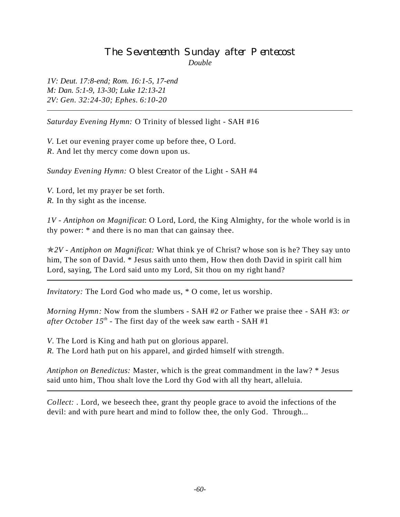## The Seventeenth Sunday after Pentecost *Double*

*1V: Deut. 17:8-end; Rom. 16:1-5, 17-end M: Dan. 5:1-9, 13-30; Luke 12:13-21 2V: Gen. 32:24-30; Ephes. 6:10-20*

*Saturday Evening Hymn:* O Trinity of blessed light - SAH #16

*V.* Let our evening prayer come up before thee, O Lord. *R*. And let thy mercy come down upon us.

*Sunday Evening Hymn:* O blest Creator of the Light - SAH #4

*V.* Lord, let my prayer be set forth. *R.* In thy sight as the incense.

*1V - Antiphon on Magnificat*: O Lord, Lord, the King Almighty, for the whole world is in thy power: \* and there is no man that can gainsay thee.

p*2V - Antiphon on Magnificat:* What think ye of Christ? whose son is he? They say unto him, The son of David. \* Jesus saith unto them, How then doth David in spirit call him Lord, saying, The Lord said unto my Lord, Sit thou on my right hand?

*Invitatory:* The Lord God who made us, \* O come, let us worship.

*Morning Hymn:* Now from the slumbers - SAH #2 *or* Father we praise thee - SAH #3: *or after October 15<sup>th</sup>* - The first day of the week saw earth - SAH #1

*V*. The Lord is King and hath put on glorious apparel. *R.* The Lord hath put on his apparel, and girded himself with strength.

*Antiphon on Benedictus:* Master, which is the great commandment in the law? \* Jesus said unto him, Thou shalt love the Lord thy God with all thy heart, alleluia.

*Collect: .* Lord, we beseech thee, grant thy people grace to avoid the infections of the devil: and with pure heart and mind to follow thee, the only God. Through...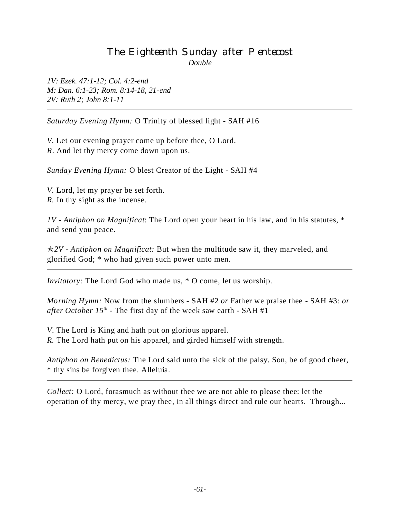# The Eighteenth Sunday after Pentecost *Double*

*1V: Ezek. 47:1-12; Col. 4:2-end M: Dan. 6:1-23; Rom. 8:14-18, 21-end 2V: Ruth 2; John 8:1-11*

*Saturday Evening Hymn:* O Trinity of blessed light - SAH #16

*V.* Let our evening prayer come up before thee, O Lord. *R*. And let thy mercy come down upon us.

*Sunday Evening Hymn:* O blest Creator of the Light - SAH #4

*V.* Lord, let my prayer be set forth. *R.* In thy sight as the incense.

*1V - Antiphon on Magnificat*: The Lord open your heart in his law, and in his statutes, \* and send you peace.

p*2V - Antiphon on Magnificat:* But when the multitude saw it, they marveled, and glorified God; \* who had given such power unto men.

*Invitatory:* The Lord God who made us, \* O come, let us worship.

*Morning Hymn:* Now from the slumbers - SAH #2 *or* Father we praise thee - SAH #3: *or after October 15th* - The first day of the week saw earth - SAH #1

*V*. The Lord is King and hath put on glorious apparel. *R.* The Lord hath put on his apparel, and girded himself with strength.

*Antiphon on Benedictus:* The Lord said unto the sick of the palsy, Son, be of good cheer, \* thy sins be forgiven thee. Alleluia.

*Collect:* O Lord, forasmuch as without thee we are not able to please thee: let the operation of thy mercy, we pray thee, in all things direct and rule our hearts. Through...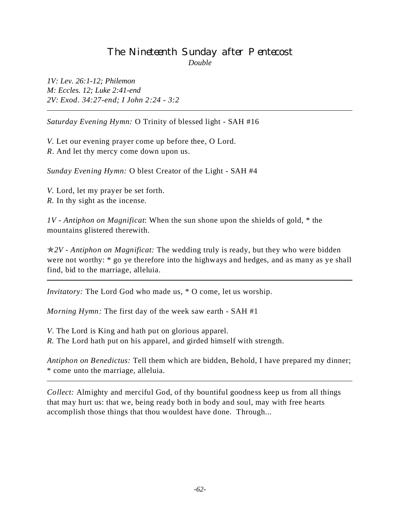#### The Nineteenth Sunday after Pentecost *Double*

*1V: Lev. 26:1-12; Philemon M: Eccles. 12; Luke 2:41-end 2V: Exod. 34:27-end; I John 2:24 - 3:2*

*Saturday Evening Hymn:* O Trinity of blessed light - SAH #16

*V.* Let our evening prayer come up before thee, O Lord. *R*. And let thy mercy come down upon us.

*Sunday Evening Hymn:* O blest Creator of the Light - SAH #4

*V.* Lord, let my prayer be set forth. *R.* In thy sight as the incense.

*1V - Antiphon on Magnificat*: When the sun shone upon the shields of gold, \* the mountains glistered therewith.

p*2V - Antiphon on Magnificat:* The wedding truly is ready, but they who were bidden were not worthy: \* go ye therefore into the highways and hedges, and as many as ye shall find, bid to the marriage, alleluia.

*Invitatory:* The Lord God who made us, \* O come, let us worship.

*Morning Hymn:* The first day of the week saw earth - SAH #1

*V*. The Lord is King and hath put on glorious apparel. *R.* The Lord hath put on his apparel, and girded himself with strength.

*Antiphon on Benedictus:* Tell them which are bidden, Behold, I have prepared my dinner; \* come unto the marriage, alleluia.

*Collect:* Almighty and merciful God, of thy bountiful goodness keep us from all things that may hurt us: that we, being ready both in body and soul, may with free hearts accomplish those things that thou wouldest have done. Through...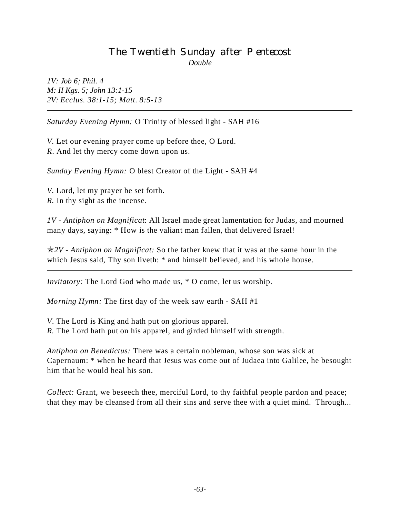## The Twentieth Sunday after Pentecost *Double*

*1V: Job 6; Phil. 4 M: II Kgs. 5; John 13:1-15 2V: Ecclus. 38:1-15; Matt. 8:5-13*

*Saturday Evening Hymn:* O Trinity of blessed light - SAH #16

*V.* Let our evening prayer come up before thee, O Lord. *R*. And let thy mercy come down upon us.

*Sunday Evening Hymn:* O blest Creator of the Light - SAH #4

*V.* Lord, let my prayer be set forth. *R.* In thy sight as the incense.

*1V - Antiphon on Magnificat*: All Israel made great lamentation for Judas, and mourned many days, saying: \* How is the valiant man fallen, that delivered Israel!

p*2V - Antiphon on Magnificat:* So the father knew that it was at the same hour in the which Jesus said, Thy son liveth:  $*$  and himself believed, and his whole house.

*Invitatory:* The Lord God who made us, \* O come, let us worship.

*Morning Hymn:* The first day of the week saw earth - SAH #1

*V*. The Lord is King and hath put on glorious apparel. *R.* The Lord hath put on his apparel, and girded himself with strength.

*Antiphon on Benedictus:* There was a certain nobleman, whose son was sick at Capernaum: \* when he heard that Jesus was come out of Judaea into Galilee, he besought him that he would heal his son.

*Collect:* Grant, we beseech thee, merciful Lord, to thy faithful people pardon and peace; that they may be cleansed from all their sins and serve thee with a quiet mind. Through...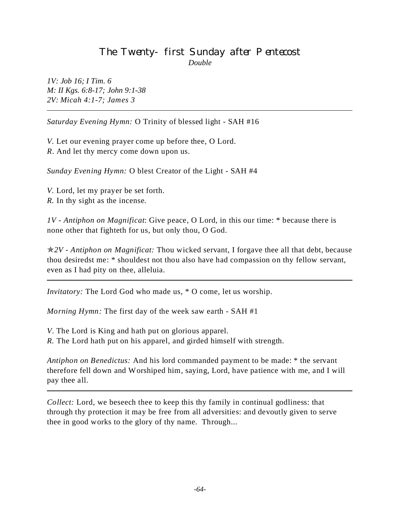#### The Twenty-first Sunday after Pentecost *Double*

*1V: Job 16; I Tim. 6 M: II Kgs. 6:8-17; John 9:1-38 2V: Micah 4:1-7; James 3*

*Saturday Evening Hymn:* O Trinity of blessed light - SAH #16

*V.* Let our evening prayer come up before thee, O Lord. *R*. And let thy mercy come down upon us.

*Sunday Evening Hymn:* O blest Creator of the Light - SAH #4

*V.* Lord, let my prayer be set forth. *R.* In thy sight as the incense.

*1V - Antiphon on Magnificat*: Give peace, O Lord, in this our time: \* because there is none other that fighteth for us, but only thou, O God.

p*2V - Antiphon on Magnificat:* Thou wicked servant, I forgave thee all that debt, because thou desiredst me: \* shouldest not thou also have had compassion on thy fellow servant, even as I had pity on thee, alleluia.

*Invitatory:* The Lord God who made us, \* O come, let us worship.

*Morning Hymn:* The first day of the week saw earth - SAH #1

*V*. The Lord is King and hath put on glorious apparel. *R.* The Lord hath put on his apparel, and girded himself with strength.

*Antiphon on Benedictus:* And his lord commanded payment to be made: \* the servant therefore fell down and Worshiped him, saying, Lord, have patience with me, and I will pay thee all.

*Collect:* Lord, we beseech thee to keep this thy family in continual godliness: that through thy protection it may be free from all adversities: and devoutly given to serve thee in good works to the glory of thy name. Through...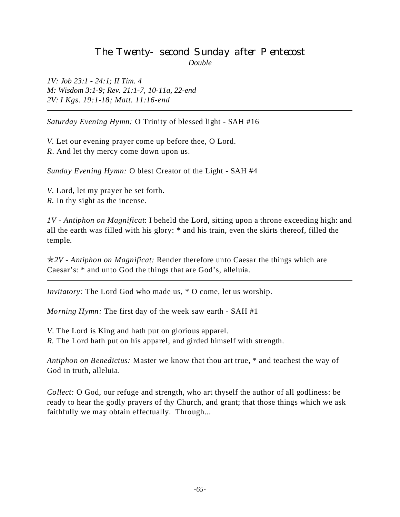#### The Twenty-second Sunday after Pentecost *Double*

*1V: Job 23:1 - 24:1; II Tim. 4 M: Wisdom 3:1-9; Rev. 21:1-7, 10-11a, 22-end 2V: I Kgs. 19:1-18; Matt. 11:16-end*

*Saturday Evening Hymn:* O Trinity of blessed light - SAH #16

*V.* Let our evening prayer come up before thee, O Lord. *R*. And let thy mercy come down upon us.

*Sunday Evening Hymn:* O blest Creator of the Light - SAH #4

*V.* Lord, let my prayer be set forth. *R.* In thy sight as the incense.

*1V - Antiphon on Magnificat*: I beheld the Lord, sitting upon a throne exceeding high: and all the earth was filled with his glory: \* and his train, even the skirts thereof, filled the temple.

p*2V - Antiphon on Magnificat:* Render therefore unto Caesar the things which are Caesar's: \* and unto God the things that are God's, alleluia.

*Invitatory:* The Lord God who made us, \* O come, let us worship.

*Morning Hymn:* The first day of the week saw earth - SAH #1

*V*. The Lord is King and hath put on glorious apparel. *R.* The Lord hath put on his apparel, and girded himself with strength.

*Antiphon on Benedictus:* Master we know that thou art true, \* and teachest the way of God in truth, alleluia.

*Collect:* O God, our refuge and strength, who art thyself the author of all godliness: be ready to hear the godly prayers of thy Church, and grant; that those things which we ask faithfully we may obtain effectually. Through...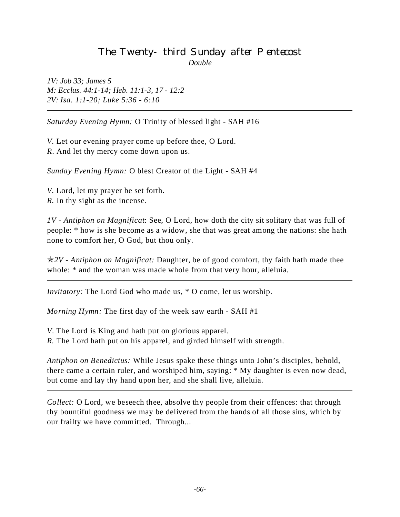#### The Twenty-third Sunday after Pentecost *Double*

*1V: Job 33; James 5 M: Ecclus. 44:1-14; Heb. 11:1-3, 17 - 12:2 2V: Isa. 1:1-20; Luke 5:36 - 6:10*

*Saturday Evening Hymn:* O Trinity of blessed light - SAH #16

*V.* Let our evening prayer come up before thee, O Lord. *R*. And let thy mercy come down upon us.

*Sunday Evening Hymn:* O blest Creator of the Light - SAH #4

*V.* Lord, let my prayer be set forth. *R.* In thy sight as the incense.

*1V - Antiphon on Magnificat*: See, O Lord, how doth the city sit solitary that was full of people: \* how is she become as a widow, she that was great among the nations: she hath none to comfort her, O God, but thou only.

p*2V - Antiphon on Magnificat:* Daughter, be of good comfort, thy faith hath made thee whole:  $*$  and the woman was made whole from that very hour, alleluia.

*Invitatory:* The Lord God who made us, \* O come, let us worship.

*Morning Hymn:* The first day of the week saw earth - SAH #1

*V*. The Lord is King and hath put on glorious apparel.

*R.* The Lord hath put on his apparel, and girded himself with strength.

*Antiphon on Benedictus:* While Jesus spake these things unto John's disciples, behold, there came a certain ruler, and worshiped him, saying: \* My daughter is even now dead, but come and lay thy hand upon her, and she shall live, alleluia.

*Collect:* O Lord, we beseech thee, absolve thy people from their offences: that through thy bountiful goodness we may be delivered from the hands of all those sins, which by our frailty we have committed. Through...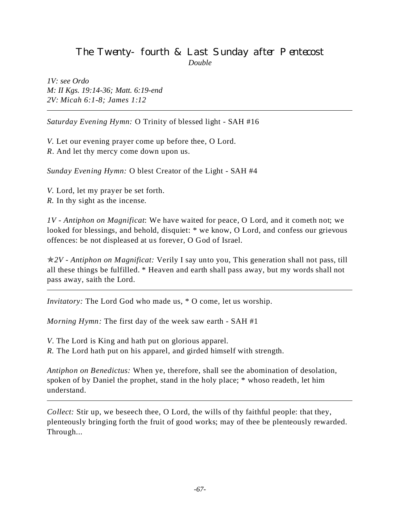# The Twenty-fourth & Last Sunday after Pentecost *Double*

*1V: see Ordo M: II Kgs. 19:14-36; Matt. 6:19-end 2V: Micah 6:1-8; James 1:12*

*Saturday Evening Hymn:* O Trinity of blessed light - SAH #16

*V.* Let our evening prayer come up before thee, O Lord. *R*. And let thy mercy come down upon us.

*Sunday Evening Hymn:* O blest Creator of the Light - SAH #4

*V.* Lord, let my prayer be set forth. *R.* In thy sight as the incense.

*1V - Antiphon on Magnificat*: We have waited for peace, O Lord, and it cometh not; we looked for blessings, and behold, disquiet: \* we know, O Lord, and confess our grievous offences: be not displeased at us forever, O God of Israel.

p*2V - Antiphon on Magnificat:* Verily I say unto you, This generation shall not pass, till all these things be fulfilled. \* Heaven and earth shall pass away, but my words shall not pass away, saith the Lord.

*Invitatory:* The Lord God who made us, \* O come, let us worship.

*Morning Hymn:* The first day of the week saw earth - SAH #1

*V*. The Lord is King and hath put on glorious apparel.

*R.* The Lord hath put on his apparel, and girded himself with strength.

*Antiphon on Benedictus:* When ye, therefore, shall see the abomination of desolation, spoken of by Daniel the prophet, stand in the holy place; \* whoso readeth, let him understand.

*Collect:* Stir up, we beseech thee, O Lord, the wills of thy faithful people: that they, plenteously bringing forth the fruit of good works; may of thee be plenteously rewarded. Through...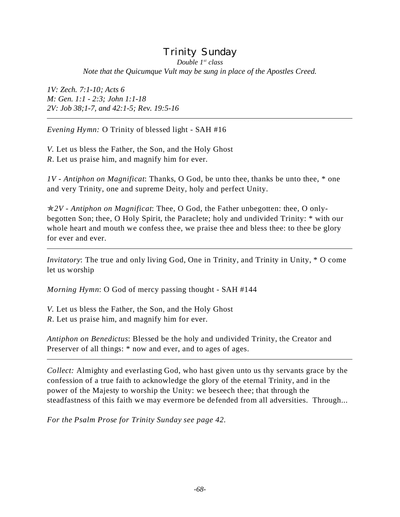#### Trinity Sunday *Double 1st class Note that the Quicumque Vult may be sung in place of the Apostles Creed.*

*1V: Zech. 7:1-10; Acts 6 M: Gen. 1:1 - 2:3; John 1:1-18 2V: Job 38;1-7, and 42:1-5; Rev. 19:5-16*

*Evening Hymn:* O Trinity of blessed light - SAH #16

*V.* Let us bless the Father, the Son, and the Holy Ghost *R*. Let us praise him, and magnify him for ever.

*1V - Antiphon on Magnificat*: Thanks, O God, be unto thee, thanks be unto thee, \* one and very Trinity, one and supreme Deity, holy and perfect Unity.

p*2V - Antiphon on Magnificat*: Thee, O God, the Father unbegotten: thee, O onlybegotten Son; thee, O Holy Spirit, the Paraclete; holy and undivided Trinity: \* with our whole heart and mouth we confess thee, we praise thee and bless thee: to thee be glory for ever and ever.

*Invitatory*: The true and only living God, One in Trinity, and Trinity in Unity,  $*$  O come let us worship

*Morning Hymn*: O God of mercy passing thought - SAH #144

*V.* Let us bless the Father, the Son, and the Holy Ghost *R*. Let us praise him, and magnify him for ever.

*Antiphon on Benedictus*: Blessed be the holy and undivided Trinity, the Creator and Preserver of all things:  $*$  now and ever, and to ages of ages.

*Collect:* Almighty and everlasting God, who hast given unto us thy servants grace by the confession of a true faith to acknowledge the glory of the eternal Trinity, and in the power of the Majesty to worship the Unity: we beseech thee; that through the steadfastness of this faith we may evermore be defended from all adversities. Through...

*For the Psalm Prose for Trinity Sunday see page 42.*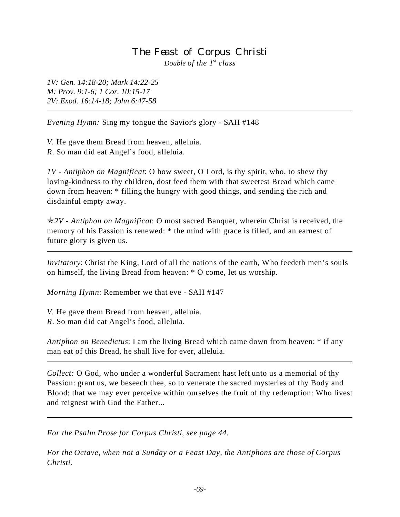#### The Feast of Corpus Christi *Double of the 1st class*

*1V: Gen. 14:18-20; Mark 14:22-25 M: Prov. 9:1-6; 1 Cor. 10:15-17 2V: Exod. 16:14-18; John 6:47-58*

*Evening Hymn:* Sing my tongue the Savior's glory - SAH #148

*V.* He gave them Bread from heaven, alleluia. *R*. So man did eat Angel's food, alleluia.

*1V - Antiphon on Magnificat*: O how sweet, O Lord, is thy spirit, who, to shew thy loving-kindness to thy children, dost feed them with that sweetest Bread which came down from heaven: \* filling the hungry with good things, and sending the rich and disdainful empty away.

p*2V - Antiphon on Magnificat*: O most sacred Banquet, wherein Christ is received, the memory of his Passion is renewed: \* the mind with grace is filled, and an earnest of future glory is given us.

*Invitatory*: Christ the King, Lord of all the nations of the earth, Who feedeth men's souls on himself, the living Bread from heaven: \* O come, let us worship.

*Morning Hymn*: Remember we that eve - SAH #147

*V.* He gave them Bread from heaven, alleluia.

*R*. So man did eat Angel's food, alleluia.

*Antiphon on Benedictus*: I am the living Bread which came down from heaven: \* if any man eat of this Bread, he shall live for ever, alleluia.

*Collect:* O God, who under a wonderful Sacrament hast left unto us a memorial of thy Passion: grant us, we beseech thee, so to venerate the sacred mysteries of thy Body and Blood; that we may ever perceive within ourselves the fruit of thy redemption: Who livest and reignest with God the Father...

*For the Psalm Prose for Corpus Christi, see page 44.*

*For the Octave, when not a Sunday or a Feast Day, the Antiphons are those of Corpus Christi.*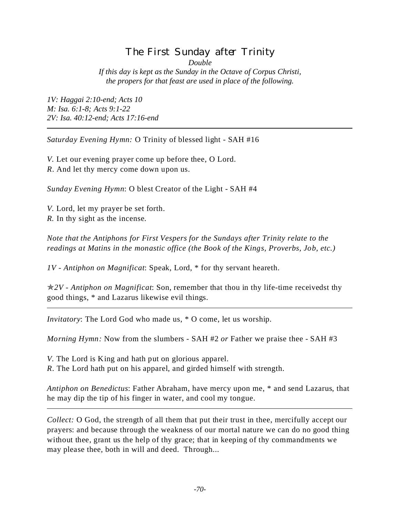# The First Sunday after Trinity

*Double*

*If this day is kept as the Sunday in the Octave of Corpus Christi, the propers for that feast are used in place of the following.*

*1V: Haggai 2:10-end; Acts 10 M: Isa. 6:1-8; Acts 9:1-22 2V: Isa. 40:12-end; Acts 17:16-end*

*Saturday Evening Hymn:* O Trinity of blessed light - SAH #16

*V.* Let our evening prayer come up before thee, O Lord. *R*. And let thy mercy come down upon us.

*Sunday Evening Hymn*: O blest Creator of the Light - SAH #4

*V.* Lord, let my prayer be set forth. *R.* In thy sight as the incense.

*Note that the Antiphons for First Vespers for the Sundays after Trinity relate to the readings at Matins in the monastic office (the Book of the Kings, Proverbs, Job, etc.)*

*1V - Antiphon on Magnificat*: Speak, Lord, \* for thy servant heareth.

p*2V - Antiphon on Magnificat*: Son, remember that thou in thy life-time receivedst thy good things, \* and Lazarus likewise evil things.

*Invitatory*: The Lord God who made us, \* O come, let us worship.

*Morning Hymn:* Now from the slumbers - SAH #2 *or* Father we praise thee - SAH #3

*V.* The Lord is King and hath put on glorious apparel. *R*. The Lord hath put on his apparel, and girded himself with strength.

*Antiphon on Benedictus*: Father Abraham, have mercy upon me, \* and send Lazarus, that he may dip the tip of his finger in water, and cool my tongue.

*Collect:* O God, the strength of all them that put their trust in thee, mercifully accept our prayers: and because through the weakness of our mortal nature we can do no good thing without thee, grant us the help of thy grace; that in keeping of thy commandments we may please thee, both in will and deed. Through...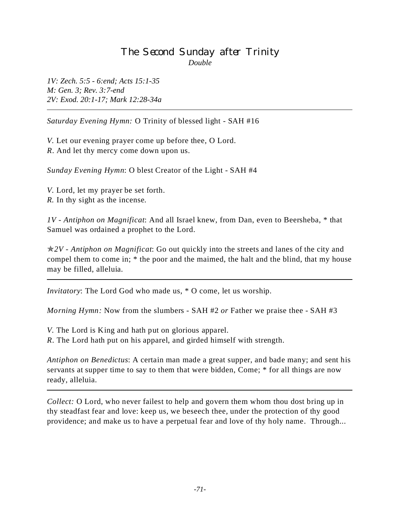# The Second Sunday after Trinity *Double*

*1V: Zech. 5:5 - 6:end; Acts 15:1-35 M: Gen. 3; Rev. 3:7-end 2V: Exod. 20:1-17; Mark 12:28-34a*

*Saturday Evening Hymn:* O Trinity of blessed light - SAH #16

*V.* Let our evening prayer come up before thee, O Lord. *R*. And let thy mercy come down upon us.

*Sunday Evening Hymn*: O blest Creator of the Light - SAH #4

*V.* Lord, let my prayer be set forth. *R.* In thy sight as the incense.

*1V - Antiphon on Magnificat*: And all Israel knew, from Dan, even to Beersheba, \* that Samuel was ordained a prophet to the Lord.

p*2V - Antiphon on Magnificat*: Go out quickly into the streets and lanes of the city and compel them to come in; \* the poor and the maimed, the halt and the blind, that my house may be filled, alleluia.

*Invitatory*: The Lord God who made us, \* O come, let us worship.

*Morning Hymn:* Now from the slumbers - SAH #2 *or* Father we praise thee - SAH #3

*V.* The Lord is King and hath put on glorious apparel.

*R*. The Lord hath put on his apparel, and girded himself with strength.

*Antiphon on Benedictus*: A certain man made a great supper, and bade many; and sent his servants at supper time to say to them that were bidden, Come; \* for all things are now ready, alleluia.

*Collect:* O Lord, who never failest to help and govern them whom thou dost bring up in thy steadfast fear and love: keep us, we beseech thee, under the protection of thy good providence; and make us to have a perpetual fear and love of thy holy name. Through...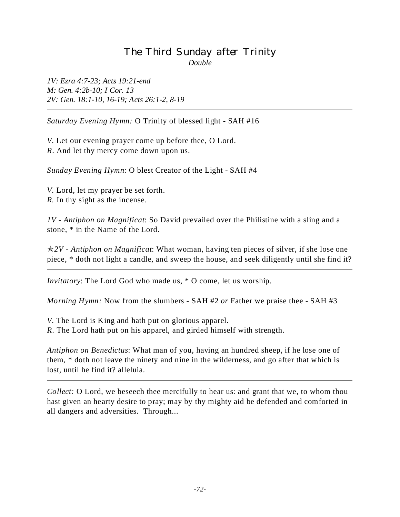# The Third Sunday after Trinity *Double*

*1V: Ezra 4:7-23; Acts 19:21-end M: Gen. 4:2b-10; I Cor. 13 2V: Gen. 18:1-10, 16-19; Acts 26:1-2, 8-19*

*Saturday Evening Hymn:* O Trinity of blessed light - SAH #16

*V.* Let our evening prayer come up before thee, O Lord. *R*. And let thy mercy come down upon us.

*Sunday Evening Hymn*: O blest Creator of the Light - SAH #4

*V.* Lord, let my prayer be set forth. *R.* In thy sight as the incense.

*1V - Antiphon on Magnificat*: So David prevailed over the Philistine with a sling and a stone, \* in the Name of the Lord.

p*2V - Antiphon on Magnificat*: What woman, having ten pieces of silver, if she lose one piece, \* doth not light a candle, and sweep the house, and seek diligently until she find it?

*Invitatory*: The Lord God who made us, \* O come, let us worship.

*Morning Hymn:* Now from the slumbers - SAH #2 *or* Father we praise thee - SAH #3

*V.* The Lord is King and hath put on glorious apparel. *R*. The Lord hath put on his apparel, and girded himself with strength.

*Antiphon on Benedictus*: What man of you, having an hundred sheep, if he lose one of them, \* doth not leave the ninety and nine in the wilderness, and go after that which is lost, until he find it? alleluia.

*Collect:* O Lord, we beseech thee mercifully to hear us: and grant that we, to whom thou hast given an hearty desire to pray; may by thy mighty aid be defended and comforted in all dangers and adversities. Through...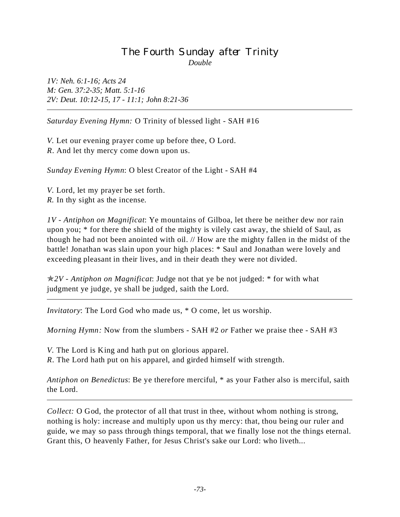# The Fourth Sunday after Trinity *Double*

*1V: Neh. 6:1-16; Acts 24 M: Gen. 37:2-35; Matt. 5:1-16 2V: Deut. 10:12-15, 17 - 11:1; John 8:21-36*

*Saturday Evening Hymn:* O Trinity of blessed light - SAH #16

*V.* Let our evening prayer come up before thee, O Lord. *R*. And let thy mercy come down upon us.

*Sunday Evening Hymn*: O blest Creator of the Light - SAH #4

*V.* Lord, let my prayer be set forth. *R.* In thy sight as the incense.

*1V - Antiphon on Magnificat*: Ye mountains of Gilboa, let there be neither dew nor rain upon you; \* for there the shield of the mighty is vilely cast away, the shield of Saul, as though he had not been anointed with oil. // How are the mighty fallen in the midst of the battle! Jonathan was slain upon your high places: \* Saul and Jonathan were lovely and exceeding pleasant in their lives, and in their death they were not divided.

p*2V - Antiphon on Magnificat*: Judge not that ye be not judged: \* for with what judgment ye judge, ye shall be judged, saith the Lord.

*Invitatory*: The Lord God who made us, \* O come, let us worship.

*Morning Hymn:* Now from the slumbers - SAH #2 *or* Father we praise thee - SAH #3

*V.* The Lord is King and hath put on glorious apparel.

*R*. The Lord hath put on his apparel, and girded himself with strength.

*Antiphon on Benedictus*: Be ye therefore merciful, \* as your Father also is merciful, saith the Lord.

*Collect:* O God, the protector of all that trust in thee, without whom nothing is strong, nothing is holy: increase and multiply upon us thy mercy: that, thou being our ruler and guide, we may so pass through things temporal, that we finally lose not the things eternal. Grant this, O heavenly Father, for Jesus Christ's sake our Lord: who liveth...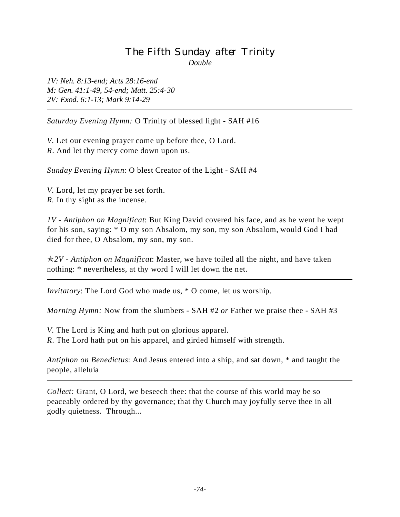# The Fifth Sunday after Trinity *Double*

*1V: Neh. 8:13-end; Acts 28:16-end M: Gen. 41:1-49, 54-end; Matt. 25:4-30 2V: Exod. 6:1-13; Mark 9:14-29*

*Saturday Evening Hymn:* O Trinity of blessed light - SAH #16

*V.* Let our evening prayer come up before thee, O Lord. *R*. And let thy mercy come down upon us.

*Sunday Evening Hymn*: O blest Creator of the Light - SAH #4

*V.* Lord, let my prayer be set forth. *R.* In thy sight as the incense.

*1V - Antiphon on Magnificat*: But King David covered his face, and as he went he wept for his son, saying: \* O my son Absalom, my son, my son Absalom, would God I had died for thee, O Absalom, my son, my son.

p*2V - Antiphon on Magnificat*: Master, we have toiled all the night, and have taken nothing: \* nevertheless, at thy word I will let down the net.

*Invitatory*: The Lord God who made us, \* O come, let us worship.

*Morning Hymn:* Now from the slumbers - SAH #2 *or* Father we praise thee - SAH #3

*V.* The Lord is King and hath put on glorious apparel.

*R*. The Lord hath put on his apparel, and girded himself with strength.

*Antiphon on Benedictus*: And Jesus entered into a ship, and sat down, \* and taught the people, alleluia

*Collect:* Grant, O Lord, we beseech thee: that the course of this world may be so peaceably ordered by thy governance; that thy Church may joyfully serve thee in all godly quietness. Through...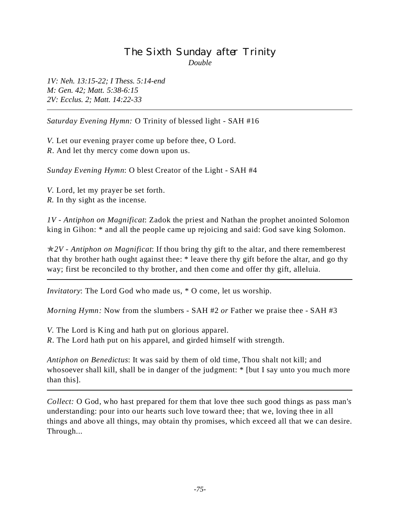# The Sixth Sunday after Trinity *Double*

*1V: Neh. 13:15-22; I Thess. 5:14-end M: Gen. 42; Matt. 5:38-6:15 2V: Ecclus. 2; Matt. 14:22-33*

*Saturday Evening Hymn:* O Trinity of blessed light - SAH #16

*V.* Let our evening prayer come up before thee, O Lord. *R*. And let thy mercy come down upon us.

*Sunday Evening Hymn*: O blest Creator of the Light - SAH #4

*V.* Lord, let my prayer be set forth. *R.* In thy sight as the incense.

*1V - Antiphon on Magnificat*: Zadok the priest and Nathan the prophet anointed Solomon king in Gihon: \* and all the people came up rejoicing and said: God save king Solomon.

p*2V - Antiphon on Magnificat*: If thou bring thy gift to the altar, and there rememberest that thy brother hath ought against thee: \* leave there thy gift before the altar, and go thy way; first be reconciled to thy brother, and then come and offer thy gift, alleluia.

*Invitatory*: The Lord God who made us, \* O come, let us worship.

*Morning Hymn:* Now from the slumbers - SAH #2 *or* Father we praise thee - SAH #3

*V.* The Lord is King and hath put on glorious apparel.

*R*. The Lord hath put on his apparel, and girded himself with strength.

*Antiphon on Benedictus*: It was said by them of old time, Thou shalt not kill; and whosoever shall kill, shall be in danger of the judgment: \* [but I say unto you much more than this].

*Collect:* O God, who hast prepared for them that love thee such good things as pass man's understanding: pour into our hearts such love toward thee; that we, loving thee in all things and above all things, may obtain thy promises, which exceed all that we can desire. Through...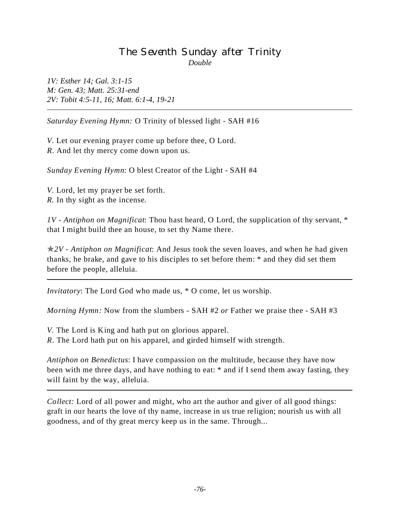#### The Seventh Sunday after Trinity *Double*

*1V: Esther 14; Gal. 3:1-15 M: Gen. 43; Matt. 25:31-end 2V: Tobit 4:5-11, 16; Matt. 6:1-4, 19-21*

*Saturday Evening Hymn:* O Trinity of blessed light - SAH #16

*V.* Let our evening prayer come up before thee, O Lord. *R*. And let thy mercy come down upon us.

*Sunday Evening Hymn*: O blest Creator of the Light - SAH #4

*V.* Lord, let my prayer be set forth. *R.* In thy sight as the incense.

*1V - Antiphon on Magnificat*: Thou hast heard, O Lord, the supplication of thy servant, \* that I might build thee an house, to set thy Name there.

p*2V - Antiphon on Magnificat*: And Jesus took the seven loaves, and when he had given thanks, he brake, and gave to his disciples to set before them: \* and they did set them before the people, alleluia.

*Invitatory*: The Lord God who made us, \* O come, let us worship.

*Morning Hymn:* Now from the slumbers - SAH #2 *or* Father we praise thee - SAH #3

*V.* The Lord is King and hath put on glorious apparel.

*R*. The Lord hath put on his apparel, and girded himself with strength.

*Antiphon on Benedictus*: I have compassion on the multitude, because they have now been with me three days, and have nothing to eat:  $*$  and if I send them away fasting, they will faint by the way, alleluia.

*Collect:* Lord of all power and might, who art the author and giver of all good things: graft in our hearts the love of thy name, increase in us true religion; nourish us with all goodness, and of thy great mercy keep us in the same. Through...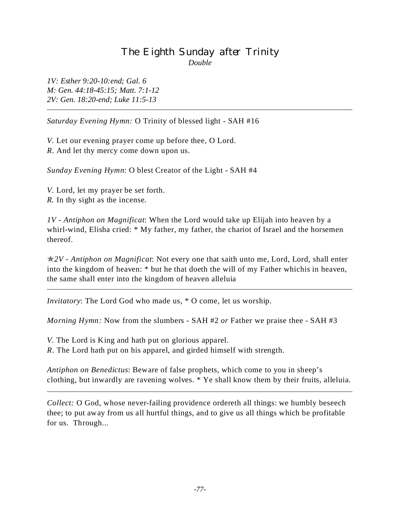# The Eighth Sunday after Trinity *Double*

*1V: Esther 9:20-10:end; Gal. 6 M: Gen. 44:18-45:15; Matt. 7:1-12 2V: Gen. 18:20-end; Luke 11:5-13*

*Saturday Evening Hymn:* O Trinity of blessed light - SAH #16

*V.* Let our evening prayer come up before thee, O Lord. *R*. And let thy mercy come down upon us.

*Sunday Evening Hymn*: O blest Creator of the Light - SAH #4

*V.* Lord, let my prayer be set forth. *R.* In thy sight as the incense.

L

*1V - Antiphon on Magnificat*: When the Lord would take up Elijah into heaven by a whirl-wind, Elisha cried: \* My father, my father, the chariot of Israel and the horsemen thereof.

p*2V - Antiphon on Magnificat*: Not every one that saith unto me, Lord, Lord, shall enter into the kingdom of heaven: \* but he that doeth the will of my Father whichis in heaven, the same shall enter into the kingdom of heaven alleluia

*Invitatory*: The Lord God who made us, \* O come, let us worship.

*Morning Hymn:* Now from the slumbers - SAH #2 *or* Father we praise thee - SAH #3

*V.* The Lord is King and hath put on glorious apparel. *R*. The Lord hath put on his apparel, and girded himself with strength.

*Antiphon on Benedictus*: Beware of false prophets, which come to you in sheep's clothing, but inwardly are ravening wolves. \* Ye shall know them by their fruits, alleluia.

*Collect:* O God, whose never-failing providence ordereth all things: we humbly beseech thee; to put away from us all hurtful things, and to give us all things which be profitable for us. Through...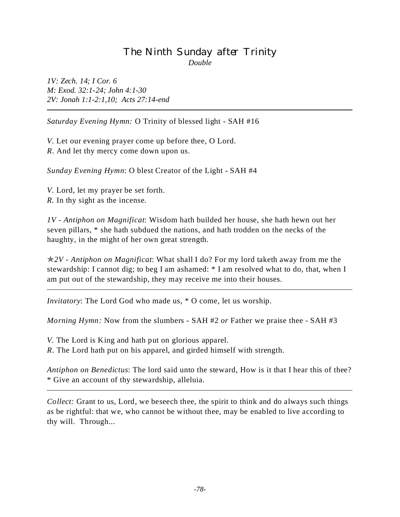# The Ninth Sunday after Trinity *Double*

*1V: Zech. 14; I Cor. 6 M: Exod. 32:1-24; John 4:1-30 2V: Jonah 1:1-2:1,10; Acts 27:14-end*

*Saturday Evening Hymn:* O Trinity of blessed light - SAH #16

*V.* Let our evening prayer come up before thee, O Lord. *R*. And let thy mercy come down upon us.

*Sunday Evening Hymn*: O blest Creator of the Light - SAH #4

*V.* Lord, let my prayer be set forth. *R.* In thy sight as the incense.

*1V - Antiphon on Magnificat*: Wisdom hath builded her house, she hath hewn out her seven pillars, \* she hath subdued the nations, and hath trodden on the necks of the haughty, in the might of her own great strength.

p*2V - Antiphon on Magnificat*: What shall I do? For my lord taketh away from me the stewardship: I cannot dig; to beg I am ashamed: \* I am resolved what to do, that, when I am put out of the stewardship, they may receive me into their houses.

*Invitatory*: The Lord God who made us, \* O come, let us worship.

*Morning Hymn:* Now from the slumbers - SAH #2 *or* Father we praise thee - SAH #3

*V.* The Lord is King and hath put on glorious apparel. *R*. The Lord hath put on his apparel, and girded himself with strength.

*Antiphon on Benedictus*: The lord said unto the steward, How is it that I hear this of thee? \* Give an account of thy stewardship, alleluia.

*Collect:* Grant to us, Lord, we beseech thee, the spirit to think and do always such things as be rightful: that we, who cannot be without thee, may be enabled to live according to thy will. Through...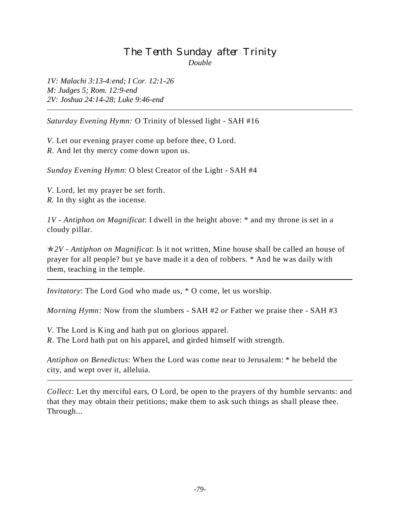# The Tenth Sunday after Trinity *Double*

*1V: Malachi 3:13-4:end; I Cor. 12:1-26 M: Judges 5; Rom. 12:9-end 2V: Joshua 24:14-28; Luke 9:46-end*

*Saturday Evening Hymn:* O Trinity of blessed light - SAH #16

*V.* Let our evening prayer come up before thee, O Lord. *R*. And let thy mercy come down upon us.

*Sunday Evening Hymn*: O blest Creator of the Light - SAH #4

*V.* Lord, let my prayer be set forth. *R.* In thy sight as the incense.

*1V - Antiphon on Magnificat*: I dwell in the height above: \* and my throne is set in a cloudy pillar.

p*2V - Antiphon on Magnificat*: Is it not written, Mine house shall be called an house of prayer for all people? but ye have made it a den of robbers. \* And he was daily with them, teaching in the temple.

*Invitatory*: The Lord God who made us, \* O come, let us worship.

*Morning Hymn:* Now from the slumbers - SAH #2 *or* Father we praise thee - SAH #3

*V.* The Lord is King and hath put on glorious apparel.

*R*. The Lord hath put on his apparel, and girded himself with strength.

*Antiphon on Benedictus*: When the Lord was come near to Jerusalem: \* he beheld the city, and wept over it, alleluia.

*Collect:* Let thy merciful ears, O Lord, be open to the prayers of thy humble servants: and that they may obtain their petitions; make them to ask such things as shall please thee. Through...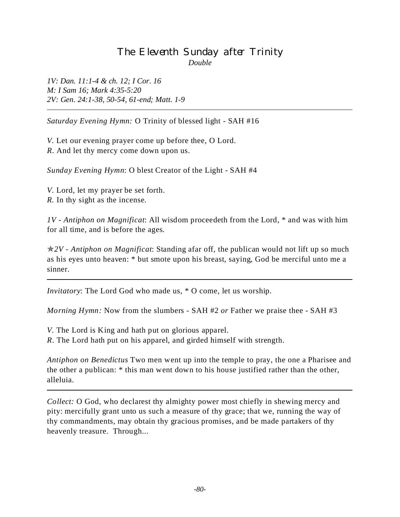# The Eleventh Sunday after Trinity *Double*

*1V: Dan. 11:1-4 & ch. 12; I Cor. 16 M: I Sam 16; Mark 4:35-5:20 2V: Gen. 24:1-38, 50-54, 61-end; Matt. 1-9*

*Saturday Evening Hymn:* O Trinity of blessed light - SAH #16

*V.* Let our evening prayer come up before thee, O Lord. *R*. And let thy mercy come down upon us.

*Sunday Evening Hymn*: O blest Creator of the Light - SAH #4

*V.* Lord, let my prayer be set forth. *R.* In thy sight as the incense.

*1V - Antiphon on Magnificat*: All wisdom proceedeth from the Lord, \* and was with him for all time, and is before the ages.

p*2V - Antiphon on Magnificat*: Standing afar off, the publican would not lift up so much as his eyes unto heaven: \* but smote upon his breast, saying, God be merciful unto me a sinner.

*Invitatory*: The Lord God who made us, \* O come, let us worship.

*Morning Hymn:* Now from the slumbers - SAH #2 *or* Father we praise thee - SAH #3

*V.* The Lord is King and hath put on glorious apparel.

*R*. The Lord hath put on his apparel, and girded himself with strength.

*Antiphon on Benedictus* Two men went up into the temple to pray, the one a Pharisee and the other a publican: \* this man went down to his house justified rather than the other, alleluia.

*Collect:* O God, who declarest thy almighty power most chiefly in shewing mercy and pity: mercifully grant unto us such a measure of thy grace; that we, running the way of thy commandments, may obtain thy gracious promises, and be made partakers of thy heavenly treasure. Through...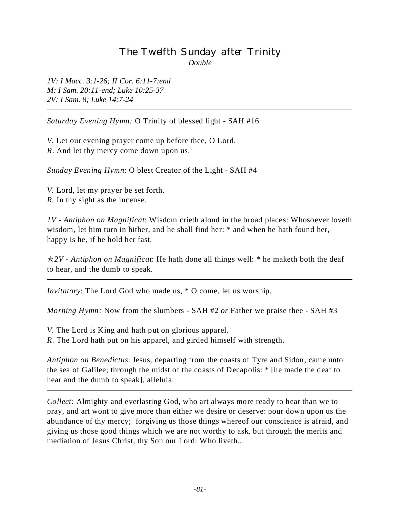# The Twelfth Sunday after Trinity *Double*

*1V: I Macc. 3:1-26; II Cor. 6:11-7:end M: I Sam. 20:11-end; Luke 10:25-37 2V: I Sam. 8; Luke 14:7-24*

*Saturday Evening Hymn:* O Trinity of blessed light - SAH #16

*V.* Let our evening prayer come up before thee, O Lord. *R*. And let thy mercy come down upon us.

*Sunday Evening Hymn*: O blest Creator of the Light - SAH #4

*V.* Lord, let my prayer be set forth. *R.* In thy sight as the incense.

*1V - Antiphon on Magnificat*: Wisdom crieth aloud in the broad places: Whosoever loveth wisdom, let him turn in hither, and he shall find her: \* and when he hath found her, happy is he, if he hold her fast.

p*2V - Antiphon on Magnificat*: He hath done all things well: \* he maketh both the deaf to hear, and the dumb to speak.

*Invitatory*: The Lord God who made us, \* O come, let us worship.

*Morning Hymn:* Now from the slumbers - SAH #2 *or* Father we praise thee - SAH #3

*V.* The Lord is King and hath put on glorious apparel.

*R*. The Lord hath put on his apparel, and girded himself with strength.

*Antiphon on Benedictus*: Jesus, departing from the coasts of Tyre and Sidon, came unto the sea of Galilee; through the midst of the coasts of Decapolis: \* [he made the deaf to hear and the dumb to speak], alleluia.

*Collect:* Almighty and everlasting God, who art always more ready to hear than we to pray, and art wont to give more than either we desire or deserve: pour down upon us the abundance of thy mercy; forgiving us those things whereof our conscience is afraid, and giving us those good things which we are not worthy to ask, but through the merits and mediation of Jesus Christ, thy Son our Lord: Who liveth...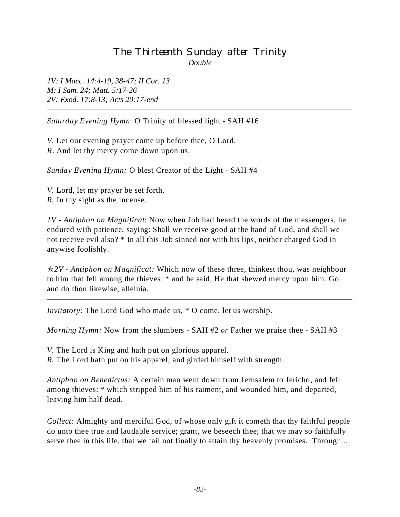# The Thirteenth Sunday after Trinity *Double*

*1V: I Macc. 14:4-19, 38-47; II Cor. 13 M: I Sam. 24; Matt. 5:17-26 2V: Exod. 17:8-13; Acts 20:17-end*

*Saturday Evening Hymn*: O Trinity of blessed light - SAH #16

*V.* Let our evening prayer come up before thee, O Lord. *R*. And let thy mercy come down upon us.

*Sunday Evening Hymn:* O blest Creator of the Light - SAH #4

*V.* Lord, let my prayer be set forth. *R.* In thy sight as the incense.

*1V - Antiphon on Magnificat*: Now when Job had heard the words of the messengers, he endured with patience, saying: Shall we receive good at the hand of God, and shall we not receive evil also? \* In all this Job sinned not with his lips, neither charged God in anywise foolishly.

p*2V - Antiphon on Magnificat:* Which now of these three, thinkest thou, was neighbour to him that fell among the thieves: \* and he said, He that shewed mercy upon him. Go and do thou likewise, alleluia.

*Invitatory:* The Lord God who made us, \* O come, let us worship.

*Morning Hymn:* Now from the slumbers - SAH #2 *or* Father we praise thee - SAH #3

*V.* The Lord is King and hath put on glorious apparel.

*R.* The Lord hath put on his apparel, and girded himself with strength.

*Antiphon on Benedictus:* A certain man went down from Jerusalem to Jericho, and fell among thieves: \* which stripped him of his raiment, and wounded him, and departed, leaving him half dead.

*Collect:* Almighty and merciful God, of whose only gift it cometh that thy faithful people do unto thee true and laudable service; grant, we beseech thee; that we may so faithfully serve thee in this life, that we fail not finally to attain thy heavenly promises. Through...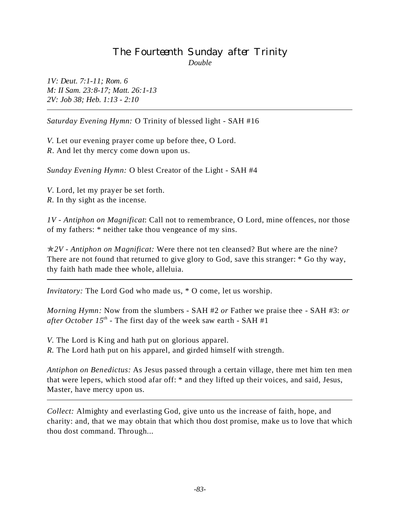# The Fourteenth Sunday after Trinity *Double*

*1V: Deut. 7:1-11; Rom. 6 M: II Sam. 23:8-17; Matt. 26:1-13 2V: Job 38; Heb. 1:13 - 2:10*

*Saturday Evening Hymn:* O Trinity of blessed light - SAH #16

*V.* Let our evening prayer come up before thee, O Lord. *R*. And let thy mercy come down upon us.

*Sunday Evening Hymn:* O blest Creator of the Light - SAH #4

*V*. Lord, let my prayer be set forth. *R.* In thy sight as the incense.

*1V - Antiphon on Magnificat*: Call not to remembrance, O Lord, mine offences, nor those of my fathers: \* neither take thou vengeance of my sins.

p*2V - Antiphon on Magnificat:* Were there not ten cleansed? But where are the nine? There are not found that returned to give glory to God, save this stranger:  $*$  Go thy way, thy faith hath made thee whole, alleluia.

*Invitatory:* The Lord God who made us, \* O come, let us worship.

*Morning Hymn:* Now from the slumbers - SAH #2 *or* Father we praise thee - SAH #3: *or after October 15<sup>th</sup>* - The first day of the week saw earth - SAH #1

*V*. The Lord is King and hath put on glorious apparel. *R.* The Lord hath put on his apparel, and girded himself with strength.

*Antiphon on Benedictus:* As Jesus passed through a certain village, there met him ten men that were lepers, which stood afar off: \* and they lifted up their voices, and said, Jesus, Master, have mercy upon us.

*Collect:* Almighty and everlasting God, give unto us the increase of faith, hope, and charity: and, that we may obtain that which thou dost promise, make us to love that which thou dost command. Through...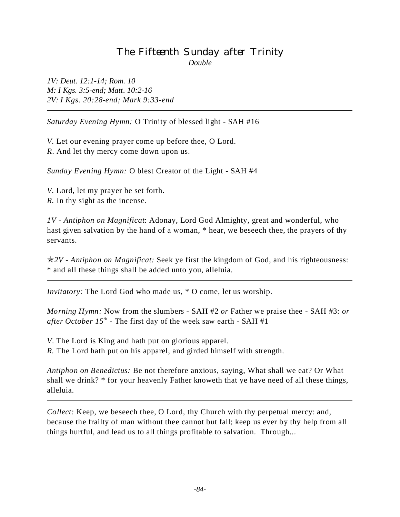## The Fifteenth Sunday after Trinity *Double*

*1V: Deut. 12:1-14; Rom. 10 M: I Kgs. 3:5-end; Matt. 10:2-16 2V: I Kgs. 20:28-end; Mark 9:33-end*

*Saturday Evening Hymn:* O Trinity of blessed light - SAH #16

*V.* Let our evening prayer come up before thee, O Lord. *R*. And let thy mercy come down upon us.

*Sunday Evening Hymn:* O blest Creator of the Light - SAH #4

*V.* Lord, let my prayer be set forth. *R.* In thy sight as the incense.

*1V - Antiphon on Magnificat*: Adonay, Lord God Almighty, great and wonderful, who hast given salvation by the hand of a woman, \* hear, we beseech thee, the prayers of thy servants.

p*2V - Antiphon on Magnificat:* Seek ye first the kingdom of God, and his righteousness: \* and all these things shall be added unto you, alleluia.

*Invitatory:* The Lord God who made us, \* O come, let us worship.

*Morning Hymn:* Now from the slumbers - SAH #2 *or* Father we praise thee - SAH #3: *or after October 15<sup>th</sup>* - The first day of the week saw earth - SAH #1

*V*. The Lord is King and hath put on glorious apparel.

*R.* The Lord hath put on his apparel, and girded himself with strength.

*Antiphon on Benedictus:* Be not therefore anxious, saying, What shall we eat? Or What shall we drink? \* for your heavenly Father knoweth that ye have need of all these things, alleluia.

*Collect:* Keep, we beseech thee, O Lord, thy Church with thy perpetual mercy: and, because the frailty of man without thee cannot but fall; keep us ever by thy help from all things hurtful, and lead us to all things profitable to salvation. Through...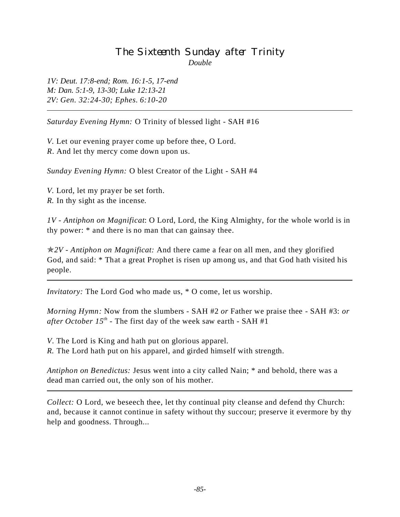# The Sixteenth Sunday after Trinity *Double*

*1V: Deut. 17:8-end; Rom. 16:1-5, 17-end M: Dan. 5:1-9, 13-30; Luke 12:13-21 2V: Gen. 32:24-30; Ephes. 6:10-20*

*Saturday Evening Hymn:* O Trinity of blessed light - SAH #16

*V.* Let our evening prayer come up before thee, O Lord. *R*. And let thy mercy come down upon us.

*Sunday Evening Hymn:* O blest Creator of the Light - SAH #4

*V.* Lord, let my prayer be set forth. *R.* In thy sight as the incense.

*1V - Antiphon on Magnificat*: O Lord, Lord, the King Almighty, for the whole world is in thy power: \* and there is no man that can gainsay thee.

p*2V - Antiphon on Magnificat:* And there came a fear on all men, and they glorified God, and said: \* That a great Prophet is risen up among us, and that God hath visited his people.

*Invitatory:* The Lord God who made us, \* O come, let us worship.

*Morning Hymn:* Now from the slumbers - SAH #2 *or* Father we praise thee - SAH #3: *or after October 15<sup>th</sup>* - The first day of the week saw earth - SAH #1

*V*. The Lord is King and hath put on glorious apparel. *R.* The Lord hath put on his apparel, and girded himself with strength.

*Antiphon on Benedictus:* Jesus went into a city called Nain; \* and behold, there was a dead man carried out, the only son of his mother.

*Collect:* O Lord, we beseech thee, let thy continual pity cleanse and defend thy Church: and, because it cannot continue in safety without thy succour; preserve it evermore by thy help and goodness. Through...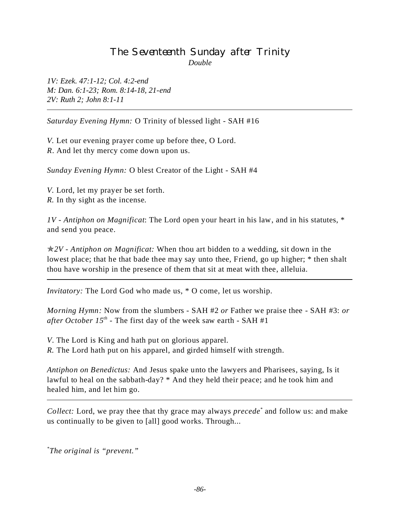## The Seventeenth Sunday after Trinity *Double*

*1V: Ezek. 47:1-12; Col. 4:2-end M: Dan. 6:1-23; Rom. 8:14-18, 21-end 2V: Ruth 2; John 8:1-11*

*Saturday Evening Hymn:* O Trinity of blessed light - SAH #16

*V.* Let our evening prayer come up before thee, O Lord. *R*. And let thy mercy come down upon us.

*Sunday Evening Hymn:* O blest Creator of the Light - SAH #4

*V.* Lord, let my prayer be set forth. *R.* In thy sight as the incense.

*1V - Antiphon on Magnificat*: The Lord open your heart in his law, and in his statutes, \* and send you peace.

p*2V - Antiphon on Magnificat:* When thou art bidden to a wedding, sit down in the lowest place; that he that bade thee may say unto thee, Friend, go up higher; \* then shalt thou have worship in the presence of them that sit at meat with thee, alleluia.

*Invitatory:* The Lord God who made us, \* O come, let us worship.

*Morning Hymn:* Now from the slumbers - SAH #2 *or* Father we praise thee - SAH #3: *or after October 15<sup>th</sup>* - The first day of the week saw earth - SAH #1

*V*. The Lord is King and hath put on glorious apparel. *R.* The Lord hath put on his apparel, and girded himself with strength.

*Antiphon on Benedictus:* And Jesus spake unto the lawyers and Pharisees, saying, Is it lawful to heal on the sabbath-day? \* And they held their peace; and he took him and healed him, and let him go.

*Collect:* Lord, we pray thee that thy grace may always *precede\** and follow us: and make us continually to be given to [all] good works. Through...

*\* The original is "prevent."*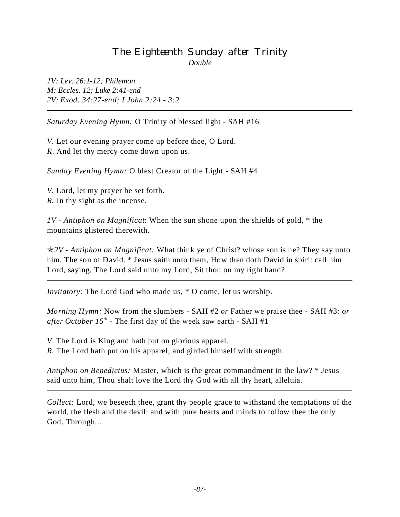#### The Eighteenth Sunday after Trinity *Double*

*1V: Lev. 26:1-12; Philemon M: Eccles. 12; Luke 2:41-end 2V: Exod. 34:27-end; I John 2:24 - 3:2*

*Saturday Evening Hymn:* O Trinity of blessed light - SAH #16

*V.* Let our evening prayer come up before thee, O Lord. *R*. And let thy mercy come down upon us.

*Sunday Evening Hymn:* O blest Creator of the Light - SAH #4

*V.* Lord, let my prayer be set forth. *R.* In thy sight as the incense.

*1V - Antiphon on Magnificat*: When the sun shone upon the shields of gold, \* the mountains glistered therewith.

p*2V - Antiphon on Magnificat:* What think ye of Christ? whose son is he? They say unto him, The son of David. \* Jesus saith unto them, How then doth David in spirit call him Lord, saying, The Lord said unto my Lord, Sit thou on my right hand?

*Invitatory:* The Lord God who made us, \* O come, let us worship.

*Morning Hymn:* Now from the slumbers - SAH #2 *or* Father we praise thee - SAH #3: *or after October 15<sup>th</sup>* - The first day of the week saw earth - SAH #1

*V*. The Lord is King and hath put on glorious apparel. *R.* The Lord hath put on his apparel, and girded himself with strength.

*Antiphon on Benedictus:* Master, which is the great commandment in the law? \* Jesus said unto him, Thou shalt love the Lord thy God with all thy heart, alleluia.

*Collect:* Lord, we beseech thee, grant thy people grace to withstand the temptations of the world, the flesh and the devil: and with pure hearts and minds to follow thee the only God. Through...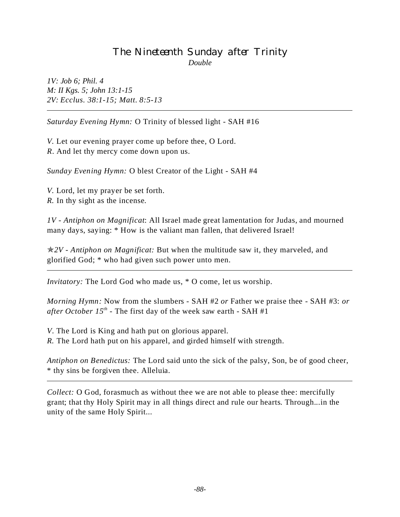## The Nineteenth Sunday after Trinity *Double*

*1V: Job 6; Phil. 4 M: II Kgs. 5; John 13:1-15 2V: Ecclus. 38:1-15; Matt. 8:5-13*

*Saturday Evening Hymn:* O Trinity of blessed light - SAH #16

*V.* Let our evening prayer come up before thee, O Lord. *R*. And let thy mercy come down upon us.

*Sunday Evening Hymn:* O blest Creator of the Light - SAH #4

*V.* Lord, let my prayer be set forth. *R.* In thy sight as the incense.

*1V - Antiphon on Magnificat*: All Israel made great lamentation for Judas, and mourned many days, saying: \* How is the valiant man fallen, that delivered Israel!

p*2V - Antiphon on Magnificat:* But when the multitude saw it, they marveled, and glorified God; \* who had given such power unto men.

*Invitatory:* The Lord God who made us, \* O come, let us worship.

*Morning Hymn:* Now from the slumbers - SAH #2 *or* Father we praise thee - SAH #3: *or after October 15<sup>th</sup>* - The first day of the week saw earth - SAH #1

*V*. The Lord is King and hath put on glorious apparel. *R.* The Lord hath put on his apparel, and girded himself with strength.

*Antiphon on Benedictus:* The Lord said unto the sick of the palsy, Son, be of good cheer, \* thy sins be forgiven thee. Alleluia.

*Collect:* O God, forasmuch as without thee we are not able to please thee: mercifully grant; that thy Holy Spirit may in all things direct and rule our hearts. Through...in the unity of the same Holy Spirit...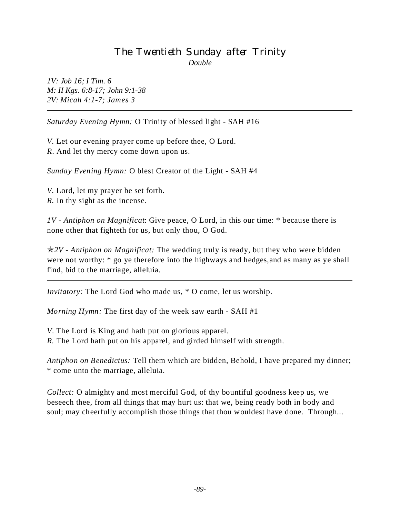# The Twentieth Sunday after Trinity *Double*

*1V: Job 16; I Tim. 6 M: II Kgs. 6:8-17; John 9:1-38 2V: Micah 4:1-7; James 3*

*Saturday Evening Hymn:* O Trinity of blessed light - SAH #16

*V.* Let our evening prayer come up before thee, O Lord. *R*. And let thy mercy come down upon us.

*Sunday Evening Hymn:* O blest Creator of the Light - SAH #4

*V.* Lord, let my prayer be set forth. *R.* In thy sight as the incense.

*1V - Antiphon on Magnificat*: Give peace, O Lord, in this our time: \* because there is none other that fighteth for us, but only thou, O God.

p*2V - Antiphon on Magnificat:* The wedding truly is ready, but they who were bidden were not worthy: \* go ye therefore into the highways and hedges, and as many as ye shall find, bid to the marriage, alleluia.

*Invitatory:* The Lord God who made us, \* O come, let us worship.

*Morning Hymn:* The first day of the week saw earth - SAH #1

*V*. The Lord is King and hath put on glorious apparel. *R.* The Lord hath put on his apparel, and girded himself with strength.

*Antiphon on Benedictus:* Tell them which are bidden, Behold, I have prepared my dinner; \* come unto the marriage, alleluia.

*Collect:* O almighty and most merciful God, of thy bountiful goodness keep us, we beseech thee, from all things that may hurt us: that we, being ready both in body and soul; may cheerfully accomplish those things that thou wouldest have done. Through...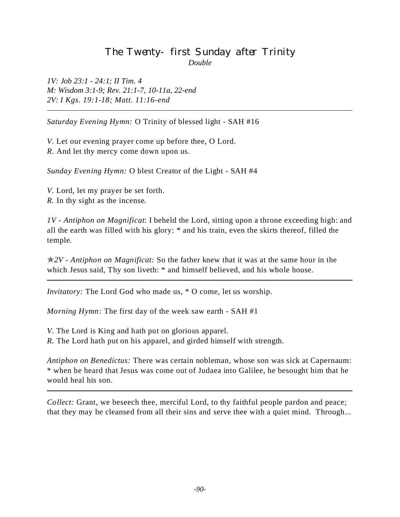# The Twenty- first Sunday after Trinity *Double*

*1V: Job 23:1 - 24:1; II Tim. 4 M: Wisdom 3:1-9; Rev. 21:1-7, 10-11a, 22-end 2V: I Kgs. 19:1-18; Matt. 11:16-end*

*Saturday Evening Hymn:* O Trinity of blessed light - SAH #16

*V.* Let our evening prayer come up before thee, O Lord. *R*. And let thy mercy come down upon us.

*Sunday Evening Hymn:* O blest Creator of the Light - SAH #4

*V.* Lord, let my prayer be set forth. *R.* In thy sight as the incense.

*1V - Antiphon on Magnificat*: I beheld the Lord, sitting upon a throne exceeding high: and all the earth was filled with his glory: \* and his train, even the skirts thereof, filled the temple.

p*2V - Antiphon on Magnificat:* So the father knew that it was at the same hour in the which Jesus said, Thy son liveth:  $*$  and himself believed, and his whole house.

*Invitatory:* The Lord God who made us, \* O come, let us worship.

*Morning Hymn:* The first day of the week saw earth - SAH #1

*V*. The Lord is King and hath put on glorious apparel.

*R.* The Lord hath put on his apparel, and girded himself with strength.

*Antiphon on Benedictus:* There was certain nobleman, whose son was sick at Capernaum: \* when he heard that Jesus was come out of Judaea into Galilee, he besought him that he would heal his son.

*Collect:* Grant, we beseech thee, merciful Lord, to thy faithful people pardon and peace; that they may be cleansed from all their sins and serve thee with a quiet mind. Through...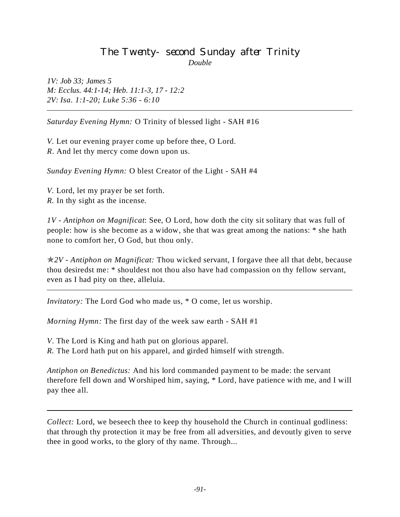## The Twenty-second Sunday after Trinity *Double*

*1V: Job 33; James 5 M: Ecclus. 44:1-14; Heb. 11:1-3, 17 - 12:2 2V: Isa. 1:1-20; Luke 5:36 - 6:10*

*Saturday Evening Hymn:* O Trinity of blessed light - SAH #16

*V.* Let our evening prayer come up before thee, O Lord. *R*. And let thy mercy come down upon us.

*Sunday Evening Hymn:* O blest Creator of the Light - SAH #4

*V.* Lord, let my prayer be set forth. *R.* In thy sight as the incense.

*1V - Antiphon on Magnificat*: See, O Lord, how doth the city sit solitary that was full of people: how is she become as a widow, she that was great among the nations: \* she hath none to comfort her, O God, but thou only.

p*2V - Antiphon on Magnificat:* Thou wicked servant, I forgave thee all that debt, because thou desiredst me: \* shouldest not thou also have had compassion on thy fellow servant, even as I had pity on thee, alleluia.

*Invitatory:* The Lord God who made us, \* O come, let us worship.

*Morning Hymn:* The first day of the week saw earth - SAH #1

*V*. The Lord is King and hath put on glorious apparel.

*R.* The Lord hath put on his apparel, and girded himself with strength.

*Antiphon on Benedictus:* And his lord commanded payment to be made: the servant therefore fell down and Worshiped him, saying, \* Lord, have patience with me, and I will pay thee all.

*Collect:* Lord, we beseech thee to keep thy household the Church in continual godliness: that through thy protection it may be free from all adversities, and devoutly given to serve thee in good works, to the glory of thy name. Through...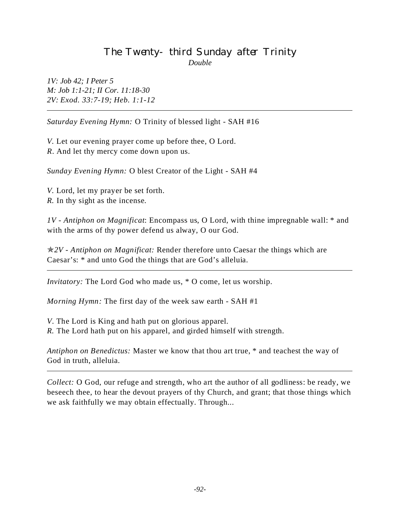#### The Twenty- third Sunday after Trinity *Double*

*1V: Job 42; I Peter 5 M: Job 1:1-21; II Cor. 11:18-30 2V: Exod. 33:7-19; Heb. 1:1-12*

*Saturday Evening Hymn:* O Trinity of blessed light - SAH #16

*V.* Let our evening prayer come up before thee, O Lord. *R*. And let thy mercy come down upon us.

*Sunday Evening Hymn:* O blest Creator of the Light - SAH #4

*V.* Lord, let my prayer be set forth. *R.* In thy sight as the incense.

*1V - Antiphon on Magnificat*: Encompass us, O Lord, with thine impregnable wall: \* and with the arms of thy power defend us alway, O our God.

p*2V - Antiphon on Magnificat:* Render therefore unto Caesar the things which are Caesar's: \* and unto God the things that are God's alleluia.

*Invitatory:* The Lord God who made us, \* O come, let us worship.

*Morning Hymn:* The first day of the week saw earth - SAH #1

*V*. The Lord is King and hath put on glorious apparel. *R.* The Lord hath put on his apparel, and girded himself with strength.

*Antiphon on Benedictus:* Master we know that thou art true, \* and teachest the way of God in truth, alleluia.

*Collect:* O God, our refuge and strength, who art the author of all godliness: be ready, we beseech thee, to hear the devout prayers of thy Church, and grant; that those things which we ask faithfully we may obtain effectually. Through...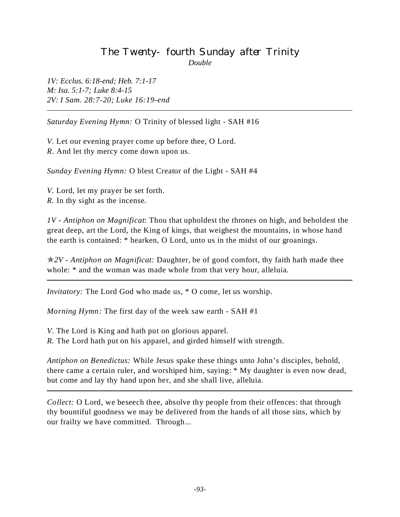# The Twenty-fourth Sunday after Trinity *Double*

*1V: Ecclus. 6:18-end; Heb. 7:1-17 M: Isa. 5:1-7; Luke 8:4-15 2V: I Sam. 28:7-20; Luke 16:19-end*

*Saturday Evening Hymn:* O Trinity of blessed light - SAH #16

*V.* Let our evening prayer come up before thee, O Lord. *R*. And let thy mercy come down upon us.

*Sunday Evening Hymn:* O blest Creator of the Light - SAH #4

*V.* Lord, let my prayer be set forth. *R.* In thy sight as the incense.

*1V - Antiphon on Magnificat*: Thou that upholdest the thrones on high, and beholdest the great deep, art the Lord, the King of kings, that weighest the mountains, in whose hand the earth is contained: \* hearken, O Lord, unto us in the midst of our groanings.

p*2V - Antiphon on Magnificat:* Daughter, be of good comfort, thy faith hath made thee whole:  $*$  and the woman was made whole from that very hour, alleluia.

*Invitatory:* The Lord God who made us, \* O come, let us worship.

*Morning Hymn:* The first day of the week saw earth - SAH #1

*V*. The Lord is King and hath put on glorious apparel.

*R.* The Lord hath put on his apparel, and girded himself with strength.

*Antiphon on Benedictus:* While Jesus spake these things unto John's disciples, behold, there came a certain ruler, and worshiped him, saying: \* My daughter is even now dead, but come and lay thy hand upon her, and she shall live, alleluia.

*Collect:* O Lord, we beseech thee, absolve thy people from their offences: that through thy bountiful goodness we may be delivered from the hands of all those sins, which by our frailty we have committed. Through...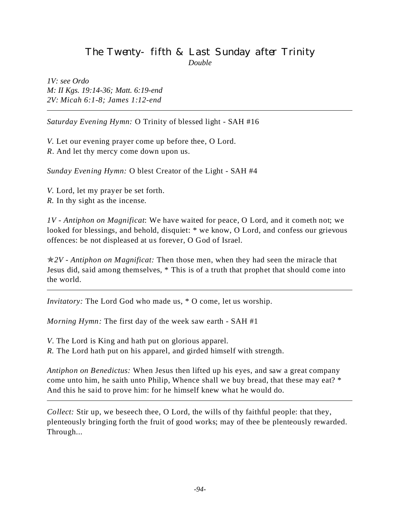#### The Twenty-fifth & Last Sunday after Trinity *Double*

*1V: see Ordo M: II Kgs. 19:14-36; Matt. 6:19-end 2V: Micah 6:1-8; James 1:12-end*

*Saturday Evening Hymn:* O Trinity of blessed light - SAH #16

*V.* Let our evening prayer come up before thee, O Lord. *R*. And let thy mercy come down upon us.

*Sunday Evening Hymn:* O blest Creator of the Light - SAH #4

*V.* Lord, let my prayer be set forth. *R.* In thy sight as the incense.

*1V - Antiphon on Magnificat*: We have waited for peace, O Lord, and it cometh not; we looked for blessings, and behold, disquiet: \* we know, O Lord, and confess our grievous offences: be not displeased at us forever, O God of Israel.

p*2V - Antiphon on Magnificat:* Then those men, when they had seen the miracle that Jesus did, said among themselves, \* This is of a truth that prophet that should come into the world.

*Invitatory:* The Lord God who made us, \* O come, let us worship.

*Morning Hymn:* The first day of the week saw earth - SAH #1

*V*. The Lord is King and hath put on glorious apparel.

*R.* The Lord hath put on his apparel, and girded himself with strength.

*Antiphon on Benedictus:* When Jesus then lifted up his eyes, and saw a great company come unto him, he saith unto Philip, Whence shall we buy bread, that these may eat? \* And this he said to prove him: for he himself knew what he would do.

*Collect:* Stir up, we beseech thee, O Lord, the wills of thy faithful people: that they, plenteously bringing forth the fruit of good works; may of thee be plenteously rewarded. Through...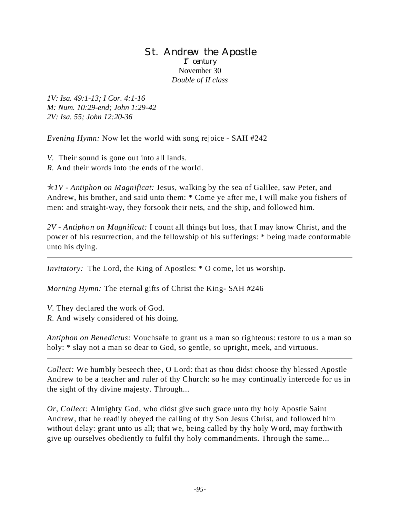#### St. Andrew the Apostle 1<sup>st</sup> century November 30 *Double of II class*

*1V: Isa. 49:1-13; I Cor. 4:1-16 M: Num. 10:29-end; John 1:29-42 2V: Isa. 55; John 12:20-36*

*Evening Hymn:* Now let the world with song rejoice - SAH #242

*V.* Their sound is gone out into all lands.

*R.* And their words into the ends of the world.

p*1V - Antiphon on Magnificat:* Jesus, walking by the sea of Galilee, saw Peter, and Andrew, his brother, and said unto them: \* Come ye after me, I will make you fishers of men: and straight-way, they forsook their nets, and the ship, and followed him.

*2V - Antiphon on Magnificat:* I count all things but loss, that I may know Christ, and the power of his resurrection, and the fellowship of his sufferings: \* being made conformable unto his dying.

*Invitatory:* The Lord, the King of Apostles: \* O come, let us worship.

*Morning Hymn:* The eternal gifts of Christ the King- SAH #246

*V*. They declared the work of God.

*R.* And wisely considered of his doing.

*Antiphon on Benedictus:* Vouchsafe to grant us a man so righteous: restore to us a man so holy:  $*$  slay not a man so dear to God, so gentle, so upright, meek, and virtuous.

*Collect:* We humbly beseech thee, O Lord: that as thou didst choose thy blessed Apostle Andrew to be a teacher and ruler of thy Church: so he may continually intercede for us in the sight of thy divine majesty. Through...

*Or, Collect:* Almighty God, who didst give such grace unto thy holy Apostle Saint Andrew, that he readily obeyed the calling of thy Son Jesus Christ, and followed him without delay: grant unto us all; that we, being called by thy holy Word, may forthwith give up ourselves obediently to fulfil thy holy commandments. Through the same...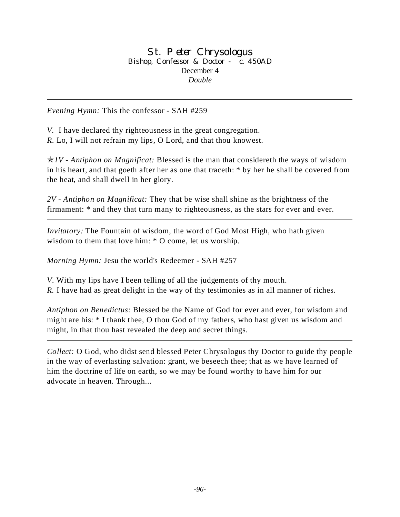#### St. Peter Chrysologus Bishop, Confessor & Doctor - c. 450AD December 4 *Double*

*Evening Hymn:* This the confessor - SAH #259

*V.* I have declared thy righteousness in the great congregation. *R.* Lo, I will not refrain my lips, O Lord, and that thou knowest.

p*1V - Antiphon on Magnificat:* Blessed is the man that considereth the ways of wisdom in his heart, and that goeth after her as one that traceth: \* by her he shall be covered from the heat, and shall dwell in her glory.

*2V - Antiphon on Magnificat:* They that be wise shall shine as the brightness of the firmament: \* and they that turn many to righteousness, as the stars for ever and ever.

*Invitatory:* The Fountain of wisdom, the word of God Most High, who hath given wisdom to them that love him: \* O come, let us worship.

*Morning Hymn:* Jesu the world's Redeemer - SAH #257

*V*. With my lips have I been telling of all the judgements of thy mouth.

*R.* I have had as great delight in the way of thy testimonies as in all manner of riches.

*Antiphon on Benedictus:* Blessed be the Name of God for ever and ever, for wisdom and might are his: \* I thank thee, O thou God of my fathers, who hast given us wisdom and might, in that thou hast revealed the deep and secret things.

*Collect:* O God, who didst send blessed Peter Chrysologus thy Doctor to guide thy people in the way of everlasting salvation: grant, we beseech thee; that as we have learned of him the doctrine of life on earth, so we may be found worthy to have him for our advocate in heaven. Through...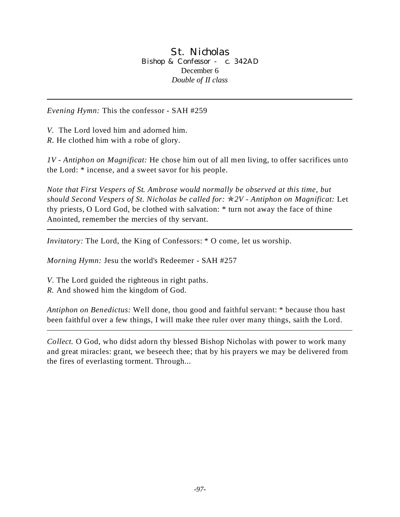St. Nicholas Bishop & Confessor - c. 342AD December 6 *Double of II class*

*Evening Hymn:* This the confessor - SAH #259

*V.* The Lord loved him and adorned him.

*R.* He clothed him with a robe of glory.

*1V - Antiphon on Magnificat:* He chose him out of all men living, to offer sacrifices unto the Lord: \* incense, and a sweet savor for his people.

*Note that First Vespers of St. Ambrose would normally be observed at this time, but should Second Vespers of St. Nicholas be called for:* p*2V - Antiphon on Magnificat:* Let thy priests, O Lord God, be clothed with salvation: \* turn not away the face of thine Anointed, remember the mercies of thy servant.

*Invitatory:* The Lord, the King of Confessors:  $*$  O come, let us worship.

*Morning Hymn:* Jesu the world's Redeemer - SAH #257

*V*. The Lord guided the righteous in right paths.

*R.* And showed him the kingdom of God.

*Antiphon on Benedictus:* Well done, thou good and faithful servant: \* because thou hast been faithful over a few things, I will make thee ruler over many things, saith the Lord.

*Collect.* O God, who didst adorn thy blessed Bishop Nicholas with power to work many and great miracles: grant, we beseech thee; that by his prayers we may be delivered from the fires of everlasting torment. Through...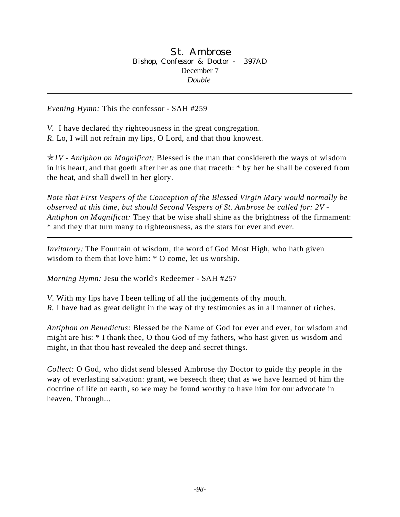*Evening Hymn:* This the confessor - SAH #259

*V.* I have declared thy righteousness in the great congregation. *R.* Lo, I will not refrain my lips, O Lord, and that thou knowest.

p*1V - Antiphon on Magnificat:* Blessed is the man that considereth the ways of wisdom in his heart, and that goeth after her as one that traceth: \* by her he shall be covered from the heat, and shall dwell in her glory.

*Note that First Vespers of the Conception of the Blessed Virgin Mary would normally be observed at this time, but should Second Vespers of St. Ambrose be called for: 2V - Antiphon on Magnificat:* They that be wise shall shine as the brightness of the firmament: \* and they that turn many to righteousness, as the stars for ever and ever.

*Invitatory:* The Fountain of wisdom, the word of God Most High, who hath given wisdom to them that love him: \* O come, let us worship.

*Morning Hymn:* Jesu the world's Redeemer - SAH #257

*V*. With my lips have I been telling of all the judgements of thy mouth. *R.* I have had as great delight in the way of thy testimonies as in all manner of riches.

*Antiphon on Benedictus:* Blessed be the Name of God for ever and ever, for wisdom and might are his: \* I thank thee, O thou God of my fathers, who hast given us wisdom and might, in that thou hast revealed the deep and secret things.

*Collect:* O God, who didst send blessed Ambrose thy Doctor to guide thy people in the way of everlasting salvation: grant, we beseech thee; that as we have learned of him the doctrine of life on earth, so we may be found worthy to have him for our advocate in heaven. Through...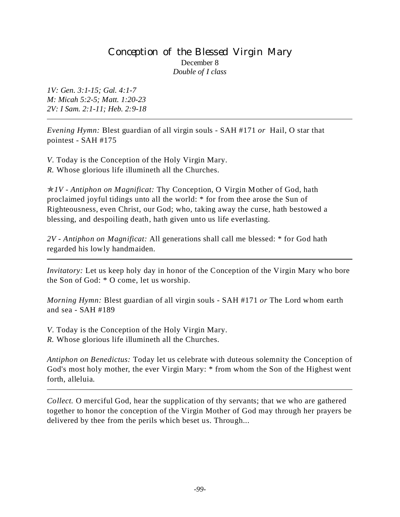## Conception of the Blessed Virgin Mary December 8 *Double of I class*

*1V: Gen. 3:1-15; Gal. 4:1-7 M: Micah 5:2-5; Matt. 1:20-23 2V: I Sam. 2:1-11; Heb. 2:9-18*

*Evening Hymn:* Blest guardian of all virgin souls - SAH #171 *or* Hail, O star that pointest - SAH #175

*V*. Today is the Conception of the Holy Virgin Mary. *R.* Whose glorious life illumineth all the Churches.

p*1V - Antiphon on Magnificat:* Thy Conception, O Virgin Mother of God, hath proclaimed joyful tidings unto all the world: \* for from thee arose the Sun of Righteousness, even Christ, our God; who, taking away the curse, hath bestowed a blessing, and despoiling death, hath given unto us life everlasting.

*2V - Antiphon on Magnificat:* All generations shall call me blessed: \* for God hath regarded his lowly handmaiden.

*Invitatory:* Let us keep holy day in honor of the Conception of the Virgin Mary who bore the Son of God: \* O come, let us worship.

*Morning Hymn:* Blest guardian of all virgin souls - SAH #171 *or* The Lord whom earth and sea - SAH #189

*V*. Today is the Conception of the Holy Virgin Mary. *R.* Whose glorious life illumineth all the Churches.

*Antiphon on Benedictus:* Today let us celebrate with duteous solemnity the Conception of God's most holy mother, the ever Virgin Mary: \* from whom the Son of the Highest went forth, alleluia.

*Collect.* O merciful God, hear the supplication of thy servants; that we who are gathered together to honor the conception of the Virgin Mother of God may through her prayers be delivered by thee from the perils which beset us. Through...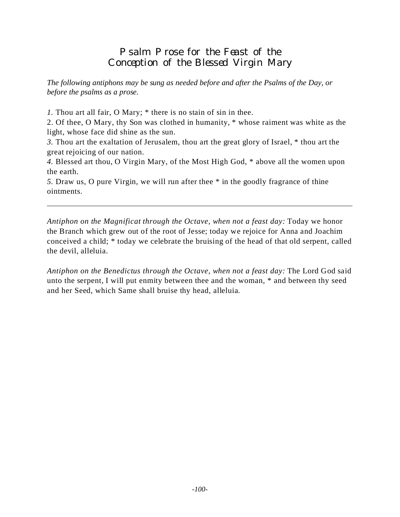## Psalm Prose for the Feast of the Conception of the Blessed Virgin Mary

*The following antiphons may be sung as needed before and after the Psalms of the Day, or before the psalms as a prose.*

*1.* Thou art all fair, O Mary; \* there is no stain of sin in thee.

2. Of thee, O Mary, thy Son was clothed in humanity, \* whose raiment was white as the light, whose face did shine as the sun.

*3.* Thou art the exaltation of Jerusalem, thou art the great glory of Israel, \* thou art the great rejoicing of our nation.

*4.* Blessed art thou, O Virgin Mary, of the Most High God, \* above all the women upon the earth.

*5.* Draw us, O pure Virgin, we will run after thee \* in the goodly fragrance of thine ointments.

*Antiphon on the Magnificat through the Octave, when not a feast day:* Today we honor the Branch which grew out of the root of Jesse; today we rejoice for Anna and Joachim conceived a child; \* today we celebrate the bruising of the head of that old serpent, called the devil, alleluia.

*Antiphon on the Benedictus through the Octave, when not a feast day:* The Lord God said unto the serpent, I will put enmity between thee and the woman, \* and between thy seed and her Seed, which Same shall bruise thy head, alleluia.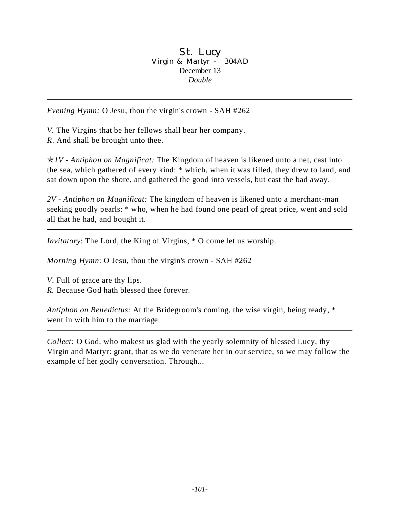#### St. Lucy Virgin & Martyr - 304AD December 13 *Double*

*Evening Hymn:* O Jesu, thou the virgin's crown - SAH #262

*V.* The Virgins that be her fellows shall bear her company.

*R*. And shall be brought unto thee.

p*1V - Antiphon on Magnificat:* The Kingdom of heaven is likened unto a net, cast into the sea, which gathered of every kind: \* which, when it was filled, they drew to land, and sat down upon the shore, and gathered the good into vessels, but cast the bad away.

*2V - Antiphon on Magnificat:* The kingdom of heaven is likened unto a merchant-man seeking goodly pearls: \* who, when he had found one pearl of great price, went and sold all that he had, and bought it.

*Invitatory*: The Lord, the King of Virgins, \* O come let us worship.

*Morning Hymn*: O Jesu, thou the virgin's crown - SAH #262

*V*. Full of grace are thy lips.

*R.* Because God hath blessed thee forever.

*Antiphon on Benedictus:* At the Bridegroom's coming, the wise virgin, being ready, \* went in with him to the marriage.

*Collect:* O God, who makest us glad with the yearly solemnity of blessed Lucy, thy Virgin and Martyr: grant, that as we do venerate her in our service, so we may follow the example of her godly conversation. Through...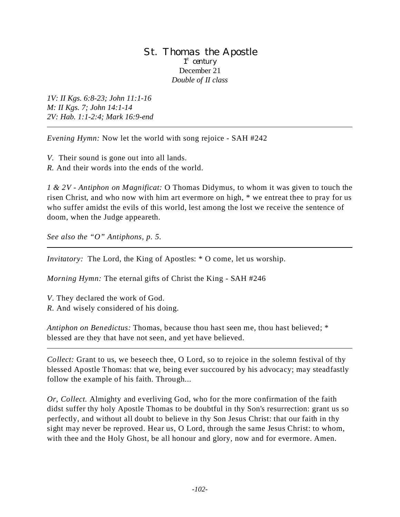#### St. Thomas the Apostle 1<sup>st</sup> century December 21 *Double of II class*

*1V: II Kgs. 6:8-23; John 11:1-16 M: II Kgs. 7; John 14:1-14 2V: Hab. 1:1-2:4; Mark 16:9-end*

*Evening Hymn:* Now let the world with song rejoice - SAH #242

*V.* Their sound is gone out into all lands. *R.* And their words into the ends of the world.

*1 & 2V - Antiphon on Magnificat:* O Thomas Didymus, to whom it was given to touch the risen Christ, and who now with him art evermore on high, \* we entreat thee to pray for us who suffer amidst the evils of this world, lest among the lost we receive the sentence of doom, when the Judge appeareth.

*See also the "O" Antiphons, p. 5.*

*Invitatory:* The Lord, the King of Apostles: \* O come, let us worship.

*Morning Hymn:* The eternal gifts of Christ the King - SAH #246

*V*. They declared the work of God. *R.* And wisely considered of his doing.

*Antiphon on Benedictus:* Thomas, because thou hast seen me, thou hast believed; \* blessed are they that have not seen, and yet have believed.

*Collect:* Grant to us, we beseech thee, O Lord, so to rejoice in the solemn festival of thy blessed Apostle Thomas: that we, being ever succoured by his advocacy; may steadfastly follow the example of his faith. Through...

*Or, Collect.* Almighty and everliving God, who for the more confirmation of the faith didst suffer thy holy Apostle Thomas to be doubtful in thy Son's resurrection: grant us so perfectly, and without all doubt to believe in thy Son Jesus Christ: that our faith in thy sight may never be reproved. Hear us, O Lord, through the same Jesus Christ: to whom, with thee and the Holy Ghost, be all honour and glory, now and for evermore. Amen.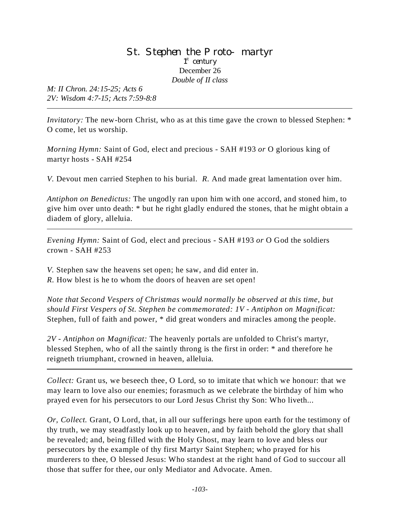#### St. Stephen the Proto-martyr 1<sup>st</sup> century December 26 *Double of II class*

*M: II Chron. 24:15-25; Acts 6 2V: Wisdom 4:7-15; Acts 7:59-8:8*

*Invitatory:* The new-born Christ, who as at this time gave the crown to blessed Stephen: \* O come, let us worship.

*Morning Hymn:* Saint of God, elect and precious - SAH #193 *or* O glorious king of martyr hosts - SAH #254

*V.* Devout men carried Stephen to his burial. *R.* And made great lamentation over him.

*Antiphon on Benedictus:* The ungodly ran upon him with one accord, and stoned him, to give him over unto death: \* but he right gladly endured the stones, that he might obtain a diadem of glory, alleluia.

*Evening Hymn:* Saint of God, elect and precious - SAH #193 *or* O God the soldiers crown - SAH #253

*V.* Stephen saw the heavens set open; he saw, and did enter in.

*R.* How blest is he to whom the doors of heaven are set open!

*Note that Second Vespers of Christmas would normally be observed at this time, but should First Vespers of St. Stephen be commemorated: 1V - Antiphon on Magnificat:* Stephen, full of faith and power, \* did great wonders and miracles among the people.

*2V - Antiphon on Magnificat:* The heavenly portals are unfolded to Christ's martyr, blessed Stephen, who of all the saintly throng is the first in order: \* and therefore he reigneth triumphant, crowned in heaven, alleluia.

*Collect:* Grant us, we beseech thee, O Lord, so to imitate that which we honour: that we may learn to love also our enemies; forasmuch as we celebrate the birthday of him who prayed even for his persecutors to our Lord Jesus Christ thy Son: Who liveth...

*Or, Collect.* Grant, O Lord, that, in all our sufferings here upon earth for the testimony of thy truth, we may steadfastly look up to heaven, and by faith behold the glory that shall be revealed; and, being filled with the Holy Ghost, may learn to love and bless our persecutors by the example of thy first Martyr Saint Stephen; who prayed for his murderers to thee, O blessed Jesus: Who standest at the right hand of God to succour all those that suffer for thee, our only Mediator and Advocate. Amen.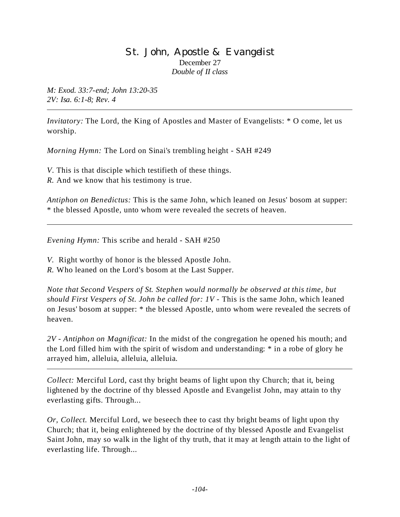## St. John, Apostle & Evangelist December 27 *Double of II class*

*M: Exod. 33:7-end; John 13:20-35 2V: Isa. 6:1-8; Rev. 4*

*Invitatory:* The Lord, the King of Apostles and Master of Evangelists: \* O come, let us worship.

*Morning Hymn:* The Lord on Sinai's trembling height - SAH #249

*V*. This is that disciple which testifieth of these things.

*R.* And we know that his testimony is true.

*Antiphon on Benedictus:* This is the same John, which leaned on Jesus' bosom at supper: \* the blessed Apostle, unto whom were revealed the secrets of heaven.

*Evening Hymn:* This scribe and herald - SAH #250

*V.* Right worthy of honor is the blessed Apostle John.

*R.* Who leaned on the Lord's bosom at the Last Supper.

*Note that Second Vespers of St. Stephen would normally be observed at this time, but should First Vespers of St. John be called for: 1V - This is the same John, which leaned* on Jesus' bosom at supper: \* the blessed Apostle, unto whom were revealed the secrets of heaven.

*2V - Antiphon on Magnificat:* In the midst of the congregation he opened his mouth; and the Lord filled him with the spirit of wisdom and understanding: \* in a robe of glory he arrayed him, alleluia, alleluia, alleluia.

*Collect:* Merciful Lord, cast thy bright beams of light upon thy Church; that it, being lightened by the doctrine of thy blessed Apostle and Evangelist John, may attain to thy everlasting gifts. Through...

*Or, Collect.* Merciful Lord, we beseech thee to cast thy bright beams of light upon thy Church; that it, being enlightened by the doctrine of thy blessed Apostle and Evangelist Saint John, may so walk in the light of thy truth, that it may at length attain to the light of everlasting life. Through...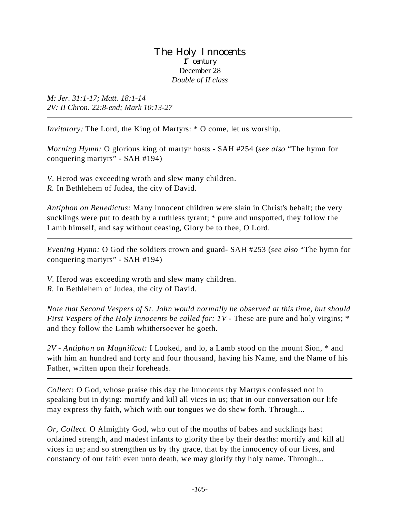#### The Holy Innocents 1<sup>st</sup> century December 28 *Double of II class*

*M: Jer. 31:1-17; Matt. 18:1-14 2V: II Chron. 22:8-end; Mark 10:13-27*

*Invitatory:* The Lord, the King of Martyrs: \* O come, let us worship.

*Morning Hymn:* O glorious king of martyr hosts - SAH #254 (*see also* "The hymn for conquering martyrs" - SAH #194)

*V*. Herod was exceeding wroth and slew many children.

*R.* In Bethlehem of Judea, the city of David.

*Antiphon on Benedictus:* Many innocent children were slain in Christ's behalf; the very sucklings were put to death by a ruthless tyrant; \* pure and unspotted, they follow the Lamb himself, and say without ceasing, Glory be to thee, O Lord.

*Evening Hymn:* O God the soldiers crown and guard- SAH #253 (*see also* "The hymn for conquering martyrs" - SAH #194)

*V*. Herod was exceeding wroth and slew many children.

*R.* In Bethlehem of Judea, the city of David.

*Note that Second Vespers of St. John would normally be observed at this time, but should First Vespers of the Holy Innocents be called for: 1V - These are pure and holy virgins;* \* and they follow the Lamb whithersoever he goeth.

*2V - Antiphon on Magnificat:* I Looked, and lo, a Lamb stood on the mount Sion, \* and with him an hundred and forty and four thousand, having his Name, and the Name of his Father, written upon their foreheads.

*Collect:* O God, whose praise this day the Innocents thy Martyrs confessed not in speaking but in dying: mortify and kill all vices in us; that in our conversation our life may express thy faith, which with our tongues we do shew forth. Through...

*Or, Collect.* O Almighty God, who out of the mouths of babes and sucklings hast ordained strength, and madest infants to glorify thee by their deaths: mortify and kill all vices in us; and so strengthen us by thy grace, that by the innocency of our lives, and constancy of our faith even unto death, we may glorify thy holy name. Through...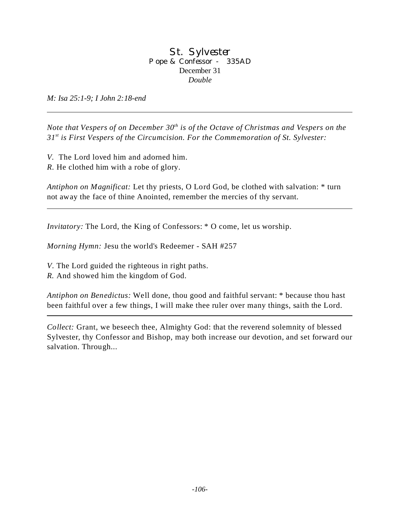#### St. Sylvester Pope & Confessor - 335AD December 31 *Double*

*M: Isa 25:1-9; I John 2:18-end*

*Note that Vespers of on December 30<sup>th</sup> is of the Octave of Christmas and Vespers on the 31st is First Vespers of the Circumcision. For the Commemoration of St. Sylvester:* 

*V.* The Lord loved him and adorned him.

*R.* He clothed him with a robe of glory.

*Antiphon on Magnificat:* Let thy priests, O Lord God, be clothed with salvation: \* turn not away the face of thine Anointed, remember the mercies of thy servant.

*Invitatory:* The Lord, the King of Confessors:  $*$  O come, let us worship.

*Morning Hymn:* Jesu the world's Redeemer - SAH #257

*V*. The Lord guided the righteous in right paths.

*R.* And showed him the kingdom of God.

*Antiphon on Benedictus:* Well done, thou good and faithful servant: \* because thou hast been faithful over a few things, I will make thee ruler over many things, saith the Lord.

*Collect:* Grant, we beseech thee, Almighty God: that the reverend solemnity of blessed Sylvester*,* thy Confessor and Bishop, may both increase our devotion, and set forward our salvation. Through...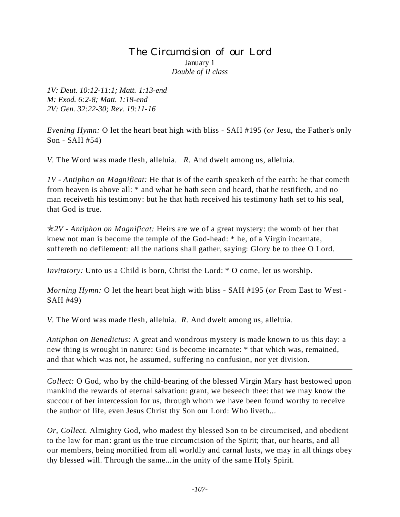## The Circumcision of our Lord January 1 *Double of II class*

*1V: Deut. 10:12-11:1; Matt. 1:13-end M: Exod. 6:2-8; Matt. 1:18-end 2V: Gen. 32:22-30; Rev. 19:11-16*

*Evening Hymn:* O let the heart beat high with bliss - SAH #195 (*or* Jesu, the Father's only Son - SAH #54)

*V.* The Word was made flesh, alleluia. *R.* And dwelt among us, alleluia.

*1V - Antiphon on Magnificat:* He that is of the earth speaketh of the earth: he that cometh from heaven is above all: \* and what he hath seen and heard, that he testifieth, and no man receiveth his testimony: but he that hath received his testimony hath set to his seal, that God is true.

p*2V - Antiphon on Magnificat:* Heirs are we of a great mystery: the womb of her that knew not man is become the temple of the God-head: \* he, of a Virgin incarnate, suffereth no defilement: all the nations shall gather, saying: Glory be to thee O Lord.

*Invitatory:* Unto us a Child is born, Christ the Lord: \* O come, let us worship.

*Morning Hymn:* O let the heart beat high with bliss - SAH #195 (*or* From East to West - SAH #49)

*V.* The Word was made flesh, alleluia. *R.* And dwelt among us, alleluia.

*Antiphon on Benedictus:* A great and wondrous mystery is made known to us this day: a new thing is wrought in nature: God is become incarnate: \* that which was, remained, and that which was not, he assumed, suffering no confusion, nor yet division.

*Collect:* O God, who by the child-bearing of the blessed Virgin Mary hast bestowed upon mankind the rewards of eternal salvation: grant, we beseech thee: that we may know the succour of her intercession for us, through whom we have been found worthy to receive the author of life, even Jesus Christ thy Son our Lord: Who liveth...

*Or, Collect.* Almighty God, who madest thy blessed Son to be circumcised, and obedient to the law for man: grant us the true circumcision of the Spirit; that, our hearts, and all our members, being mortified from all worldly and carnal lusts, we may in all things obey thy blessed will. Through the same...in the unity of the same Holy Spirit.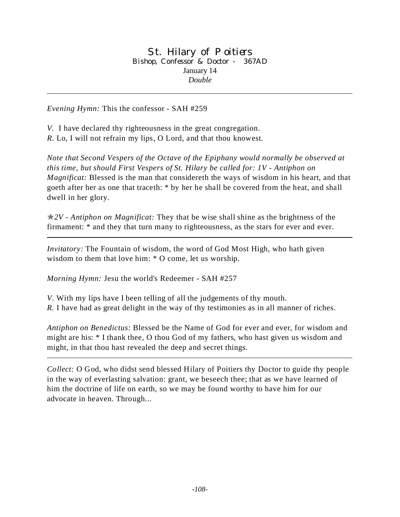#### St. Hilary of Poitiers Bishop, Confessor & Doctor - 367AD January 14 *Double*

*Evening Hymn:* This the confessor - SAH #259

*V.* I have declared thy righteousness in the great congregation. *R.* Lo, I will not refrain my lips, O Lord, and that thou knowest.

*Note that Second Vespers of the Octave of the Epiphany would normally be observed at this time, but should First Vespers of St. Hilary be called for: 1V - Antiphon on Magnificat:* Blessed is the man that considereth the ways of wisdom in his heart, and that goeth after her as one that traceth: \* by her he shall be covered from the heat, and shall dwell in her glory.

p*2V - Antiphon on Magnificat:* They that be wise shall shine as the brightness of the firmament: \* and they that turn many to righteousness, as the stars for ever and ever.

*Invitatory:* The Fountain of wisdom, the word of God Most High, who hath given wisdom to them that love him: \* O come, let us worship.

*Morning Hymn:* Jesu the world's Redeemer - SAH #257

*V*. With my lips have I been telling of all the judgements of thy mouth. *R.* I have had as great delight in the way of thy testimonies as in all manner of riches.

*Antiphon on Benedictus:* Blessed be the Name of God for ever and ever, for wisdom and might are his: \* I thank thee, O thou God of my fathers, who hast given us wisdom and might, in that thou hast revealed the deep and secret things.

*Collect:* O God, who didst send blessed Hilary of Poitiers thy Doctor to guide thy people in the way of everlasting salvation: grant, we beseech thee; that as we have learned of him the doctrine of life on earth, so we may be found worthy to have him for our advocate in heaven. Through...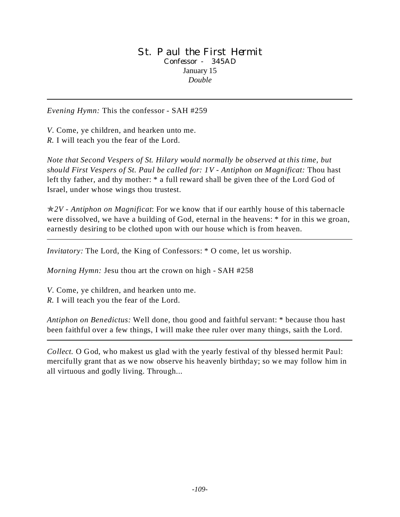#### St. Paul the First Hermit Confessor - 345AD January 15 *Double*

*Evening Hymn:* This the confessor - SAH #259

*V*. Come, ye children, and hearken unto me. *R.* I will teach you the fear of the Lord.

*Note that Second Vespers of St. Hilary would normally be observed at this time, but should First Vespers of St. Paul be called for: 1V - Antiphon on Magnificat:* Thou hast left thy father, and thy mother: \* a full reward shall be given thee of the Lord God of Israel, under whose wings thou trustest.

p*2V - Antiphon on Magnificat*: For we know that if our earthly house of this tabernacle were dissolved, we have a building of God, eternal in the heavens: \* for in this we groan, earnestly desiring to be clothed upon with our house which is from heaven.

*Invitatory:* The Lord, the King of Confessors:  $*$  O come, let us worship.

*Morning Hymn:* Jesu thou art the crown on high - SAH #258

*V*. Come, ye children, and hearken unto me. *R.* I will teach you the fear of the Lord.

*Antiphon on Benedictus:* Well done, thou good and faithful servant: \* because thou hast been faithful over a few things, I will make thee ruler over many things, saith the Lord.

*Collect.* O God, who makest us glad with the yearly festival of thy blessed hermit Paul: mercifully grant that as we now observe his heavenly birthday; so we may follow him in all virtuous and godly living. Through...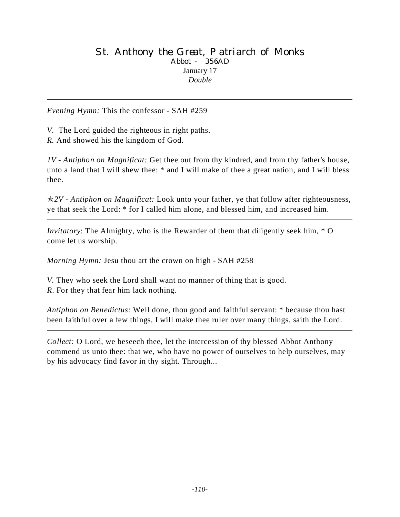#### St. Anthony the Great, Patriarch of Monks Abbot - 356AD January 17 *Double*

*Evening Hymn:* This the confessor - SAH #259

*V.* The Lord guided the righteous in right paths.

*R.* And showed his the kingdom of God.

*1V - Antiphon on Magnificat:* Get thee out from thy kindred, and from thy father's house, unto a land that I will shew thee: \* and I will make of thee a great nation, and I will bless thee.

p*2V - Antiphon on Magnificat:* Look unto your father, ye that follow after righteousness, ye that seek the Lord: \* for I called him alone, and blessed him, and increased him.

*Invitatory*: The Almighty, who is the Rewarder of them that diligently seek him, \* O come let us worship.

*Morning Hymn:* Jesu thou art the crown on high - SAH #258

*V.* They who seek the Lord shall want no manner of thing that is good. *R*. For they that fear him lack nothing.

*Antiphon on Benedictus:* Well done, thou good and faithful servant: \* because thou hast been faithful over a few things, I will make thee ruler over many things, saith the Lord.

*Collect:* O Lord, we beseech thee, let the intercession of thy blessed Abbot Anthony commend us unto thee: that we, who have no power of ourselves to help ourselves, may by his advocacy find favor in thy sight. Through...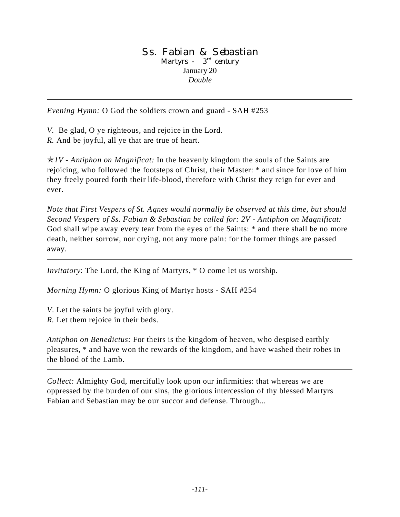#### Ss. Fabian & Sebastian Martyrs -  $3<sup>rd</sup>$  century January 20 *Double*

*Evening Hymn:* O God the soldiers crown and guard - SAH #253

*V.* Be glad, O ye righteous, and rejoice in the Lord.

*R.* And be joyful, all ye that are true of heart.

p*1V - Antiphon on Magnificat:* In the heavenly kingdom the souls of the Saints are rejoicing, who followed the footsteps of Christ, their Master: \* and since for love of him they freely poured forth their life-blood, therefore with Christ they reign for ever and ever.

*Note that First Vespers of St. Agnes would normally be observed at this time, but should Second Vespers of Ss. Fabian & Sebastian be called for: 2V - Antiphon on Magnificat:* God shall wipe away every tear from the eyes of the Saints: \* and there shall be no more death, neither sorrow, nor crying, not any more pain: for the former things are passed away.

*Invitatory*: The Lord, the King of Martyrs, \* O come let us worship.

*Morning Hymn:* O glorious King of Martyr hosts - SAH #254

*V*. Let the saints be joyful with glory.

*R.* Let them rejoice in their beds.

*Antiphon on Benedictus:* For theirs is the kingdom of heaven, who despised earthly pleasures, \* and have won the rewards of the kingdom, and have washed their robes in the blood of the Lamb.

*Collect:* Almighty God, mercifully look upon our infirmities: that whereas we are oppressed by the burden of our sins, the glorious intercession of thy blessed Martyrs Fabian and Sebastian may be our succor and defense. Through...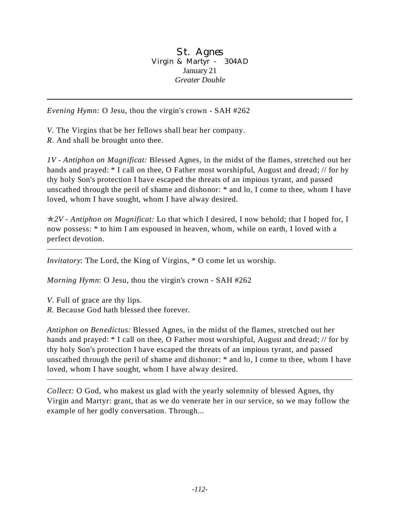St. Agnes Virgin & Martyr - 304AD January 21 *Greater Double*

*Evening Hymn:* O Jesu, thou the virgin's crown - SAH #262

*V.* The Virgins that be her fellows shall bear her company.

*R*. And shall be brought unto thee.

*1V - Antiphon on Magnificat:* Blessed Agnes, in the midst of the flames, stretched out her hands and prayed: \* I call on thee, O Father most worshipful, August and dread; // for by thy holy Son's protection I have escaped the threats of an impious tyrant, and passed unscathed through the peril of shame and dishonor: \* and lo, I come to thee, whom I have loved, whom I have sought, whom I have alway desired.

p*2V - Antiphon on Magnificat:* Lo that which I desired, I now behold; that I hoped for, I now possess: \* to him I am espoused in heaven, whom, while on earth, I loved with a perfect devotion.

*Invitatory*: The Lord, the King of Virgins, \* O come let us worship.

*Morning Hymn*: O Jesu, thou the virgin's crown - SAH #262

*V*. Full of grace are thy lips.

*R.* Because God hath blessed thee forever.

*Antiphon on Benedictus:* Blessed Agnes, in the midst of the flames, stretched out her hands and prayed: \* I call on thee, O Father most worshipful, August and dread; // for by thy holy Son's protection I have escaped the threats of an impious tyrant, and passed unscathed through the peril of shame and dishonor: \* and lo, I come to thee, whom I have loved, whom I have sought, whom I have alway desired.

*Collect:* O God, who makest us glad with the yearly solemnity of blessed Agnes, thy Virgin and Martyr: grant, that as we do venerate her in our service, so we may follow the example of her godly conversation. Through...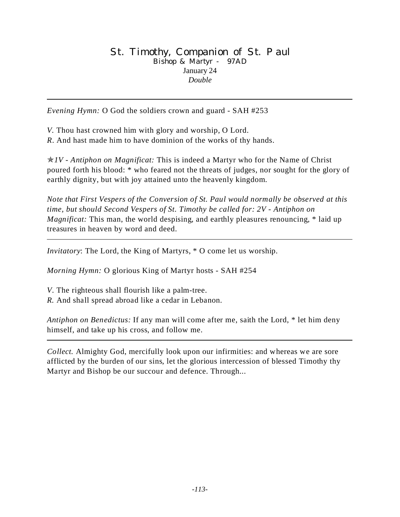#### St. Timothy, Companion of St. Paul Bishop & Martyr - 97AD January 24 *Double*

*Evening Hymn:* O God the soldiers crown and guard - SAH #253

*V.* Thou hast crowned him with glory and worship, O Lord.

*R*. And hast made him to have dominion of the works of thy hands.

p*1V - Antiphon on Magnificat:* This is indeed a Martyr who for the Name of Christ poured forth his blood: \* who feared not the threats of judges, nor sought for the glory of earthly dignity, but with joy attained unto the heavenly kingdom.

*Note that First Vespers of the Conversion of St. Paul would normally be observed at this time, but should Second Vespers of St. Timothy be called for: 2V - Antiphon on Magnificat:* This man, the world despising, and earthly pleasures renouncing,  $*$  laid up treasures in heaven by word and deed.

*Invitatory*: The Lord, the King of Martyrs, \* O come let us worship.

*Morning Hymn:* O glorious King of Martyr hosts - SAH #254

*V*. The righteous shall flourish like a palm-tree.

*R.* And shall spread abroad like a cedar in Lebanon.

*Antiphon on Benedictus:* If any man will come after me, saith the Lord, \* let him deny himself, and take up his cross, and follow me.

*Collect.* Almighty God, mercifully look upon our infirmities: and whereas we are sore afflicted by the burden of our sins, let the glorious intercession of blessed Timothy thy Martyr and Bishop be our succour and defence. Through...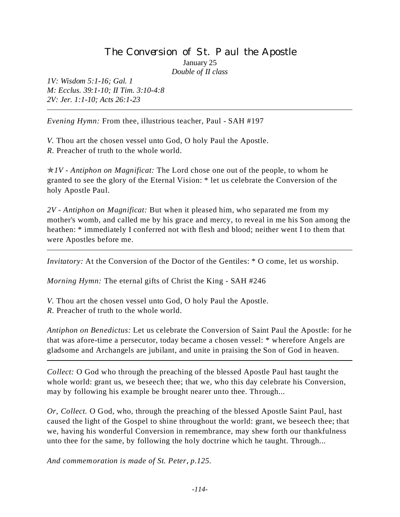# The Conversion of St. Paul the Apostle January 25

*Double of II class*

*1V: Wisdom 5:1-16; Gal. 1 M: Ecclus. 39:1-10; II Tim. 3:10-4:8 2V: Jer. 1:1-10; Acts 26:1-23*

*Evening Hymn:* From thee, illustrious teacher, Paul - SAH #197

*V.* Thou art the chosen vessel unto God, O holy Paul the Apostle. *R.* Preacher of truth to the whole world.

 $\angle N$  - Antiphon on Magnificat: The Lord chose one out of the people, to whom he granted to see the glory of the Eternal Vision: \* let us celebrate the Conversion of the holy Apostle Paul.

*2V - Antiphon on Magnificat:* But when it pleased him, who separated me from my mother's womb, and called me by his grace and mercy, to reveal in me his Son among the heathen: \* immediately I conferred not with flesh and blood; neither went I to them that were Apostles before me.

*Invitatory:* At the Conversion of the Doctor of the Gentiles: \* O come, let us worship.

*Morning Hymn:* The eternal gifts of Christ the King - SAH #246

*V.* Thou art the chosen vessel unto God, O holy Paul the Apostle.

*R.* Preacher of truth to the whole world.

*Antiphon on Benedictus:* Let us celebrate the Conversion of Saint Paul the Apostle: for he that was afore-time a persecutor, today became a chosen vessel: \* wherefore Angels are gladsome and Archangels are jubilant, and unite in praising the Son of God in heaven.

*Collect:* O God who through the preaching of the blessed Apostle Paul hast taught the whole world: grant us, we beseech thee; that we, who this day celebrate his Conversion, may by following his example be brought nearer unto thee. Through...

*Or, Collect.* O God, who, through the preaching of the blessed Apostle Saint Paul, hast caused the light of the Gospel to shine throughout the world: grant, we beseech thee; that we, having his wonderful Conversion in remembrance, may shew forth our thankfulness unto thee for the same, by following the holy doctrine which he taught. Through...

*And commemoration is made of St. Peter*, *p.125.*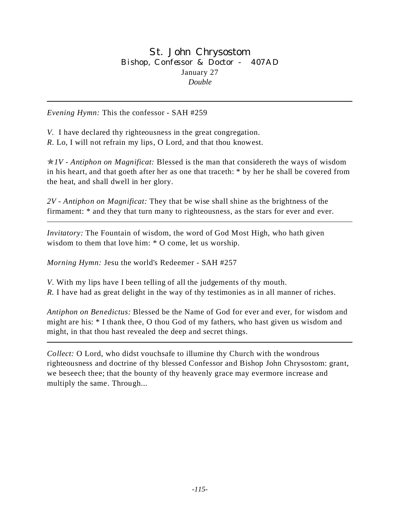St. John Chrysostom Bishop, Confessor & Doctor - 407AD January 27 *Double*

*Evening Hymn:* This the confessor - SAH #259

*V.* I have declared thy righteousness in the great congregation. *R.* Lo, I will not refrain my lips, O Lord, and that thou knowest.

p*1V - Antiphon on Magnificat:* Blessed is the man that considereth the ways of wisdom in his heart, and that goeth after her as one that traceth: \* by her he shall be covered from the heat, and shall dwell in her glory.

*2V - Antiphon on Magnificat:* They that be wise shall shine as the brightness of the firmament: \* and they that turn many to righteousness, as the stars for ever and ever.

*Invitatory:* The Fountain of wisdom, the word of God Most High, who hath given wisdom to them that love him: \* O come, let us worship.

*Morning Hymn:* Jesu the world's Redeemer - SAH #257

*V*. With my lips have I been telling of all the judgements of thy mouth. *R.* I have had as great delight in the way of thy testimonies as in all manner of riches.

*Antiphon on Benedictus:* Blessed be the Name of God for ever and ever, for wisdom and might are his: \* I thank thee, O thou God of my fathers, who hast given us wisdom and might, in that thou hast revealed the deep and secret things.

*Collect:* O Lord, who didst vouchsafe to illumine thy Church with the wondrous righteousness and doctrine of thy blessed Confessor and Bishop John Chrysostom: grant, we beseech thee; that the bounty of thy heavenly grace may evermore increase and multiply the same. Through...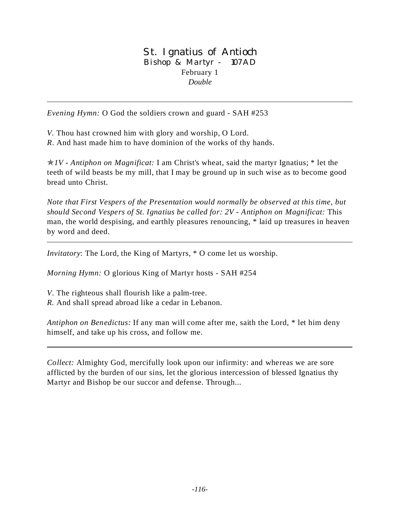### St. Ignatius of Antioch Bishop & Martyr - 107AD February 1 *Double*

*Evening Hymn:* O God the soldiers crown and guard - SAH #253

*V.* Thou hast crowned him with glory and worship, O Lord. *R*. And hast made him to have dominion of the works of thy hands.

p*1V - Antiphon on Magnificat:* I am Christ's wheat, said the martyr Ignatius; \* let the teeth of wild beasts be my mill, that I may be ground up in such wise as to become good bread unto Christ.

*Note that First Vespers of the Presentation would normally be observed at this time, but should Second Vespers of St. Ignatius be called for: 2V - Antiphon on Magnificat:* This man, the world despising, and earthly pleasures renouncing, \* laid up treasures in heaven by word and deed.

*Invitatory*: The Lord, the King of Martyrs, \* O come let us worship.

*Morning Hymn:* O glorious King of Martyr hosts - SAH #254

*V*. The righteous shall flourish like a palm-tree.

*R.* And shall spread abroad like a cedar in Lebanon.

*Antiphon on Benedictus:* If any man will come after me, saith the Lord, \* let him deny himself, and take up his cross, and follow me.

*Collect:* Almighty God, mercifully look upon our infirmity: and whereas we are sore afflicted by the burden of our sins, let the glorious intercession of blessed Ignatius thy Martyr and Bishop be our succor and defense. Through...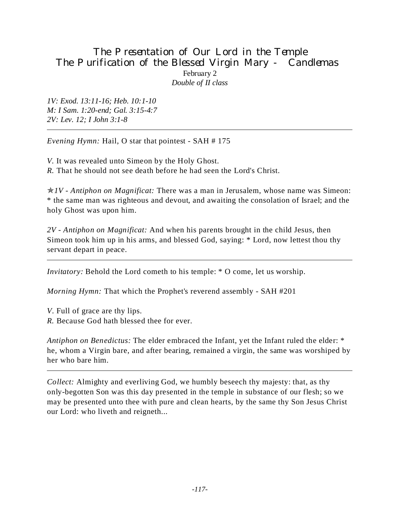## The Presentation of Our Lord in the Temple The Purification of the Blessed Virgin Mary - Candlemas February 2 *Double of II class*

*1V: Exod. 13:11-16; Heb. 10:1-10 M: I Sam. 1:20-end; Gal. 3:15-4:7 2V: Lev. 12; I John 3:1-8*

*Evening Hymn:* Hail, O star that pointest - SAH # 175

*V.* It was revealed unto Simeon by the Holy Ghost.

*R.* That he should not see death before he had seen the Lord's Christ.

p*1V - Antiphon on Magnificat:* There was a man in Jerusalem, whose name was Simeon: \* the same man was righteous and devout, and awaiting the consolation of Israel; and the holy Ghost was upon him.

*2V - Antiphon on Magnificat:* And when his parents brought in the child Jesus, then Simeon took him up in his arms, and blessed God, saying: \* Lord, now lettest thou thy servant depart in peace.

*Invitatory:* Behold the Lord cometh to his temple: \* O come, let us worship.

*Morning Hymn:* That which the Prophet's reverend assembly - SAH #201

*V*. Full of grace are thy lips.

*R.* Because God hath blessed thee for ever.

*Antiphon on Benedictus:* The elder embraced the Infant, yet the Infant ruled the elder: \* he, whom a Virgin bare, and after bearing, remained a virgin, the same was worshiped by her who bare him.

*Collect:* Almighty and everliving God, we humbly beseech thy majesty: that, as thy only-begotten Son was this day presented in the temple in substance of our flesh; so we may be presented unto thee with pure and clean hearts, by the same thy Son Jesus Christ our Lord: who liveth and reigneth...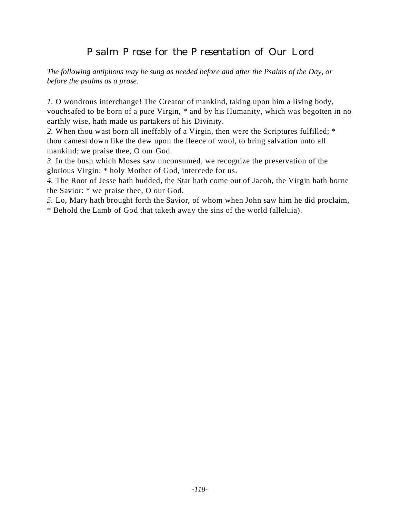# Psalm Prose for the Presentation of Our Lord

*The following antiphons may be sung as needed before and after the Psalms of the Day, or before the psalms as a prose.*

*1.* O wondrous interchange! The Creator of mankind, taking upon him a living body, vouchsafed to be born of a pure Virgin, \* and by his Humanity, which was begotten in no earthly wise, hath made us partakers of his Divinity.

*2.* When thou wast born all ineffably of a Virgin, then were the Scriptures fulfilled; \* thou camest down like the dew upon the fleece of wool, to bring salvation unto all mankind; we praise thee, O our God.

*3.* In the bush which Moses saw unconsumed, we recognize the preservation of the glorious Virgin: \* holy Mother of God, intercede for us.

*4.* The Root of Jesse hath budded, the Star hath come out of Jacob, the Virgin hath borne the Savior: \* we praise thee, O our God.

*5.* Lo, Mary hath brought forth the Savior, of whom when John saw him he did proclaim,

\* Behold the Lamb of God that taketh away the sins of the world (alleluia).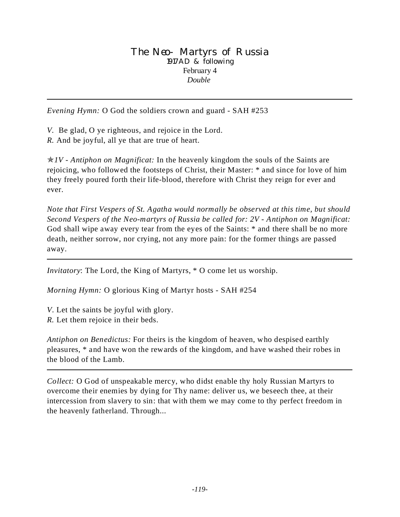#### The Neo-Martyrs of Russia 1917AD & following February 4 *Double*

*Evening Hymn:* O God the soldiers crown and guard - SAH #253

*V.* Be glad, O ye righteous, and rejoice in the Lord.

*R.* And be joyful, all ye that are true of heart.

p*1V - Antiphon on Magnificat:* In the heavenly kingdom the souls of the Saints are rejoicing, who followed the footsteps of Christ, their Master: \* and since for love of him they freely poured forth their life-blood, therefore with Christ they reign for ever and ever.

*Note that First Vespers of St. Agatha would normally be observed at this time, but should Second Vespers of the Neo-martyrs of Russia be called for: 2V - Antiphon on Magnificat:* God shall wipe away every tear from the eyes of the Saints: \* and there shall be no more death, neither sorrow, nor crying, not any more pain: for the former things are passed away.

*Invitatory*: The Lord, the King of Martyrs, \* O come let us worship.

*Morning Hymn:* O glorious King of Martyr hosts - SAH #254

*V*. Let the saints be joyful with glory.

*R.* Let them rejoice in their beds.

*Antiphon on Benedictus:* For theirs is the kingdom of heaven, who despised earthly pleasures, \* and have won the rewards of the kingdom, and have washed their robes in the blood of the Lamb.

*Collect:* O God of unspeakable mercy, who didst enable thy holy Russian Martyrs to overcome their enemies by dying for Thy name: deliver us, we beseech thee, at their intercession from slavery to sin: that with them we may come to thy perfect freedom in the heavenly fatherland. Through...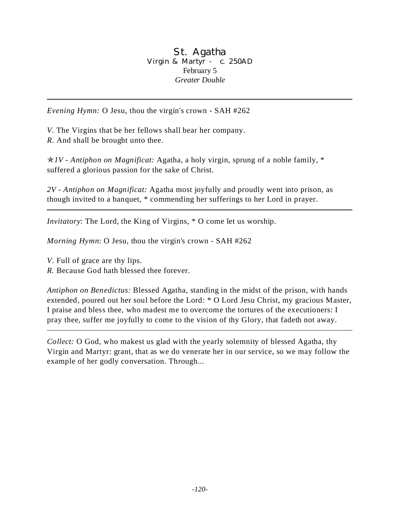#### St. Agatha Virgin & Martyr - c. 250AD February 5 *Greater Double*

*Evening Hymn:* O Jesu, thou the virgin's crown - SAH #262

*V.* The Virgins that be her fellows shall bear her company. *R*. And shall be brought unto thee.

p*1V - Antiphon on Magnificat:* Agatha, a holy virgin, sprung of a noble family, \* suffered a glorious passion for the sake of Christ.

*2V - Antiphon on Magnificat:* Agatha most joyfully and proudly went into prison, as though invited to a banquet, \* commending her sufferings to her Lord in prayer.

*Invitatory*: The Lord, the King of Virgins, \* O come let us worship.

*Morning Hymn*: O Jesu, thou the virgin's crown - SAH #262

*V*. Full of grace are thy lips.

*R.* Because God hath blessed thee forever.

*Antiphon on Benedictus:* Blessed Agatha, standing in the midst of the prison, with hands extended, poured out her soul before the Lord: \* O Lord Jesu Christ, my gracious Master, I praise and bless thee, who madest me to overcome the tortures of the executioners: I pray thee, suffer me joyfully to come to the vision of thy Glory, that fadeth not away.

*Collect:* O God, who makest us glad with the yearly solemnity of blessed Agatha, thy Virgin and Martyr: grant, that as we do venerate her in our service, so we may follow the example of her godly conversation. Through...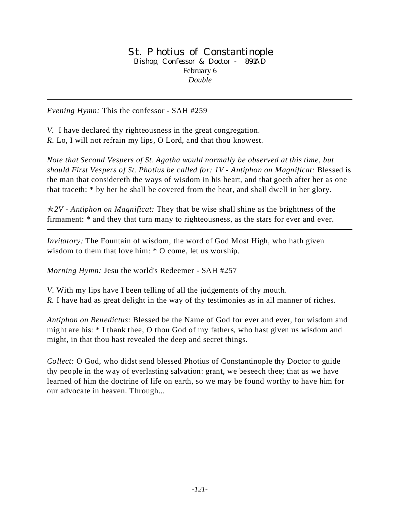#### St. Photius of Constantinople Bishop, Confessor & Doctor - 891AD February 6 *Double*

*Evening Hymn:* This the confessor - SAH #259

*V.* I have declared thy righteousness in the great congregation. *R.* Lo, I will not refrain my lips, O Lord, and that thou knowest.

*Note that Second Vespers of St. Agatha would normally be observed at this time, but should First Vespers of St. Photius be called for: 1V - Antiphon on Magnificat:* Blessed is the man that considereth the ways of wisdom in his heart, and that goeth after her as one that traceth: \* by her he shall be covered from the heat, and shall dwell in her glory.

p*2V - Antiphon on Magnificat:* They that be wise shall shine as the brightness of the firmament: \* and they that turn many to righteousness, as the stars for ever and ever.

*Invitatory:* The Fountain of wisdom, the word of God Most High, who hath given wisdom to them that love him: \* O come, let us worship.

*Morning Hymn:* Jesu the world's Redeemer - SAH #257

*V*. With my lips have I been telling of all the judgements of thy mouth.

*R.* I have had as great delight in the way of thy testimonies as in all manner of riches.

*Antiphon on Benedictus:* Blessed be the Name of God for ever and ever, for wisdom and might are his: \* I thank thee, O thou God of my fathers, who hast given us wisdom and might, in that thou hast revealed the deep and secret things.

*Collect:* O God, who didst send blessed Photius of Constantinople thy Doctor to guide thy people in the way of everlasting salvation: grant, we beseech thee; that as we have learned of him the doctrine of life on earth, so we may be found worthy to have him for our advocate in heaven. Through...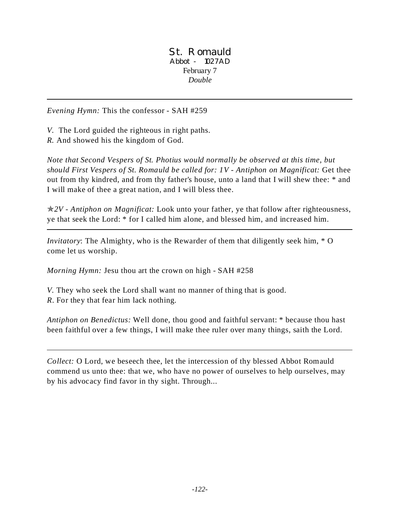St. Romauld Abbot - 1027AD February 7 *Double*

*Evening Hymn:* This the confessor - SAH #259

*V.* The Lord guided the righteous in right paths.

*R.* And showed his the kingdom of God.

*Note that Second Vespers of St. Photius would normally be observed at this time, but should First Vespers of St. Romauld be called for: 1V - Antiphon on Magnificat:* Get thee out from thy kindred, and from thy father's house, unto a land that I will shew thee: \* and I will make of thee a great nation, and I will bless thee.

p*2V - Antiphon on Magnificat:* Look unto your father, ye that follow after righteousness, ye that seek the Lord: \* for I called him alone, and blessed him, and increased him.

*Invitatory*: The Almighty, who is the Rewarder of them that diligently seek him, \* O come let us worship.

*Morning Hymn:* Jesu thou art the crown on high - SAH #258

*V.* They who seek the Lord shall want no manner of thing that is good. *R*. For they that fear him lack nothing.

*Antiphon on Benedictus:* Well done, thou good and faithful servant: \* because thou hast been faithful over a few things, I will make thee ruler over many things, saith the Lord.

*Collect:* O Lord, we beseech thee, let the intercession of thy blessed Abbot Romauld commend us unto thee: that we, who have no power of ourselves to help ourselves, may by his advocacy find favor in thy sight. Through...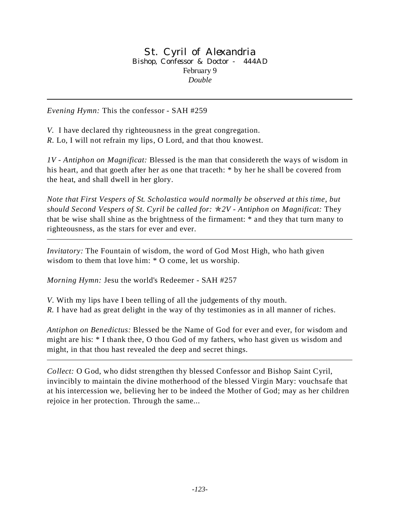#### St. Cyril of Alexandria Bishop, Confessor & Doctor - 444AD February 9 *Double*

*Evening Hymn:* This the confessor - SAH #259

*V.* I have declared thy righteousness in the great congregation. *R.* Lo, I will not refrain my lips, O Lord, and that thou knowest.

*1V - Antiphon on Magnificat:* Blessed is the man that considereth the ways of wisdom in his heart, and that goeth after her as one that traceth: \* by her he shall be covered from the heat, and shall dwell in her glory.

*Note that First Vespers of St. Scholastica would normally be observed at this time, but should Second Vespers of St. Cyril be called for:* p*2V - Antiphon on Magnificat:* They that be wise shall shine as the brightness of the firmament: \* and they that turn many to righteousness, as the stars for ever and ever.

*Invitatory:* The Fountain of wisdom, the word of God Most High, who hath given wisdom to them that love him: \* O come, let us worship.

*Morning Hymn:* Jesu the world's Redeemer - SAH #257

*V*. With my lips have I been telling of all the judgements of thy mouth. *R.* I have had as great delight in the way of thy testimonies as in all manner of riches.

*Antiphon on Benedictus:* Blessed be the Name of God for ever and ever, for wisdom and might are his: \* I thank thee, O thou God of my fathers, who hast given us wisdom and might, in that thou hast revealed the deep and secret things.

*Collect:* O God, who didst strengthen thy blessed Confessor and Bishop Saint Cyril, invincibly to maintain the divine motherhood of the blessed Virgin Mary: vouchsafe that at his intercession we, believing her to be indeed the Mother of God; may as her children rejoice in her protection. Through the same...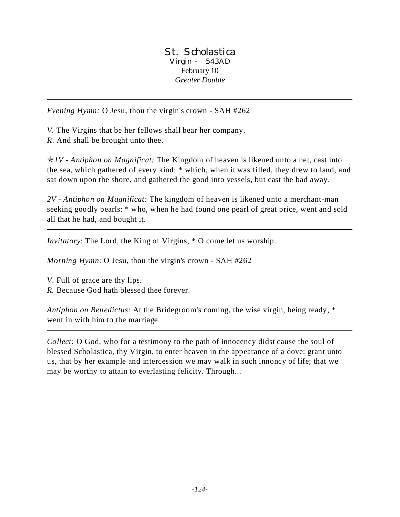St. Scholastica Virgin - 543AD February 10 *Greater Double*

*Evening Hymn:* O Jesu, thou the virgin's crown - SAH #262

*V.* The Virgins that be her fellows shall bear her company.

*R*. And shall be brought unto thee.

p*1V - Antiphon on Magnificat:* The Kingdom of heaven is likened unto a net, cast into the sea, which gathered of every kind: \* which, when it was filled, they drew to land, and sat down upon the shore, and gathered the good into vessels, but cast the bad away.

*2V - Antiphon on Magnificat:* The kingdom of heaven is likened unto a merchant-man seeking goodly pearls: \* who, when he had found one pearl of great price, went and sold all that he had, and bought it.

*Invitatory*: The Lord, the King of Virgins, \* O come let us worship.

*Morning Hymn*: O Jesu, thou the virgin's crown - SAH #262

*V*. Full of grace are thy lips.

*R.* Because God hath blessed thee forever.

*Antiphon on Benedictus:* At the Bridegroom's coming, the wise virgin, being ready, \* went in with him to the marriage.

*Collect:* O God, who for a testimony to the path of innocency didst cause the soul of blessed Scholastica, thy Virgin, to enter heaven in the appearance of a dove: grant unto us, that by her example and intercession we may walk in such innoncy of life; that we may be worthy to attain to everlasting felicity. Through...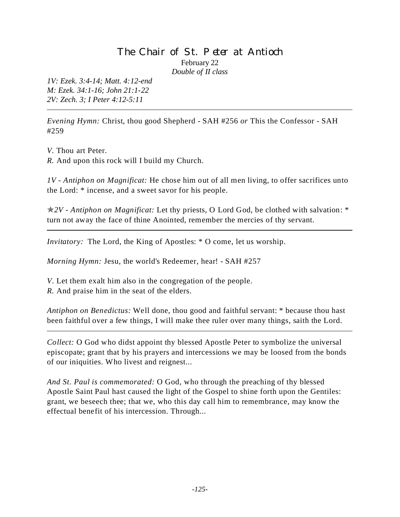## The Chair of St. Peter at Antioch February 22 *Double of II class*

*1V: Ezek. 3:4-14; Matt. 4:12-end M: Ezek. 34:1-16; John 21:1-22 2V: Zech. 3; I Peter 4:12-5:11*

*Evening Hymn:* Christ, thou good Shepherd - SAH #256 *or* This the Confessor - SAH #259

*V.* Thou art Peter.

*R.* And upon this rock will I build my Church.

*1V - Antiphon on Magnificat:* He chose him out of all men living, to offer sacrifices unto the Lord: \* incense, and a sweet savor for his people.

p*2V - Antiphon on Magnificat:* Let thy priests, O Lord God, be clothed with salvation: \* turn not away the face of thine Anointed, remember the mercies of thy servant.

*Invitatory:* The Lord, the King of Apostles: \* O come, let us worship.

*Morning Hymn:* Jesu, the world's Redeemer, hear! - SAH #257

*V*. Let them exalt him also in the congregation of the people.

*R.* And praise him in the seat of the elders.

*Antiphon on Benedictus:* Well done, thou good and faithful servant: \* because thou hast been faithful over a few things, I will make thee ruler over many things, saith the Lord.

*Collect:* O God who didst appoint thy blessed Apostle Peter to symbolize the universal episcopate; grant that by his prayers and intercessions we may be loosed from the bonds of our iniquities. Who livest and reignest...

*And St. Paul is commemorated:* O God, who through the preaching of thy blessed Apostle Saint Paul hast caused the light of the Gospel to shine forth upon the Gentiles: grant, we beseech thee; that we, who this day call him to remembrance, may know the effectual benefit of his intercession. Through...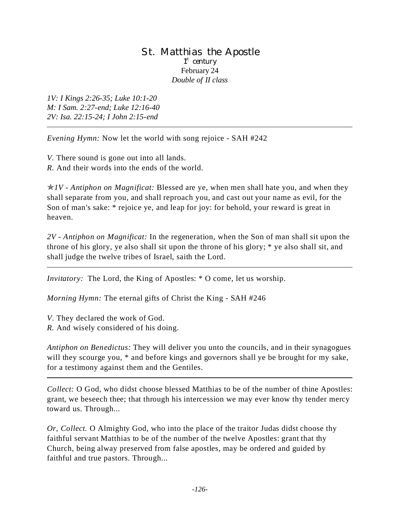#### St. Matthias the Apostle 1<sup>st</sup> century February 24 *Double of II class*

*1V: I Kings 2:26-35; Luke 10:1-20 M: I Sam. 2:27-end; Luke 12:16-40 2V: Isa. 22:15-24; I John 2:15-end*

*Evening Hymn:* Now let the world with song rejoice - SAH #242

*V.* There sound is gone out into all lands.

*R.* And their words into the ends of the world.

 $\angle N$  - Antiphon on Magnificat: Blessed are ye, when men shall hate you, and when they shall separate from you, and shall reproach you, and cast out your name as evil, for the Son of man's sake: \* rejoice ye, and leap for joy: for behold, your reward is great in heaven.

*2V - Antiphon on Magnificat:* In the regeneration, when the Son of man shall sit upon the throne of his glory, ye also shall sit upon the throne of his glory; \* ye also shall sit, and shall judge the twelve tribes of Israel, saith the Lord.

*Invitatory:* The Lord, the King of Apostles: \* O come, let us worship.

*Morning Hymn:* The eternal gifts of Christ the King - SAH #246

*V*. They declared the work of God.

*R.* And wisely considered of his doing.

*Antiphon on Benedictus:* They will deliver you unto the councils, and in their synagogues will they scourge you,  $*$  and before kings and governors shall ye be brought for my sake, for a testimony against them and the Gentiles.

*Collect:* O God, who didst choose blessed Matthias to be of the number of thine Apostles: grant, we beseech thee; that through his intercession we may ever know thy tender mercy toward us. Through...

*Or, Collect.* O Almighty God, who into the place of the traitor Judas didst choose thy faithful servant Matthias to be of the number of the twelve Apostles: grant that thy Church, being alway preserved from false apostles, may be ordered and guided by faithful and true pastors. Through...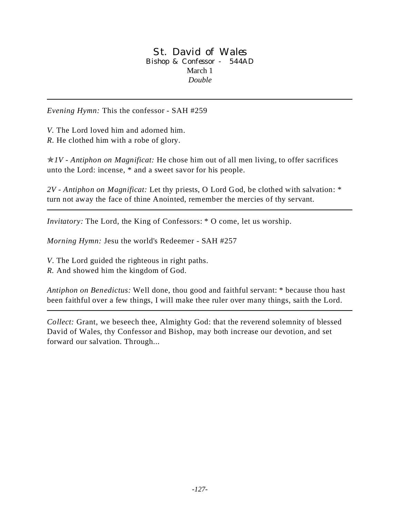#### St. David of Wales Bishop & Confessor - 544AD March 1 *Double*

*Evening Hymn:* This the confessor - SAH #259

*V.* The Lord loved him and adorned him.

*R.* He clothed him with a robe of glory.

p*1V - Antiphon on Magnificat:* He chose him out of all men living, to offer sacrifices unto the Lord: incense, \* and a sweet savor for his people.

*2V - Antiphon on Magnificat:* Let thy priests, O Lord God, be clothed with salvation: \* turn not away the face of thine Anointed, remember the mercies of thy servant.

*Invitatory:* The Lord, the King of Confessors: \* O come, let us worship.

*Morning Hymn:* Jesu the world's Redeemer - SAH #257

*V*. The Lord guided the righteous in right paths.

*R.* And showed him the kingdom of God.

*Antiphon on Benedictus:* Well done, thou good and faithful servant: \* because thou hast been faithful over a few things, I will make thee ruler over many things, saith the Lord.

*Collect:* Grant, we beseech thee, Almighty God: that the reverend solemnity of blessed David of Wales*,* thy Confessor and Bishop, may both increase our devotion, and set forward our salvation. Through...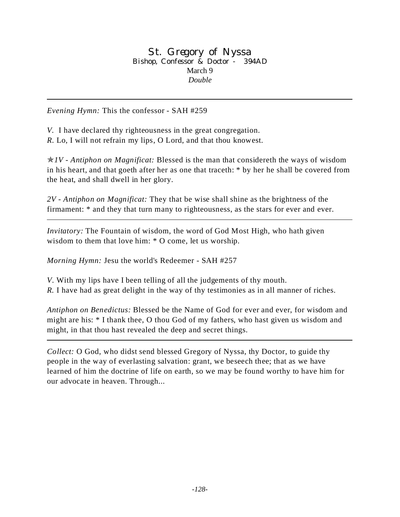St. Gregory of Nyssa Bishop, Confessor & Doctor - 394AD March 9 *Double*

*Evening Hymn:* This the confessor - SAH #259

*V.* I have declared thy righteousness in the great congregation. *R.* Lo, I will not refrain my lips, O Lord, and that thou knowest.

p*1V - Antiphon on Magnificat:* Blessed is the man that considereth the ways of wisdom in his heart, and that goeth after her as one that traceth: \* by her he shall be covered from the heat, and shall dwell in her glory.

*2V - Antiphon on Magnificat:* They that be wise shall shine as the brightness of the firmament: \* and they that turn many to righteousness, as the stars for ever and ever.

*Invitatory:* The Fountain of wisdom, the word of God Most High, who hath given wisdom to them that love him: \* O come, let us worship.

*Morning Hymn:* Jesu the world's Redeemer - SAH #257

*V*. With my lips have I been telling of all the judgements of thy mouth.

*R.* I have had as great delight in the way of thy testimonies as in all manner of riches.

*Antiphon on Benedictus:* Blessed be the Name of God for ever and ever, for wisdom and might are his: \* I thank thee, O thou God of my fathers, who hast given us wisdom and might, in that thou hast revealed the deep and secret things.

*Collect:* O God, who didst send blessed Gregory of Nyssa, thy Doctor, to guide thy people in the way of everlasting salvation: grant, we beseech thee; that as we have learned of him the doctrine of life on earth, so we may be found worthy to have him for our advocate in heaven. Through...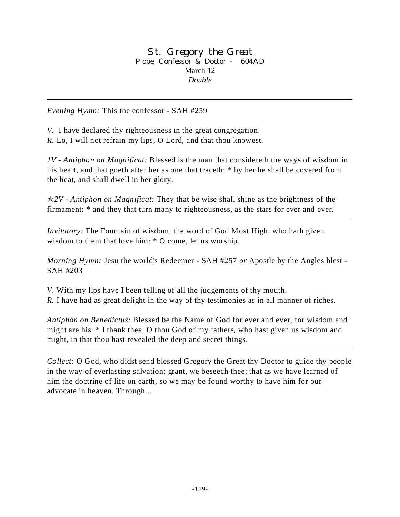St. Gregory the Great Pope, Confessor & Doctor - 604AD March 12 *Double*

*Evening Hymn:* This the confessor - SAH #259

*V.* I have declared thy righteousness in the great congregation. *R.* Lo, I will not refrain my lips, O Lord, and that thou knowest.

*1V - Antiphon on Magnificat:* Blessed is the man that considereth the ways of wisdom in his heart, and that goeth after her as one that traceth: \* by her he shall be covered from the heat, and shall dwell in her glory.

p*2V - Antiphon on Magnificat:* They that be wise shall shine as the brightness of the firmament: \* and they that turn many to righteousness, as the stars for ever and ever.

*Invitatory:* The Fountain of wisdom, the word of God Most High, who hath given wisdom to them that love him: \* O come, let us worship.

*Morning Hymn:* Jesu the world's Redeemer - SAH #257 *or* Apostle by the Angles blest - SAH #203

*V*. With my lips have I been telling of all the judgements of thy mouth.

*R.* I have had as great delight in the way of thy testimonies as in all manner of riches.

*Antiphon on Benedictus:* Blessed be the Name of God for ever and ever, for wisdom and might are his: \* I thank thee, O thou God of my fathers, who hast given us wisdom and might, in that thou hast revealed the deep and secret things.

*Collect:* O God, who didst send blessed Gregory the Great thy Doctor to guide thy people in the way of everlasting salvation: grant, we beseech thee; that as we have learned of him the doctrine of life on earth, so we may be found worthy to have him for our advocate in heaven. Through...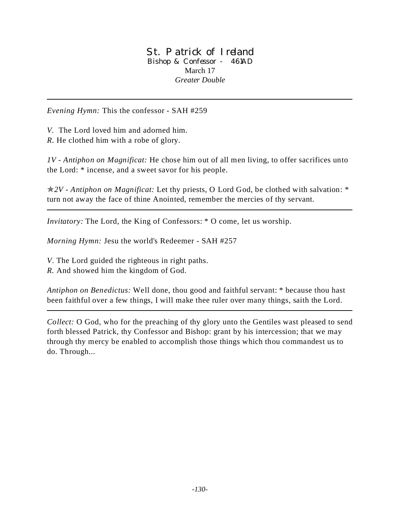#### St. Patrick of Ireland Bishop & Confessor - 461AD March 17 *Greater Double*

*Evening Hymn:* This the confessor - SAH #259

*V.* The Lord loved him and adorned him.

*R.* He clothed him with a robe of glory.

*1V - Antiphon on Magnificat:* He chose him out of all men living, to offer sacrifices unto the Lord: \* incense, and a sweet savor for his people.

p*2V - Antiphon on Magnificat:* Let thy priests, O Lord God, be clothed with salvation: \* turn not away the face of thine Anointed, remember the mercies of thy servant.

*Invitatory:* The Lord, the King of Confessors: \* O come, let us worship.

*Morning Hymn:* Jesu the world's Redeemer - SAH #257

*V*. The Lord guided the righteous in right paths.

*R.* And showed him the kingdom of God.

*Antiphon on Benedictus:* Well done, thou good and faithful servant: \* because thou hast been faithful over a few things, I will make thee ruler over many things, saith the Lord.

*Collect:* O God, who for the preaching of thy glory unto the Gentiles wast pleased to send forth blessed Patrick, thy Confessor and Bishop: grant by his intercession; that we may through thy mercy be enabled to accomplish those things which thou commandest us to do. Through...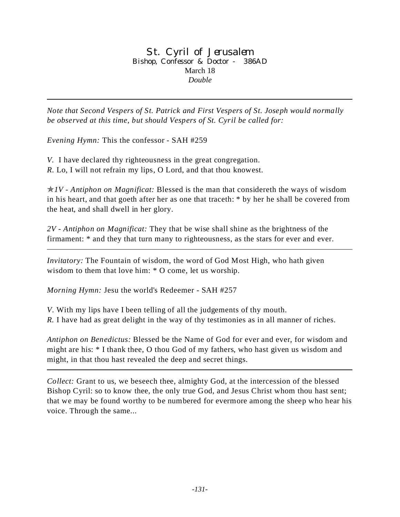### St. Cyril of Jerusalem Bishop, Confessor & Doctor - 386AD March 18 *Double*

*Note that Second Vespers of St. Patrick and First Vespers of St. Joseph would normally be observed at this time, but should Vespers of St. Cyril be called for:* 

*Evening Hymn:* This the confessor - SAH #259

*V.* I have declared thy righteousness in the great congregation. *R.* Lo, I will not refrain my lips, O Lord, and that thou knowest.

p*1V - Antiphon on Magnificat:* Blessed is the man that considereth the ways of wisdom in his heart, and that goeth after her as one that traceth: \* by her he shall be covered from the heat, and shall dwell in her glory.

*2V - Antiphon on Magnificat:* They that be wise shall shine as the brightness of the firmament: \* and they that turn many to righteousness, as the stars for ever and ever.

*Invitatory:* The Fountain of wisdom, the word of God Most High, who hath given wisdom to them that love him: \* O come, let us worship.

*Morning Hymn:* Jesu the world's Redeemer - SAH #257

*V*. With my lips have I been telling of all the judgements of thy mouth. *R.* I have had as great delight in the way of thy testimonies as in all manner of riches.

*Antiphon on Benedictus:* Blessed be the Name of God for ever and ever, for wisdom and might are his: \* I thank thee, O thou God of my fathers, who hast given us wisdom and might, in that thou hast revealed the deep and secret things.

*Collect:* Grant to us, we beseech thee, almighty God, at the intercession of the blessed Bishop Cyril: so to know thee, the only true God, and Jesus Christ whom thou hast sent; that we may be found worthy to be numbered for evermore among the sheep who hear his voice. Through the same...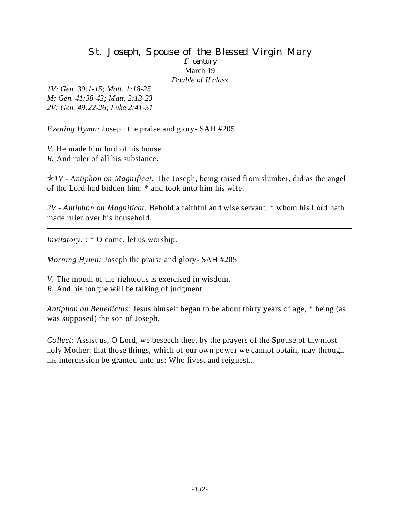### St. Joseph, Spouse of the Blessed Virgin Mary 1<sup>st</sup> century March 19 *Double of II class*

*1V: Gen. 39:1-15; Matt. 1:18-25 M: Gen. 41:38-43; Matt. 2:13-23 2V: Gen. 49:22-26; Luke 2:41-51*

*Evening Hymn:* Joseph the praise and glory- SAH #205

*V.* He made him lord of his house. *R.* And ruler of all his substance.

p*1V - Antiphon on Magnificat:* The Joseph, being raised from slumber, did as the angel of the Lord had bidden him: \* and took unto him his wife.

*2V - Antiphon on Magnificat:* Behold a faithful and wise servant, \* whom his Lord hath made ruler over his household.

*Invitatory:* : \* O come, let us worship.

*Morning Hymn:* Joseph the praise and glory- SAH #205

- *V*. The mouth of the righteous is exercised in wisdom.
- *R.* And his tongue will be talking of judgment.

*Antiphon on Benedictus:* Jesus himself began to be about thirty years of age, \* being (as was supposed) the son of Joseph.

*Collect:* Assist us, O Lord, we beseech thee, by the prayers of the Spouse of thy most holy Mother: that those things, which of our own power we cannot obtain, may through his intercession be granted unto us: Who livest and reignest...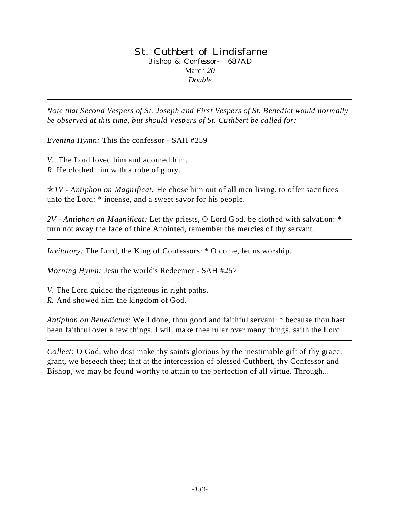### St. Cuthbert of Lindisfarne Bishop & Confessor- 687AD March *20 Double*

*Note that Second Vespers of St. Joseph and First Vespers of St. Benedict would normally be observed at this time, but should Vespers of St. Cuthbert be called for:* 

*Evening Hymn:* This the confessor - SAH #259

*V.* The Lord loved him and adorned him. *R.* He clothed him with a robe of glory.

p*1V - Antiphon on Magnificat:* He chose him out of all men living, to offer sacrifices unto the Lord: \* incense, and a sweet savor for his people.

*2V - Antiphon on Magnificat:* Let thy priests, O Lord God, be clothed with salvation: \* turn not away the face of thine Anointed, remember the mercies of thy servant.

*Invitatory:* The Lord, the King of Confessors:  $*$  O come, let us worship.

*Morning Hymn:* Jesu the world's Redeemer - SAH #257

*V*. The Lord guided the righteous in right paths.

*R.* And showed him the kingdom of God.

*Antiphon on Benedictus:* Well done, thou good and faithful servant: \* because thou hast been faithful over a few things, I will make thee ruler over many things, saith the Lord.

*Collect:* O God, who dost make thy saints glorious by the inestimable gift of thy grace: grant, we beseech thee; that at the intercession of blessed Cuthbert, thy Confessor and Bishop, we may be found worthy to attain to the perfection of all virtue. Through...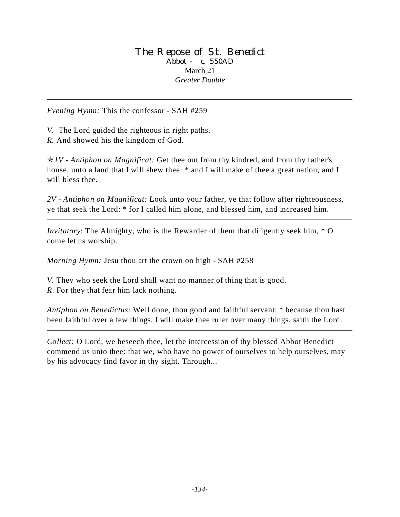#### The Repose of St. Benedict Abbot - c. 550AD March 21 *Greater Double*

*Evening Hymn:* This the confessor - SAH #259

*V.* The Lord guided the righteous in right paths.

*R.* And showed his the kingdom of God.

p*1V - Antiphon on Magnificat:* Get thee out from thy kindred, and from thy father's house, unto a land that I will shew thee:  $*$  and I will make of thee a great nation, and I will bless thee.

*2V - Antiphon on Magnificat:* Look unto your father, ye that follow after righteousness, ye that seek the Lord: \* for I called him alone, and blessed him, and increased him.

*Invitatory*: The Almighty, who is the Rewarder of them that diligently seek him, \* O come let us worship.

*Morning Hymn:* Jesu thou art the crown on high - SAH #258

*V.* They who seek the Lord shall want no manner of thing that is good. *R*. For they that fear him lack nothing.

*Antiphon on Benedictus:* Well done, thou good and faithful servant: \* because thou hast been faithful over a few things, I will make thee ruler over many things, saith the Lord.

*Collect:* O Lord, we beseech thee, let the intercession of thy blessed Abbot Benedict commend us unto thee: that we, who have no power of ourselves to help ourselves, may by his advocacy find favor in thy sight. Through...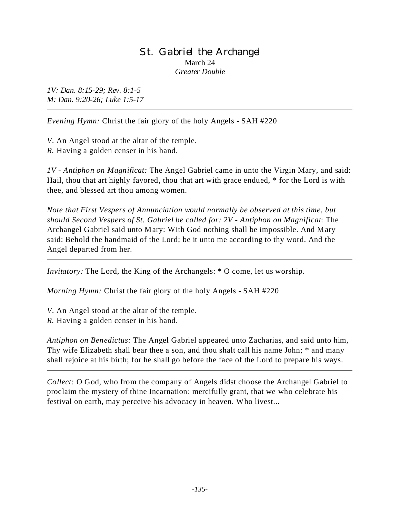### St. Gabriel the Archangel March 24 *Greater Double*

*1V: Dan. 8:15-29; Rev. 8:1-5 M: Dan. 9:20-26; Luke 1:5-17*

*Evening Hymn:* Christ the fair glory of the holy Angels - SAH #220

*V*. An Angel stood at the altar of the temple. *R.* Having a golden censer in his hand.

*1V - Antiphon on Magnificat:* The Angel Gabriel came in unto the Virgin Mary, and said: Hail, thou that art highly favored, thou that art with grace endued, \* for the Lord is with thee, and blessed art thou among women.

*Note that First Vespers of Annunciation would normally be observed at this time, but should Second Vespers of St. Gabriel be called for: 2V - Antiphon on Magnificat*: The Archangel Gabriel said unto Mary: With God nothing shall be impossible. And Mary said: Behold the handmaid of the Lord; be it unto me according to thy word. And the Angel departed from her.

*Invitatory:* The Lord, the King of the Archangels:  $*$  O come, let us worship.

*Morning Hymn:* Christ the fair glory of the holy Angels - SAH #220

*V*. An Angel stood at the altar of the temple. *R.* Having a golden censer in his hand.

*Antiphon on Benedictus:* The Angel Gabriel appeared unto Zacharias, and said unto him, Thy wife Elizabeth shall bear thee a son, and thou shalt call his name John; \* and many shall rejoice at his birth; for he shall go before the face of the Lord to prepare his ways.

*Collect:* O God, who from the company of Angels didst choose the Archangel Gabriel to proclaim the mystery of thine Incarnation: mercifully grant, that we who celebrate his festival on earth, may perceive his advocacy in heaven. Who livest...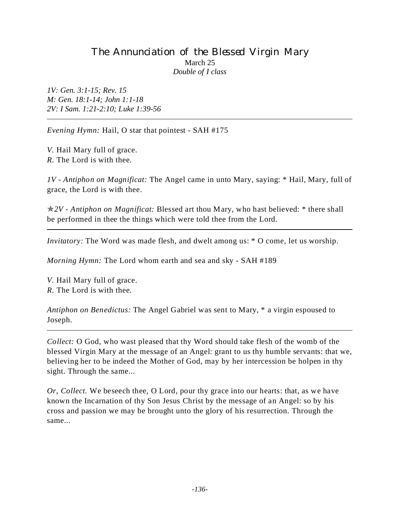# The Annunciation of the Blessed Virgin Mary March 25 *Double of I class*

*1V: Gen. 3:1-15; Rev. 15 M: Gen. 18:1-14; John 1:1-18 2V: I Sam. 1:21-2:10; Luke 1:39-56*

*Evening Hymn:* Hail, O star that pointest - SAH #175

*V.* Hail Mary full of grace. *R.* The Lord is with thee.

*1V - Antiphon on Magnificat:* The Angel came in unto Mary, saying: \* Hail, Mary, full of grace, the Lord is with thee.

p*2V - Antiphon on Magnificat:* Blessed art thou Mary, who hast believed: \* there shall be performed in thee the things which were told thee from the Lord.

*Invitatory:* The Word was made flesh, and dwelt among us:  $*$  O come, let us worship.

*Morning Hymn:* The Lord whom earth and sea and sky - SAH #189

*V.* Hail Mary full of grace. *R.* The Lord is with thee.

*Antiphon on Benedictus:* The Angel Gabriel was sent to Mary, \* a virgin espoused to Joseph.

*Collect:* O God, who wast pleased that thy Word should take flesh of the womb of the blessed Virgin Mary at the message of an Angel: grant to us thy humble servants: that we, believing her to be indeed the Mother of God, may by her intercession be holpen in thy sight. Through the same...

*Or, Collect.* We beseech thee, O Lord, pour thy grace into our hearts: that, as we have known the Incarnation of thy Son Jesus Christ by the message of an Angel: so by his cross and passion we may be brought unto the glory of his resurrection. Through the same...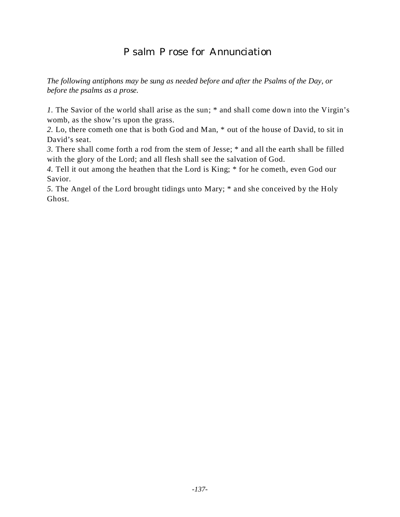# Psalm Prose for Annunciation

*The following antiphons may be sung as needed before and after the Psalms of the Day, or before the psalms as a prose.*

*1.* The Savior of the world shall arise as the sun; \* and shall come down into the Virgin's womb, as the show'rs upon the grass.

*2.* Lo, there cometh one that is both God and Man, \* out of the house of David, to sit in David's seat.

*3.* There shall come forth a rod from the stem of Jesse; \* and all the earth shall be filled with the glory of the Lord; and all flesh shall see the salvation of God.

*4.* Tell it out among the heathen that the Lord is King; \* for he cometh, even God our Savior.

*5.* The Angel of the Lord brought tidings unto Mary; \* and she conceived by the Holy Ghost.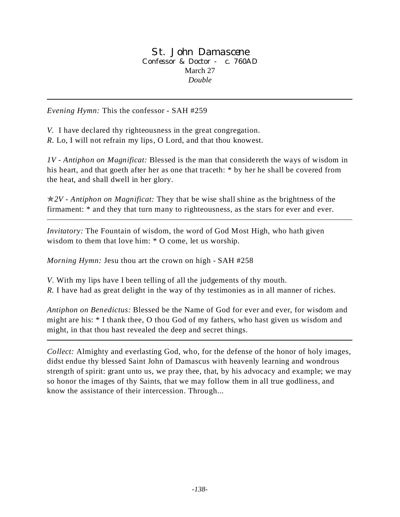St. John Damascene Confessor & Doctor - c. 760AD March 27 *Double*

*Evening Hymn:* This the confessor - SAH #259

*V.* I have declared thy righteousness in the great congregation. *R.* Lo, I will not refrain my lips, O Lord, and that thou knowest.

*1V - Antiphon on Magnificat:* Blessed is the man that considereth the ways of wisdom in his heart, and that goeth after her as one that traceth: \* by her he shall be covered from the heat, and shall dwell in her glory.

p*2V - Antiphon on Magnificat:* They that be wise shall shine as the brightness of the firmament: \* and they that turn many to righteousness, as the stars for ever and ever.

*Invitatory:* The Fountain of wisdom, the word of God Most High, who hath given wisdom to them that love him: \* O come, let us worship.

*Morning Hymn:* Jesu thou art the crown on high - SAH #258

*V*. With my lips have I been telling of all the judgements of thy mouth.

*R.* I have had as great delight in the way of thy testimonies as in all manner of riches.

*Antiphon on Benedictus:* Blessed be the Name of God for ever and ever, for wisdom and might are his: \* I thank thee, O thou God of my fathers, who hast given us wisdom and might, in that thou hast revealed the deep and secret things.

*Collect:* Almighty and everlasting God, who, for the defense of the honor of holy images, didst endue thy blessed Saint John of Damascus with heavenly learning and wondrous strength of spirit: grant unto us, we pray thee, that, by his advocacy and example; we may so honor the images of thy Saints, that we may follow them in all true godliness, and know the assistance of their intercession. Through...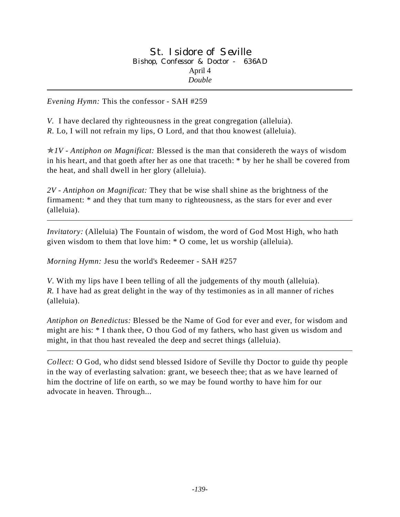*Evening Hymn:* This the confessor - SAH #259

*V.* I have declared thy righteousness in the great congregation (alleluia). *R.* Lo, I will not refrain my lips, O Lord, and that thou knowest (alleluia).

p*1V - Antiphon on Magnificat:* Blessed is the man that considereth the ways of wisdom in his heart, and that goeth after her as one that traceth: \* by her he shall be covered from the heat, and shall dwell in her glory (alleluia).

*2V - Antiphon on Magnificat:* They that be wise shall shine as the brightness of the firmament: \* and they that turn many to righteousness, as the stars for ever and ever (alleluia).

*Invitatory:* (Alleluia) The Fountain of wisdom, the word of God Most High, who hath given wisdom to them that love him: \* O come, let us worship (alleluia).

*Morning Hymn:* Jesu the world's Redeemer - SAH #257

*V*. With my lips have I been telling of all the judgements of thy mouth (alleluia). *R.* I have had as great delight in the way of thy testimonies as in all manner of riches (alleluia).

*Antiphon on Benedictus:* Blessed be the Name of God for ever and ever, for wisdom and might are his: \* I thank thee, O thou God of my fathers, who hast given us wisdom and might, in that thou hast revealed the deep and secret things (alleluia).

*Collect:* O God, who didst send blessed Isidore of Seville thy Doctor to guide thy people in the way of everlasting salvation: grant, we beseech thee; that as we have learned of him the doctrine of life on earth, so we may be found worthy to have him for our advocate in heaven. Through...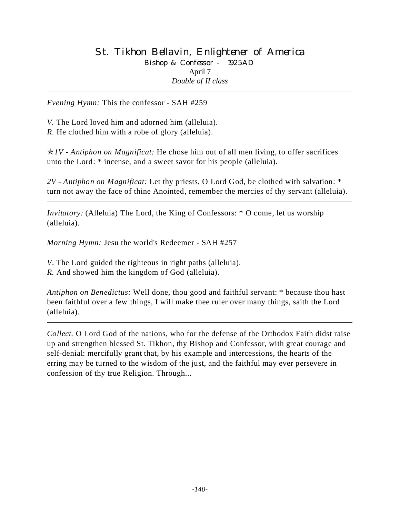## St. Tikhon Bellavin, Enlightener of America Bishop & Confessor - 1925AD April 7 *Double of II class*

*Evening Hymn:* This the confessor - SAH #259

*V.* The Lord loved him and adorned him (alleluia). *R.* He clothed him with a robe of glory (alleluia).

p*1V - Antiphon on Magnificat:* He chose him out of all men living, to offer sacrifices unto the Lord: \* incense, and a sweet savor for his people (alleluia).

*2V - Antiphon on Magnificat:* Let thy priests, O Lord God, be clothed with salvation: \* turn not away the face of thine Anointed, remember the mercies of thy servant (alleluia).

*Invitatory:* (Alleluia) The Lord, the King of Confessors: \* O come, let us worship (alleluia).

*Morning Hymn:* Jesu the world's Redeemer - SAH #257

*V*. The Lord guided the righteous in right paths (alleluia).

*R.* And showed him the kingdom of God (alleluia).

*Antiphon on Benedictus:* Well done, thou good and faithful servant: \* because thou hast been faithful over a few things, I will make thee ruler over many things, saith the Lord (alleluia).

*Collect.* O Lord God of the nations, who for the defense of the Orthodox Faith didst raise up and strengthen blessed St. Tikhon, thy Bishop and Confessor, with great courage and self-denial: mercifully grant that, by his example and intercessions, the hearts of the erring may be turned to the wisdom of the just, and the faithful may ever persevere in confession of thy true Religion. Through...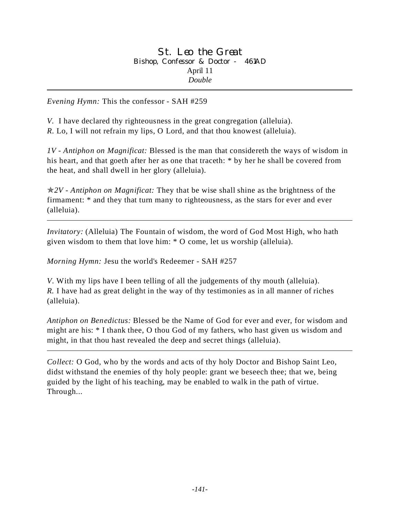*Evening Hymn:* This the confessor - SAH #259

*V.* I have declared thy righteousness in the great congregation (alleluia). *R.* Lo, I will not refrain my lips, O Lord, and that thou knowest (alleluia).

*1V - Antiphon on Magnificat:* Blessed is the man that considereth the ways of wisdom in his heart, and that goeth after her as one that traceth: \* by her he shall be covered from the heat, and shall dwell in her glory (alleluia).

p*2V - Antiphon on Magnificat:* They that be wise shall shine as the brightness of the firmament: \* and they that turn many to righteousness, as the stars for ever and ever (alleluia).

*Invitatory:* (Alleluia) The Fountain of wisdom, the word of God Most High, who hath given wisdom to them that love him: \* O come, let us worship (alleluia).

*Morning Hymn:* Jesu the world's Redeemer - SAH #257

*V*. With my lips have I been telling of all the judgements of thy mouth (alleluia). *R.* I have had as great delight in the way of thy testimonies as in all manner of riches (alleluia).

*Antiphon on Benedictus:* Blessed be the Name of God for ever and ever, for wisdom and might are his: \* I thank thee, O thou God of my fathers, who hast given us wisdom and might, in that thou hast revealed the deep and secret things (alleluia).

*Collect:* O God, who by the words and acts of thy holy Doctor and Bishop Saint Leo, didst withstand the enemies of thy holy people: grant we beseech thee; that we, being guided by the light of his teaching, may be enabled to walk in the path of virtue. Through...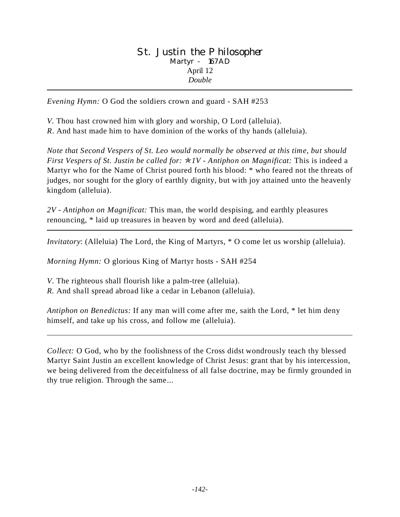### St. Justin the Philosopher Martyr - 167AD April 12 *Double*

*Evening Hymn:* O God the soldiers crown and guard - SAH #253

*V.* Thou hast crowned him with glory and worship, O Lord (alleluia).

*R*. And hast made him to have dominion of the works of thy hands (alleluia).

*Note that Second Vespers of St. Leo would normally be observed at this time, but should First Vespers of St. Justin be called for:* p*1V - Antiphon on Magnificat:* This is indeed a Martyr who for the Name of Christ poured forth his blood: \* who feared not the threats of judges, nor sought for the glory of earthly dignity, but with joy attained unto the heavenly kingdom (alleluia).

*2V - Antiphon on Magnificat:* This man, the world despising, and earthly pleasures renouncing, \* laid up treasures in heaven by word and deed (alleluia).

*Invitatory*: (Alleluia) The Lord, the King of Martyrs, \* O come let us worship (alleluia).

*Morning Hymn:* O glorious King of Martyr hosts - SAH #254

*V*. The righteous shall flourish like a palm-tree (alleluia).

*R.* And shall spread abroad like a cedar in Lebanon (alleluia).

*Antiphon on Benedictus:* If any man will come after me, saith the Lord, \* let him deny himself, and take up his cross, and follow me (alleluia).

*Collect:* O God, who by the foolishness of the Cross didst wondrously teach thy blessed Martyr Saint Justin an excellent knowledge of Christ Jesus: grant that by his intercession, we being delivered from the deceitfulness of all false doctrine, may be firmly grounded in thy true religion. Through the same...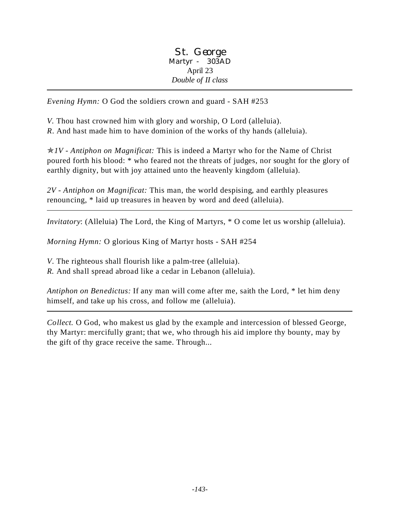St. George Martyr - 303AD April 23 *Double of II class*

*Evening Hymn:* O God the soldiers crown and guard - SAH #253

*V.* Thou hast crowned him with glory and worship, O Lord (alleluia). *R*. And hast made him to have dominion of the works of thy hands (alleluia).

p*1V - Antiphon on Magnificat:* This is indeed a Martyr who for the Name of Christ poured forth his blood: \* who feared not the threats of judges, nor sought for the glory of earthly dignity, but with joy attained unto the heavenly kingdom (alleluia).

*2V - Antiphon on Magnificat:* This man, the world despising, and earthly pleasures renouncing, \* laid up treasures in heaven by word and deed (alleluia).

*Invitatory*: (Alleluia) The Lord, the King of Martyrs, \* O come let us worship (alleluia).

*Morning Hymn:* O glorious King of Martyr hosts - SAH #254

*V*. The righteous shall flourish like a palm-tree (alleluia).

*R.* And shall spread abroad like a cedar in Lebanon (alleluia).

*Antiphon on Benedictus:* If any man will come after me, saith the Lord, \* let him deny himself, and take up his cross, and follow me (alleluia).

*Collect.* O God, who makest us glad by the example and intercession of blessed George, thy Martyr: mercifully grant; that we, who through his aid implore thy bounty, may by the gift of thy grace receive the same. Through...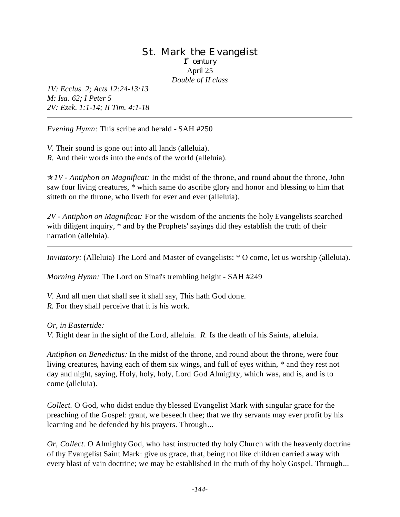### St. Mark the Evangelist 1<sup>st</sup> century April 25 *Double of II class*

*1V: Ecclus. 2; Acts 12:24-13:13 M: Isa. 62; I Peter 5 2V: Ezek. 1:1-14; II Tim. 4:1-18*

*Evening Hymn:* This scribe and herald - SAH #250

*V.* Their sound is gone out into all lands (alleluia). *R.* And their words into the ends of the world (alleluia).

p*1V - Antiphon on Magnificat:* In the midst of the throne, and round about the throne, John saw four living creatures, \* which same do ascribe glory and honor and blessing to him that sitteth on the throne, who liveth for ever and ever (alleluia).

*2V - Antiphon on Magnificat:* For the wisdom of the ancients the holy Evangelists searched with diligent inquiry, \* and by the Prophets' sayings did they establish the truth of their narration (alleluia).

*Invitatory:* (Alleluia) The Lord and Master of evangelists: \* O come, let us worship (alleluia).

*Morning Hymn:* The Lord on Sinai's trembling height - SAH #249

*V*. And all men that shall see it shall say, This hath God done. *R.* For they shall perceive that it is his work.

### *Or, in Eastertide:*

*V.* Right dear in the sight of the Lord, alleluia. *R.* Is the death of his Saints, alleluia.

*Antiphon on Benedictus:* In the midst of the throne, and round about the throne, were four living creatures, having each of them six wings, and full of eyes within, \* and they rest not day and night, saying, Holy, holy, holy, Lord God Almighty, which was, and is, and is to come (alleluia).

*Collect.* O God, who didst endue thy blessed Evangelist Mark with singular grace for the preaching of the Gospel: grant, we beseech thee; that we thy servants may ever profit by his learning and be defended by his prayers. Through...

*Or, Collect.* O Almighty God, who hast instructed thy holy Church with the heavenly doctrine of thy Evangelist Saint Mark: give us grace, that, being not like children carried away with every blast of vain doctrine; we may be established in the truth of thy holy Gospel. Through...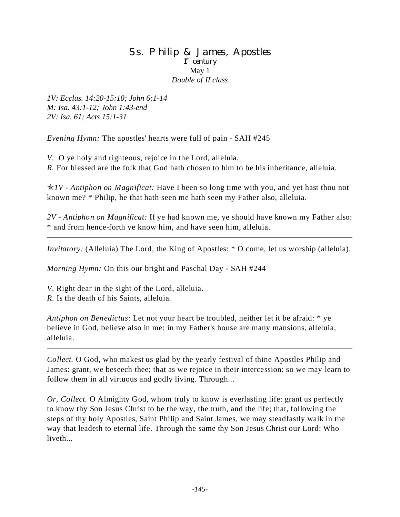### Ss. Philip & James, Apostles 1<sup>st</sup> century May 1 *Double of II class*

*1V: Ecclus. 14:20-15:10; John 6:1-14 M: Isa. 43:1-12; John 1:43-end 2V: Isa. 61; Acts 15:1-31*

*Evening Hymn:* The apostles' hearts were full of pain - SAH #245

*V.* O ye holy and righteous, rejoice in the Lord, alleluia. *R.* For blessed are the folk that God hath chosen to him to be his inheritance, alleluia.

p*1V - Antiphon on Magnificat:* Have I been so long time with you, and yet hast thou not known me? \* Philip, he that hath seen me hath seen my Father also, alleluia.

*2V - Antiphon on Magnificat:* If ye had known me, ye should have known my Father also: \* and from hence-forth ye know him, and have seen him, alleluia.

*Invitatory:* (Alleluia) The Lord, the King of Apostles: \* O come, let us worship (alleluia).

*Morning Hymn:* On this our bright and Paschal Day - SAH #244

*V*. Right dear in the sight of the Lord, alleluia.

*R.* Is the death of his Saints, alleluia.

*Antiphon on Benedictus:* Let not your heart be troubled, neither let it be afraid: \* ye believe in God, believe also in me: in my Father's house are many mansions, alleluia, alleluia.

*Collect.* O God, who makest us glad by the yearly festival of thine Apostles Philip and James: grant, we beseech thee; that as we rejoice in their intercession: so we may learn to follow them in all virtuous and godly living. Through...

*Or, Collect.* O Almighty God, whom truly to know is everlasting life: grant us perfectly to know thy Son Jesus Christ to be the way, the truth, and the life; that, following the steps of thy holy Apostles, Saint Philip and Saint James, we may steadfastly walk in the way that leadeth to eternal life. Through the same thy Son Jesus Christ our Lord: Who liveth...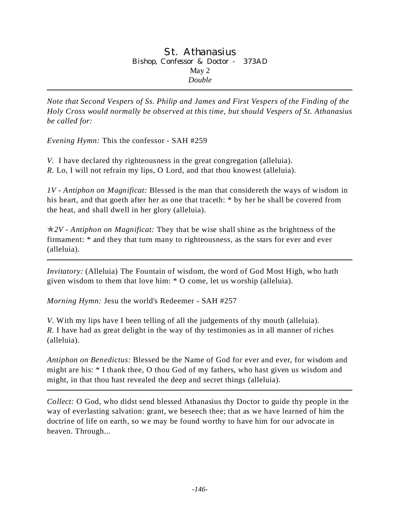### St. Athanasius Bishop, Confessor & Doctor - 373AD May 2 *Double*

*Note that Second Vespers of Ss. Philip and James and First Vespers of the Finding of the Holy Cross would normally be observed at this time, but should Vespers of St. Athanasius be called for:* 

*Evening Hymn:* This the confessor - SAH #259

*V.* I have declared thy righteousness in the great congregation (alleluia). *R.* Lo, I will not refrain my lips, O Lord, and that thou knowest (alleluia).

*1V - Antiphon on Magnificat:* Blessed is the man that considereth the ways of wisdom in his heart, and that goeth after her as one that traceth: \* by her he shall be covered from the heat, and shall dwell in her glory (alleluia).

p*2V - Antiphon on Magnificat:* They that be wise shall shine as the brightness of the firmament: \* and they that turn many to righteousness, as the stars for ever and ever (alleluia).

*Invitatory:* (Alleluia) The Fountain of wisdom, the word of God Most High, who hath given wisdom to them that love him: \* O come, let us worship (alleluia).

*Morning Hymn:* Jesu the world's Redeemer - SAH #257

*V*. With my lips have I been telling of all the judgements of thy mouth (alleluia). *R.* I have had as great delight in the way of thy testimonies as in all manner of riches (alleluia).

*Antiphon on Benedictus:* Blessed be the Name of God for ever and ever, for wisdom and might are his: \* I thank thee, O thou God of my fathers, who hast given us wisdom and might, in that thou hast revealed the deep and secret things (alleluia).

*Collect:* O God, who didst send blessed Athanasius thy Doctor to guide thy people in the way of everlasting salvation: grant, we beseech thee; that as we have learned of him the doctrine of life on earth, so we may be found worthy to have him for our advocate in heaven. Through...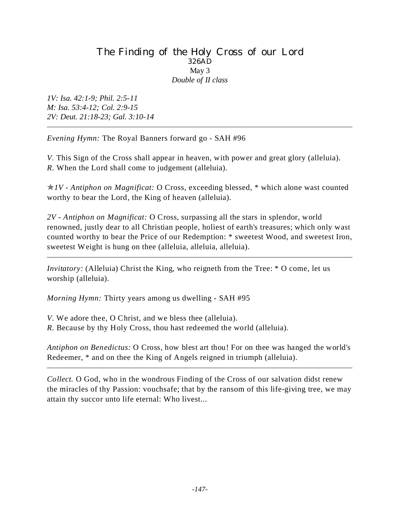### The Finding of the Holy Cross of our Lord 326AD May 3 *Double of II class*

*1V: Isa. 42:1-9; Phil. 2:5-11 M: Isa. 53:4-12; Col. 2:9-15 2V: Deut. 21:18-23; Gal. 3:10-14*

*Evening Hymn:* The Royal Banners forward go - SAH #96

*V.* This Sign of the Cross shall appear in heaven, with power and great glory (alleluia). *R.* When the Lord shall come to judgement (alleluia).

p*1V - Antiphon on Magnificat:* O Cross, exceeding blessed, \* which alone wast counted worthy to bear the Lord, the King of heaven (alleluia).

*2V - Antiphon on Magnificat:* O Cross, surpassing all the stars in splendor, world renowned, justly dear to all Christian people, holiest of earth's treasures; which only wast counted worthy to bear the Price of our Redemption: \* sweetest Wood, and sweetest Iron, sweetest Weight is hung on thee (alleluia, alleluia, alleluia).

*Invitatory:* (Alleluia) Christ the King, who reigneth from the Tree:  $*$  O come, let us worship (alleluia).

*Morning Hymn:* Thirty years among us dwelling - SAH #95

*V*. We adore thee, O Christ, and we bless thee (alleluia). *R.* Because by thy Holy Cross, thou hast redeemed the world (alleluia).

*Antiphon on Benedictus:* O Cross, how blest art thou! For on thee was hanged the world's Redeemer, \* and on thee the King of Angels reigned in triumph (alleluia).

*Collect.* O God, who in the wondrous Finding of the Cross of our salvation didst renew the miracles of thy Passion: vouchsafe; that by the ransom of this life-giving tree, we may attain thy succor unto life eternal: Who livest...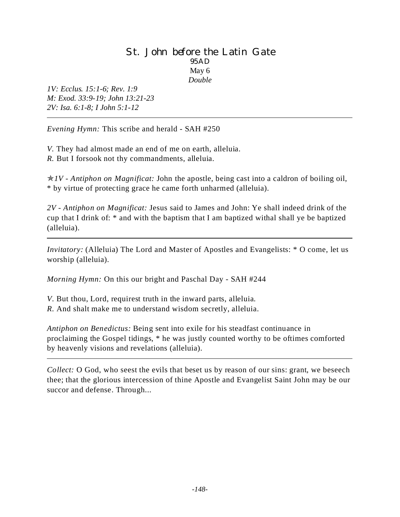### St. John before the Latin Gate 95AD May 6 *Double*

*1V: Ecclus. 15:1-6; Rev. 1:9 M: Exod. 33:9-19; John 13:21-23 2V: Isa. 6:1-8; I John 5:1-12* 

*Evening Hymn:* This scribe and herald - SAH #250

*V.* They had almost made an end of me on earth, alleluia. *R.* But I forsook not thy commandments, alleluia.

p*1V - Antiphon on Magnificat:* John the apostle, being cast into a caldron of boiling oil, \* by virtue of protecting grace he came forth unharmed (alleluia).

*2V - Antiphon on Magnificat:* Jesus said to James and John: Ye shall indeed drink of the cup that I drink of: \* and with the baptism that I am baptized withal shall ye be baptized (alleluia).

*Invitatory:* (Alleluia) The Lord and Master of Apostles and Evangelists: \* O come, let us worship (alleluia).

*Morning Hymn:* On this our bright and Paschal Day - SAH #244

*V*. But thou, Lord, requirest truth in the inward parts, alleluia. *R.* And shalt make me to understand wisdom secretly, alleluia.

*Antiphon on Benedictus:* Being sent into exile for his steadfast continuance in proclaiming the Gospel tidings, \* he was justly counted worthy to be oftimes comforted by heavenly visions and revelations (alleluia).

*Collect:* O God, who seest the evils that beset us by reason of our sins: grant, we beseech thee; that the glorious intercession of thine Apostle and Evangelist Saint John may be our succor and defense. Through...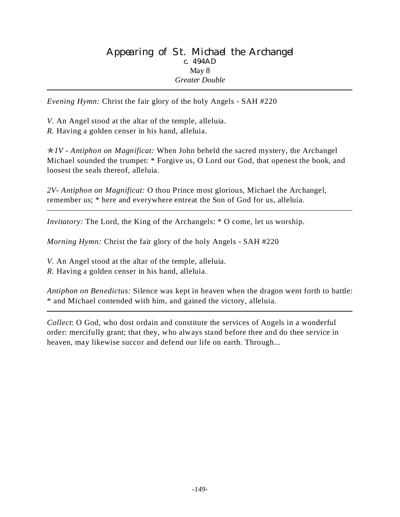### Appearing of St. Michael the Archangel c. 494AD May 8 *Greater Double*

*Evening Hymn:* Christ the fair glory of the holy Angels - SAH #220

*V*. An Angel stood at the altar of the temple, alleluia.

*R.* Having a golden censer in his hand, alleluia.

p*1V - Antiphon on Magnificat:* When John beheld the sacred mystery, the Archangel Michael sounded the trumpet: \* Forgive us, O Lord our God, that openest the book, and loosest the seals thereof, alleluia.

*2V- Antiphon on Magnificat:* O thou Prince most glorious, Michael the Archangel, remember us; \* here and everywhere entreat the Son of God for us, alleluia.

*Invitatory:* The Lord, the King of the Archangels:  $*$  O come, let us worship.

*Morning Hymn:* Christ the fair glory of the holy Angels - SAH #220

*V*. An Angel stood at the altar of the temple, alleluia.

*R.* Having a golden censer in his hand, alleluia.

*Antiphon on Benedictus:* Silence was kept in heaven when the dragon went forth to battle: \* and Michael contended with him, and gained the victory, alleluia.

*Collect*: O God, who dost ordain and constitute the services of Angels in a wonderful order: mercifully grant; that they, who always stand before thee and do thee service in heaven, may likewise succor and defend our life on earth. Through...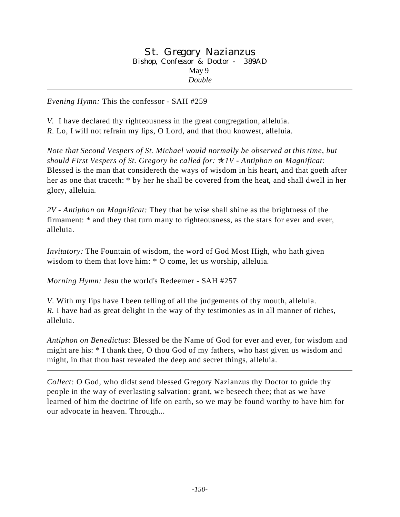*Evening Hymn:* This the confessor - SAH #259

*V.* I have declared thy righteousness in the great congregation, alleluia. *R.* Lo, I will not refrain my lips, O Lord, and that thou knowest, alleluia.

*Note that Second Vespers of St. Michael would normally be observed at this time, but should First Vespers of St. Gregory be called for:* p*1V - Antiphon on Magnificat:* Blessed is the man that considereth the ways of wisdom in his heart, and that goeth after her as one that traceth: \* by her he shall be covered from the heat, and shall dwell in her glory, alleluia.

*2V - Antiphon on Magnificat:* They that be wise shall shine as the brightness of the firmament: \* and they that turn many to righteousness, as the stars for ever and ever, alleluia.

*Invitatory:* The Fountain of wisdom, the word of God Most High, who hath given wisdom to them that love him: \* O come, let us worship, alleluia.

*Morning Hymn:* Jesu the world's Redeemer - SAH #257

*V*. With my lips have I been telling of all the judgements of thy mouth, alleluia. *R.* I have had as great delight in the way of thy testimonies as in all manner of riches, alleluia.

*Antiphon on Benedictus:* Blessed be the Name of God for ever and ever, for wisdom and might are his: \* I thank thee, O thou God of my fathers, who hast given us wisdom and might, in that thou hast revealed the deep and secret things, alleluia.

*Collect:* O God, who didst send blessed Gregory Nazianzus thy Doctor to guide thy people in the way of everlasting salvation: grant, we beseech thee; that as we have learned of him the doctrine of life on earth, so we may be found worthy to have him for our advocate in heaven. Through...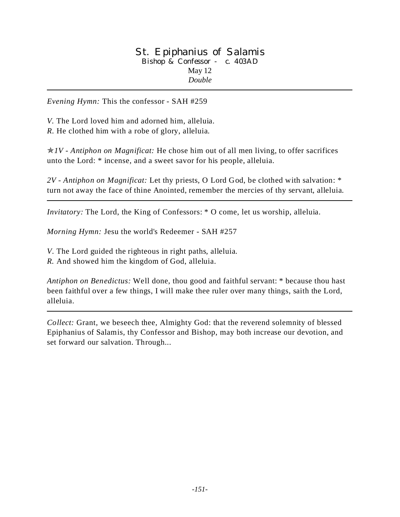### St. Epiphanius of Salamis Bishop & Confessor - c. 403AD May 12 *Double*

*Evening Hymn:* This the confessor - SAH #259

*V.* The Lord loved him and adorned him, alleluia. *R.* He clothed him with a robe of glory, alleluia.

p*1V - Antiphon on Magnificat:* He chose him out of all men living, to offer sacrifices unto the Lord: \* incense, and a sweet savor for his people, alleluia.

*2V - Antiphon on Magnificat:* Let thy priests, O Lord God, be clothed with salvation: \* turn not away the face of thine Anointed, remember the mercies of thy servant, alleluia.

*Invitatory:* The Lord, the King of Confessors: \* O come, let us worship, alleluia.

*Morning Hymn:* Jesu the world's Redeemer - SAH #257

*V*. The Lord guided the righteous in right paths, alleluia.

*R.* And showed him the kingdom of God, alleluia.

*Antiphon on Benedictus:* Well done, thou good and faithful servant: \* because thou hast been faithful over a few things, I will make thee ruler over many things, saith the Lord, alleluia.

*Collect:* Grant, we beseech thee, Almighty God: that the reverend solemnity of blessed Epiphanius of Salamis*,* thy Confessor and Bishop, may both increase our devotion, and set forward our salvation. Through...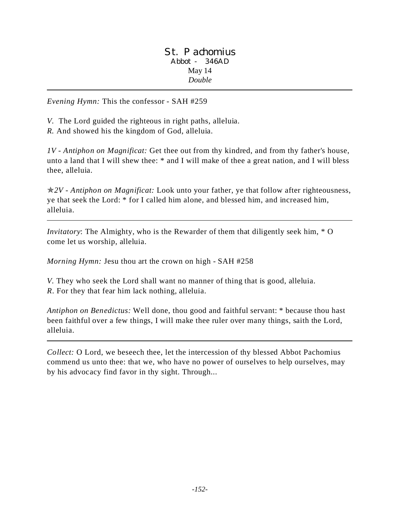*Evening Hymn:* This the confessor - SAH #259

*V.* The Lord guided the righteous in right paths, alleluia. *R.* And showed his the kingdom of God, alleluia.

*1V - Antiphon on Magnificat:* Get thee out from thy kindred, and from thy father's house, unto a land that I will shew thee: \* and I will make of thee a great nation, and I will bless thee, alleluia.

p*2V - Antiphon on Magnificat:* Look unto your father, ye that follow after righteousness, ye that seek the Lord: \* for I called him alone, and blessed him, and increased him, alleluia.

*Invitatory*: The Almighty, who is the Rewarder of them that diligently seek him, \* O come let us worship, alleluia.

*Morning Hymn:* Jesu thou art the crown on high - SAH #258

*V.* They who seek the Lord shall want no manner of thing that is good, alleluia. *R*. For they that fear him lack nothing, alleluia.

*Antiphon on Benedictus:* Well done, thou good and faithful servant: \* because thou hast been faithful over a few things, I will make thee ruler over many things, saith the Lord, alleluia.

*Collect:* O Lord, we beseech thee, let the intercession of thy blessed Abbot Pachomius commend us unto thee: that we, who have no power of ourselves to help ourselves, may by his advocacy find favor in thy sight. Through...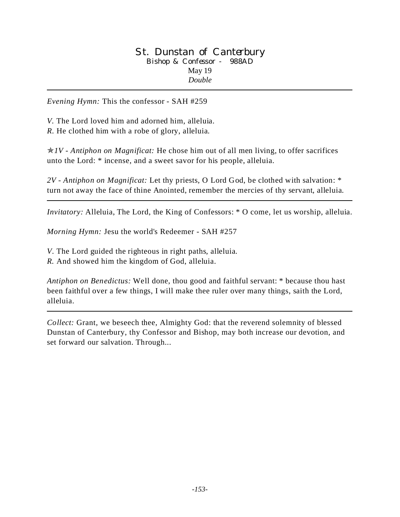#### St. Dunstan of Canterbury Bishop & Confessor - 988AD May 19 *Double*

*Evening Hymn:* This the confessor - SAH #259

*V.* The Lord loved him and adorned him, alleluia. *R.* He clothed him with a robe of glory, alleluia.

p*1V - Antiphon on Magnificat:* He chose him out of all men living, to offer sacrifices unto the Lord: \* incense, and a sweet savor for his people, alleluia.

*2V - Antiphon on Magnificat:* Let thy priests, O Lord God, be clothed with salvation: \* turn not away the face of thine Anointed, remember the mercies of thy servant, alleluia.

*Invitatory:* Alleluia, The Lord, the King of Confessors: \* O come, let us worship, alleluia.

*Morning Hymn:* Jesu the world's Redeemer - SAH #257

*V*. The Lord guided the righteous in right paths, alleluia.

*R.* And showed him the kingdom of God, alleluia.

*Antiphon on Benedictus:* Well done, thou good and faithful servant: \* because thou hast been faithful over a few things, I will make thee ruler over many things, saith the Lord, alleluia.

*Collect:* Grant, we beseech thee, Almighty God: that the reverend solemnity of blessed Dunstan of Canterbury, thy Confessor and Bishop, may both increase our devotion, and set forward our salvation. Through...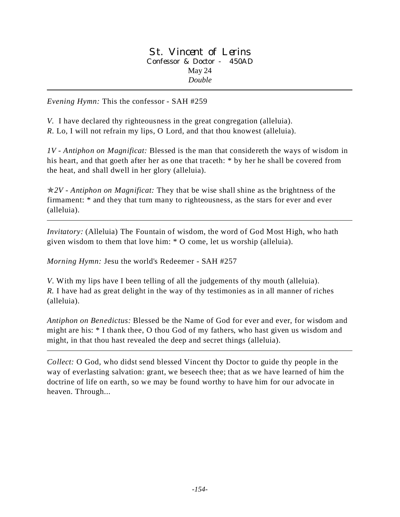### St. Vincent of Lerins Confessor & Doctor - 450AD May 24 *Double*

*Evening Hymn:* This the confessor - SAH #259

*V.* I have declared thy righteousness in the great congregation (alleluia). *R.* Lo, I will not refrain my lips, O Lord, and that thou knowest (alleluia).

*1V - Antiphon on Magnificat:* Blessed is the man that considereth the ways of wisdom in his heart, and that goeth after her as one that traceth: \* by her he shall be covered from the heat, and shall dwell in her glory (alleluia).

p*2V - Antiphon on Magnificat:* They that be wise shall shine as the brightness of the firmament: \* and they that turn many to righteousness, as the stars for ever and ever (alleluia).

*Invitatory:* (Alleluia) The Fountain of wisdom, the word of God Most High, who hath given wisdom to them that love him: \* O come, let us worship (alleluia).

*Morning Hymn:* Jesu the world's Redeemer - SAH #257

*V*. With my lips have I been telling of all the judgements of thy mouth (alleluia). *R.* I have had as great delight in the way of thy testimonies as in all manner of riches (alleluia).

*Antiphon on Benedictus:* Blessed be the Name of God for ever and ever, for wisdom and might are his: \* I thank thee, O thou God of my fathers, who hast given us wisdom and might, in that thou hast revealed the deep and secret things (alleluia).

*Collect:* O God, who didst send blessed Vincent thy Doctor to guide thy people in the way of everlasting salvation: grant, we beseech thee; that as we have learned of him the doctrine of life on earth, so we may be found worthy to have him for our advocate in heaven. Through...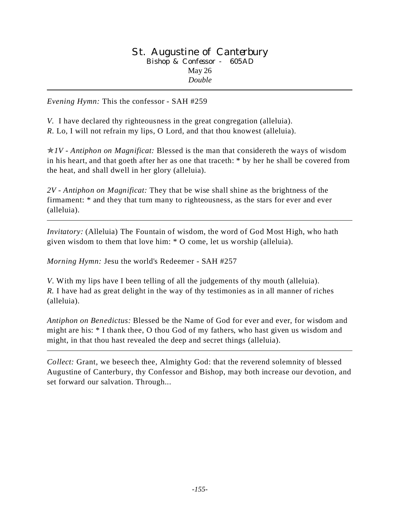#### St. Augustine of Canterbury Bishop & Confessor - 605AD May 26 *Double*

*Evening Hymn:* This the confessor - SAH #259

*V.* I have declared thy righteousness in the great congregation (alleluia). *R.* Lo, I will not refrain my lips, O Lord, and that thou knowest (alleluia).

p*1V - Antiphon on Magnificat:* Blessed is the man that considereth the ways of wisdom in his heart, and that goeth after her as one that traceth: \* by her he shall be covered from the heat, and shall dwell in her glory (alleluia).

*2V - Antiphon on Magnificat:* They that be wise shall shine as the brightness of the firmament: \* and they that turn many to righteousness, as the stars for ever and ever (alleluia).

*Invitatory:* (Alleluia) The Fountain of wisdom, the word of God Most High, who hath given wisdom to them that love him: \* O come, let us worship (alleluia).

*Morning Hymn:* Jesu the world's Redeemer - SAH #257

*V*. With my lips have I been telling of all the judgements of thy mouth (alleluia). *R.* I have had as great delight in the way of thy testimonies as in all manner of riches (alleluia).

*Antiphon on Benedictus:* Blessed be the Name of God for ever and ever, for wisdom and might are his: \* I thank thee, O thou God of my fathers, who hast given us wisdom and might, in that thou hast revealed the deep and secret things (alleluia).

*Collect:* Grant, we beseech thee, Almighty God: that the reverend solemnity of blessed Augustine of Canterbury, thy Confessor and Bishop, may both increase our devotion, and set forward our salvation. Through...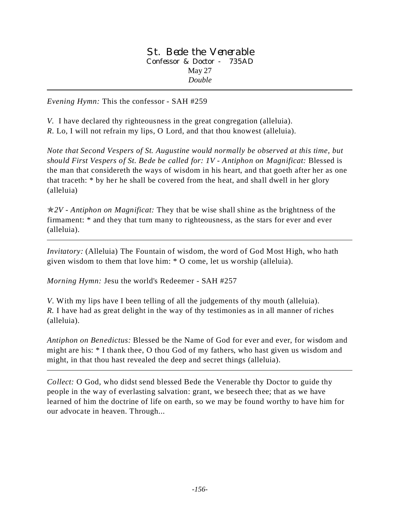St. Bede the Venerable Confessor & Doctor - 735AD May 27 *Double*

*Evening Hymn:* This the confessor - SAH #259

*V.* I have declared thy righteousness in the great congregation (alleluia). *R.* Lo, I will not refrain my lips, O Lord, and that thou knowest (alleluia).

*Note that Second Vespers of St. Augustine would normally be observed at this time, but should First Vespers of St. Bede be called for: 1V - Antiphon on Magnificat:* Blessed is the man that considereth the ways of wisdom in his heart, and that goeth after her as one that traceth: \* by her he shall be covered from the heat, and shall dwell in her glory (alleluia)

p*2V - Antiphon on Magnificat:* They that be wise shall shine as the brightness of the firmament: \* and they that turn many to righteousness, as the stars for ever and ever (alleluia).

*Invitatory:* (Alleluia) The Fountain of wisdom, the word of God Most High, who hath given wisdom to them that love him: \* O come, let us worship (alleluia).

*Morning Hymn:* Jesu the world's Redeemer - SAH #257

*V*. With my lips have I been telling of all the judgements of thy mouth (alleluia). *R.* I have had as great delight in the way of thy testimonies as in all manner of riches (alleluia).

*Antiphon on Benedictus:* Blessed be the Name of God for ever and ever, for wisdom and might are his: \* I thank thee, O thou God of my fathers, who hast given us wisdom and might, in that thou hast revealed the deep and secret things (alleluia).

*Collect:* O God, who didst send blessed Bede the Venerable thy Doctor to guide thy people in the way of everlasting salvation: grant, we beseech thee; that as we have learned of him the doctrine of life on earth, so we may be found worthy to have him for our advocate in heaven. Through...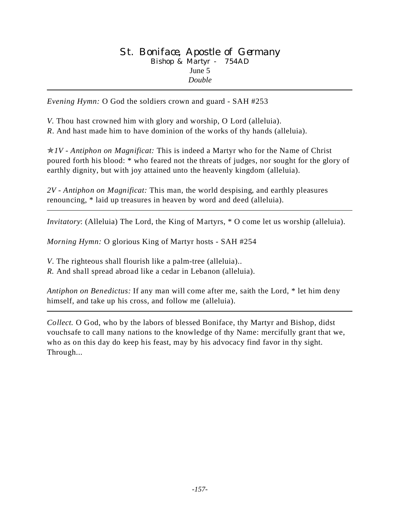### St. Boniface, Apostle of Germany Bishop & Martyr - 754AD June 5 *Double*

*Evening Hymn:* O God the soldiers crown and guard - SAH #253

*V.* Thou hast crowned him with glory and worship, O Lord (alleluia). *R*. And hast made him to have dominion of the works of thy hands (alleluia).

p*1V - Antiphon on Magnificat:* This is indeed a Martyr who for the Name of Christ poured forth his blood: \* who feared not the threats of judges, nor sought for the glory of earthly dignity, but with joy attained unto the heavenly kingdom (alleluia).

*2V - Antiphon on Magnificat:* This man, the world despising, and earthly pleasures renouncing, \* laid up treasures in heaven by word and deed (alleluia).

*Invitatory*: (Alleluia) The Lord, the King of Martyrs, \* O come let us worship (alleluia).

*Morning Hymn:* O glorious King of Martyr hosts - SAH #254

*V*. The righteous shall flourish like a palm-tree (alleluia)..

*R.* And shall spread abroad like a cedar in Lebanon (alleluia).

*Antiphon on Benedictus:* If any man will come after me, saith the Lord, \* let him deny himself, and take up his cross, and follow me (alleluia).

*Collect.* O God, who by the labors of blessed Boniface, thy Martyr and Bishop, didst vouchsafe to call many nations to the knowledge of thy Name: mercifully grant that we, who as on this day do keep his feast, may by his advocacy find favor in thy sight. Through...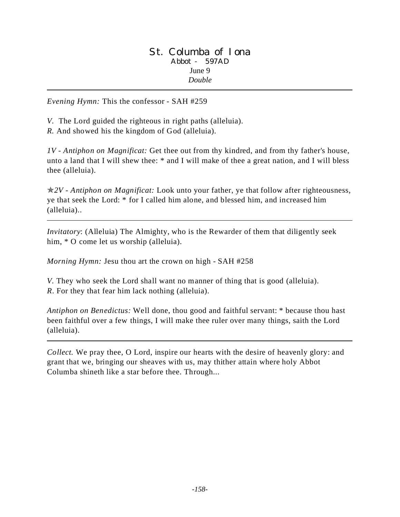### St. Columba of Iona Abbot - 597AD June 9 *Double*

*Evening Hymn:* This the confessor - SAH #259

*V.* The Lord guided the righteous in right paths (alleluia). *R.* And showed his the kingdom of God (alleluia).

*1V - Antiphon on Magnificat:* Get thee out from thy kindred, and from thy father's house, unto a land that I will shew thee: \* and I will make of thee a great nation, and I will bless thee (alleluia).

p*2V - Antiphon on Magnificat:* Look unto your father, ye that follow after righteousness, ye that seek the Lord: \* for I called him alone, and blessed him, and increased him (alleluia)..

*Invitatory*: (Alleluia) The Almighty, who is the Rewarder of them that diligently seek him, \* O come let us worship (alleluia).

*Morning Hymn:* Jesu thou art the crown on high - SAH #258

*V.* They who seek the Lord shall want no manner of thing that is good (alleluia). *R*. For they that fear him lack nothing (alleluia).

*Antiphon on Benedictus:* Well done, thou good and faithful servant: \* because thou hast been faithful over a few things, I will make thee ruler over many things, saith the Lord (alleluia).

*Collect.* We pray thee, O Lord, inspire our hearts with the desire of heavenly glory: and grant that we, bringing our sheaves with us, may thither attain where holy Abbot Columba shineth like a star before thee. Through...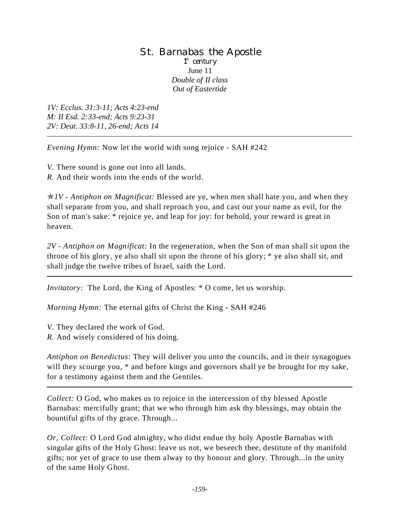### St. Barnabas the Apostle 1<sup>st</sup> century June 11 *Double of II class Out of Eastertide*

*1V: Ecclus. 31:3-11; Acts 4:23-end M: II Esd. 2:33-end; Acts 9:23-31 2V: Deut. 33:8-11, 26-end; Acts 14*

*Evening Hymn:* Now let the world with song rejoice - SAH #242

*V.* There sound is gone out into all lands.

*R.* And their words into the ends of the world.

p*1V - Antiphon on Magnificat:* Blessed are ye, when men shall hate you, and when they shall separate from you, and shall reproach you, and cast out your name as evil, for the Son of man's sake: \* rejoice ye, and leap for joy: for behold, your reward is great in heaven.

*2V - Antiphon on Magnificat:* In the regeneration, when the Son of man shall sit upon the throne of his glory, ye also shall sit upon the throne of his glory; \* ye also shall sit, and shall judge the twelve tribes of Israel, saith the Lord.

*Invitatory:* The Lord, the King of Apostles: \* O come, let us worship.

*Morning Hymn:* The eternal gifts of Christ the King - SAH #246

*V*. They declared the work of God.

*R.* And wisely considered of his doing.

*Antiphon on Benedictus:* They will deliver you unto the councils, and in their synagogues will they scourge you,  $*$  and before kings and governors shall ye be brought for my sake, for a testimony against them and the Gentiles.

*Collect:* O God, who makes us to rejoice in the intercession of thy blessed Apostle Barnabas: mercifully grant; that we who through him ask thy blessings, may obtain the bountiful gifts of thy grace. Through...

*Or, Collect:* O Lord God almighty, who didst endue thy holy Apostle Barnabas with singular gifts of the Holy Ghost: leave us not, we beseech thee, destitute of thy manifold gifts; nor yet of grace to use them alway to thy honour and glory. Through...in the unity of the same Holy Ghost.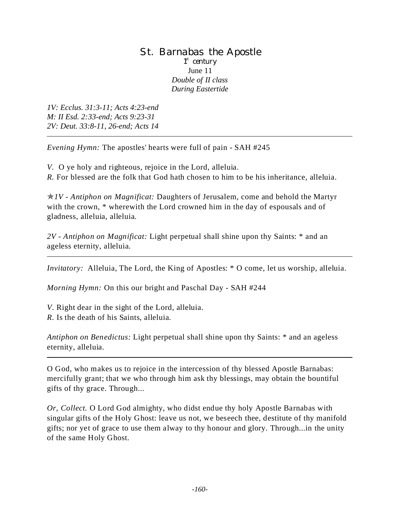### St. Barnabas the Apostle 1<sup>st</sup> century June 11 *Double of II class During Eastertide*

*1V: Ecclus. 31:3-11; Acts 4:23-end M: II Esd. 2:33-end; Acts 9:23-31 2V: Deut. 33:8-11, 26-end; Acts 14*

*Evening Hymn:* The apostles' hearts were full of pain - SAH #245

*V.* O ye holy and righteous, rejoice in the Lord, alleluia. *R.* For blessed are the folk that God hath chosen to him to be his inheritance, alleluia.

p*1V - Antiphon on Magnificat:* Daughters of Jerusalem, come and behold the Martyr with the crown, \* wherewith the Lord crowned him in the day of espousals and of gladness, alleluia, alleluia.

*2V - Antiphon on Magnificat:* Light perpetual shall shine upon thy Saints: \* and an ageless eternity, alleluia.

*Invitatory:* Alleluia, The Lord, the King of Apostles: \* O come, let us worship, alleluia.

*Morning Hymn:* On this our bright and Paschal Day - SAH #244

*V*. Right dear in the sight of the Lord, alleluia.

*R.* Is the death of his Saints, alleluia.

*Antiphon on Benedictus:* Light perpetual shall shine upon thy Saints: \* and an ageless eternity, alleluia.

O God, who makes us to rejoice in the intercession of thy blessed Apostle Barnabas: mercifully grant; that we who through him ask thy blessings, may obtain the bountiful gifts of thy grace. Through...

*Or, Collect.* O Lord God almighty, who didst endue thy holy Apostle Barnabas with singular gifts of the Holy Ghost: leave us not, we beseech thee, destitute of thy manifold gifts; nor yet of grace to use them alway to thy honour and glory. Through...in the unity of the same Holy Ghost.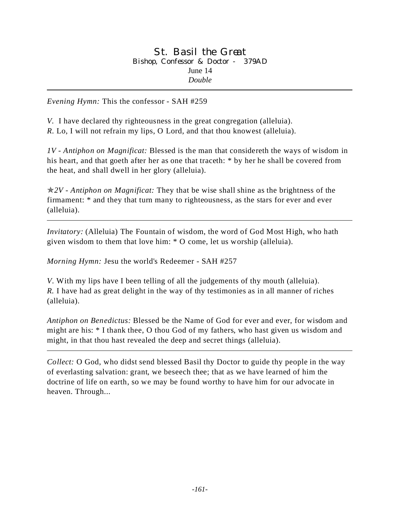*Evening Hymn:* This the confessor - SAH #259

*V.* I have declared thy righteousness in the great congregation (alleluia). *R.* Lo, I will not refrain my lips, O Lord, and that thou knowest (alleluia).

*1V - Antiphon on Magnificat:* Blessed is the man that considereth the ways of wisdom in his heart, and that goeth after her as one that traceth: \* by her he shall be covered from the heat, and shall dwell in her glory (alleluia).

p*2V - Antiphon on Magnificat:* They that be wise shall shine as the brightness of the firmament: \* and they that turn many to righteousness, as the stars for ever and ever (alleluia).

*Invitatory:* (Alleluia) The Fountain of wisdom, the word of God Most High, who hath given wisdom to them that love him: \* O come, let us worship (alleluia).

*Morning Hymn:* Jesu the world's Redeemer - SAH #257

*V*. With my lips have I been telling of all the judgements of thy mouth (alleluia). *R.* I have had as great delight in the way of thy testimonies as in all manner of riches (alleluia).

*Antiphon on Benedictus:* Blessed be the Name of God for ever and ever, for wisdom and might are his: \* I thank thee, O thou God of my fathers, who hast given us wisdom and might, in that thou hast revealed the deep and secret things (alleluia).

*Collect:* O God, who didst send blessed Basil thy Doctor to guide thy people in the way of everlasting salvation: grant, we beseech thee; that as we have learned of him the doctrine of life on earth, so we may be found worthy to have him for our advocate in heaven. Through...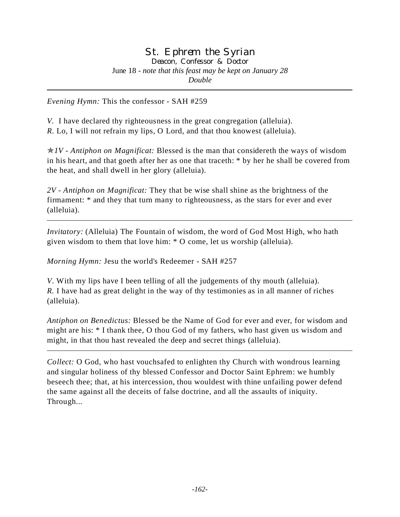*Evening Hymn:* This the confessor - SAH #259

*V.* I have declared thy righteousness in the great congregation (alleluia). *R.* Lo, I will not refrain my lips, O Lord, and that thou knowest (alleluia).

p*1V - Antiphon on Magnificat:* Blessed is the man that considereth the ways of wisdom in his heart, and that goeth after her as one that traceth: \* by her he shall be covered from the heat, and shall dwell in her glory (alleluia).

*2V - Antiphon on Magnificat:* They that be wise shall shine as the brightness of the firmament: \* and they that turn many to righteousness, as the stars for ever and ever (alleluia).

*Invitatory:* (Alleluia) The Fountain of wisdom, the word of God Most High, who hath given wisdom to them that love him: \* O come, let us worship (alleluia).

*Morning Hymn:* Jesu the world's Redeemer - SAH #257

*V*. With my lips have I been telling of all the judgements of thy mouth (alleluia). *R.* I have had as great delight in the way of thy testimonies as in all manner of riches (alleluia).

*Antiphon on Benedictus:* Blessed be the Name of God for ever and ever, for wisdom and might are his: \* I thank thee, O thou God of my fathers, who hast given us wisdom and might, in that thou hast revealed the deep and secret things (alleluia).

*Collect:* O God, who hast vouchsafed to enlighten thy Church with wondrous learning and singular holiness of thy blessed Confessor and Doctor Saint Ephrem: we humbly beseech thee; that, at his intercession, thou wouldest with thine unfailing power defend the same against all the deceits of false doctrine, and all the assaults of iniquity. Through...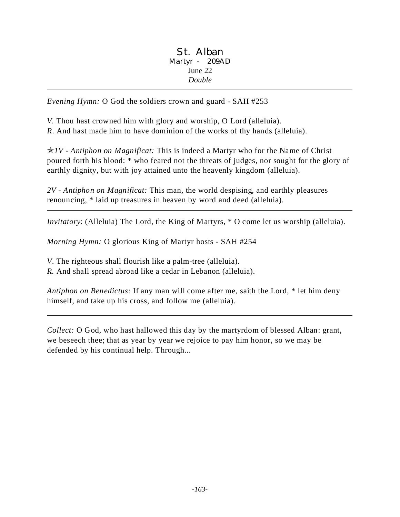### St. Alban Martyr - 209AD June 22 *Double*

*Evening Hymn:* O God the soldiers crown and guard - SAH #253

*V.* Thou hast crowned him with glory and worship, O Lord (alleluia).

*R*. And hast made him to have dominion of the works of thy hands (alleluia).

p*1V - Antiphon on Magnificat:* This is indeed a Martyr who for the Name of Christ poured forth his blood: \* who feared not the threats of judges, nor sought for the glory of earthly dignity, but with joy attained unto the heavenly kingdom (alleluia).

*2V - Antiphon on Magnificat:* This man, the world despising, and earthly pleasures renouncing, \* laid up treasures in heaven by word and deed (alleluia).

*Invitatory*: (Alleluia) The Lord, the King of Martyrs, \* O come let us worship (alleluia).

*Morning Hymn:* O glorious King of Martyr hosts - SAH #254

*V*. The righteous shall flourish like a palm-tree (alleluia).

*R.* And shall spread abroad like a cedar in Lebanon (alleluia).

*Antiphon on Benedictus:* If any man will come after me, saith the Lord, \* let him deny himself, and take up his cross, and follow me (alleluia).

*Collect:* O God, who hast hallowed this day by the martyrdom of blessed Alban: grant, we beseech thee; that as year by year we rejoice to pay him honor, so we may be defended by his continual help. Through...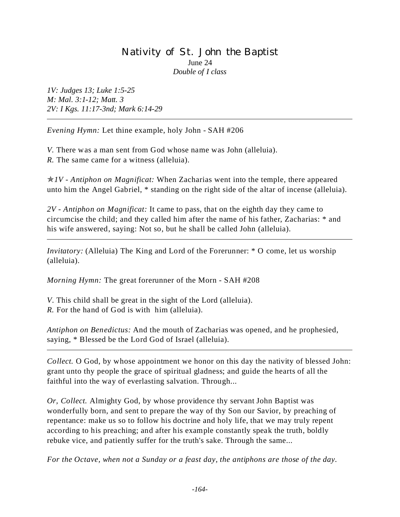## Nativity of St. John the Baptist June 24 *Double of I class*

*1V: Judges 13; Luke 1:5-25 M: Mal. 3:1-12; Matt. 3 2V: I Kgs. 11:17-3nd; Mark 6:14-29*

*Evening Hymn:* Let thine example, holy John - SAH #206

*V.* There was a man sent from God whose name was John (alleluia). *R.* The same came for a witness (alleluia).

p*1V - Antiphon on Magnificat:* When Zacharias went into the temple, there appeared unto him the Angel Gabriel, \* standing on the right side of the altar of incense (alleluia).

*2V - Antiphon on Magnificat:* It came to pass, that on the eighth day they came to circumcise the child; and they called him after the name of his father, Zacharias: \* and his wife answered, saying: Not so, but he shall be called John (alleluia).

*Invitatory:* (Alleluia) The King and Lord of the Forerunner: \* O come, let us worship (alleluia).

*Morning Hymn:* The great forerunner of the Morn - SAH #208

*V*. This child shall be great in the sight of the Lord (alleluia). *R.* For the hand of God is with him (alleluia).

*Antiphon on Benedictus:* And the mouth of Zacharias was opened, and he prophesied, saying, \* Blessed be the Lord God of Israel (alleluia).

*Collect.* O God, by whose appointment we honor on this day the nativity of blessed John: grant unto thy people the grace of spiritual gladness; and guide the hearts of all the faithful into the way of everlasting salvation. Through...

*Or, Collect.* Almighty God, by whose providence thy servant John Baptist was wonderfully born, and sent to prepare the way of thy Son our Savior, by preaching of repentance: make us so to follow his doctrine and holy life, that we may truly repent according to his preaching; and after his example constantly speak the truth, boldly rebuke vice, and patiently suffer for the truth's sake. Through the same...

*For the Octave, when not a Sunday or a feast day, the antiphons are those of the day.*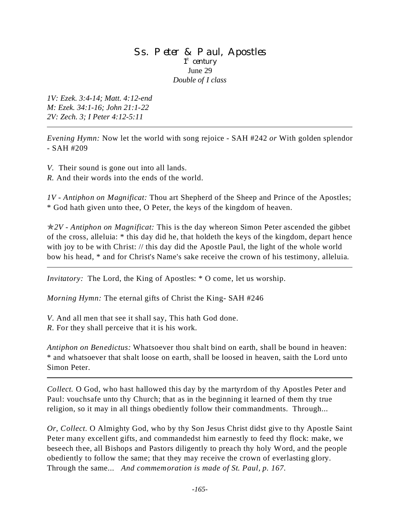### Ss. Peter & Paul, Apostles 1<sup>st</sup> century June 29 *Double of I class*

*1V: Ezek. 3:4-14; Matt. 4:12-end M: Ezek. 34:1-16; John 21:1-22 2V: Zech. 3; I Peter 4:12-5:11*

*Evening Hymn:* Now let the world with song rejoice - SAH #242 *or* With golden splendor - SAH #209

*V.* Their sound is gone out into all lands.

*R.* And their words into the ends of the world.

*1V - Antiphon on Magnificat:* Thou art Shepherd of the Sheep and Prince of the Apostles; \* God hath given unto thee, O Peter, the keys of the kingdom of heaven.

p*2V - Antiphon on Magnificat:* This is the day whereon Simon Peter ascended the gibbet of the cross, alleluia: \* this day did he, that holdeth the keys of the kingdom, depart hence with joy to be with Christ: // this day did the Apostle Paul, the light of the whole world bow his head, \* and for Christ's Name's sake receive the crown of his testimony, alleluia.

*Invitatory:* The Lord, the King of Apostles: \* O come, let us worship.

*Morning Hymn:* The eternal gifts of Christ the King- SAH #246

*V*. And all men that see it shall say, This hath God done. *R.* For they shall perceive that it is his work.

*Antiphon on Benedictus:* Whatsoever thou shalt bind on earth, shall be bound in heaven: \* and whatsoever that shalt loose on earth, shall be loosed in heaven, saith the Lord unto Simon Peter.

*Collect.* O God, who hast hallowed this day by the martyrdom of thy Apostles Peter and Paul: vouchsafe unto thy Church; that as in the beginning it learned of them thy true religion, so it may in all things obediently follow their commandments. Through...

*Or, Collect.* O Almighty God, who by thy Son Jesus Christ didst give to thy Apostle Saint Peter many excellent gifts, and commandedst him earnestly to feed thy flock: make, we beseech thee, all Bishops and Pastors diligently to preach thy holy Word, and the people obediently to follow the same; that they may receive the crown of everlasting glory. Through the same... *And commemoration is made of St. Paul, p. 167.*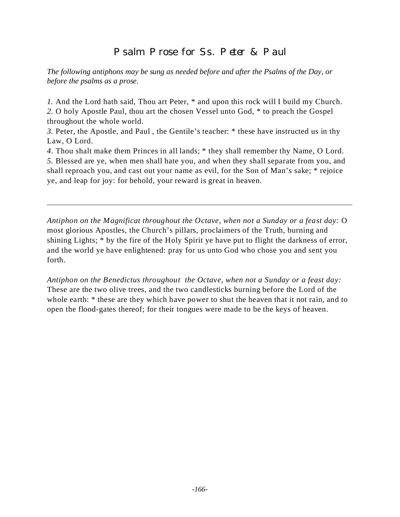# Psalm Prose for Ss. Peter & Paul

*The following antiphons may be sung as needed before and after the Psalms of the Day, or before the psalms as a prose.*

*1.* And the Lord hath said, Thou art Peter, \* and upon this rock will I build my Church. *2.* O holy Apostle Paul, thou art the chosen Vessel unto God, \* to preach the Gospel throughout the whole world.

*3.* Peter, the Apostle, and Paul , the Gentile's teacher: \* these have instructed us in thy Law, O Lord.

*4*. Thou shalt make them Princes in all lands; \* they shall remember thy Name, O Lord. *5.* Blessed are ye, when men shall hate you, and when they shall separate from you, and shall reproach you, and cast out your name as evil, for the Son of Man's sake; \* rejoice ye, and leap for joy: for behold, your reward is great in heaven.

*Antiphon on the Magnificat throughout the Octave, when not a Sunday or a feast day:* O most glorious Apostles, the Church's pillars, proclaimers of the Truth, burning and shining Lights; \* by the fire of the Holy Spirit ye have put to flight the darkness of error, and the world ye have enlightened: pray for us unto God who chose you and sent you forth.

*Antiphon on the Benedictus throughout the Octave, when not a Sunday or a feast day:*  These are the two olive trees, and the two candlesticks burning before the Lord of the whole earth: \* these are they which have power to shut the heaven that it not rain, and to open the flood-gates thereof; for their tongues were made to be the keys of heaven.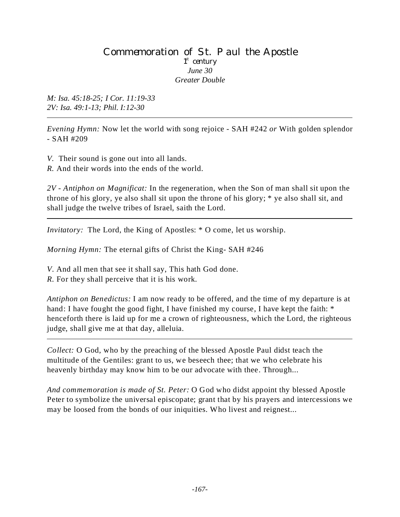#### Commemoration of St. Paul the Apostle 1<sup>st</sup> century *June 30 Greater Double*

*M: Isa. 45:18-25; I Cor. 11:19-33 2V: Isa. 49:1-13; Phil. I:12-30*

*Evening Hymn:* Now let the world with song rejoice - SAH #242 *or* With golden splendor - SAH #209

*V.* Their sound is gone out into all lands.

*R.* And their words into the ends of the world.

*2V - Antiphon on Magnificat:* In the regeneration, when the Son of man shall sit upon the throne of his glory, ye also shall sit upon the throne of his glory; \* ye also shall sit, and shall judge the twelve tribes of Israel, saith the Lord.

*Invitatory:* The Lord, the King of Apostles: \* O come, let us worship.

*Morning Hymn:* The eternal gifts of Christ the King- SAH #246

*V*. And all men that see it shall say, This hath God done.

*R.* For they shall perceive that it is his work.

*Antiphon on Benedictus:* I am now ready to be offered, and the time of my departure is at hand: I have fought the good fight, I have finished my course, I have kept the faith: \* henceforth there is laid up for me a crown of righteousness, which the Lord, the righteous judge, shall give me at that day, alleluia.

*Collect:* O God, who by the preaching of the blessed Apostle Paul didst teach the multitude of the Gentiles: grant to us, we beseech thee; that we who celebrate his heavenly birthday may know him to be our advocate with thee. Through...

*And commemoration is made of St. Peter:* O God who didst appoint thy blessed Apostle Peter to symbolize the universal episcopate; grant that by his prayers and intercessions we may be loosed from the bonds of our iniquities. Who livest and reignest...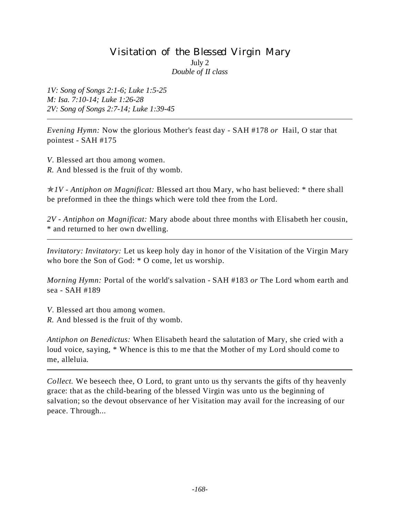# Visitation of the Blessed Virgin Mary July 2 *Double of II class*

*1V: Song of Songs 2:1-6; Luke 1:5-25 M: Isa. 7:10-14; Luke 1:26-28 2V: Song of Songs 2:7-14; Luke 1:39-45*

*Evening Hymn:* Now the glorious Mother's feast day - SAH #178 *or* Hail, O star that pointest - SAH #175

*V*. Blessed art thou among women. *R.* And blessed is the fruit of thy womb.

p*1V - Antiphon on Magnificat:* Blessed art thou Mary, who hast believed: \* there shall be preformed in thee the things which were told thee from the Lord.

*2V - Antiphon on Magnificat:* Mary abode about three months with Elisabeth her cousin, \* and returned to her own dwelling.

*Invitatory: Invitatory:* Let us keep holy day in honor of the Visitation of the Virgin Mary who bore the Son of God: \* O come, let us worship.

*Morning Hymn:* Portal of the world's salvation - SAH #183 *or* The Lord whom earth and sea - SAH #189

*V*. Blessed art thou among women.

*R.* And blessed is the fruit of thy womb.

*Antiphon on Benedictus:* When Elisabeth heard the salutation of Mary, she cried with a loud voice, saying, \* Whence is this to me that the Mother of my Lord should come to me, alleluia.

*Collect.* We beseech thee, O Lord, to grant unto us thy servants the gifts of thy heavenly grace: that as the child-bearing of the blessed Virgin was unto us the beginning of salvation; so the devout observance of her Visitation may avail for the increasing of our peace. Through...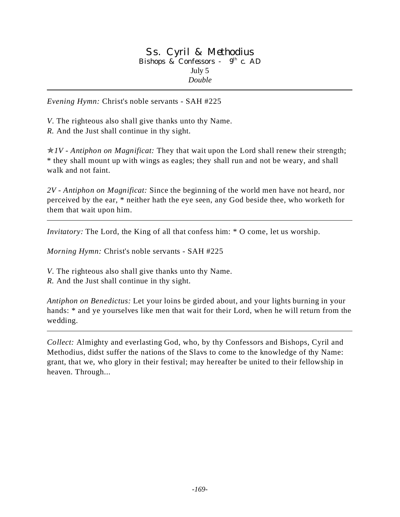#### Ss. Cyril & Methodius Bishops & Confessors - 9<sup>th</sup> c. AD July 5 *Double*

*Evening Hymn:* Christ's noble servants - SAH #225

*V*. The righteous also shall give thanks unto thy Name. *R.* And the Just shall continue in thy sight.

p*1V - Antiphon on Magnificat:* They that wait upon the Lord shall renew their strength; \* they shall mount up with wings as eagles; they shall run and not be weary, and shall walk and not faint.

*2V - Antiphon on Magnificat:* Since the beginning of the world men have not heard, nor perceived by the ear, \* neither hath the eye seen, any God beside thee, who worketh for them that wait upon him.

*Invitatory:* The Lord, the King of all that confess him:  $*$  O come, let us worship.

*Morning Hymn:* Christ's noble servants - SAH #225

*V*. The righteous also shall give thanks unto thy Name.

*R.* And the Just shall continue in thy sight.

*Antiphon on Benedictus:* Let your loins be girded about, and your lights burning in your hands: \* and ye yourselves like men that wait for their Lord, when he will return from the wedding.

*Collect:* Almighty and everlasting God, who, by thy Confessors and Bishops, Cyril and Methodius, didst suffer the nations of the Slavs to come to the knowledge of thy Name: grant, that we, who glory in their festival; may hereafter be united to their fellowship in heaven. Through...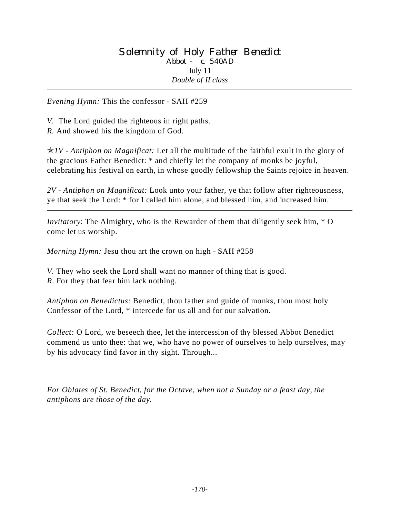*Evening Hymn:* This the confessor - SAH #259

*V.* The Lord guided the righteous in right paths.

*R.* And showed his the kingdom of God.

p*1V - Antiphon on Magnificat:* Let all the multitude of the faithful exult in the glory of the gracious Father Benedict: \* and chiefly let the company of monks be joyful, celebrating his festival on earth, in whose goodly fellowship the Saints rejoice in heaven.

*2V - Antiphon on Magnificat:* Look unto your father, ye that follow after righteousness, ye that seek the Lord: \* for I called him alone, and blessed him, and increased him.

*Invitatory*: The Almighty, who is the Rewarder of them that diligently seek him, \* O come let us worship.

*Morning Hymn:* Jesu thou art the crown on high - SAH #258

*V.* They who seek the Lord shall want no manner of thing that is good. *R*. For they that fear him lack nothing.

*Antiphon on Benedictus:* Benedict, thou father and guide of monks, thou most holy Confessor of the Lord, \* intercede for us all and for our salvation.

*Collect:* O Lord, we beseech thee, let the intercession of thy blessed Abbot Benedict commend us unto thee: that we, who have no power of ourselves to help ourselves, may by his advocacy find favor in thy sight. Through...

*For Oblates of St. Benedict, for the Octave, when not a Sunday or a feast day, the antiphons are those of the day.*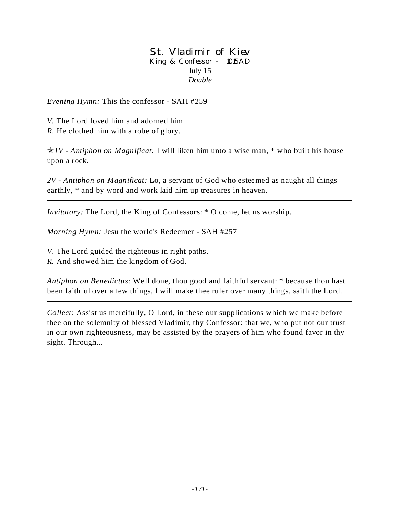#### St. Vladimir of Kiev King & Confessor - 1015AD July 15 *Double*

*Evening Hymn:* This the confessor - SAH #259

*V.* The Lord loved him and adorned him. *R.* He clothed him with a robe of glory.

p*1V - Antiphon on Magnificat:* I will liken him unto a wise man, \* who built his house upon a rock.

*2V - Antiphon on Magnificat:* Lo, a servant of God who esteemed as naught all things earthly, \* and by word and work laid him up treasures in heaven.

*Invitatory:* The Lord, the King of Confessors: \* O come, let us worship.

*Morning Hymn:* Jesu the world's Redeemer - SAH #257

*V*. The Lord guided the righteous in right paths.

*R.* And showed him the kingdom of God.

*Antiphon on Benedictus:* Well done, thou good and faithful servant: \* because thou hast been faithful over a few things, I will make thee ruler over many things, saith the Lord.

*Collect:* Assist us mercifully, O Lord, in these our supplications which we make before thee on the solemnity of blessed Vladimir, thy Confessor: that we, who put not our trust in our own righteousness, may be assisted by the prayers of him who found favor in thy sight. Through...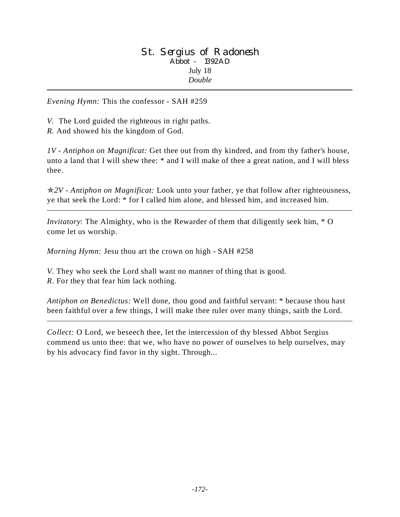#### St. Sergius of Radonesh Abbot - 1392AD July 18 *Double*

*Evening Hymn:* This the confessor - SAH #259

*V.* The Lord guided the righteous in right paths.

*R.* And showed his the kingdom of God.

*1V - Antiphon on Magnificat:* Get thee out from thy kindred, and from thy father's house, unto a land that I will shew thee: \* and I will make of thee a great nation, and I will bless thee.

p*2V - Antiphon on Magnificat:* Look unto your father, ye that follow after righteousness, ye that seek the Lord: \* for I called him alone, and blessed him, and increased him.

*Invitatory*: The Almighty, who is the Rewarder of them that diligently seek him, \* O come let us worship.

*Morning Hymn:* Jesu thou art the crown on high - SAH #258

*V.* They who seek the Lord shall want no manner of thing that is good. *R*. For they that fear him lack nothing.

*Antiphon on Benedictus:* Well done, thou good and faithful servant: \* because thou hast been faithful over a few things, I will make thee ruler over many things, saith the Lord.

*Collect:* O Lord, we beseech thee, let the intercession of thy blessed Abbot Sergius commend us unto thee: that we, who have no power of ourselves to help ourselves, may by his advocacy find favor in thy sight. Through...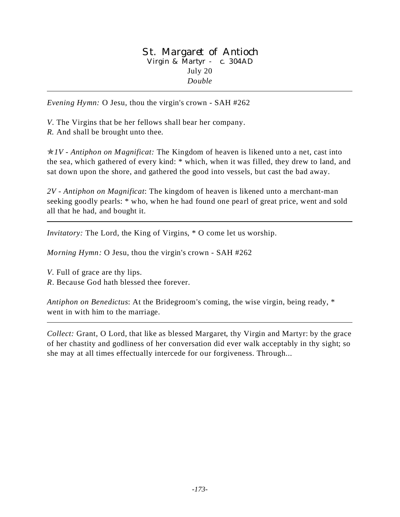#### St. Margaret of Antioch Virgin & Martyr - c. 304AD July 20 *Double*

*Evening Hymn:* O Jesu, thou the virgin's crown - SAH #262

*V*. The Virgins that be her fellows shall bear her company. *R.* And shall be brought unto thee.

p*1V* - *Antiphon on Magnificat:* The Kingdom of heaven is likened unto a net, cast into the sea, which gathered of every kind: \* which, when it was filled, they drew to land, and sat down upon the shore, and gathered the good into vessels, but cast the bad away.

*2V* - *Antiphon on Magnificat*: The kingdom of heaven is likened unto a merchant-man seeking goodly pearls: \* who, when he had found one pearl of great price, went and sold all that he had, and bought it.

*Invitatory:* The Lord, the King of Virgins, \* O come let us worship.

*Morning Hymn:* O Jesu, thou the virgin's crown - SAH #262

*V*. Full of grace are thy lips. *R*. Because God hath blessed thee forever.

*Antiphon on Benedictus*: At the Bridegroom's coming, the wise virgin, being ready, \* went in with him to the marriage.

*Collect:* Grant, O Lord, that like as blessed Margaret, thy Virgin and Martyr: by the grace of her chastity and godliness of her conversation did ever walk acceptably in thy sight; so she may at all times effectually intercede for our forgiveness. Through...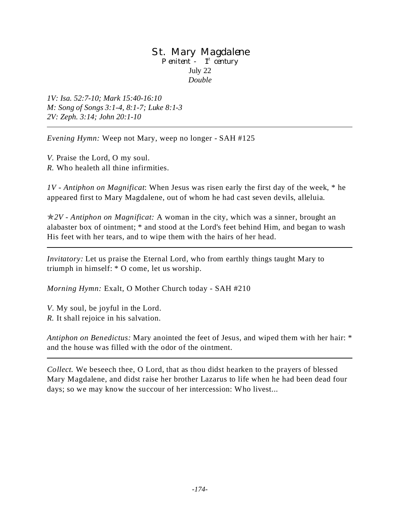#### St. Mary Magdalene Penitent -  $1<sup>st</sup>$  century July 22 *Double*

*1V: Isa. 52:7-10; Mark 15:40-16:10 M: Song of Songs 3:1-4, 8:1-7; Luke 8:1-3 2V: Zeph. 3:14; John 20:1-10*

*Evening Hymn:* Weep not Mary, weep no longer - SAH #125

*V.* Praise the Lord, O my soul. *R.* Who healeth all thine infirmities.

*1V - Antiphon on Magnificat*: When Jesus was risen early the first day of the week, \* he appeared first to Mary Magdalene, out of whom he had cast seven devils, alleluia.

p*2V - Antiphon on Magnificat:* A woman in the city, which was a sinner, brought an alabaster box of ointment; \* and stood at the Lord's feet behind Him, and began to wash His feet with her tears, and to wipe them with the hairs of her head.

*Invitatory:* Let us praise the Eternal Lord, who from earthly things taught Mary to triumph in himself: \* O come, let us worship.

*Morning Hymn:* Exalt, O Mother Church today - SAH #210

*V*. My soul, be joyful in the Lord. *R.* It shall rejoice in his salvation.

*Antiphon on Benedictus:* Mary anointed the feet of Jesus, and wiped them with her hair: \* and the house was filled with the odor of the ointment.

*Collect.* We beseech thee, O Lord, that as thou didst hearken to the prayers of blessed Mary Magdalene, and didst raise her brother Lazarus to life when he had been dead four days; so we may know the succour of her intercession: Who livest...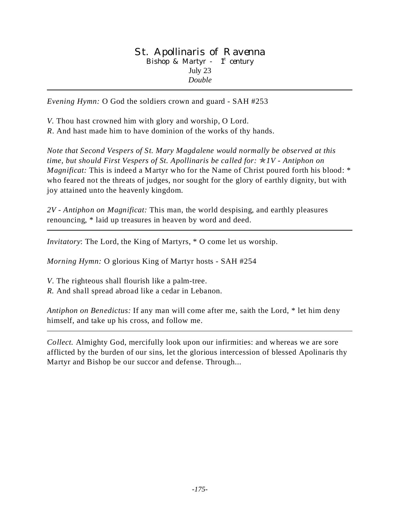#### St. Apollinaris of Ravenna Bishop & Martyr -  $1<sup>st</sup>$  century July 23 *Double*

*Evening Hymn:* O God the soldiers crown and guard - SAH #253

*V.* Thou hast crowned him with glory and worship, O Lord.

*R*. And hast made him to have dominion of the works of thy hands.

*Note that Second Vespers of St. Mary Magdalene would normally be observed at this time, but should First Vespers of St. Apollinaris be called for:* p*1V - Antiphon on Magnificat:* This is indeed a Martyr who for the Name of Christ poured forth his blood: \* who feared not the threats of judges, nor sought for the glory of earthly dignity, but with joy attained unto the heavenly kingdom.

*2V - Antiphon on Magnificat:* This man, the world despising, and earthly pleasures renouncing, \* laid up treasures in heaven by word and deed.

*Invitatory*: The Lord, the King of Martyrs, \* O come let us worship.

*Morning Hymn:* O glorious King of Martyr hosts - SAH #254

*V*. The righteous shall flourish like a palm-tree.

*R.* And shall spread abroad like a cedar in Lebanon.

*Antiphon on Benedictus:* If any man will come after me, saith the Lord, \* let him deny himself, and take up his cross, and follow me.

*Collect.* Almighty God, mercifully look upon our infirmities: and whereas we are sore afflicted by the burden of our sins, let the glorious intercession of blessed Apolinaris thy Martyr and Bishop be our succor and defense. Through...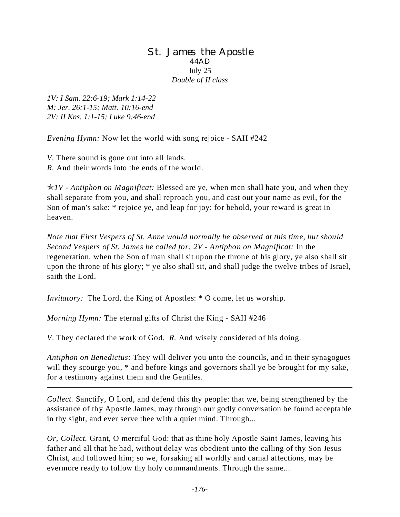#### St. James the Apostle 44AD July 25 *Double of II class*

*1V: I Sam. 22:6-19; Mark 1:14-22 M: Jer. 26:1-15; Matt. 10:16-end 2V: II Kns. 1:1-15; Luke 9:46-end*

*Evening Hymn:* Now let the world with song rejoice - SAH #242

*V.* There sound is gone out into all lands.

*R.* And their words into the ends of the world.

p*1V - Antiphon on Magnificat:* Blessed are ye, when men shall hate you, and when they shall separate from you, and shall reproach you, and cast out your name as evil, for the Son of man's sake: \* rejoice ye, and leap for joy: for behold, your reward is great in heaven.

*Note that First Vespers of St. Anne would normally be observed at this time, but should Second Vespers of St. James be called for: 2V - Antiphon on Magnificat:* In the regeneration, when the Son of man shall sit upon the throne of his glory, ye also shall sit upon the throne of his glory; \* ye also shall sit, and shall judge the twelve tribes of Israel, saith the Lord.

*Invitatory:* The Lord, the King of Apostles: \* O come, let us worship.

*Morning Hymn:* The eternal gifts of Christ the King - SAH #246

*V*. They declared the work of God. *R.* And wisely considered of his doing.

*Antiphon on Benedictus:* They will deliver you unto the councils, and in their synagogues will they scourge you, \* and before kings and governors shall ye be brought for my sake, for a testimony against them and the Gentiles.

*Collect.* Sanctify, O Lord, and defend this thy people: that we, being strengthened by the assistance of thy Apostle James, may through our godly conversation be found acceptable in thy sight, and ever serve thee with a quiet mind. Through...

*Or, Collect.* Grant, O merciful God: that as thine holy Apostle Saint James, leaving his father and all that he had, without delay was obedient unto the calling of thy Son Jesus Christ, and followed him; so we, forsaking all worldly and carnal affections, may be evermore ready to follow thy holy commandments. Through the same...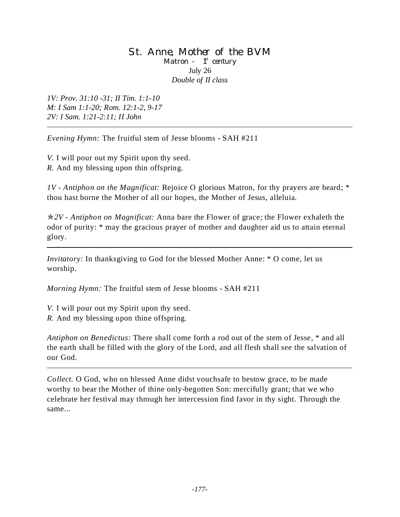#### St. Anne, Mother of the BVM Matron -  $1<sup>st</sup>$  century July 26 *Double of II class*

*1V: Prov. 31:10 -31; II Tim. 1:1-10 M: I Sam 1:1-20; Rom. 12:1-2, 9-17 2V: I Sam. 1:21-2:11; II John*

*Evening Hymn:* The fruitful stem of Jesse blooms - SAH #211

*V.* I will pour out my Spirit upon thy seed. *R.* And my blessing upon thin offspring.

*1V - Antiphon on the Magnificat:* Rejoice O glorious Matron, for thy prayers are heard; \* thou hast borne the Mother of all our hopes, the Mother of Jesus, alleluia.

p*2V - Antiphon on Magnificat:* Anna bare the Flower of grace; the Flower exhaleth the odor of purity: \* may the gracious prayer of mother and daughter aid us to attain eternal glory.

*Invitatory:* In thanksgiving to God for the blessed Mother Anne: \* O come, let us worship.

*Morning Hymn:* The fruitful stem of Jesse blooms - SAH #211

*V.* I will pour out my Spirit upon thy seed. *R.* And my blessing upon thine offspring.

our God.

*Antiphon on Benedictus:* There shall come forth a rod out of the stem of Jesse, \* and all the earth shall be filled with the glory of the Lord, and all flesh shall see the salvation of

*Collect.* O God, who on blessed Anne didst vouchsafe to bestow grace, to be made worthy to bear the Mother of thine only-begotten Son: mercifully grant; that we who celebrate her festival may through her intercession find favor in thy sight. Through the same...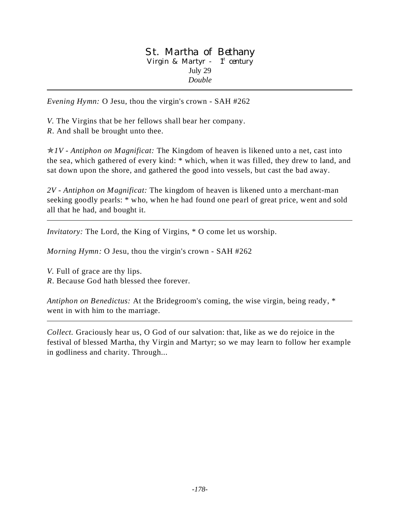#### St. Martha of Bethany Virgin & Martyr -  $1<sup>st</sup>$  century July 29 *Double*

*Evening Hymn:* O Jesu, thou the virgin's crown - SAH #262

*V.* The Virgins that be her fellows shall bear her company. *R*. And shall be brought unto thee.

p*1V* - *Antiphon on Magnificat:* The Kingdom of heaven is likened unto a net, cast into

the sea, which gathered of every kind: \* which, when it was filled, they drew to land, and sat down upon the shore, and gathered the good into vessels, but cast the bad away.

*2V - Antiphon on Magnificat:* The kingdom of heaven is likened unto a merchant-man seeking goodly pearls: \* who, when he had found one pearl of great price, went and sold all that he had, and bought it.

*Invitatory:* The Lord, the King of Virgins,  $*$  O come let us worship.

*Morning Hymn:* O Jesu, thou the virgin's crown - SAH #262

*V.* Full of grace are thy lips.

*R*. Because God hath blessed thee forever.

*Antiphon on Benedictus:* At the Bridegroom's coming, the wise virgin, being ready, \* went in with him to the marriage.

*Collect.* Graciously hear us, O God of our salvation: that, like as we do rejoice in the festival of blessed Martha, thy Virgin and Martyr; so we may learn to follow her example in godliness and charity. Through...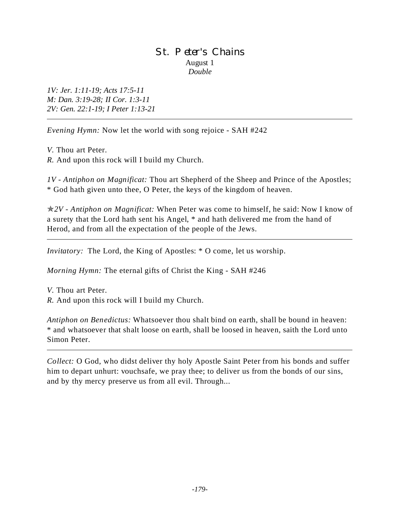## St. Peter's Chains August 1 *Double*

*1V: Jer. 1:11-19; Acts 17:5-11 M: Dan. 3:19-28; II Cor. 1:3-11 2V: Gen. 22:1-19; I Peter 1:13-21*

*Evening Hymn:* Now let the world with song rejoice - SAH #242

*V.* Thou art Peter. *R.* And upon this rock will I build my Church.

*1V - Antiphon on Magnificat:* Thou art Shepherd of the Sheep and Prince of the Apostles; \* God hath given unto thee, O Peter, the keys of the kingdom of heaven.

p*2V - Antiphon on Magnificat:* When Peter was come to himself, he said: Now I know of a surety that the Lord hath sent his Angel, \* and hath delivered me from the hand of Herod, and from all the expectation of the people of the Jews.

*Invitatory:* The Lord, the King of Apostles:  $*$  O come, let us worship.

*Morning Hymn:* The eternal gifts of Christ the King - SAH #246

*V.* Thou art Peter. *R.* And upon this rock will I build my Church.

*Antiphon on Benedictus:* Whatsoever thou shalt bind on earth, shall be bound in heaven: \* and whatsoever that shalt loose on earth, shall be loosed in heaven, saith the Lord unto Simon Peter.

*Collect:* O God, who didst deliver thy holy Apostle Saint Peter from his bonds and suffer him to depart unhurt: vouchsafe, we pray thee; to deliver us from the bonds of our sins, and by thy mercy preserve us from all evil. Through...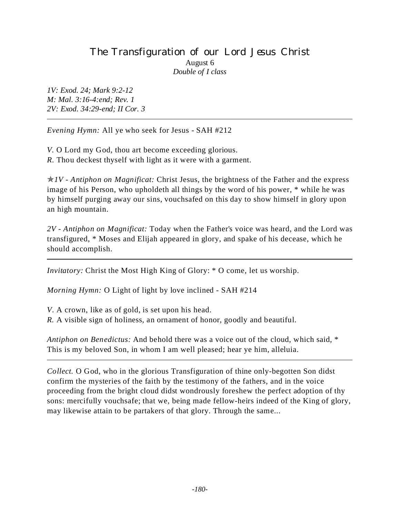## The Transfiguration of our Lord Jesus Christ August 6 *Double of I class*

*1V: Exod. 24; Mark 9:2-12 M: Mal. 3:16-4:end; Rev. 1 2V: Exod. 34:29-end; II Cor. 3*

*Evening Hymn:* All ye who seek for Jesus - SAH #212

*V.* O Lord my God, thou art become exceeding glorious. *R.* Thou deckest thyself with light as it were with a garment.

p*1V - Antiphon on Magnificat:* Christ Jesus, the brightness of the Father and the express image of his Person, who upholdeth all things by the word of his power, \* while he was by himself purging away our sins, vouchsafed on this day to show himself in glory upon an high mountain.

*2V - Antiphon on Magnificat:* Today when the Father's voice was heard, and the Lord was transfigured, \* Moses and Elijah appeared in glory, and spake of his decease, which he should accomplish.

*Invitatory:* Christ the Most High King of Glory: \* O come, let us worship.

*Morning Hymn:* O Light of light by love inclined - SAH #214

*V*. A crown, like as of gold, is set upon his head.

*R.* A visible sign of holiness, an ornament of honor, goodly and beautiful.

*Antiphon on Benedictus:* And behold there was a voice out of the cloud, which said, \* This is my beloved Son, in whom I am well pleased; hear ye him, alleluia.

*Collect.* O God, who in the glorious Transfiguration of thine only-begotten Son didst confirm the mysteries of the faith by the testimony of the fathers, and in the voice proceeding from the bright cloud didst wondrously foreshew the perfect adoption of thy sons: mercifully vouchsafe; that we, being made fellow-heirs indeed of the King of glory, may likewise attain to be partakers of that glory. Through the same...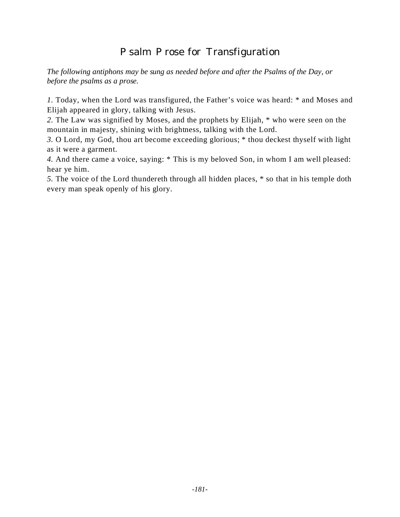# Psalm Prose for Transfiguration

*The following antiphons may be sung as needed before and after the Psalms of the Day, or before the psalms as a prose.*

*1.* Today, when the Lord was transfigured, the Father's voice was heard: \* and Moses and Elijah appeared in glory, talking with Jesus.

*2.* The Law was signified by Moses, and the prophets by Elijah, \* who were seen on the mountain in majesty, shining with brightness, talking with the Lord.

*3.* O Lord, my God, thou art become exceeding glorious; \* thou deckest thyself with light as it were a garment.

*4.* And there came a voice, saying: \* This is my beloved Son, in whom I am well pleased: hear ye him.

*5.* The voice of the Lord thundereth through all hidden places, \* so that in his temple doth every man speak openly of his glory.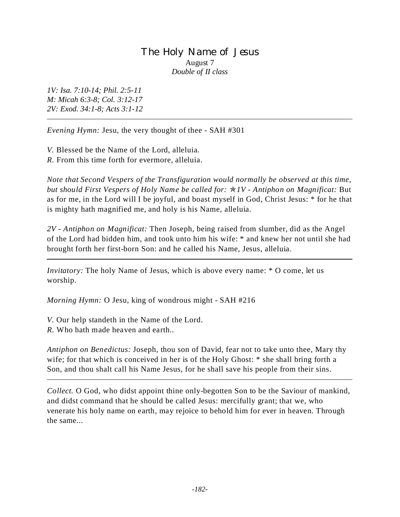## The Holy Name of Jesus August 7 *Double of II class*

*1V: Isa. 7:10-14; Phil. 2:5-11 M: Micah 6:3-8; Col. 3:12-17 2V: Exod. 34:1-8; Acts 3:1-12*

*Evening Hymn:* Jesu, the very thought of thee - SAH #301

*V.* Blessed be the Name of the Lord, alleluia. *R.* From this time forth for evermore, alleluia.

*Note that Second Vespers of the Transfiguration would normally be observed at this time, but should First Vespers of Holy Name be called for:* p*1V - Antiphon on Magnificat:* But as for me, in the Lord will I be joyful, and boast myself in God, Christ Jesus: \* for he that is mighty hath magnified me, and holy is his Name, alleluia.

*2V - Antiphon on Magnificat:* Then Joseph, being raised from slumber, did as the Angel of the Lord had bidden him, and took unto him his wife: \* and knew her not until she had brought forth her first-born Son: and he called his Name, Jesus, alleluia.

*Invitatory:* The holy Name of Jesus, which is above every name: \* O come, let us worship.

*Morning Hymn:* O Jesu, king of wondrous might - SAH #216

*V.* Our help standeth in the Name of the Lord.

*R.* Who hath made heaven and earth..

*Antiphon on Benedictus:* Joseph, thou son of David, fear not to take unto thee, Mary thy wife; for that which is conceived in her is of the Holy Ghost: \* she shall bring forth a Son, and thou shalt call his Name Jesus, for he shall save his people from their sins.

*Collect.* O God, who didst appoint thine only-begotten Son to be the Saviour of mankind, and didst command that he should be called Jesus: mercifully grant; that we, who venerate his holy name on earth, may rejoice to behold him for ever in heaven. Through the same...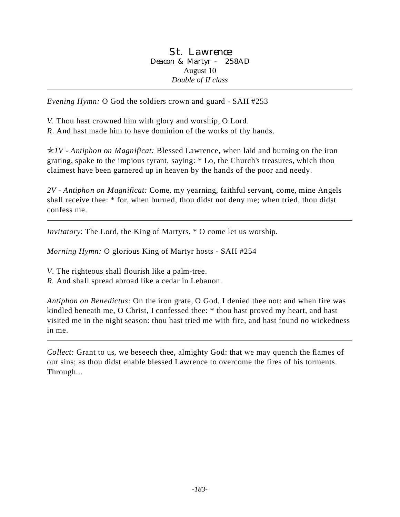St. Lawrence Deacon & Martyr - 258AD August 10 *Double of II class*

*Evening Hymn:* O God the soldiers crown and guard - SAH #253

*V.* Thou hast crowned him with glory and worship, O Lord.

*R*. And hast made him to have dominion of the works of thy hands.

p*1V - Antiphon on Magnificat:* Blessed Lawrence, when laid and burning on the iron grating, spake to the impious tyrant, saying: \* Lo, the Church's treasures, which thou claimest have been garnered up in heaven by the hands of the poor and needy.

*2V - Antiphon on Magnificat:* Come, my yearning, faithful servant, come, mine Angels shall receive thee: \* for, when burned, thou didst not deny me; when tried, thou didst confess me.

*Invitatory*: The Lord, the King of Martyrs, \* O come let us worship.

*Morning Hymn:* O glorious King of Martyr hosts - SAH #254

*V*. The righteous shall flourish like a palm-tree.

*R.* And shall spread abroad like a cedar in Lebanon.

*Antiphon on Benedictus:* On the iron grate, O God, I denied thee not: and when fire was kindled beneath me, O Christ, I confessed thee: \* thou hast proved my heart, and hast visited me in the night season: thou hast tried me with fire, and hast found no wickedness in me.

*Collect:* Grant to us, we beseech thee, almighty God: that we may quench the flames of our sins; as thou didst enable blessed Lawrence to overcome the fires of his torments. Through...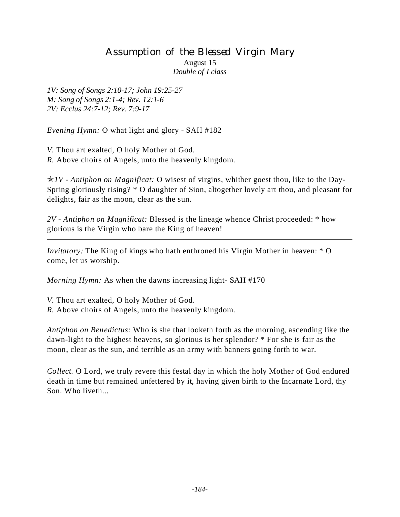# Assumption of the Blessed Virgin Mary August 15 *Double of I class*

*1V: Song of Songs 2:10-17; John 19:25-27 M: Song of Songs 2:1-4; Rev. 12:1-6 2V: Ecclus 24:7-12; Rev. 7:9-17*

*Evening Hymn:* O what light and glory - SAH #182

*V.* Thou art exalted, O holy Mother of God. *R.* Above choirs of Angels, unto the heavenly kingdom.

p*1V - Antiphon on Magnificat:* O wisest of virgins, whither goest thou, like to the Day-Spring gloriously rising? \* O daughter of Sion, altogether lovely art thou, and pleasant for delights, fair as the moon, clear as the sun.

*2V - Antiphon on Magnificat:* Blessed is the lineage whence Christ proceeded: \* how glorious is the Virgin who bare the King of heaven!

*Invitatory:* The King of kings who hath enthroned his Virgin Mother in heaven: \* O come, let us worship.

*Morning Hymn:* As when the dawns increasing light- SAH #170

*V.* Thou art exalted, O holy Mother of God. *R.* Above choirs of Angels, unto the heavenly kingdom.

*Antiphon on Benedictus:* Who is she that looketh forth as the morning, ascending like the dawn-light to the highest heavens, so glorious is her splendor? \* For she is fair as the moon, clear as the sun, and terrible as an army with banners going forth to war.

*Collect.* O Lord, we truly revere this festal day in which the holy Mother of God endured death in time but remained unfettered by it, having given birth to the Incarnate Lord, thy Son. Who liveth...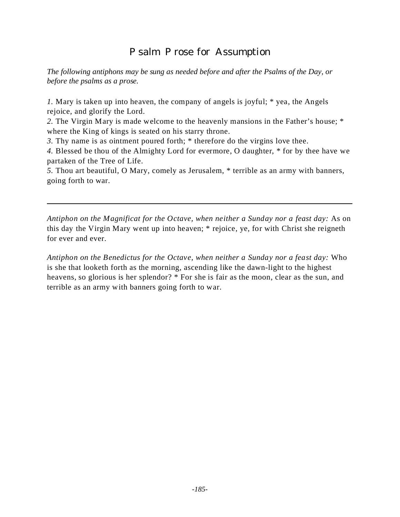# Psalm Prose for Assumption

*The following antiphons may be sung as needed before and after the Psalms of the Day, or before the psalms as a prose.*

*1.* Mary is taken up into heaven, the company of angels is joyful; \* yea, the Angels rejoice, and glorify the Lord.

*2.* The Virgin Mary is made welcome to the heavenly mansions in the Father's house; \* where the King of kings is seated on his starry throne.

*3.* Thy name is as ointment poured forth; \* therefore do the virgins love thee.

*4.* Blessed be thou of the Almighty Lord for evermore, O daughter, \* for by thee have we partaken of the Tree of Life.

*5.* Thou art beautiful, O Mary, comely as Jerusalem, \* terrible as an army with banners, going forth to war.

Antiphon on the Magnificat for the Octave, when neither a Sunday nor a feast day: As on this day the Virgin Mary went up into heaven; \* rejoice, ye, for with Christ she reigneth for ever and ever.

*Antiphon on the Benedictus for the Octave, when neither a Sunday nor a feast day:* Who is she that looketh forth as the morning, ascending like the dawn-light to the highest heavens, so glorious is her splendor? \* For she is fair as the moon, clear as the sun, and terrible as an army with banners going forth to war.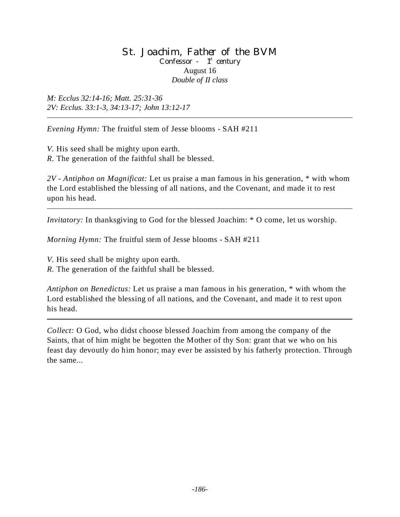#### St. Joachim, Father of the BVM Confessor -  $1<sup>st</sup>$  century August 16 *Double of II class*

*M: Ecclus 32:14-16; Matt. 25:31-36 2V: Ecclus. 33:1-3, 34:13-17; John 13:12-17*

*Evening Hymn:* The fruitful stem of Jesse blooms - SAH #211

*V.* His seed shall be mighty upon earth. *R.* The generation of the faithful shall be blessed.

*2V - Antiphon on Magnificat:* Let us praise a man famous in his generation, \* with whom the Lord established the blessing of all nations, and the Covenant, and made it to rest upon his head.

*Invitatory:* In thanksgiving to God for the blessed Joachim: \* O come, let us worship.

*Morning Hymn:* The fruitful stem of Jesse blooms - SAH #211

*V.* His seed shall be mighty upon earth.

*R.* The generation of the faithful shall be blessed.

*Antiphon on Benedictus:* Let us praise a man famous in his generation, \* with whom the Lord established the blessing of all nations, and the Covenant, and made it to rest upon his head.

*Collect:* O God, who didst choose blessed Joachim from among the company of the Saints, that of him might be begotten the Mother of thy Son: grant that we who on his feast day devoutly do him honor; may ever be assisted by his fatherly protection. Through the same...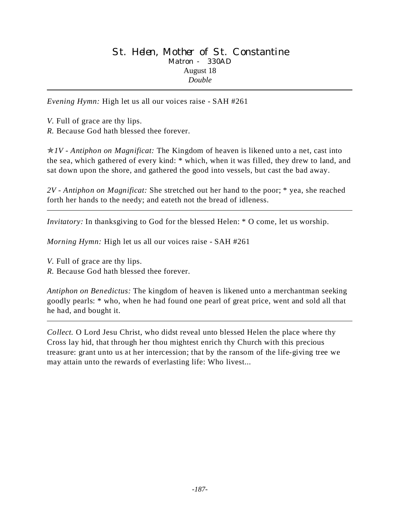*Evening Hymn:* High let us all our voices raise - SAH #261

*V.* Full of grace are thy lips.

*R.* Because God hath blessed thee forever.

p*1V - Antiphon on Magnificat:* The Kingdom of heaven is likened unto a net, cast into the sea, which gathered of every kind: \* which, when it was filled, they drew to land, and sat down upon the shore, and gathered the good into vessels, but cast the bad away.

*2V - Antiphon on Magnificat:* She stretched out her hand to the poor; \* yea, she reached forth her hands to the needy; and eateth not the bread of idleness.

*Invitatory:* In thanksgiving to God for the blessed Helen: \* O come, let us worship.

*Morning Hymn:* High let us all our voices raise - SAH #261

*V.* Full of grace are thy lips.

*R.* Because God hath blessed thee forever.

*Antiphon on Benedictus:* The kingdom of heaven is likened unto a merchantman seeking goodly pearls: \* who, when he had found one pearl of great price, went and sold all that he had, and bought it.

*Collect.* O Lord Jesu Christ, who didst reveal unto blessed Helen the place where thy Cross lay hid, that through her thou mightest enrich thy Church with this precious treasure: grant unto us at her intercession; that by the ransom of the life-giving tree we may attain unto the rewards of everlasting life: Who livest...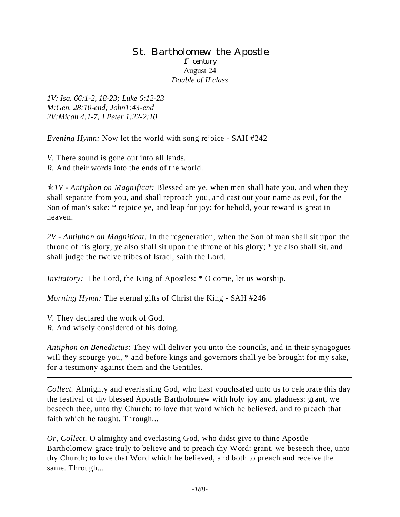#### St. Bartholomew the Apostle 1<sup>st</sup> century August 24 *Double of II class*

*1V: Isa. 66:1-2, 18-23; Luke 6:12-23 M:Gen. 28:10-end; John1:43-end 2V:Micah 4:1-7; I Peter 1:22-2:10*

*Evening Hymn:* Now let the world with song rejoice - SAH #242

*V.* There sound is gone out into all lands.

*R.* And their words into the ends of the world.

p*1V - Antiphon on Magnificat:* Blessed are ye, when men shall hate you, and when they shall separate from you, and shall reproach you, and cast out your name as evil, for the Son of man's sake: \* rejoice ye, and leap for joy: for behold, your reward is great in heaven.

*2V - Antiphon on Magnificat:* In the regeneration, when the Son of man shall sit upon the throne of his glory, ye also shall sit upon the throne of his glory; \* ye also shall sit, and shall judge the twelve tribes of Israel, saith the Lord.

*Invitatory:* The Lord, the King of Apostles: \* O come, let us worship.

*Morning Hymn:* The eternal gifts of Christ the King - SAH #246

*V*. They declared the work of God.

*R.* And wisely considered of his doing.

*Antiphon on Benedictus:* They will deliver you unto the councils, and in their synagogues will they scourge you,  $*$  and before kings and governors shall ye be brought for my sake, for a testimony against them and the Gentiles.

*Collect.* Almighty and everlasting God, who hast vouchsafed unto us to celebrate this day the festival of thy blessed Apostle Bartholomew with holy joy and gladness: grant, we beseech thee, unto thy Church; to love that word which he believed, and to preach that faith which he taught. Through...

*Or, Collect.* O almighty and everlasting God, who didst give to thine Apostle Bartholomew grace truly to believe and to preach thy Word: grant, we beseech thee, unto thy Church; to love that Word which he believed, and both to preach and receive the same. Through...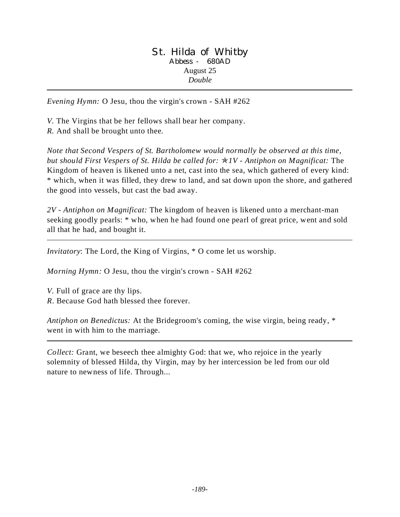#### St. Hilda of Whitby Abbess - 680AD August 25 *Double*

*Evening Hymn:* O Jesu, thou the virgin's crown - SAH #262

*V.* The Virgins that be her fellows shall bear her company.

*R.* And shall be brought unto thee.

*Note that Second Vespers of St. Bartholomew would normally be observed at this time, but should First Vespers of St. Hilda be called for:* p*1V - Antiphon on Magnificat:* The Kingdom of heaven is likened unto a net, cast into the sea, which gathered of every kind: \* which, when it was filled, they drew to land, and sat down upon the shore, and gathered the good into vessels, but cast the bad away.

*2V - Antiphon on Magnificat:* The kingdom of heaven is likened unto a merchant-man seeking goodly pearls: \* who, when he had found one pearl of great price, went and sold all that he had, and bought it.

*Invitatory*: The Lord, the King of Virgins, \* O come let us worship.

*Morning Hymn:* O Jesu, thou the virgin's crown - SAH #262

*V.* Full of grace are thy lips. *R*. Because God hath blessed thee forever.

*Antiphon on Benedictus:* At the Bridegroom's coming, the wise virgin, being ready, \* went in with him to the marriage.

*Collect:* Grant, we beseech thee almighty God: that we, who rejoice in the yearly solemnity of blessed Hilda, thy Virgin, may by her intercession be led from our old nature to newness of life. Through...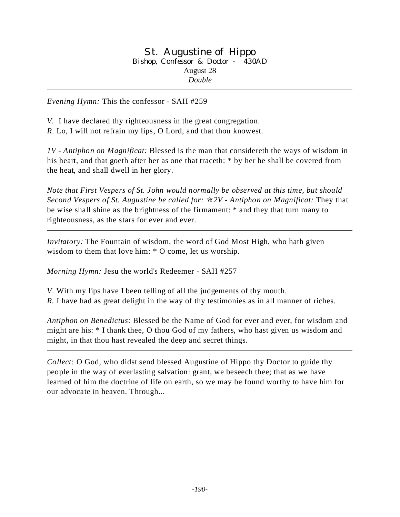#### St. Augustine of Hippo Bishop, Confessor & Doctor - 430AD August 28 *Double*

*Evening Hymn:* This the confessor - SAH #259

*V.* I have declared thy righteousness in the great congregation. *R.* Lo, I will not refrain my lips, O Lord, and that thou knowest.

*1V - Antiphon on Magnificat:* Blessed is the man that considereth the ways of wisdom in his heart, and that goeth after her as one that traceth: \* by her he shall be covered from the heat, and shall dwell in her glory.

*Note that First Vespers of St. John would normally be observed at this time, but should Second Vespers of St. Augustine be called for:* p*2V - Antiphon on Magnificat:* They that be wise shall shine as the brightness of the firmament: \* and they that turn many to righteousness, as the stars for ever and ever.

*Invitatory:* The Fountain of wisdom, the word of God Most High, who hath given wisdom to them that love him: \* O come, let us worship.

*Morning Hymn:* Jesu the world's Redeemer - SAH #257

*V*. With my lips have I been telling of all the judgements of thy mouth.

*R.* I have had as great delight in the way of thy testimonies as in all manner of riches.

*Antiphon on Benedictus:* Blessed be the Name of God for ever and ever, for wisdom and might are his: \* I thank thee, O thou God of my fathers, who hast given us wisdom and might, in that thou hast revealed the deep and secret things.

*Collect:* O God, who didst send blessed Augustine of Hippo thy Doctor to guide thy people in the way of everlasting salvation: grant, we beseech thee; that as we have learned of him the doctrine of life on earth, so we may be found worthy to have him for our advocate in heaven. Through...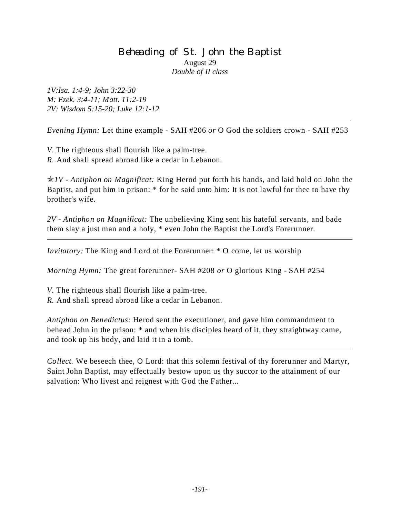## Beheading of St. John the Baptist August 29 *Double of II class*

*1V:Isa. 1:4-9; John 3:22-30 M: Ezek. 3:4-11; Matt. 11:2-19 2V: Wisdom 5:15-20; Luke 12:1-12*

*Evening Hymn:* Let thine example - SAH #206 *or* O God the soldiers crown - SAH #253

*V.* The righteous shall flourish like a palm-tree. *R.* And shall spread abroad like a cedar in Lebanon.

p*1V - Antiphon on Magnificat:* King Herod put forth his hands, and laid hold on John the Baptist, and put him in prison: \* for he said unto him: It is not lawful for thee to have thy brother's wife.

*2V - Antiphon on Magnificat:* The unbelieving King sent his hateful servants, and bade them slay a just man and a holy, \* even John the Baptist the Lord's Forerunner.

*Invitatory:* The King and Lord of the Forerunner: \* O come, let us worship

*Morning Hymn:* The great forerunner- SAH #208 *or* O glorious King - SAH #254

*V.* The righteous shall flourish like a palm-tree.

*R.* And shall spread abroad like a cedar in Lebanon.

*Antiphon on Benedictus:* Herod sent the executioner, and gave him commandment to behead John in the prison: \* and when his disciples heard of it, they straightway came, and took up his body, and laid it in a tomb.

*Collect.* We beseech thee, O Lord: that this solemn festival of thy forerunner and Martyr, Saint John Baptist, may effectually bestow upon us thy succor to the attainment of our salvation: Who livest and reignest with God the Father...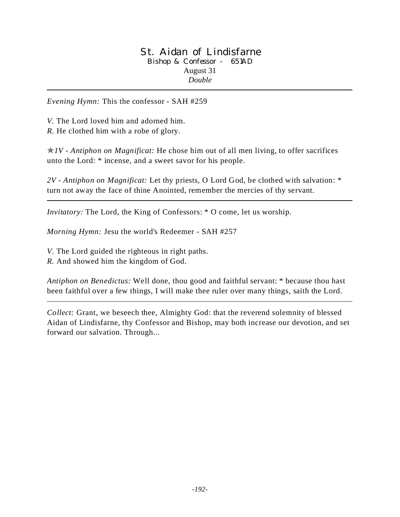#### St. Aidan of Lindisfarne Bishop & Confessor - 651AD August 31 *Double*

*Evening Hymn:* This the confessor - SAH #259

*V.* The Lord loved him and adorned him. *R.* He clothed him with a robe of glory.

p*1V - Antiphon on Magnificat:* He chose him out of all men living, to offer sacrifices unto the Lord: \* incense, and a sweet savor for his people.

*2V - Antiphon on Magnificat:* Let thy priests, O Lord God, be clothed with salvation: \* turn not away the face of thine Anointed, remember the mercies of thy servant.

*Invitatory:* The Lord, the King of Confessors: \* O come, let us worship.

*Morning Hymn:* Jesu the world's Redeemer - SAH #257

*V*. The Lord guided the righteous in right paths.

*R.* And showed him the kingdom of God.

*Antiphon on Benedictus:* Well done, thou good and faithful servant: \* because thou hast been faithful over a few things, I will make thee ruler over many things, saith the Lord.

*Collect:* Grant, we beseech thee, Almighty God: that the reverend solemnity of blessed Aidan of Lindisfarne, thy Confessor and Bishop, may both increase our devotion, and set forward our salvation. Through...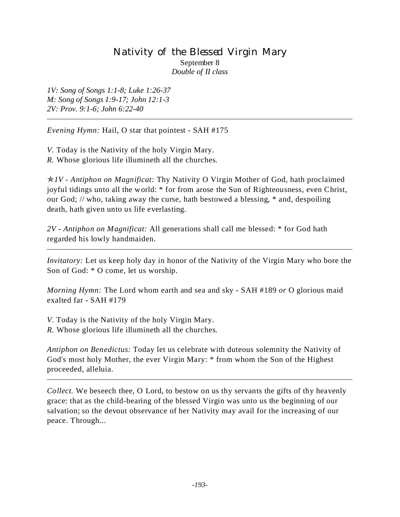## Nativity of the Blessed Virgin Mary September 8 *Double of II class*

*1V: Song of Songs 1:1-8; Luke 1:26-37 M: Song of Songs 1:9-17; John 12:1-3 2V: Prov. 9:1-6; John 6:22-40*

*Evening Hymn:* Hail, O star that pointest - SAH #175

*V.* Today is the Nativity of the holy Virgin Mary. *R.* Whose glorious life illumineth all the churches*.*

p*1V - Antiphon on Magnificat:* Thy Nativity O Virgin Mother of God, hath proclaimed joyful tidings unto all the world: \* for from arose the Sun of Righteousness, even Christ, our God; // who, taking away the curse, hath bestowed a blessing, \* and, despoiling death, hath given unto us life everlasting.

*2V - Antiphon on Magnificat:* All generations shall call me blessed: \* for God hath regarded his lowly handmaiden.

*Invitatory:* Let us keep holy day in honor of the Nativity of the Virgin Mary who bore the Son of God: \* O come, let us worship.

*Morning Hymn:* The Lord whom earth and sea and sky - SAH #189 *or* O glorious maid exalted far - SAH #179

*V.* Today is the Nativity of the holy Virgin Mary. *R.* Whose glorious life illumineth all the churches*.*

*Antiphon on Benedictus:* Today let us celebrate with duteous solemnity the Nativity of God's most holy Mother, the ever Virgin Mary: \* from whom the Son of the Highest proceeded, alleluia.

*Collect.* We beseech thee, O Lord, to bestow on us thy servants the gifts of thy heavenly grace: that as the child-bearing of the blessed Virgin was unto us the beginning of our salvation; so the devout observance of her Nativity may avail for the increasing of our peace. Through...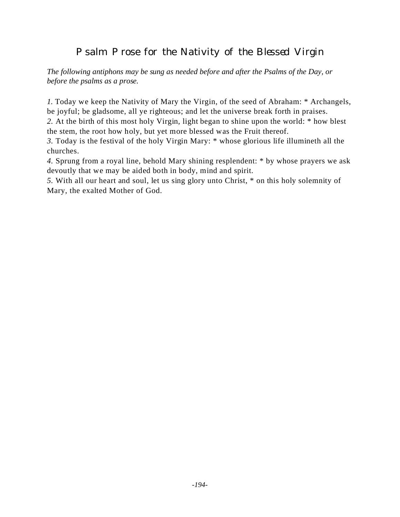# Psalm Prose for the Nativity of the Blessed Virgin

*The following antiphons may be sung as needed before and after the Psalms of the Day, or before the psalms as a prose.*

*1.* Today we keep the Nativity of Mary the Virgin, of the seed of Abraham: \* Archangels, be joyful; be gladsome, all ye righteous; and let the universe break forth in praises.

*2.* At the birth of this most holy Virgin, light began to shine upon the world: \* how blest the stem, the root how holy, but yet more blessed was the Fruit thereof.

*3.* Today is the festival of the holy Virgin Mary: \* whose glorious life illumineth all the churches.

*4.* Sprung from a royal line, behold Mary shining resplendent: \* by whose prayers we ask devoutly that we may be aided both in body, mind and spirit.

*5.* With all our heart and soul, let us sing glory unto Christ, \* on this holy solemnity of Mary, the exalted Mother of God.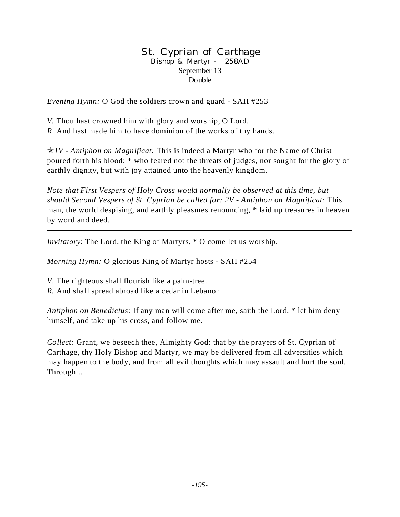#### St. Cyprian of Carthage Bishop & Martyr - 258AD September 13 Double

*Evening Hymn:* O God the soldiers crown and guard - SAH #253

*V.* Thou hast crowned him with glory and worship, O Lord.

*R*. And hast made him to have dominion of the works of thy hands.

p*1V - Antiphon on Magnificat:* This is indeed a Martyr who for the Name of Christ poured forth his blood: \* who feared not the threats of judges, nor sought for the glory of earthly dignity, but with joy attained unto the heavenly kingdom.

*Note that First Vespers of Holy Cross would normally be observed at this time, but should Second Vespers of St. Cyprian be called for: 2V - Antiphon on Magnificat:* This man, the world despising, and earthly pleasures renouncing, \* laid up treasures in heaven by word and deed.

*Invitatory*: The Lord, the King of Martyrs, \* O come let us worship.

*Morning Hymn:* O glorious King of Martyr hosts - SAH #254

*V*. The righteous shall flourish like a palm-tree.

*R.* And shall spread abroad like a cedar in Lebanon.

*Antiphon on Benedictus:* If any man will come after me, saith the Lord, \* let him deny himself, and take up his cross, and follow me.

*Collect:* Grant, we beseech thee, Almighty God: that by the prayers of St. Cyprian of Carthage, thy Holy Bishop and Martyr*,* we may be delivered from all adversities which may happen to the body, and from all evil thoughts which may assault and hurt the soul. Through...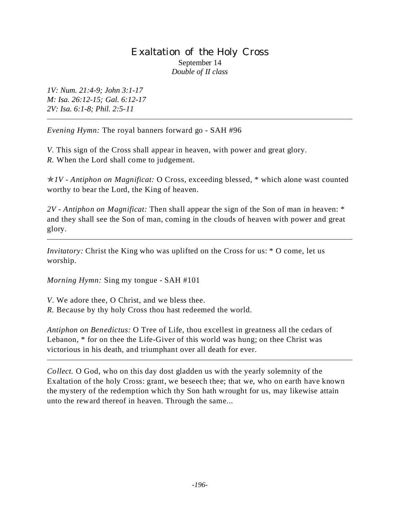## Exaltation of the Holy Cross September 14 *Double of II class*

*1V: Num. 21:4-9; John 3:1-17 M: Isa. 26:12-15; Gal. 6:12-17 2V: Isa. 6:1-8; Phil. 2:5-11*

*Evening Hymn:* The royal banners forward go - SAH #96

*V.* This sign of the Cross shall appear in heaven, with power and great glory. *R.* When the Lord shall come to judgement.

p*1V - Antiphon on Magnificat:* O Cross, exceeding blessed, \* which alone wast counted worthy to bear the Lord, the King of heaven.

*2V - Antiphon on Magnificat:* Then shall appear the sign of the Son of man in heaven: \* and they shall see the Son of man, coming in the clouds of heaven with power and great glory.

*Invitatory:* Christ the King who was uplifted on the Cross for us:  $*$  O come, let us worship.

*Morning Hymn:* Sing my tongue - SAH #101

*V*. We adore thee, O Christ, and we bless thee.

*R.* Because by thy holy Cross thou hast redeemed the world.

*Antiphon on Benedictus:* O Tree of Life, thou excellest in greatness all the cedars of Lebanon, \* for on thee the Life-Giver of this world was hung; on thee Christ was victorious in his death, and triumphant over all death for ever.

*Collect.* O God, who on this day dost gladden us with the yearly solemnity of the Exaltation of the holy Cross: grant, we beseech thee; that we, who on earth have known the mystery of the redemption which thy Son hath wrought for us, may likewise attain unto the reward thereof in heaven. Through the same...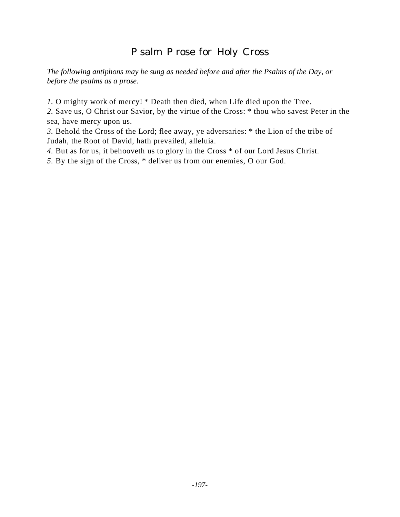# Psalm Prose for Holy Cross

*The following antiphons may be sung as needed before and after the Psalms of the Day, or before the psalms as a prose.*

*1.* O mighty work of mercy! \* Death then died, when Life died upon the Tree.

*2.* Save us, O Christ our Savior, by the virtue of the Cross: \* thou who savest Peter in the sea, have mercy upon us.

*3.* Behold the Cross of the Lord; flee away, ye adversaries: \* the Lion of the tribe of Judah, the Root of David, hath prevailed, alleluia.

*4.* But as for us, it behooveth us to glory in the Cross \* of our Lord Jesus Christ.

*5.* By the sign of the Cross, \* deliver us from our enemies, O our God.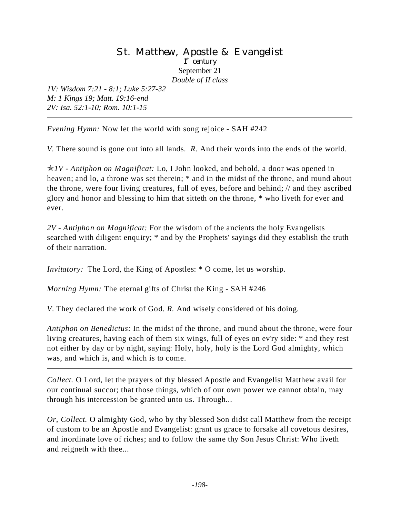### St. Matthew, Apostle & Evangelist 1<sup>st</sup> century September 21 *Double of II class*

*1V: Wisdom 7:21 - 8:1; Luke 5:27-32 M: 1 Kings 19; Matt. 19:16-end 2V: Isa. 52:1-10; Rom. 10:1-15*

*Evening Hymn:* Now let the world with song rejoice - SAH #242

*V.* There sound is gone out into all lands. *R.* And their words into the ends of the world.

p*1V - Antiphon on Magnificat:* Lo, I John looked, and behold, a door was opened in heaven; and lo, a throne was set therein; \* and in the midst of the throne, and round about the throne, were four living creatures, full of eyes, before and behind; // and they ascribed glory and honor and blessing to him that sitteth on the throne, \* who liveth for ever and ever.

*2V - Antiphon on Magnificat:* For the wisdom of the ancients the holy Evangelists searched with diligent enquiry; \* and by the Prophets' sayings did they establish the truth of their narration.

*Invitatory:* The Lord, the King of Apostles: \* O come, let us worship.

*Morning Hymn:* The eternal gifts of Christ the King - SAH #246

*V*. They declared the work of God. *R.* And wisely considered of his doing.

*Antiphon on Benedictus:* In the midst of the throne, and round about the throne, were four living creatures, having each of them six wings, full of eyes on ev'ry side: \* and they rest not either by day or by night, saying: Holy, holy, holy is the Lord God almighty, which was, and which is, and which is to come.

*Collect.* O Lord, let the prayers of thy blessed Apostle and Evangelist Matthew avail for our continual succor; that those things, which of our own power we cannot obtain, may through his intercession be granted unto us. Through...

*Or, Collect.* O almighty God, who by thy blessed Son didst call Matthew from the receipt of custom to be an Apostle and Evangelist: grant us grace to forsake all covetous desires, and inordinate love of riches; and to follow the same thy Son Jesus Christ: Who liveth and reigneth with thee...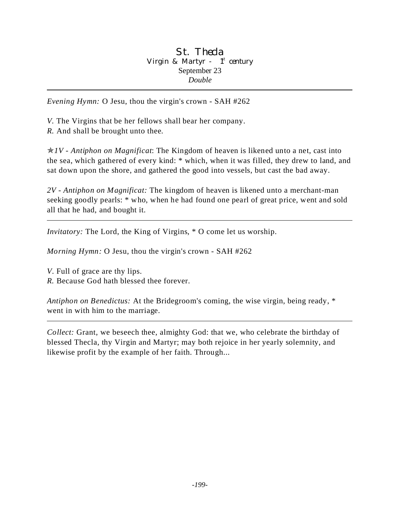#### St. Thecla Virgin & Martyr -  $1<sup>st</sup>$  century September 23 *Double*

*Evening Hymn:* O Jesu, thou the virgin's crown - SAH #262

*V.* The Virgins that be her fellows shall bear her company. *R.* And shall be brought unto thee.

 $\angle N/V$  - Antiphon on Magnificat: The Kingdom of heaven is likened unto a net, cast into the sea, which gathered of every kind: \* which, when it was filled, they drew to land, and sat down upon the shore, and gathered the good into vessels, but cast the bad away.

*2V - Antiphon on Magnificat:* The kingdom of heaven is likened unto a merchant-man seeking goodly pearls: \* who, when he had found one pearl of great price, went and sold all that he had, and bought it.

*Invitatory:* The Lord, the King of Virgins,  $*$  O come let us worship.

*Morning Hymn:* O Jesu, thou the virgin's crown - SAH #262

*V*. Full of grace are thy lips.

*R.* Because God hath blessed thee forever.

*Antiphon on Benedictus:* At the Bridegroom's coming, the wise virgin, being ready, \* went in with him to the marriage.

*Collect:* Grant, we beseech thee, almighty God: that we, who celebrate the birthday of blessed Thecla, thy Virgin and Martyr; may both rejoice in her yearly solemnity, and likewise profit by the example of her faith. Through...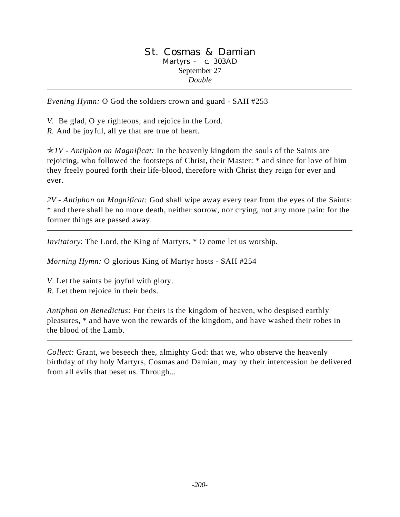#### St. Cosmas & Damian Martyrs - c. 303AD September 27 *Double*

*Evening Hymn:* O God the soldiers crown and guard - SAH #253

*V.* Be glad, O ye righteous, and rejoice in the Lord.

*R.* And be joyful, all ye that are true of heart.

p*1V - Antiphon on Magnificat:* In the heavenly kingdom the souls of the Saints are rejoicing, who followed the footsteps of Christ, their Master: \* and since for love of him they freely poured forth their life-blood, therefore with Christ they reign for ever and ever.

*2V - Antiphon on Magnificat:* God shall wipe away every tear from the eyes of the Saints: \* and there shall be no more death, neither sorrow, nor crying, not any more pain: for the former things are passed away.

*Invitatory*: The Lord, the King of Martyrs, \* O come let us worship.

*Morning Hymn:* O glorious King of Martyr hosts - SAH #254

*V*. Let the saints be joyful with glory.

*R.* Let them rejoice in their beds.

*Antiphon on Benedictus:* For theirs is the kingdom of heaven, who despised earthly pleasures, \* and have won the rewards of the kingdom, and have washed their robes in the blood of the Lamb.

*Collect:* Grant, we beseech thee, almighty God: that we, who observe the heavenly birthday of thy holy Martyrs, Cosmas and Damian, may by their intercession be delivered from all evils that beset us. Through...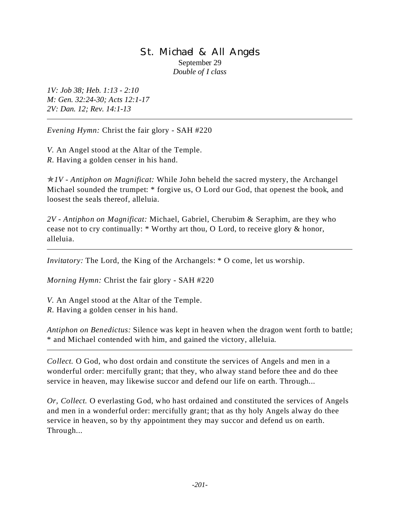### St. Michael & All Angels September 29 *Double of I class*

*1V: Job 38; Heb. 1:13 - 2:10 M: Gen. 32:24-30; Acts 12:1-17 2V: Dan. 12; Rev. 14:1-13*

*Evening Hymn:* Christ the fair glory - SAH #220

*V.* An Angel stood at the Altar of the Temple. *R.* Having a golden censer in his hand.

p*1V - Antiphon on Magnificat:* While John beheld the sacred mystery, the Archangel Michael sounded the trumpet: \* forgive us, O Lord our God, that openest the book, and loosest the seals thereof, alleluia.

*2V - Antiphon on Magnificat:* Michael, Gabriel, Cherubim & Seraphim, are they who cease not to cry continually: \* Worthy art thou, O Lord, to receive glory & honor, alleluia.

*Invitatory:* The Lord, the King of the Archangels: \* O come, let us worship.

*Morning Hymn:* Christ the fair glory - SAH #220

*V.* An Angel stood at the Altar of the Temple. *R.* Having a golden censer in his hand.

*Antiphon on Benedictus:* Silence was kept in heaven when the dragon went forth to battle; \* and Michael contended with him, and gained the victory, alleluia.

*Collect.* O God, who dost ordain and constitute the services of Angels and men in a wonderful order: mercifully grant; that they, who alway stand before thee and do thee service in heaven, may likewise succor and defend our life on earth. Through...

*Or, Collect.* O everlasting God, who hast ordained and constituted the services of Angels and men in a wonderful order: mercifully grant; that as thy holy Angels alway do thee service in heaven, so by thy appointment they may succor and defend us on earth. Through...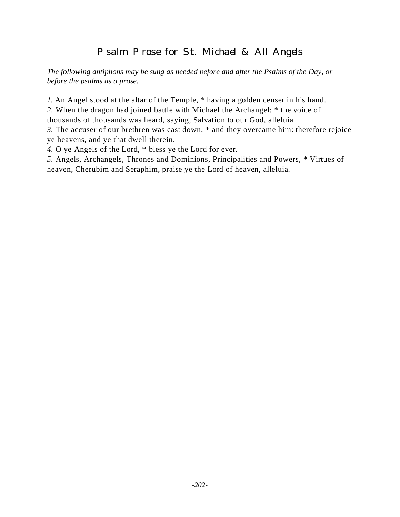# Psalm Prose for St. Michael & All Angels

*The following antiphons may be sung as needed before and after the Psalms of the Day, or before the psalms as a prose.*

*1.* An Angel stood at the altar of the Temple, \* having a golden censer in his hand.

*2.* When the dragon had joined battle with Michael the Archangel: \* the voice of thousands of thousands was heard, saying, Salvation to our God, alleluia.

*3.* The accuser of our brethren was cast down, \* and they overcame him: therefore rejoice ye heavens, and ye that dwell therein.

*4.* O ye Angels of the Lord, \* bless ye the Lord for ever.

*5.* Angels, Archangels, Thrones and Dominions, Principalities and Powers, \* Virtues of heaven, Cherubim and Seraphim, praise ye the Lord of heaven, alleluia.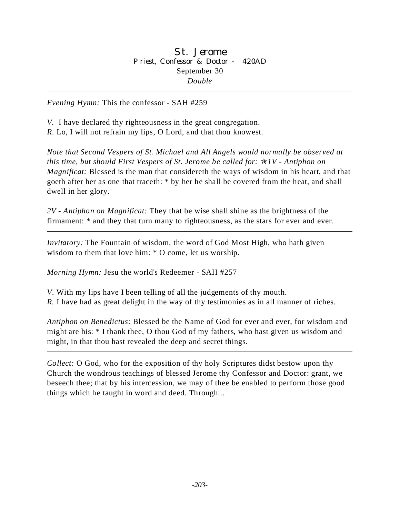*V.* I have declared thy righteousness in the great congregation. *R.* Lo, I will not refrain my lips, O Lord, and that thou knowest.

*Note that Second Vespers of St. Michael and All Angels would normally be observed at this time, but should First Vespers of St. Jerome be called for:* p*1V - Antiphon on Magnificat:* Blessed is the man that considereth the ways of wisdom in his heart, and that goeth after her as one that traceth: \* by her he shall be covered from the heat, and shall dwell in her glory.

*2V - Antiphon on Magnificat:* They that be wise shall shine as the brightness of the firmament: \* and they that turn many to righteousness, as the stars for ever and ever.

*Invitatory:* The Fountain of wisdom, the word of God Most High, who hath given wisdom to them that love him: \* O come, let us worship.

*Morning Hymn:* Jesu the world's Redeemer - SAH #257

*V*. With my lips have I been telling of all the judgements of thy mouth. *R.* I have had as great delight in the way of thy testimonies as in all manner of riches.

*Antiphon on Benedictus:* Blessed be the Name of God for ever and ever, for wisdom and might are his: \* I thank thee, O thou God of my fathers, who hast given us wisdom and might, in that thou hast revealed the deep and secret things.

*Collect:* O God, who for the exposition of thy holy Scriptures didst bestow upon thy Church the wondrous teachings of blessed Jerome thy Confessor and Doctor: grant, we beseech thee; that by his intercession, we may of thee be enabled to perform those good things which he taught in word and deed. Through...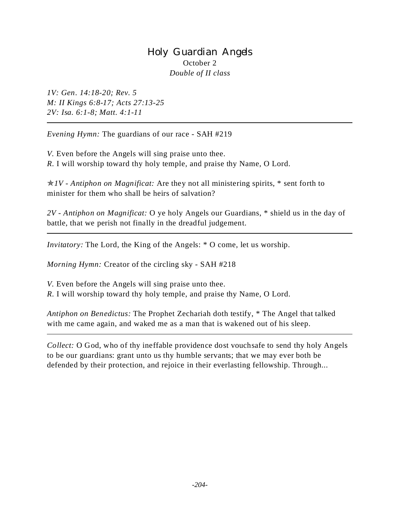# Holy Guardian Angels October 2 *Double of II class*

*1V: Gen. 14:18-20; Rev. 5 M: II Kings 6:8-17; Acts 27:13-25 2V: Isa. 6:1-8; Matt. 4:1-11*

*Evening Hymn:* The guardians of our race - SAH #219

*V.* Even before the Angels will sing praise unto thee. *R.* I will worship toward thy holy temple, and praise thy Name, O Lord.

p*1V - Antiphon on Magnificat:* Are they not all ministering spirits, \* sent forth to minister for them who shall be heirs of salvation?

*2V - Antiphon on Magnificat:* O ye holy Angels our Guardians, \* shield us in the day of battle, that we perish not finally in the dreadful judgement.

*Invitatory:* The Lord, the King of the Angels:  $*$  O come, let us worship.

*Morning Hymn:* Creator of the circling sky - SAH #218

*V.* Even before the Angels will sing praise unto thee.

*R.* I will worship toward thy holy temple, and praise thy Name, O Lord.

*Antiphon on Benedictus:* The Prophet Zechariah doth testify, \* The Angel that talked with me came again, and waked me as a man that is wakened out of his sleep.

*Collect:* O God, who of thy ineffable providence dost vouchsafe to send thy holy Angels to be our guardians: grant unto us thy humble servants; that we may ever both be defended by their protection, and rejoice in their everlasting fellowship. Through...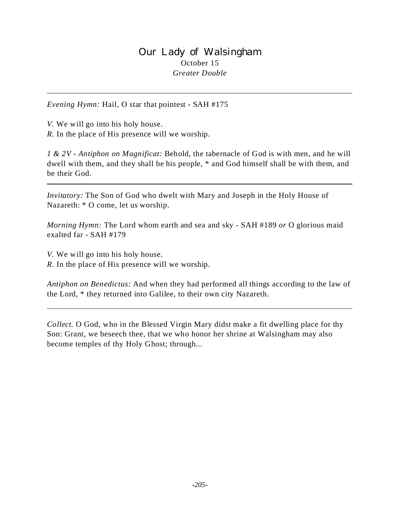### Our Lady of Walsingham October 15 *Greater Double*

*Evening Hymn:* Hail, O star that pointest - SAH #175

*V.* We will go into his holy house.

*R.* In the place of His presence will we worship.

*1 & 2V - Antiphon on Magnificat:* Behold, the tabernacle of God is with men, and he will dwell with them, and they shall be his people, \* and God himself shall be with them, and be their God.

*Invitatory:* The Son of God who dwelt with Mary and Joseph in the Holy House of Nazareth: \* O come, let us worship.

*Morning Hymn:* The Lord whom earth and sea and sky - SAH #189 *or* O glorious maid exalted far - SAH #179

*V.* We will go into his holy house.

*R.* In the place of His presence will we worship.

*Antiphon on Benedictus:* And when they had performed all things according to the law of the Lord, \* they returned into Galilee, to their own city Nazareth.

*Collect.* O God, who in the Blessed Virgin Mary didst make a fit dwelling place for thy Son: Grant, we beseech thee, that we who honor her shrine at Walsingham may also become temples of thy Holy Ghost; through...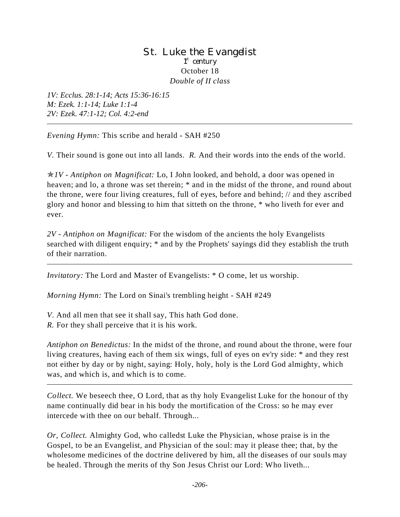### St. Luke the Evangelist 1<sup>st</sup> century October 18 *Double of II class*

*1V: Ecclus. 28:1-14; Acts 15:36-16:15 M: Ezek. 1:1-14; Luke 1:1-4 2V: Ezek. 47:1-12; Col. 4:2-end*

*Evening Hymn:* This scribe and herald - SAH #250

*V.* Their sound is gone out into all lands. *R.* And their words into the ends of the world.

p*1V - Antiphon on Magnificat:* Lo, I John looked, and behold, a door was opened in heaven; and lo, a throne was set therein;  $*$  and in the midst of the throne, and round about the throne, were four living creatures, full of eyes, before and behind; // and they ascribed glory and honor and blessing to him that sitteth on the throne, \* who liveth for ever and ever.

*2V - Antiphon on Magnificat:* For the wisdom of the ancients the holy Evangelists searched with diligent enquiry; \* and by the Prophets' sayings did they establish the truth of their narration.

*Invitatory:* The Lord and Master of Evangelists: \* O come, let us worship.

*Morning Hymn:* The Lord on Sinai's trembling height - SAH #249

*V*. And all men that see it shall say, This hath God done. *R.* For they shall perceive that it is his work.

*Antiphon on Benedictus:* In the midst of the throne, and round about the throne, were four living creatures, having each of them six wings, full of eyes on ev'ry side: \* and they rest not either by day or by night, saying: Holy, holy, holy is the Lord God almighty, which was, and which is, and which is to come.

*Collect.* We beseech thee, O Lord, that as thy holy Evangelist Luke for the honour of thy name continually did bear in his body the mortification of the Cross: so he may ever intercede with thee on our behalf. Through...

*Or, Collect.* Almighty God, who calledst Luke the Physician, whose praise is in the Gospel, to be an Evangelist, and Physician of the soul: may it please thee; that, by the wholesome medicines of the doctrine delivered by him, all the diseases of our souls may be healed. Through the merits of thy Son Jesus Christ our Lord: Who liveth...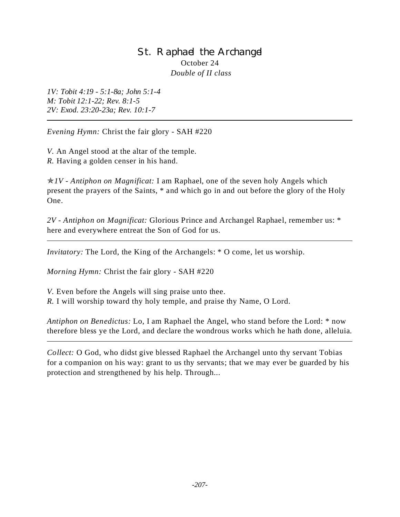# St. Raphael the Archangel October 24  *Double of II class*

*1V: Tobit 4:19 - 5:1-8a; John 5:1-4 M: Tobit 12:1-22; Rev. 8:1-5 2V: Exod. 23:20-23a; Rev. 10:1-7*

*Evening Hymn:* Christ the fair glory - SAH #220

*V.* An Angel stood at the altar of the temple. *R.* Having a golden censer in his hand.

p*1V - Antiphon on Magnificat:* I am Raphael, one of the seven holy Angels which present the prayers of the Saints, \* and which go in and out before the glory of the Holy One.

*2V - Antiphon on Magnificat:* Glorious Prince and Archangel Raphael, remember us: \* here and everywhere entreat the Son of God for us.

*Invitatory:* The Lord, the King of the Archangels: \* O come, let us worship.

*Morning Hymn:* Christ the fair glory - SAH #220

*V.* Even before the Angels will sing praise unto thee.

*R.* I will worship toward thy holy temple, and praise thy Name, O Lord.

*Antiphon on Benedictus:* Lo, I am Raphael the Angel, who stand before the Lord: \* now therefore bless ye the Lord, and declare the wondrous works which he hath done, alleluia.

*Collect:* O God, who didst give blessed Raphael the Archangel unto thy servant Tobias for a companion on his way: grant to us thy servants; that we may ever be guarded by his protection and strengthened by his help. Through...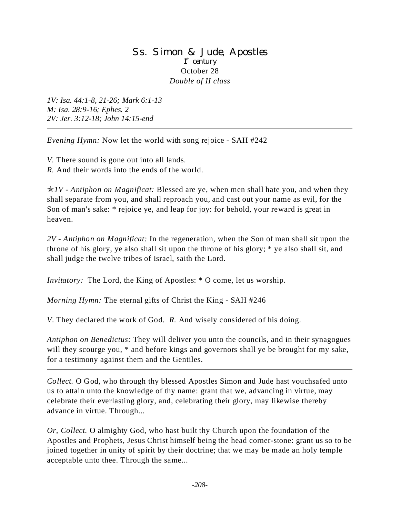### Ss. Simon & Jude, Apostles 1<sup>st</sup> century October 28 *Double of II class*

*1V: Isa. 44:1-8, 21-26; Mark 6:1-13 M: Isa. 28:9-16; Ephes. 2 2V: Jer. 3:12-18; John 14:15-end*

*Evening Hymn:* Now let the world with song rejoice - SAH #242

*V.* There sound is gone out into all lands. *R.* And their words into the ends of the world.

p*1V - Antiphon on Magnificat:* Blessed are ye, when men shall hate you, and when they shall separate from you, and shall reproach you, and cast out your name as evil, for the Son of man's sake: \* rejoice ye, and leap for joy: for behold, your reward is great in heaven.

*2V - Antiphon on Magnificat:* In the regeneration, when the Son of man shall sit upon the throne of his glory, ye also shall sit upon the throne of his glory; \* ye also shall sit, and shall judge the twelve tribes of Israel, saith the Lord.

*Invitatory:* The Lord, the King of Apostles: \* O come, let us worship.

*Morning Hymn:* The eternal gifts of Christ the King - SAH #246

*V*. They declared the work of God. *R.* And wisely considered of his doing.

*Antiphon on Benedictus:* They will deliver you unto the councils, and in their synagogues will they scourge you,  $*$  and before kings and governors shall ye be brought for my sake, for a testimony against them and the Gentiles.

*Collect.* O God, who through thy blessed Apostles Simon and Jude hast vouchsafed unto us to attain unto the knowledge of thy name: grant that we, advancing in virtue, may celebrate their everlasting glory, and, celebrating their glory, may likewise thereby advance in virtue. Through...

*Or, Collect.* O almighty God, who hast built thy Church upon the foundation of the Apostles and Prophets, Jesus Christ himself being the head corner-stone: grant us so to be joined together in unity of spirit by their doctrine; that we may be made an holy temple acceptable unto thee. Through the same...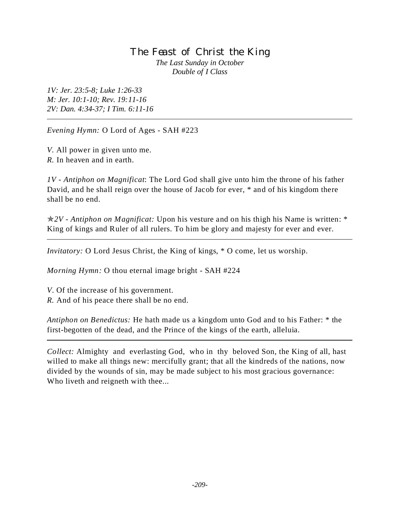### The Feast of Christ the King *The Last Sunday in October Double of I Class*

*1V: Jer. 23:5-8; Luke 1:26-33 M: Jer. 10:1-10; Rev. 19:11-16 2V: Dan. 4:34-37; I Tim. 6:11-16*

*Evening Hymn:* O Lord of Ages - SAH #223

*V.* All power in given unto me. *R.* In heaven and in earth.

*1V - Antiphon on Magnificat*: The Lord God shall give unto him the throne of his father David, and he shall reign over the house of Jacob for ever, \* and of his kingdom there shall be no end.

p*2V - Antiphon on Magnificat:* Upon his vesture and on his thigh his Name is written: \* King of kings and Ruler of all rulers. To him be glory and majesty for ever and ever.

*Invitatory:* O Lord Jesus Christ, the King of kings,  $*$  O come, let us worship.

*Morning Hymn:* O thou eternal image bright - SAH #224

*V*. Of the increase of his government.

*R.* And of his peace there shall be no end.

*Antiphon on Benedictus:* He hath made us a kingdom unto God and to his Father: \* the first-begotten of the dead, and the Prince of the kings of the earth, alleluia.

*Collect:* Almighty and everlasting God, who in thy beloved Son, the King of all, hast willed to make all things new: mercifully grant; that all the kindreds of the nations, now divided by the wounds of sin, may be made subject to his most gracious governance: Who liveth and reigneth with thee...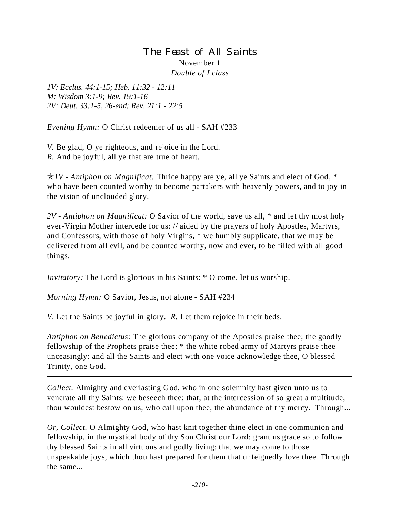# The Feast of All Saints November 1 *Double of I class*

*1V: Ecclus. 44:1-15; Heb. 11:32 - 12:11 M: Wisdom 3:1-9; Rev. 19:1-16 2V: Deut. 33:1-5, 26-end; Rev. 21:1 - 22:5*

*Evening Hymn:* O Christ redeemer of us all - SAH #233

*V.* Be glad, O ye righteous, and rejoice in the Lord. *R.* And be joyful, all ye that are true of heart.

p*1V - Antiphon on Magnificat:* Thrice happy are ye, all ye Saints and elect of God, \* who have been counted worthy to become partakers with heavenly powers, and to joy in the vision of unclouded glory.

*2V - Antiphon on Magnificat:* O Savior of the world, save us all, \* and let thy most holy ever-Virgin Mother intercede for us: // aided by the prayers of holy Apostles, Martyrs, and Confessors, with those of holy Virgins, \* we humbly supplicate, that we may be delivered from all evil, and be counted worthy, now and ever, to be filled with all good things.

*Invitatory:* The Lord is glorious in his Saints: \* O come, let us worship.

*Morning Hymn:* O Savior, Jesus, not alone - SAH #234

*V*. Let the Saints be joyful in glory. *R.* Let them rejoice in their beds.

*Antiphon on Benedictus:* The glorious company of the Apostles praise thee; the goodly fellowship of the Prophets praise thee; \* the white robed army of Martyrs praise thee unceasingly: and all the Saints and elect with one voice acknowledge thee, O blessed Trinity, one God.

*Collect.* Almighty and everlasting God, who in one solemnity hast given unto us to venerate all thy Saints: we beseech thee; that, at the intercession of so great a multitude, thou wouldest bestow on us, who call upon thee, the abundance of thy mercy. Through...

*Or, Collect.* O Almighty God, who hast knit together thine elect in one communion and fellowship, in the mystical body of thy Son Christ our Lord: grant us grace so to follow thy blessed Saints in all virtuous and godly living; that we may come to those unspeakable joys, which thou hast prepared for them that unfeignedly love thee. Through the same...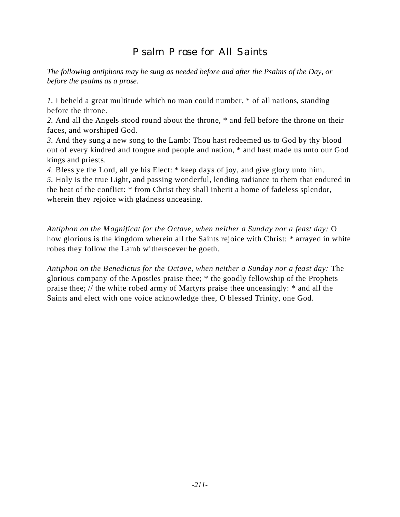# Psalm Prose for All Saints

*The following antiphons may be sung as needed before and after the Psalms of the Day, or before the psalms as a prose.*

*1.* I beheld a great multitude which no man could number, \* of all nations, standing before the throne.

*2.* And all the Angels stood round about the throne, \* and fell before the throne on their faces, and worshiped God.

*3.* And they sung a new song to the Lamb: Thou hast redeemed us to God by thy blood out of every kindred and tongue and people and nation, \* and hast made us unto our God kings and priests.

*4.* Bless ye the Lord, all ye his Elect: \* keep days of joy, and give glory unto him.

*5.* Holy is the true Light, and passing wonderful, lending radiance to them that endured in the heat of the conflict: \* from Christ they shall inherit a home of fadeless splendor, wherein they rejoice with gladness unceasing.

*Antiphon on the Magnificat for the Octave, when neither a Sunday nor a feast day:* O how glorious is the kingdom wherein all the Saints rejoice with Christ*: \** arrayed in white robes they follow the Lamb withersoever he goeth.

*Antiphon on the Benedictus for the Octave, when neither a Sunday nor a feast day:* The glorious company of the Apostles praise thee; \* the goodly fellowship of the Prophets praise thee; // the white robed army of Martyrs praise thee unceasingly: \* and all the Saints and elect with one voice acknowledge thee, O blessed Trinity, one God.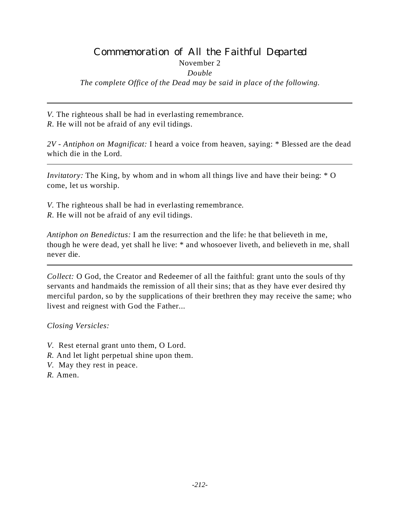# Commemoration of All the Faithful Departed

November 2

*Double*

*The complete Office of the Dead may be said in place of the following.*

*V.* The righteous shall be had in everlasting remembrance.

*R.* He will not be afraid of any evil tidings.

*2V - Antiphon on Magnificat:* I heard a voice from heaven, saying: \* Blessed are the dead which die in the Lord.

*Invitatory:* The King, by whom and in whom all things live and have their being:  $*$  O come, let us worship.

*V.* The righteous shall be had in everlasting remembrance. *R.* He will not be afraid of any evil tidings.

*Antiphon on Benedictus:* I am the resurrection and the life: he that believeth in me, though he were dead, yet shall he live: \* and whosoever liveth, and believeth in me, shall never die.

*Collect:* O God, the Creator and Redeemer of all the faithful: grant unto the souls of thy servants and handmaids the remission of all their sins; that as they have ever desired thy merciful pardon, so by the supplications of their brethren they may receive the same; who livest and reignest with God the Father...

*Closing Versicles:*

- *V.* Rest eternal grant unto them, O Lord.
- *R.* And let light perpetual shine upon them.
- *V.* May they rest in peace.
- *R.* Amen.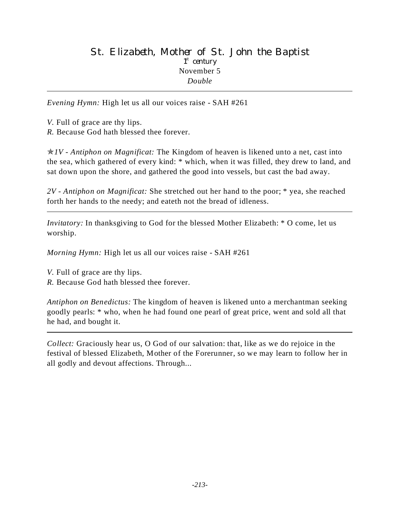## St. Elizabeth, Mother of St. John the Baptist 1<sup>st</sup> century November 5 *Double*

*Evening Hymn:* High let us all our voices raise - SAH #261

- *V.* Full of grace are thy lips.
- *R.* Because God hath blessed thee forever.

p*1V - Antiphon on Magnificat:* The Kingdom of heaven is likened unto a net, cast into the sea, which gathered of every kind: \* which, when it was filled, they drew to land, and sat down upon the shore, and gathered the good into vessels, but cast the bad away.

*2V - Antiphon on Magnificat:* She stretched out her hand to the poor; \* yea, she reached forth her hands to the needy; and eateth not the bread of idleness.

*Invitatory:* In thanksgiving to God for the blessed Mother Elizabeth: \* O come, let us worship.

*Morning Hymn:* High let us all our voices raise - SAH #261

*V.* Full of grace are thy lips.

*R.* Because God hath blessed thee forever.

*Antiphon on Benedictus:* The kingdom of heaven is likened unto a merchantman seeking goodly pearls: \* who, when he had found one pearl of great price, went and sold all that he had, and bought it.

*Collect:* Graciously hear us, O God of our salvation: that, like as we do rejoice in the festival of blessed Elizabeth, Mother of the Forerunner, so we may learn to follow her in all godly and devout affections. Through...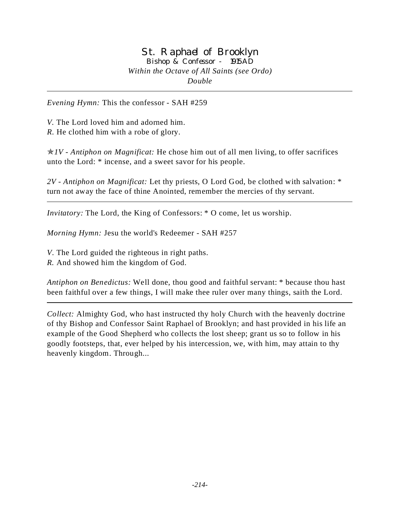### St. Raphael of Brooklyn Bishop & Confessor - 1915AD *Within the Octave of All Saints (see Ordo) Double*

*Evening Hymn:* This the confessor - SAH #259

*V.* The Lord loved him and adorned him. *R.* He clothed him with a robe of glory.

p*1V - Antiphon on Magnificat:* He chose him out of all men living, to offer sacrifices unto the Lord: \* incense, and a sweet savor for his people.

*2V - Antiphon on Magnificat:* Let thy priests, O Lord God, be clothed with salvation: \* turn not away the face of thine Anointed, remember the mercies of thy servant.

*Invitatory:* The Lord, the King of Confessors: \* O come, let us worship.

*Morning Hymn:* Jesu the world's Redeemer - SAH #257

*V*. The Lord guided the righteous in right paths.

*R.* And showed him the kingdom of God.

*Antiphon on Benedictus:* Well done, thou good and faithful servant: \* because thou hast been faithful over a few things, I will make thee ruler over many things, saith the Lord.

*Collect:* Almighty God, who hast instructed thy holy Church with the heavenly doctrine of thy Bishop and Confessor Saint Raphael of Brooklyn; and hast provided in his life an example of the Good Shepherd who collects the lost sheep; grant us so to follow in his goodly footsteps, that, ever helped by his intercession, we, with him, may attain to thy heavenly kingdom. Through...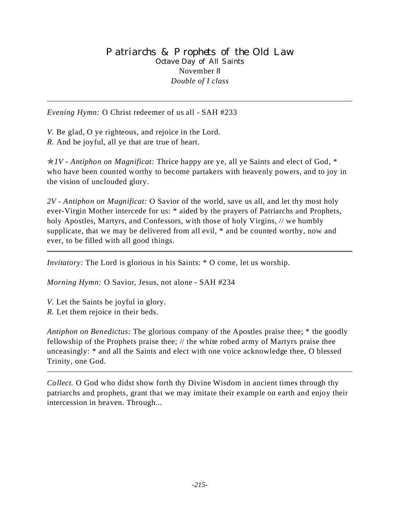*Evening Hymn:* O Christ redeemer of us all - SAH #233

*V.* Be glad, O ye righteous, and rejoice in the Lord. *R.* And be joyful, all ye that are true of heart.

p*1V - Antiphon on Magnificat:* Thrice happy are ye, all ye Saints and elect of God, \* who have been counted worthy to become partakers with heavenly powers, and to joy in the vision of unclouded glory.

*2V - Antiphon on Magnificat:* O Savior of the world, save us all, and let thy most holy ever-Virgin Mother intercede for us: \* aided by the prayers of Patriarchs and Prophets, holy Apostles, Martyrs, and Confessors, with those of holy Virgins, // we humbly supplicate, that we may be delivered from all evil, \* and be counted worthy, now and ever, to be filled with all good things.

*Invitatory:* The Lord is glorious in his Saints:  $*$  O come, let us worship.

*Morning Hymn:* O Savior, Jesus, not alone - SAH #234

- *V*. Let the Saints be joyful in glory.
- *R.* Let them rejoice in their beds.

*Antiphon on Benedictus:* The glorious company of the Apostles praise thee; \* the goodly fellowship of the Prophets praise thee; // the white robed army of Martyrs praise thee unceasingly: \* and all the Saints and elect with one voice acknowledge thee, O blessed Trinity, one God.

*Collect.* O God who didst show forth thy Divine Wisdom in ancient times through thy patriarchs and prophets, grant that we may imitate their example on earth and enjoy their intercession in heaven. Through...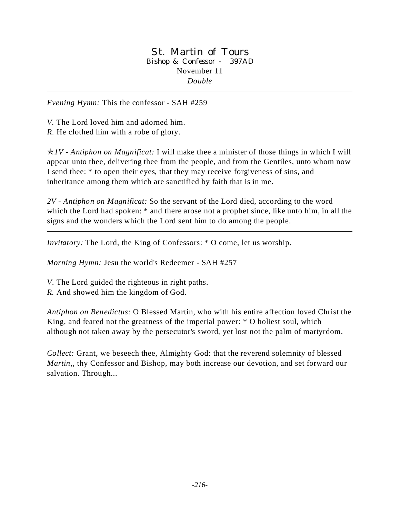### St. Martin of Tours Bishop & Confessor - 397AD November 11 *Double*

*Evening Hymn:* This the confessor - SAH #259

*V.* The Lord loved him and adorned him.

*R.* He clothed him with a robe of glory.

p*1V - Antiphon on Magnificat:* I will make thee a minister of those things in which I will appear unto thee, delivering thee from the people, and from the Gentiles, unto whom now I send thee: \* to open their eyes, that they may receive forgiveness of sins, and inheritance among them which are sanctified by faith that is in me.

*2V - Antiphon on Magnificat:* So the servant of the Lord died, according to the word which the Lord had spoken: \* and there arose not a prophet since, like unto him, in all the signs and the wonders which the Lord sent him to do among the people.

*Invitatory:* The Lord, the King of Confessors: \* O come, let us worship.

*Morning Hymn:* Jesu the world's Redeemer - SAH #257

*V*. The Lord guided the righteous in right paths.

*R.* And showed him the kingdom of God.

*Antiphon on Benedictus:* O Blessed Martin, who with his entire affection loved Christ the King, and feared not the greatness of the imperial power: \* O holiest soul, which although not taken away by the persecutor's sword, yet lost not the palm of martyrdom.

*Collect:* Grant, we beseech thee, Almighty God: that the reverend solemnity of blessed *Martin*,*,* thy Confessor and Bishop, may both increase our devotion, and set forward our salvation. Through...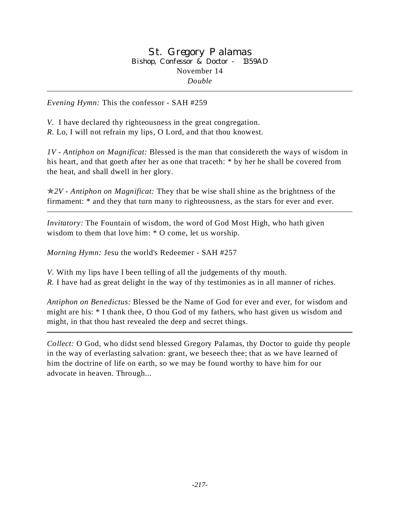### St. Gregory Palamas Bishop, Confessor & Doctor - 1359AD November 14 *Double*

*Evening Hymn:* This the confessor - SAH #259

*V.* I have declared thy righteousness in the great congregation. *R.* Lo, I will not refrain my lips, O Lord, and that thou knowest.

*1V - Antiphon on Magnificat:* Blessed is the man that considereth the ways of wisdom in his heart, and that goeth after her as one that traceth: \* by her he shall be covered from the heat, and shall dwell in her glory.

p*2V - Antiphon on Magnificat:* They that be wise shall shine as the brightness of the firmament: \* and they that turn many to righteousness, as the stars for ever and ever.

*Invitatory:* The Fountain of wisdom, the word of God Most High, who hath given wisdom to them that love him: \* O come, let us worship.

*Morning Hymn:* Jesu the world's Redeemer - SAH #257

*V*. With my lips have I been telling of all the judgements of thy mouth. *R.* I have had as great delight in the way of thy testimonies as in all manner of riches.

*Antiphon on Benedictus:* Blessed be the Name of God for ever and ever, for wisdom and might are his: \* I thank thee, O thou God of my fathers, who hast given us wisdom and might, in that thou hast revealed the deep and secret things.

*Collect:* O God, who didst send blessed Gregory Palamas*,* thy Doctor to guide thy people in the way of everlasting salvation: grant, we beseech thee; that as we have learned of him the doctrine of life on earth, so we may be found worthy to have him for our advocate in heaven. Through...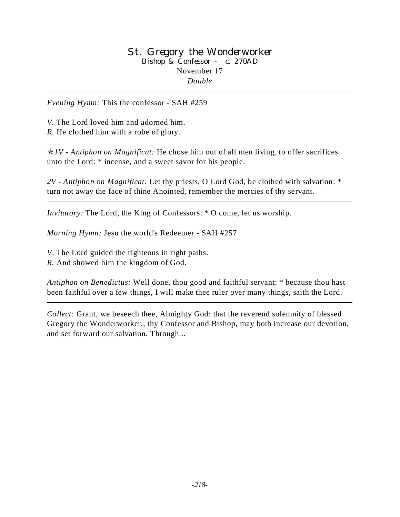#### St. Gregory the Wonderworker Bishop & Confessor - c. 270AD November 17 *Double*

*Evening Hymn:* This the confessor - SAH #259

*V.* The Lord loved him and adorned him. *R.* He clothed him with a robe of glory.

p*1V - Antiphon on Magnificat:* He chose him out of all men living, to offer sacrifices unto the Lord: \* incense, and a sweet savor for his people.

*2V - Antiphon on Magnificat:* Let thy priests, O Lord God, be clothed with salvation: \* turn not away the face of thine Anointed, remember the mercies of thy servant.

*Invitatory:* The Lord, the King of Confessors: \* O come, let us worship.

*Morning Hymn:* Jesu the world's Redeemer - SAH #257

*V*. The Lord guided the righteous in right paths.

*R.* And showed him the kingdom of God.

*Antiphon on Benedictus:* Well done, thou good and faithful servant: \* because thou hast been faithful over a few things, I will make thee ruler over many things, saith the Lord.

*Collect:* Grant, we beseech thee, Almighty God: that the reverend solemnity of blessed Gregory the Wonderworker,*,* thy Confessor and Bishop, may both increase our devotion, and set forward our salvation. Through...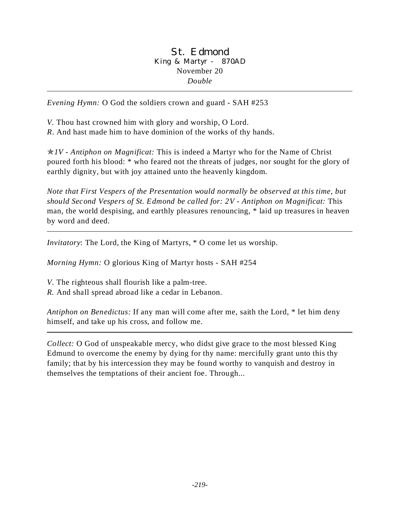### St. Edmond King & Martyr - 870AD November 20 *Double*

*Evening Hymn:* O God the soldiers crown and guard - SAH #253

*V.* Thou hast crowned him with glory and worship, O Lord. *R*. And hast made him to have dominion of the works of thy hands.

p*1V - Antiphon on Magnificat:* This is indeed a Martyr who for the Name of Christ poured forth his blood: \* who feared not the threats of judges, nor sought for the glory of earthly dignity, but with joy attained unto the heavenly kingdom.

*Note that First Vespers of the Presentation would normally be observed at this time, but should Second Vespers of St. Edmond be called for: 2V - Antiphon on Magnificat:* This man, the world despising, and earthly pleasures renouncing, \* laid up treasures in heaven by word and deed.

*Invitatory*: The Lord, the King of Martyrs, \* O come let us worship.

*Morning Hymn:* O glorious King of Martyr hosts - SAH #254

*V*. The righteous shall flourish like a palm-tree.

*R.* And shall spread abroad like a cedar in Lebanon.

*Antiphon on Benedictus:* If any man will come after me, saith the Lord, \* let him deny himself, and take up his cross, and follow me.

*Collect:* O God of unspeakable mercy, who didst give grace to the most blessed King Edmund to overcome the enemy by dying for thy name: mercifully grant unto this thy family; that by his intercession they may be found worthy to vanquish and destroy in themselves the temptations of their ancient foe. Through...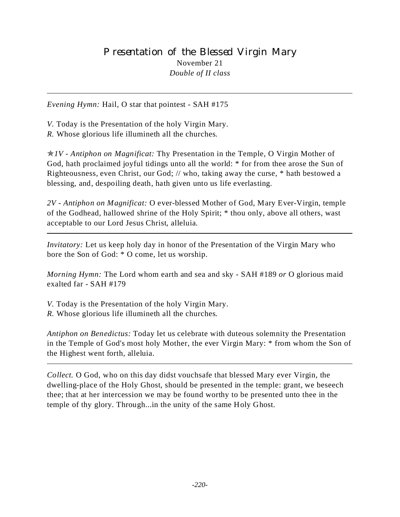# Presentation of the Blessed Virgin Mary November 21 *Double of II class*

*Evening Hymn:* Hail, O star that pointest - SAH #175

*V.* Today is the Presentation of the holy Virgin Mary. *R.* Whose glorious life illumineth all the churches*.*

p*1V - Antiphon on Magnificat:* Thy Presentation in the Temple, O Virgin Mother of God, hath proclaimed joyful tidings unto all the world: \* for from thee arose the Sun of Righteousness, even Christ, our God; // who, taking away the curse, \* hath bestowed a blessing, and, despoiling death, hath given unto us life everlasting.

*2V - Antiphon on Magnificat:* O ever-blessed Mother of God, Mary Ever-Virgin, temple of the Godhead, hallowed shrine of the Holy Spirit; \* thou only, above all others, wast acceptable to our Lord Jesus Christ, alleluia.

*Invitatory:* Let us keep holy day in honor of the Presentation of the Virgin Mary who bore the Son of God: \* O come, let us worship.

*Morning Hymn:* The Lord whom earth and sea and sky - SAH #189 *or* O glorious maid exalted far - SAH #179

*V.* Today is the Presentation of the holy Virgin Mary.

*R.* Whose glorious life illumineth all the churches*.*

*Antiphon on Benedictus:* Today let us celebrate with duteous solemnity the Presentation in the Temple of God's most holy Mother, the ever Virgin Mary: \* from whom the Son of the Highest went forth, alleluia.

*Collect.* O God, who on this day didst vouchsafe that blessed Mary ever Virgin, the dwelling-place of the Holy Ghost, should be presented in the temple: grant, we beseech thee; that at her intercession we may be found worthy to be presented unto thee in the temple of thy glory. Through...in the unity of the same Holy Ghost.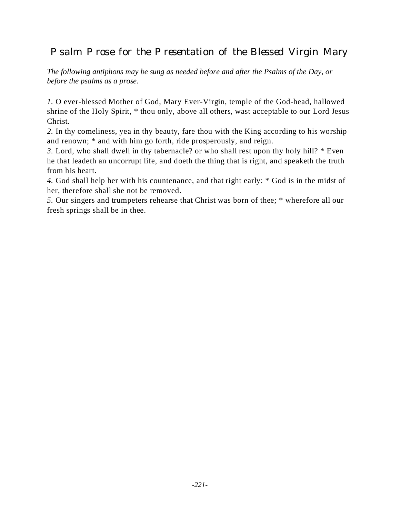Psalm Prose for the Presentation of the Blessed Virgin Mary

*The following antiphons may be sung as needed before and after the Psalms of the Day, or before the psalms as a prose.*

*1.* O ever-blessed Mother of God, Mary Ever-Virgin, temple of the God-head, hallowed shrine of the Holy Spirit, \* thou only, above all others, wast acceptable to our Lord Jesus Christ.

*2.* In thy comeliness, yea in thy beauty, fare thou with the King according to his worship and renown; \* and with him go forth, ride prosperously, and reign.

*3.* Lord, who shall dwell in thy tabernacle? or who shall rest upon thy holy hill? \* Even he that leadeth an uncorrupt life, and doeth the thing that is right, and speaketh the truth from his heart.

*4.* God shall help her with his countenance, and that right early: \* God is in the midst of her, therefore shall she not be removed.

*5.* Our singers and trumpeters rehearse that Christ was born of thee; \* wherefore all our fresh springs shall be in thee.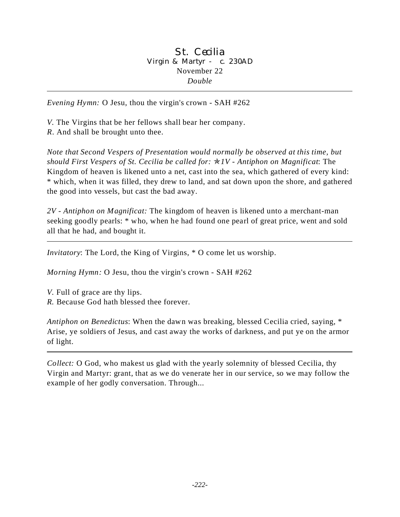### St. Cecilia Virgin & Martyr - c. 230AD November 22 *Double*

*Evening Hymn:* O Jesu, thou the virgin's crown - SAH #262

*V.* The Virgins that be her fellows shall bear her company. *R*. And shall be brought unto thee.

*Note that Second Vespers of Presentation would normally be observed at this time, but should First Vespers of St. Cecilia be called for:* p*1V - Antiphon on Magnificat*: The Kingdom of heaven is likened unto a net, cast into the sea, which gathered of every kind: \* which, when it was filled, they drew to land, and sat down upon the shore, and gathered the good into vessels, but cast the bad away.

*2V - Antiphon on Magnificat:* The kingdom of heaven is likened unto a merchant-man seeking goodly pearls: \* who, when he had found one pearl of great price, went and sold all that he had, and bought it.

*Invitatory*: The Lord, the King of Virgins, \* O come let us worship.

*Morning Hymn:* O Jesu, thou the virgin's crown - SAH #262

*V.* Full of grace are thy lips. *R.* Because God hath blessed thee forever.

*Antiphon on Benedictus*: When the dawn was breaking, blessed Cecilia cried, saying, \* Arise, ye soldiers of Jesus, and cast away the works of darkness, and put ye on the armor of light.

*Collect:* O God, who makest us glad with the yearly solemnity of blessed Cecilia, thy Virgin and Martyr: grant, that as we do venerate her in our service, so we may follow the example of her godly conversation. Through...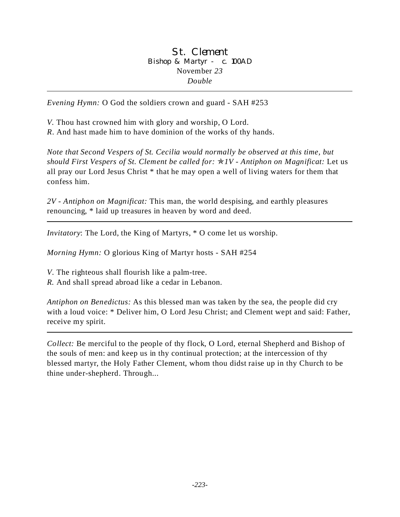### St. Clement Bishop & Martyr - c. 100AD November *23 Double*

*Evening Hymn:* O God the soldiers crown and guard - SAH #253

*V.* Thou hast crowned him with glory and worship, O Lord. *R*. And hast made him to have dominion of the works of thy hands.

*Note that Second Vespers of St. Cecilia would normally be observed at this time, but should First Vespers of St. Clement be called for:* p*1V - Antiphon on Magnificat:* Let us all pray our Lord Jesus Christ \* that he may open a well of living waters for them that confess him.

*2V - Antiphon on Magnificat:* This man, the world despising, and earthly pleasures renouncing, \* laid up treasures in heaven by word and deed.

*Invitatory*: The Lord, the King of Martyrs, \* O come let us worship.

*Morning Hymn:* O glorious King of Martyr hosts - SAH #254

*V*. The righteous shall flourish like a palm-tree.

*R.* And shall spread abroad like a cedar in Lebanon.

*Antiphon on Benedictus:* As this blessed man was taken by the sea, the people did cry with a loud voice: \* Deliver him, O Lord Jesu Christ; and Clement wept and said: Father, receive my spirit.

*Collect:* Be merciful to the people of thy flock, O Lord, eternal Shepherd and Bishop of the souls of men: and keep us in thy continual protection; at the intercession of thy blessed martyr, the Holy Father Clement, whom thou didst raise up in thy Church to be thine under-shepherd. Through...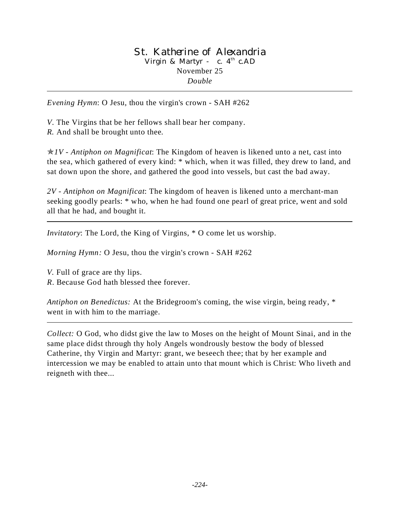### St. Katherine of Alexandria Virgin & Martyr - c.  $4<sup>th</sup>$  c.AD November 25 *Double*

*Evening Hymn*: O Jesu, thou the virgin's crown - SAH #262

*V*. The Virgins that be her fellows shall bear her company. *R.* And shall be brought unto thee.

 $\star IV$  - Antiphon on Magnificat: The Kingdom of heaven is likened unto a net, cast into the sea, which gathered of every kind: \* which, when it was filled, they drew to land, and sat down upon the shore, and gathered the good into vessels, but cast the bad away.

*2V - Antiphon on Magnificat*: The kingdom of heaven is likened unto a merchant-man seeking goodly pearls: \* who, when he had found one pearl of great price, went and sold all that he had, and bought it.

*Invitatory*: The Lord, the King of Virgins, \* O come let us worship.

*Morning Hymn:* O Jesu, thou the virgin's crown - SAH #262

*V.* Full of grace are thy lips. *R*. Because God hath blessed thee forever.

*Antiphon on Benedictus:* At the Bridegroom's coming, the wise virgin, being ready, \* went in with him to the marriage.

*Collect:* O God, who didst give the law to Moses on the height of Mount Sinai, and in the same place didst through thy holy Angels wondrously bestow the body of blessed Catherine, thy Virgin and Martyr: grant, we beseech thee; that by her example and intercession we may be enabled to attain unto that mount which is Christ: Who liveth and reigneth with thee...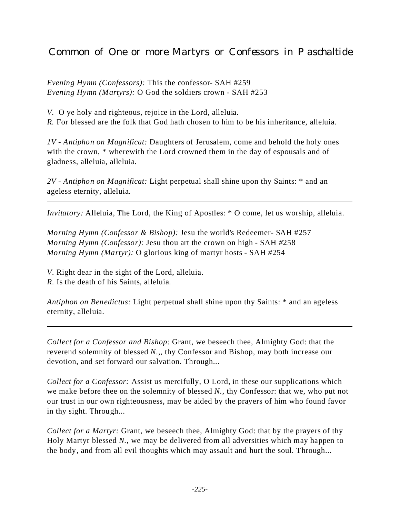*Evening Hymn (Confessors):* This the confessor- SAH #259 *Evening Hymn (Martyrs):* O God the soldiers crown - SAH #253

*V.* O ye holy and righteous, rejoice in the Lord, alleluia. *R.* For blessed are the folk that God hath chosen to him to be his inheritance, alleluia.

*1V - Antiphon on Magnificat:* Daughters of Jerusalem, come and behold the holy ones with the crown, \* wherewith the Lord crowned them in the day of espousals and of gladness, alleluia, alleluia.

*2V - Antiphon on Magnificat:* Light perpetual shall shine upon thy Saints: \* and an ageless eternity, alleluia.

*Invitatory:* Alleluia, The Lord, the King of Apostles: \* O come, let us worship, alleluia.

*Morning Hymn (Confessor & Bishop):* Jesu the world's Redeemer- SAH #257 *Morning Hymn (Confessor):* Jesu thou art the crown on high *-* SAH *#*258 *Morning Hymn (Martyr):* O glorious king of martyr hosts *-* SAH *#*254

*V*. Right dear in the sight of the Lord, alleluia. *R.* Is the death of his Saints, alleluia.

*Antiphon on Benedictus:* Light perpetual shall shine upon thy Saints: \* and an ageless eternity, alleluia.

*Collect for a Confessor and Bishop:* Grant, we beseech thee, Almighty God: that the reverend solemnity of blessed *N.*,*,* thy Confessor and Bishop, may both increase our devotion, and set forward our salvation. Through...

*Collect for a Confessor:* Assist us mercifully, O Lord, in these our supplications which we make before thee on the solemnity of blessed *N.*, thy Confessor: that we, who put not our trust in our own righteousness, may be aided by the prayers of him who found favor in thy sight. Through...

*Collect for a Martyr:* Grant, we beseech thee, Almighty God: that by the prayers of thy Holy Martyr blessed *N.,* we may be delivered from all adversities which may happen to the body, and from all evil thoughts which may assault and hurt the soul. Through...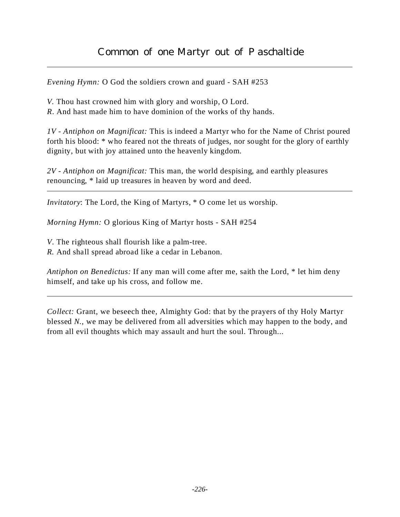*Evening Hymn:* O God the soldiers crown and guard - SAH #253

- *V.* Thou hast crowned him with glory and worship, O Lord.
- *R*. And hast made him to have dominion of the works of thy hands.

*1V - Antiphon on Magnificat:* This is indeed a Martyr who for the Name of Christ poured forth his blood: \* who feared not the threats of judges, nor sought for the glory of earthly dignity, but with joy attained unto the heavenly kingdom.

*2V - Antiphon on Magnificat:* This man, the world despising, and earthly pleasures renouncing, \* laid up treasures in heaven by word and deed.

*Invitatory*: The Lord, the King of Martyrs, \* O come let us worship.

*Morning Hymn:* O glorious King of Martyr hosts - SAH #254

*V*. The righteous shall flourish like a palm-tree.

*R.* And shall spread abroad like a cedar in Lebanon.

*Antiphon on Benedictus:* If any man will come after me, saith the Lord, \* let him deny himself, and take up his cross, and follow me.

*Collect:* Grant, we beseech thee, Almighty God: that by the prayers of thy Holy Martyr blessed *N.,* we may be delivered from all adversities which may happen to the body, and from all evil thoughts which may assault and hurt the soul. Through...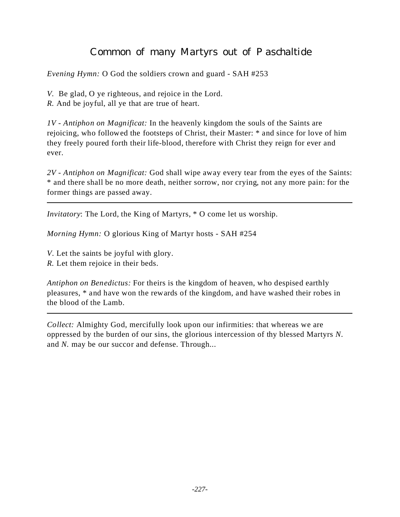# Common of many Martyrs out of Paschaltide

*Evening Hymn:* O God the soldiers crown and guard - SAH #253

*V.* Be glad, O ye righteous, and rejoice in the Lord.

*R.* And be joyful, all ye that are true of heart.

*1V - Antiphon on Magnificat:* In the heavenly kingdom the souls of the Saints are rejoicing, who followed the footsteps of Christ, their Master: \* and since for love of him they freely poured forth their life-blood, therefore with Christ they reign for ever and ever.

*2V - Antiphon on Magnificat:* God shall wipe away every tear from the eyes of the Saints: \* and there shall be no more death, neither sorrow, nor crying, not any more pain: for the former things are passed away.

*Invitatory*: The Lord, the King of Martyrs, \* O come let us worship.

*Morning Hymn:* O glorious King of Martyr hosts - SAH #254

*V*. Let the saints be joyful with glory.

*R.* Let them rejoice in their beds.

*Antiphon on Benedictus:* For theirs is the kingdom of heaven, who despised earthly pleasures, \* and have won the rewards of the kingdom, and have washed their robes in the blood of the Lamb.

*Collect:* Almighty God, mercifully look upon our infirmities: that whereas we are oppressed by the burden of our sins, the glorious intercession of thy blessed Martyrs *N.* and *N.* may be our succor and defense. Through...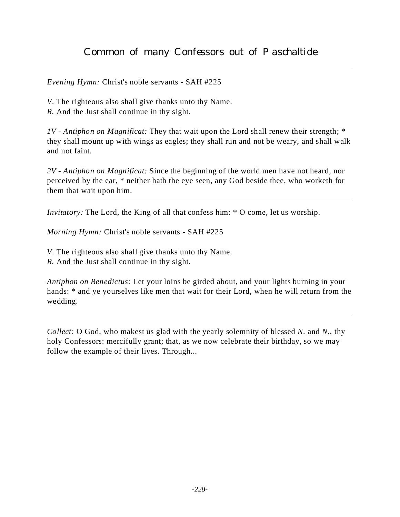*Evening Hymn:* Christ's noble servants - SAH #225

*V*. The righteous also shall give thanks unto thy Name.

*R.* And the Just shall continue in thy sight.

*1V - Antiphon on Magnificat:* They that wait upon the Lord shall renew their strength; \* they shall mount up with wings as eagles; they shall run and not be weary, and shall walk and not faint.

*2V - Antiphon on Magnificat:* Since the beginning of the world men have not heard, nor perceived by the ear, \* neither hath the eye seen, any God beside thee, who worketh for them that wait upon him.

*Invitatory:* The Lord, the King of all that confess him: \* O come, let us worship.

*Morning Hymn:* Christ's noble servants - SAH #225

*V*. The righteous also shall give thanks unto thy Name.

*R.* And the Just shall continue in thy sight.

*Antiphon on Benedictus:* Let your loins be girded about, and your lights burning in your hands: \* and ye yourselves like men that wait for their Lord, when he will return from the wedding.

*Collect:* O God, who makest us glad with the yearly solemnity of blessed *N.* and *N.*, thy holy Confessors: mercifully grant; that, as we now celebrate their birthday, so we may follow the example of their lives. Through...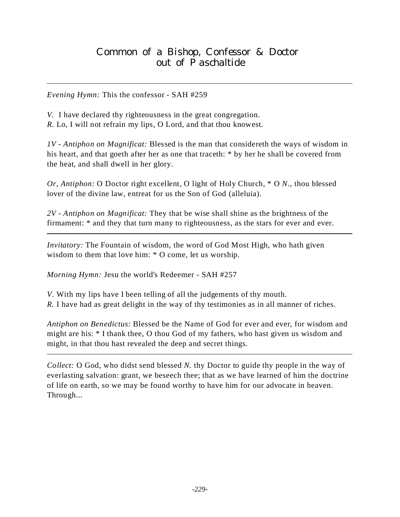*V.* I have declared thy righteousness in the great congregation. *R.* Lo, I will not refrain my lips, O Lord, and that thou knowest.

*1V - Antiphon on Magnificat:* Blessed is the man that considereth the ways of wisdom in his heart, and that goeth after her as one that traceth: \* by her he shall be covered from the heat, and shall dwell in her glory.

*Or, Antiphon:* O Doctor right excellent, O light of Holy Church, \* O *N.*, thou blessed lover of the divine law, entreat for us the Son of God (alleluia).

*2V - Antiphon on Magnificat:* They that be wise shall shine as the brightness of the firmament: \* and they that turn many to righteousness, as the stars for ever and ever.

*Invitatory:* The Fountain of wisdom, the word of God Most High, who hath given wisdom to them that love him: \* O come, let us worship.

*Morning Hymn:* Jesu the world's Redeemer - SAH #257

*V*. With my lips have I been telling of all the judgements of thy mouth. *R.* I have had as great delight in the way of thy testimonies as in all manner of riches.

*Antiphon on Benedictus:* Blessed be the Name of God for ever and ever, for wisdom and might are his: \* I thank thee, O thou God of my fathers, who hast given us wisdom and might, in that thou hast revealed the deep and secret things.

*Collect:* O God, who didst send blessed *N.* thy Doctor to guide thy people in the way of everlasting salvation: grant, we beseech thee; that as we have learned of him the doctrine of life on earth, so we may be found worthy to have him for our advocate in heaven. Through...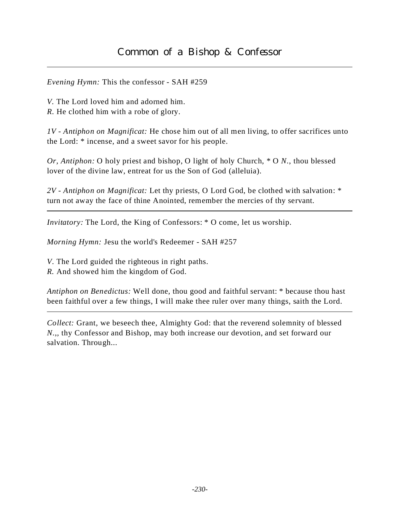*V.* The Lord loved him and adorned him. *R.* He clothed him with a robe of glory.

*1V - Antiphon on Magnificat:* He chose him out of all men living, to offer sacrifices unto the Lord: \* incense, and a sweet savor for his people.

*Or, Antiphon:* O holy priest and bishop, O light of holy Church, \* O *N.*, thou blessed lover of the divine law, entreat for us the Son of God (alleluia).

*2V - Antiphon on Magnificat:* Let thy priests, O Lord God, be clothed with salvation: \* turn not away the face of thine Anointed, remember the mercies of thy servant.

*Invitatory:* The Lord, the King of Confessors: \* O come, let us worship.

*Morning Hymn:* Jesu the world's Redeemer - SAH #257

*V*. The Lord guided the righteous in right paths.

*R.* And showed him the kingdom of God.

*Antiphon on Benedictus:* Well done, thou good and faithful servant: \* because thou hast been faithful over a few things, I will make thee ruler over many things, saith the Lord.

*Collect:* Grant, we beseech thee, Almighty God: that the reverend solemnity of blessed *N.*,*,* thy Confessor and Bishop, may both increase our devotion, and set forward our salvation. Through...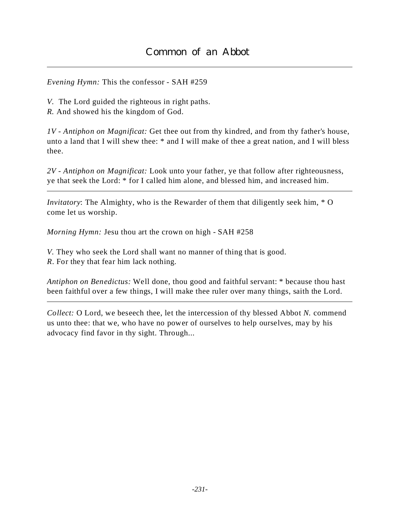*V.* The Lord guided the righteous in right paths.

*R.* And showed his the kingdom of God.

*1V - Antiphon on Magnificat:* Get thee out from thy kindred, and from thy father's house, unto a land that I will shew thee: \* and I will make of thee a great nation, and I will bless thee.

*2V - Antiphon on Magnificat:* Look unto your father, ye that follow after righteousness, ye that seek the Lord: \* for I called him alone, and blessed him, and increased him.

*Invitatory*: The Almighty, who is the Rewarder of them that diligently seek him, \* O come let us worship.

*Morning Hymn:* Jesu thou art the crown on high - SAH #258

*V.* They who seek the Lord shall want no manner of thing that is good. *R*. For they that fear him lack nothing.

*Antiphon on Benedictus:* Well done, thou good and faithful servant: \* because thou hast been faithful over a few things, I will make thee ruler over many things, saith the Lord.

*Collect:* O Lord, we beseech thee, let the intercession of thy blessed Abbot *N.* commend us unto thee: that we, who have no power of ourselves to help ourselves, may by his advocacy find favor in thy sight. Through...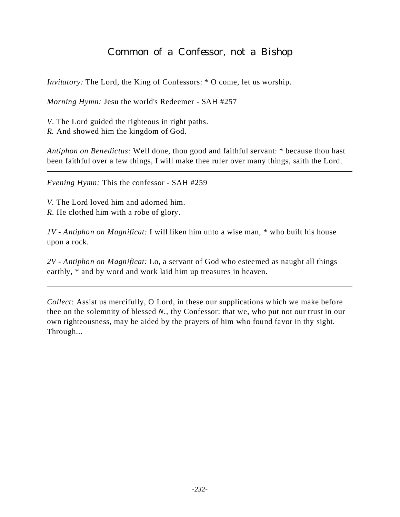*Invitatory:* The Lord, the King of Confessors: \* O come, let us worship.

*Morning Hymn:* Jesu the world's Redeemer - SAH #257

*V*. The Lord guided the righteous in right paths.

*R.* And showed him the kingdom of God.

*Antiphon on Benedictus:* Well done, thou good and faithful servant: \* because thou hast been faithful over a few things, I will make thee ruler over many things, saith the Lord.

*Evening Hymn:* This the confessor - SAH #259

*V.* The Lord loved him and adorned him. *R.* He clothed him with a robe of glory.

*1V - Antiphon on Magnificat:* I will liken him unto a wise man, \* who built his house upon a rock.

*2V - Antiphon on Magnificat:* Lo, a servant of God who esteemed as naught all things earthly,  $*$  and by word and work laid him up treasures in heaven.

*Collect:* Assist us mercifully, O Lord, in these our supplications which we make before thee on the solemnity of blessed *N.*, thy Confessor: that we, who put not our trust in our own righteousness, may be aided by the prayers of him who found favor in thy sight. Through...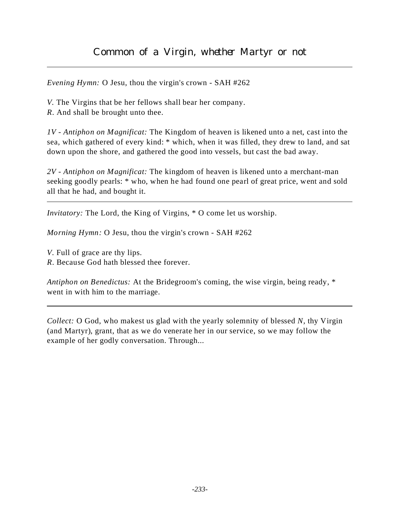*Evening Hymn:* O Jesu, thou the virgin's crown - SAH #262

*V.* The Virgins that be her fellows shall bear her company. *R*. And shall be brought unto thee.

*1V - Antiphon on Magnificat:* The Kingdom of heaven is likened unto a net, cast into the sea, which gathered of every kind: \* which, when it was filled, they drew to land, and sat down upon the shore, and gathered the good into vessels, but cast the bad away.

*2V - Antiphon on Magnificat:* The kingdom of heaven is likened unto a merchant-man seeking goodly pearls: \* who, when he had found one pearl of great price, went and sold all that he had, and bought it.

*Invitatory:* The Lord, the King of Virgins,  $*$  O come let us worship.

*Morning Hymn:* O Jesu, thou the virgin's crown - SAH #262

*V*. Full of grace are thy lips. *R*. Because God hath blessed thee forever.

*Antiphon on Benedictus:* At the Bridegroom's coming, the wise virgin, being ready, \* went in with him to the marriage.

*Collect:* O God, who makest us glad with the yearly solemnity of blessed *N,* thy Virgin (and Martyr), grant, that as we do venerate her in our service, so we may follow the example of her godly conversation. Through...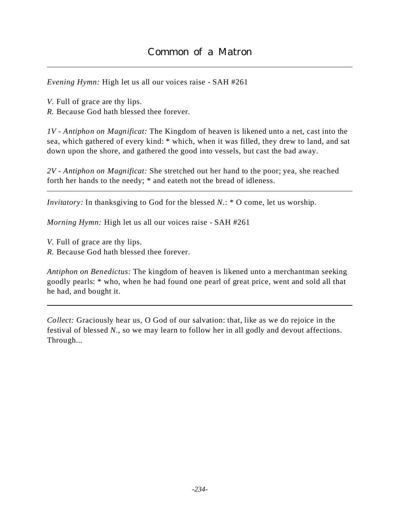*Evening Hymn:* High let us all our voices raise - SAH #261

*V.* Full of grace are thy lips. *R.* Because God hath blessed thee forever.

*1V - Antiphon on Magnificat:* The Kingdom of heaven is likened unto a net, cast into the sea, which gathered of every kind: \* which, when it was filled, they drew to land, and sat down upon the shore, and gathered the good into vessels, but cast the bad away.

*2V - Antiphon on Magnificat:* She stretched out her hand to the poor; yea, she reached forth her hands to the needy; \* and eateth not the bread of idleness.

*Invitatory:* In thanksgiving to God for the blessed *N*.: \* O come, let us worship.

*Morning Hymn:* High let us all our voices raise - SAH #261

*V.* Full of grace are thy lips.

*R.* Because God hath blessed thee forever.

*Antiphon on Benedictus:* The kingdom of heaven is likened unto a merchantman seeking goodly pearls: \* who, when he had found one pearl of great price, went and sold all that he had, and bought it.

*Collect:* Graciously hear us, O God of our salvation: that, like as we do rejoice in the festival of blessed *N.*, so we may learn to follow her in all godly and devout affections. Through...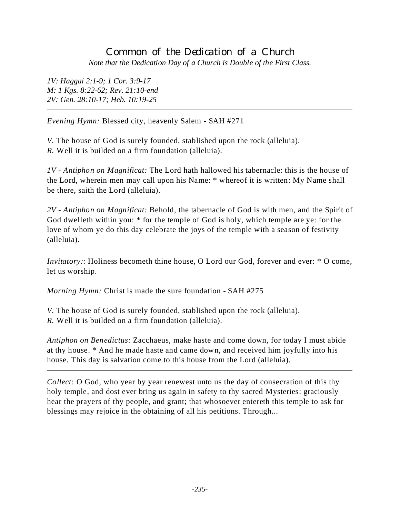# Common of the Dedication of a Church *Note that the Dedication Day of a Church is Double of the First Class.*

*1V: Haggai 2:1-9; 1 Cor. 3:9-17 M: 1 Kgs. 8:22-62; Rev. 21:10-end 2V: Gen. 28:10-17; Heb. 10:19-25*

*Evening Hymn:* Blessed city, heavenly Salem - SAH #271

*V.* The house of God is surely founded, stablished upon the rock (alleluia). *R.* Well it is builded on a firm foundation (alleluia).

*1V - Antiphon on Magnificat:* The Lord hath hallowed his tabernacle: this is the house of the Lord, wherein men may call upon his Name: \* whereof it is written: My Name shall be there, saith the Lord (alleluia).

*2V - Antiphon on Magnificat:* Behold, the tabernacle of God is with men, and the Spirit of God dwelleth within you: \* for the temple of God is holy, which temple are ye: for the love of whom ye do this day celebrate the joys of the temple with a season of festivity (alleluia).

*Invitatory*:: Holiness becometh thine house, O Lord our God, forever and ever: \* O come, let us worship.

*Morning Hymn:* Christ is made the sure foundation - SAH #275

*V.* The house of God is surely founded, stablished upon the rock (alleluia). *R.* Well it is builded on a firm foundation (alleluia).

*Antiphon on Benedictus:* Zacchaeus, make haste and come down, for today I must abide at thy house. \* And he made haste and came down, and received him joyfully into his house. This day is salvation come to this house from the Lord (alleluia).

*Collect:* O God, who year by year renewest unto us the day of consecration of this thy holy temple, and dost ever bring us again in safety to thy sacred Mysteries: graciously hear the prayers of thy people, and grant; that whosoever entereth this temple to ask for blessings may rejoice in the obtaining of all his petitions. Through...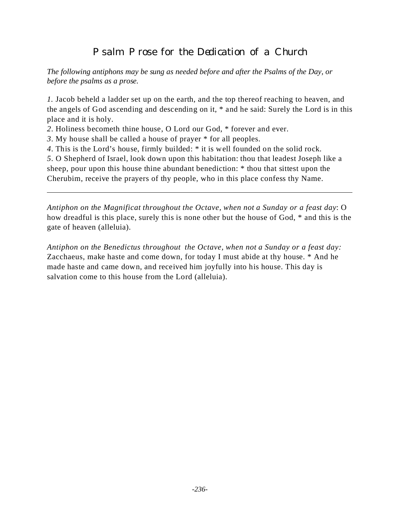# Psalm Prose for the Dedication of a Church

*The following antiphons may be sung as needed before and after the Psalms of the Day, or before the psalms as a prose.*

*1.* Jacob beheld a ladder set up on the earth, and the top thereof reaching to heaven, and the angels of God ascending and descending on it, \* and he said: Surely the Lord is in this place and it is holy.

*2*. Holiness becometh thine house, O Lord our God, \* forever and ever.

*3*. My house shall be called a house of prayer \* for all peoples.

*4*. This is the Lord's house, firmly builded: \* it is well founded on the solid rock.

*5*. O Shepherd of Israel, look down upon this habitation: thou that leadest Joseph like a sheep, pour upon this house thine abundant benediction: \* thou that sittest upon the Cherubim, receive the prayers of thy people, who in this place confess thy Name.

*Antiphon on the Magnificat throughout the Octave, when not a Sunday or a feast day*: O how dreadful is this place, surely this is none other but the house of God, \* and this is the gate of heaven (alleluia).

*Antiphon on the Benedictus throughout the Octave, when not a Sunday or a feast day:* Zacchaeus, make haste and come down, for today I must abide at thy house. \* And he made haste and came down, and received him joyfully into his house. This day is salvation come to this house from the Lord (alleluia).